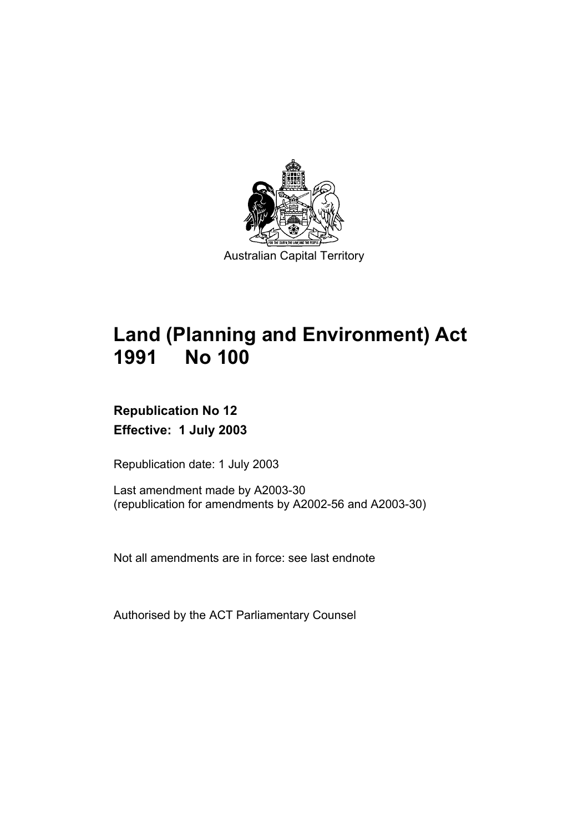

# **Land (Planning and Environment) Act 1991 No 100**

# **Republication No 12 Effective: 1 July 2003**

Republication date: 1 July 2003

Last amendment made by A2003-30 (republication for amendments by A2002-56 and A2003-30)

Not all amendments are in force: see last endnote

Authorised by the ACT Parliamentary Counsel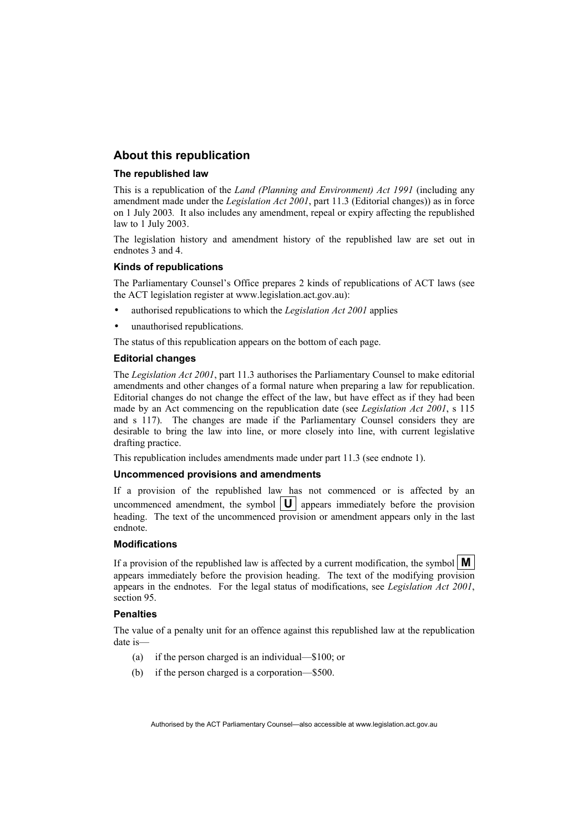#### **About this republication**

#### **The republished law**

This is a republication of the *Land (Planning and Environment) Act 1991* (including any amendment made under the *Legislation Act 2001*, part 11.3 (Editorial changes)) as in force on 1 July 2003*.* It also includes any amendment, repeal or expiry affecting the republished law to 1 July 2003.

The legislation history and amendment history of the republished law are set out in endnotes 3 and 4.

#### **Kinds of republications**

The Parliamentary Counsel's Office prepares 2 kinds of republications of ACT laws (see the ACT legislation register at www.legislation.act.gov.au):

- authorised republications to which the *Legislation Act 2001* applies
- unauthorised republications.

The status of this republication appears on the bottom of each page.

#### **Editorial changes**

The *Legislation Act 2001*, part 11.3 authorises the Parliamentary Counsel to make editorial amendments and other changes of a formal nature when preparing a law for republication. Editorial changes do not change the effect of the law, but have effect as if they had been made by an Act commencing on the republication date (see *Legislation Act 2001*, s 115 and s 117). The changes are made if the Parliamentary Counsel considers they are desirable to bring the law into line, or more closely into line, with current legislative drafting practice.

This republication includes amendments made under part 11.3 (see endnote 1).

#### **Uncommenced provisions and amendments**

If a provision of the republished law has not commenced or is affected by an uncommenced amendment, the symbol  $\|\mathbf{U}\|$  appears immediately before the provision heading. The text of the uncommenced provision or amendment appears only in the last endnote.

#### **Modifications**

If a provision of the republished law is affected by a current modification, the symbol  $\mathbf{M}$ appears immediately before the provision heading. The text of the modifying provision appears in the endnotes. For the legal status of modifications, see *Legislation Act 2001*, section 95.

#### **Penalties**

The value of a penalty unit for an offence against this republished law at the republication date is—

- (a) if the person charged is an individual—\$100; or
- (b) if the person charged is a corporation—\$500.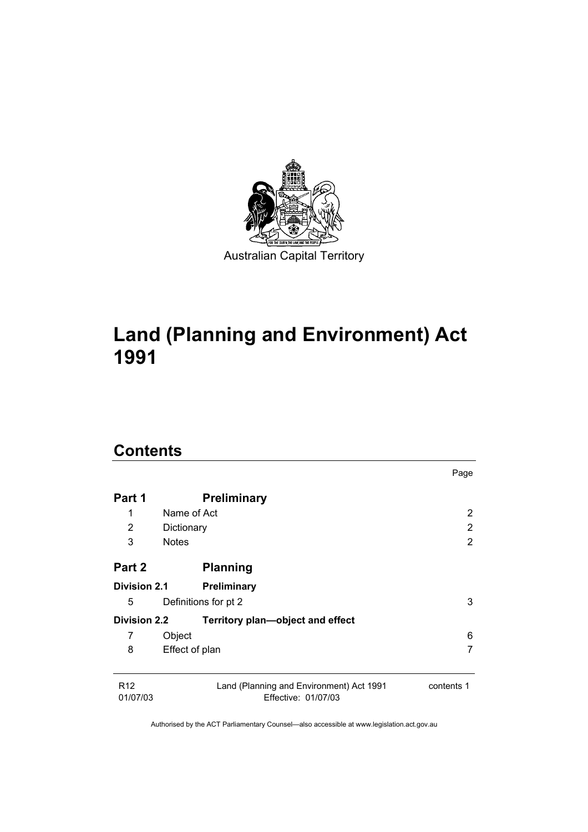

# **Land (Planning and Environment) Act 1991**

# **Contents**

|                             |                                                                 | Page       |
|-----------------------------|-----------------------------------------------------------------|------------|
| Part 1                      | <b>Preliminary</b>                                              |            |
| 1                           | Name of Act                                                     | 2          |
| 2                           | Dictionary                                                      | 2          |
| 3                           | <b>Notes</b>                                                    | 2          |
| Part 2                      | <b>Planning</b>                                                 |            |
| <b>Division 2.1</b>         | Preliminary                                                     |            |
| 5                           | Definitions for pt 2                                            | 3          |
| <b>Division 2.2</b>         | Territory plan-object and effect                                |            |
| 7                           | Object                                                          | 6          |
| 8                           | Effect of plan                                                  | 7          |
| R <sub>12</sub><br>01/07/03 | Land (Planning and Environment) Act 1991<br>Effective: 01/07/03 | contents 1 |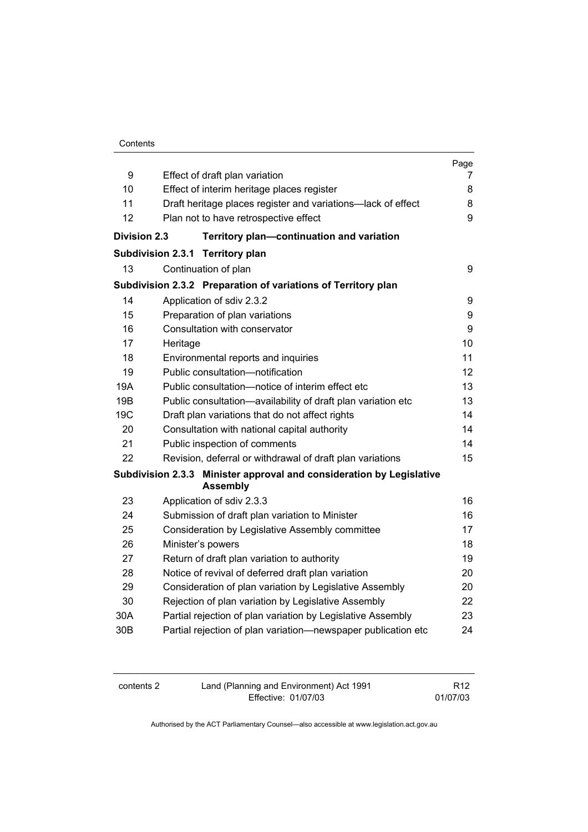|                 |                                                                                         | Page |
|-----------------|-----------------------------------------------------------------------------------------|------|
| 9               | Effect of draft plan variation                                                          | 7    |
| 10              | Effect of interim heritage places register                                              | 8    |
| 11              | Draft heritage places register and variations-lack of effect                            | 8    |
| 12              | Plan not to have retrospective effect                                                   | 9    |
|                 | <b>Division 2.3</b><br>Territory plan-continuation and variation                        |      |
|                 | Subdivision 2.3.1 Territory plan                                                        |      |
| 13              | Continuation of plan                                                                    | 9    |
|                 | Subdivision 2.3.2 Preparation of variations of Territory plan                           |      |
| 14              | Application of sdiv 2.3.2                                                               | 9    |
| 15              | Preparation of plan variations                                                          | 9    |
| 16              | Consultation with conservator                                                           | 9    |
| 17              | Heritage                                                                                | 10   |
| 18              | Environmental reports and inquiries                                                     | 11   |
| 19              | Public consultation-notification                                                        | 12   |
| 19A             | Public consultation-notice of interim effect etc                                        | 13   |
| 19B             | Public consultation-availability of draft plan variation etc                            | 13   |
| 19 <sub>C</sub> | Draft plan variations that do not affect rights                                         | 14   |
| 20              | Consultation with national capital authority                                            | 14   |
| 21              | Public inspection of comments                                                           | 14   |
| 22              | Revision, deferral or withdrawal of draft plan variations                               | 15   |
|                 | Subdivision 2.3.3 Minister approval and consideration by Legislative<br><b>Assembly</b> |      |
| 23              | Application of sdiv 2.3.3                                                               | 16   |
| 24              | Submission of draft plan variation to Minister                                          | 16   |
| 25              | Consideration by Legislative Assembly committee                                         | 17   |
| 26              | Minister's powers                                                                       | 18   |
| 27              | Return of draft plan variation to authority                                             | 19   |
| 28              | Notice of revival of deferred draft plan variation                                      | 20   |
| 29              | Consideration of plan variation by Legislative Assembly                                 | 20   |
| 30              | Rejection of plan variation by Legislative Assembly                                     | 22   |
| 30A             | Partial rejection of plan variation by Legislative Assembly                             | 23   |
| 30 <sub>B</sub> | Partial rejection of plan variation-newspaper publication etc                           | 24   |

| contents 2 | Land (Planning and Environment) Act 1991 | R <sub>12</sub> |
|------------|------------------------------------------|-----------------|
|            | Effective: 01/07/03                      | 01/07/03        |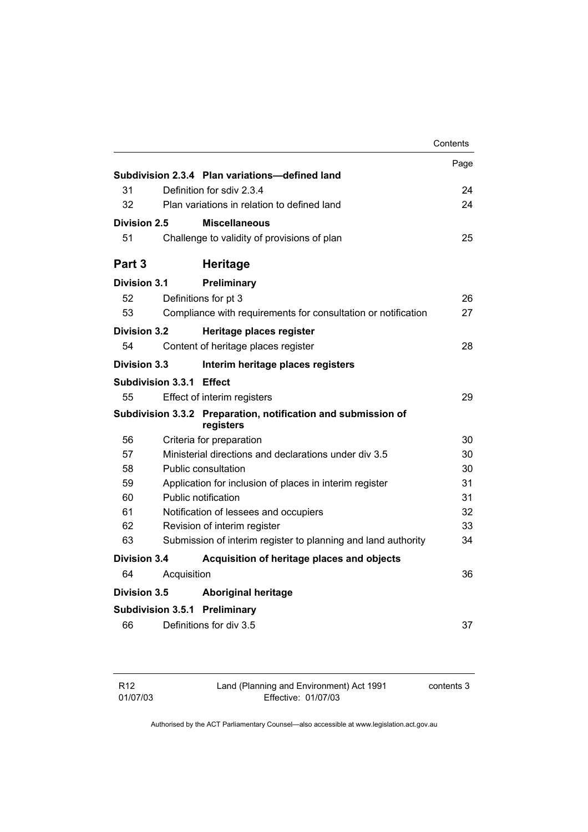|                          |             |                                                                            | Contents |
|--------------------------|-------------|----------------------------------------------------------------------------|----------|
|                          |             |                                                                            | Page     |
|                          |             | Subdivision 2.3.4 Plan variations-defined land                             |          |
| 31                       |             | Definition for sdiv 2.3.4                                                  | 24       |
| 32                       |             | Plan variations in relation to defined land                                | 24       |
| Division 2.5             |             | <b>Miscellaneous</b>                                                       |          |
| 51                       |             | Challenge to validity of provisions of plan                                | 25       |
| Part <sub>3</sub>        |             | <b>Heritage</b>                                                            |          |
| Division 3.1             |             | Preliminary                                                                |          |
| 52                       |             | Definitions for pt 3                                                       | 26       |
| 53                       |             | Compliance with requirements for consultation or notification              | 27       |
| Division 3.2             |             | Heritage places register                                                   |          |
| 54                       |             | Content of heritage places register                                        | 28       |
| Division 3.3             |             | Interim heritage places registers                                          |          |
| Subdivision 3.3.1 Effect |             |                                                                            |          |
| 55                       |             | Effect of interim registers                                                | 29       |
|                          |             | Subdivision 3.3.2 Preparation, notification and submission of<br>registers |          |
| 56                       |             | Criteria for preparation                                                   | 30       |
| 57                       |             | Ministerial directions and declarations under div 3.5                      | 30       |
| 58                       |             | Public consultation                                                        | 30       |
| 59                       |             | Application for inclusion of places in interim register                    | 31       |
| 60                       |             | Public notification                                                        | 31       |
| 61                       |             | Notification of lessees and occupiers                                      | 32       |
| 62                       |             | Revision of interim register                                               | 33       |
| 63                       |             | Submission of interim register to planning and land authority              | 34       |
| Division 3.4             |             | Acquisition of heritage places and objects                                 |          |
| 64                       | Acquisition |                                                                            | 36       |
| <b>Division 3.5</b>      |             | <b>Aboriginal heritage</b>                                                 |          |
|                          |             | <b>Subdivision 3.5.1 Preliminary</b>                                       |          |
| 66                       |             | Definitions for div 3.5                                                    | 37       |

| R12      |
|----------|
| 01/07/03 |

Land (Planning and Environment) Act 1991 Effective: 01/07/03

contents 3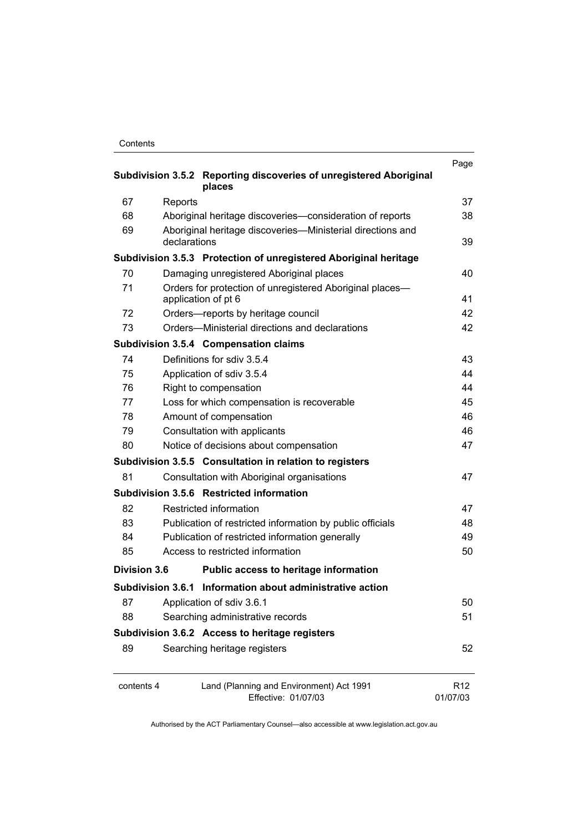| Contents |
|----------|
|----------|

| Subdivision 3.5.2 Reporting discoveries of unregistered Aboriginal<br>places  |                                                                                 |                             |
|-------------------------------------------------------------------------------|---------------------------------------------------------------------------------|-----------------------------|
| 67                                                                            | Reports                                                                         | 37                          |
| 68                                                                            | Aboriginal heritage discoveries-consideration of reports                        | 38                          |
| 69                                                                            | Aboriginal heritage discoveries—Ministerial directions and<br>declarations      | 39                          |
|                                                                               | Subdivision 3.5.3 Protection of unregistered Aboriginal heritage                |                             |
| 70                                                                            | Damaging unregistered Aboriginal places                                         | 40                          |
| 71                                                                            | Orders for protection of unregistered Aboriginal places-<br>application of pt 6 | 41                          |
| 72                                                                            | Orders-reports by heritage council                                              | 42                          |
| 73                                                                            | Orders-Ministerial directions and declarations                                  | 42                          |
|                                                                               | Subdivision 3.5.4 Compensation claims                                           |                             |
| 74                                                                            | Definitions for sdiv 3.5.4                                                      | 43                          |
| 75                                                                            | Application of sdiv 3.5.4                                                       | 44                          |
| 76                                                                            | Right to compensation                                                           | 44                          |
| 77                                                                            | Loss for which compensation is recoverable                                      | 45                          |
| 78                                                                            | Amount of compensation                                                          | 46                          |
| 79                                                                            | Consultation with applicants                                                    | 46                          |
| 80                                                                            | Notice of decisions about compensation                                          | 47                          |
|                                                                               | Subdivision 3.5.5 Consultation in relation to registers                         |                             |
| 81                                                                            | Consultation with Aboriginal organisations                                      | 47                          |
|                                                                               | Subdivision 3.5.6 Restricted information                                        |                             |
| 82                                                                            | Restricted information                                                          | 47                          |
| 83                                                                            | Publication of restricted information by public officials                       | 48                          |
| 84                                                                            | Publication of restricted information generally                                 | 49                          |
| 85                                                                            | Access to restricted information                                                | 50                          |
| <b>Division 3.6</b>                                                           | Public access to heritage information                                           |                             |
|                                                                               | Subdivision 3.6.1 Information about administrative action                       |                             |
| 87                                                                            | Application of sdiv 3.6.1                                                       | 50                          |
| 88                                                                            | Searching administrative records                                                | 51                          |
|                                                                               | Subdivision 3.6.2 Access to heritage registers                                  |                             |
| 89                                                                            | Searching heritage registers                                                    | 52                          |
| contents 4<br>Land (Planning and Environment) Act 1991<br>Effective: 01/07/03 |                                                                                 | R <sub>12</sub><br>01/07/03 |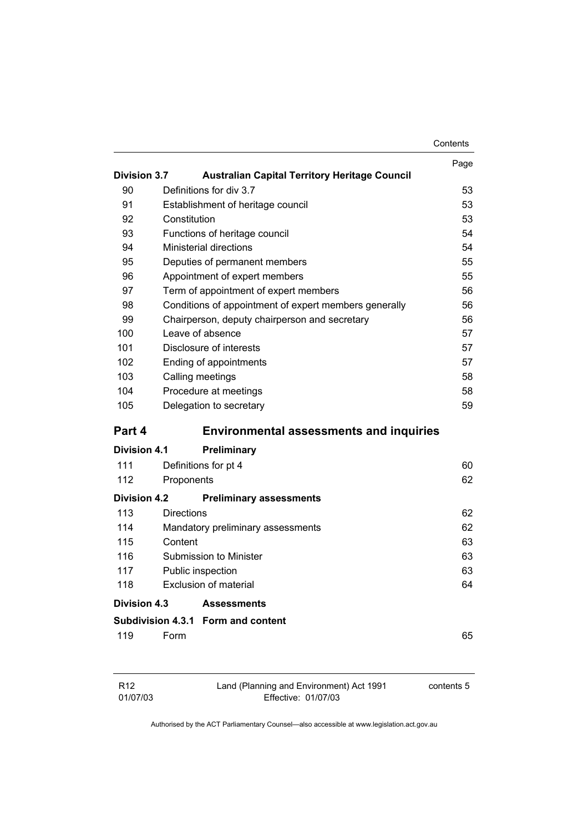|                     |                                                       | Contents |
|---------------------|-------------------------------------------------------|----------|
|                     |                                                       | Page     |
| <b>Division 3.7</b> | <b>Australian Capital Territory Heritage Council</b>  |          |
| 90                  | Definitions for div 3.7                               | 53       |
| 91                  | Establishment of heritage council                     | 53       |
| 92                  | Constitution                                          | 53       |
| 93                  | Functions of heritage council                         | 54       |
| 94                  | <b>Ministerial directions</b>                         | 54       |
| 95                  | Deputies of permanent members                         | 55       |
| 96                  | Appointment of expert members                         | 55       |
| 97                  | Term of appointment of expert members                 | 56       |
| 98                  | Conditions of appointment of expert members generally | 56       |
| 99                  | Chairperson, deputy chairperson and secretary         | 56       |
| 100                 | Leave of absence                                      | 57       |
| 101                 | Disclosure of interests                               | 57       |
| 102                 | Ending of appointments                                | 57       |
| 103                 | Calling meetings                                      | 58       |
| 104                 | Procedure at meetings                                 | 58       |
| 105                 | Delegation to secretary                               | 59       |
| Part 4              | <b>Environmental assessments and inquiries</b>        |          |
| Division 4.1        | <b>Preliminary</b>                                    |          |
| 111                 | Definitions for pt 4                                  | 60       |
| 112                 | Proponents                                            | 62       |
| <b>Division 4.2</b> | <b>Preliminary assessments</b>                        |          |
| 113                 | <b>Directions</b>                                     | 62       |
| 114                 | Mandatory preliminary assessments                     | 62       |
| 115                 | Content                                               | 63       |
| 116                 | Submission to Minister                                | 63       |
| 117                 | Public inspection                                     | 63       |
| 118                 | <b>Exclusion of material</b>                          | 64       |
| Division 4.3        | <b>Assessments</b>                                    |          |
|                     | Subdivision 4.3.1 Form and content                    |          |
| 119                 | Form                                                  | 65       |
|                     |                                                       |          |

| R <sub>12</sub> | Land (Planning and Environment) Act 1991 | contents 5 |
|-----------------|------------------------------------------|------------|
| 01/07/03        | Effective: 01/07/03                      |            |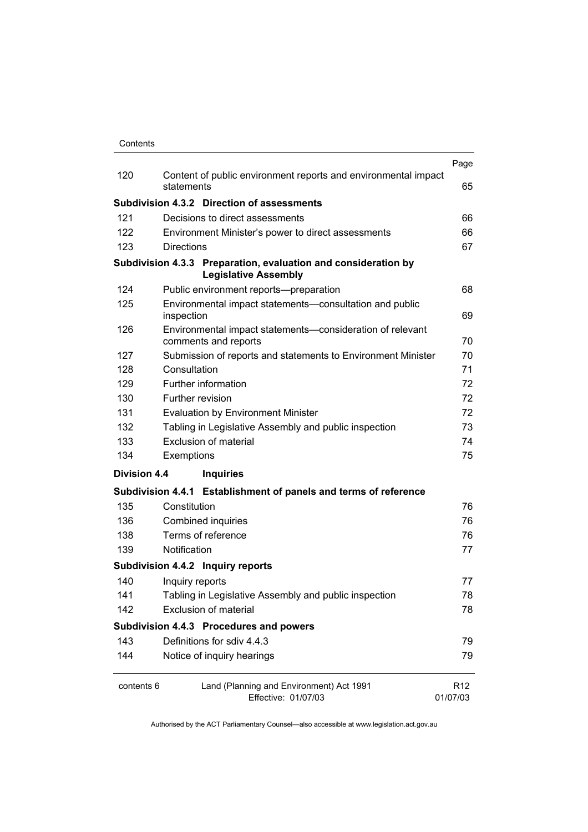| Contents |
|----------|
|          |

|                     |                                                                                               | Page                        |
|---------------------|-----------------------------------------------------------------------------------------------|-----------------------------|
| 120                 | Content of public environment reports and environmental impact<br>statements                  | 65                          |
|                     | Subdivision 4.3.2 Direction of assessments                                                    |                             |
| 121                 | Decisions to direct assessments                                                               | 66                          |
| 122                 | Environment Minister's power to direct assessments                                            | 66                          |
| 123                 | <b>Directions</b>                                                                             | 67                          |
|                     | Subdivision 4.3.3 Preparation, evaluation and consideration by<br><b>Legislative Assembly</b> |                             |
| 124                 | Public environment reports-preparation                                                        | 68                          |
| 125                 | Environmental impact statements-consultation and public<br>inspection                         | 69                          |
| 126                 | Environmental impact statements-consideration of relevant<br>comments and reports             | 70                          |
| 127                 | Submission of reports and statements to Environment Minister                                  | 70                          |
| 128                 | Consultation                                                                                  | 71                          |
| 129                 | Further information                                                                           | 72                          |
| 130                 | Further revision                                                                              | 72                          |
| 131                 | <b>Evaluation by Environment Minister</b>                                                     | 72                          |
| 132                 | Tabling in Legislative Assembly and public inspection                                         | 73                          |
| 133                 | <b>Exclusion of material</b>                                                                  | 74                          |
| 134                 | Exemptions                                                                                    | 75                          |
| <b>Division 4.4</b> | <b>Inquiries</b>                                                                              |                             |
|                     | Subdivision 4.4.1 Establishment of panels and terms of reference                              |                             |
| 135                 | Constitution                                                                                  | 76                          |
| 136                 | Combined inquiries                                                                            | 76                          |
| 138                 | Terms of reference                                                                            | 76                          |
| 139                 | Notification                                                                                  | 77                          |
|                     | Subdivision 4.4.2 Inquiry reports                                                             |                             |
| 140                 | Inquiry reports                                                                               | 77                          |
| 141                 | Tabling in Legislative Assembly and public inspection                                         | 78                          |
| 142                 | <b>Exclusion of material</b>                                                                  | 78                          |
|                     | Subdivision 4.4.3 Procedures and powers                                                       |                             |
| 143                 | Definitions for sdiv 4.4.3                                                                    | 79                          |
| 144                 | Notice of inquiry hearings                                                                    | 79                          |
| contents 6          | Land (Planning and Environment) Act 1991<br>Effective: 01/07/03                               | R <sub>12</sub><br>01/07/03 |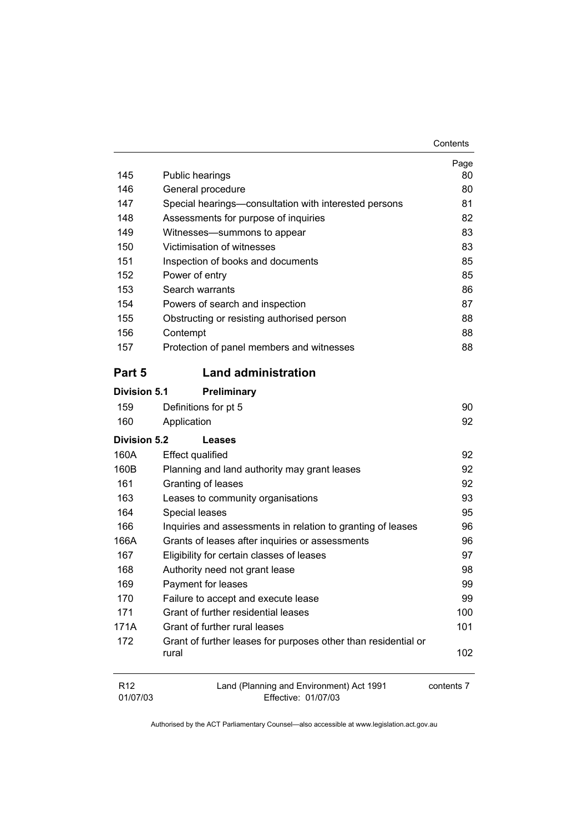| 145                 | Public hearings                                                         | Page<br>80 |
|---------------------|-------------------------------------------------------------------------|------------|
| 146                 | General procedure                                                       | 80         |
| 147                 | Special hearings—consultation with interested persons                   | 81         |
| 148                 | Assessments for purpose of inquiries                                    | 82         |
| 149                 | Witnesses-summons to appear                                             | 83         |
| 150                 | Victimisation of witnesses                                              | 83         |
| 151                 | Inspection of books and documents                                       | 85         |
| 152                 | Power of entry                                                          | 85         |
| 153                 | Search warrants                                                         | 86         |
| 154                 | Powers of search and inspection                                         | 87         |
| 155                 | Obstructing or resisting authorised person                              | 88         |
| 156                 | Contempt                                                                | 88         |
| 157                 | Protection of panel members and witnesses                               | 88         |
| Part 5              | <b>Land administration</b>                                              |            |
| <b>Division 5.1</b> | Preliminary                                                             |            |
| 159                 | Definitions for pt 5                                                    | 90         |
| 160                 | Application                                                             | 92         |
| Division 5.2        | <b>Leases</b>                                                           |            |
| 160A                | <b>Effect qualified</b>                                                 | 92         |
| 160B                | Planning and land authority may grant leases                            | 92         |
| 161                 | Granting of leases                                                      | 92         |
| 163                 | Leases to community organisations                                       | 93         |
| 164                 | Special leases                                                          | 95         |
| 166                 | Inquiries and assessments in relation to granting of leases             | 96         |
| 166A                | Grants of leases after inquiries or assessments                         | 96         |
| 167                 | Eligibility for certain classes of leases                               | 97         |
| 168                 | Authority need not grant lease                                          | 98         |
| 169                 | Payment for leases                                                      | 99         |
| 170                 | Failure to accept and execute lease                                     | 99         |
| 171                 | Grant of further residential leases                                     | 100        |
| 171A                | Grant of further rural leases                                           | 101        |
| 172                 | Grant of further leases for purposes other than residential or<br>rural | 102        |
| R <sub>12</sub>     | Land (Planning and Environment) Act 1991                                | contents 7 |

Effective: 01/07/03

01/07/03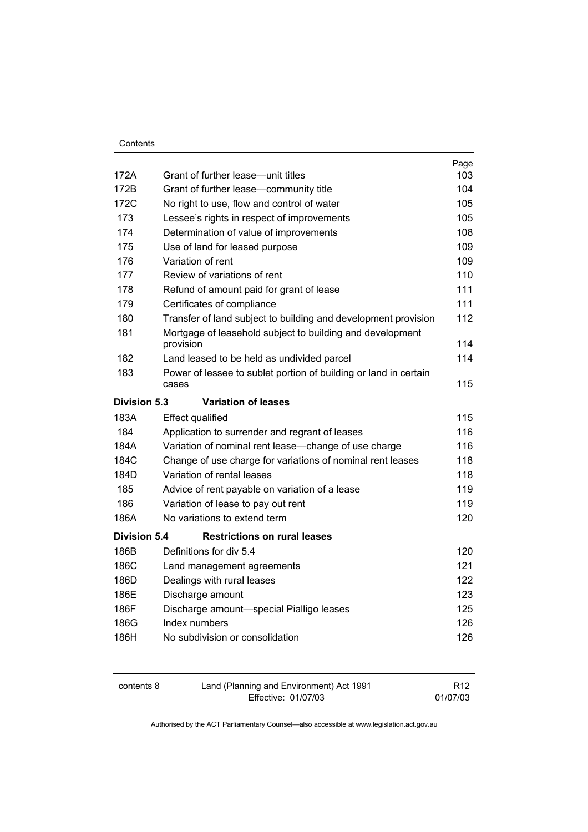|                     |                                                                  | Page |
|---------------------|------------------------------------------------------------------|------|
| 172A                | Grant of further lease—unit titles                               | 103  |
| 172B                | Grant of further lease-community title                           | 104  |
| 172C                | No right to use, flow and control of water                       | 105  |
| 173                 | Lessee's rights in respect of improvements                       | 105  |
| 174                 | Determination of value of improvements                           | 108  |
| 175                 | Use of land for leased purpose                                   | 109  |
| 176                 | Variation of rent                                                | 109  |
| 177                 | Review of variations of rent                                     | 110  |
| 178                 | Refund of amount paid for grant of lease                         | 111  |
| 179                 | Certificates of compliance                                       | 111  |
| 180                 | Transfer of land subject to building and development provision   | 112  |
| 181                 | Mortgage of leasehold subject to building and development        |      |
|                     | provision                                                        | 114  |
| 182                 | Land leased to be held as undivided parcel                       | 114  |
| 183                 | Power of lessee to sublet portion of building or land in certain |      |
|                     | cases                                                            | 115  |
| <b>Division 5.3</b> | <b>Variation of leases</b>                                       |      |
| 183A                | <b>Effect qualified</b>                                          | 115  |
| 184                 | Application to surrender and regrant of leases                   | 116  |
| 184A                | Variation of nominal rent lease—change of use charge             | 116  |
| 184C                | Change of use charge for variations of nominal rent leases       | 118  |
| 184D                | Variation of rental leases                                       | 118  |
| 185                 | Advice of rent payable on variation of a lease                   | 119  |
| 186                 | Variation of lease to pay out rent                               | 119  |
| 186A                | No variations to extend term                                     | 120  |
| <b>Division 5.4</b> | <b>Restrictions on rural leases</b>                              |      |
| 186B                | Definitions for div 5.4                                          | 120  |
| 186C                | Land management agreements                                       | 121  |
| 186D                | Dealings with rural leases                                       | 122  |
| 186E                | Discharge amount                                                 | 123  |
| 186F                | Discharge amount-special Pialligo leases                         | 125  |
| 186G                | Index numbers                                                    | 126  |
| 186H                | No subdivision or consolidation                                  | 126  |
|                     |                                                                  |      |

| contents 8 | Land (Planning and Environment) Act 1991 | R <sub>12</sub> |
|------------|------------------------------------------|-----------------|
|            | Effective: 01/07/03                      | 01/07/03        |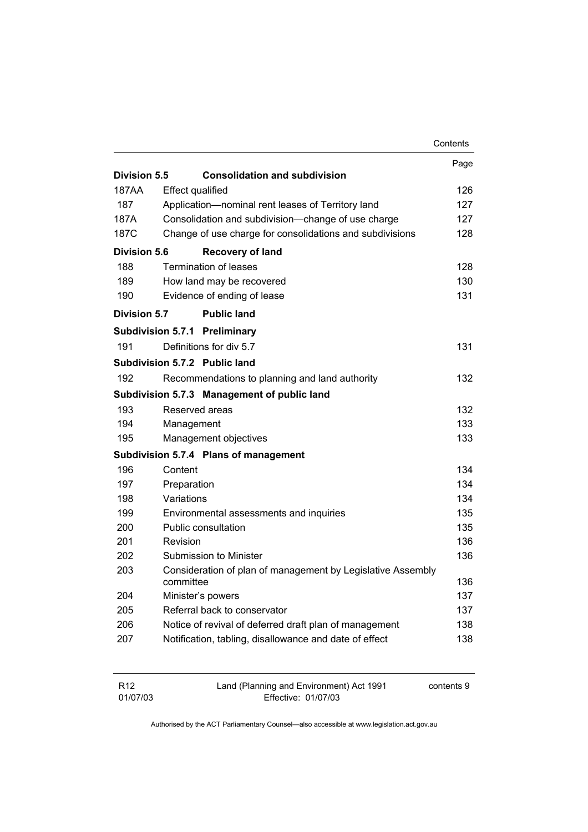|              |                         |                                                             | Contents |
|--------------|-------------------------|-------------------------------------------------------------|----------|
|              |                         |                                                             | Page     |
| Division 5.5 |                         | <b>Consolidation and subdivision</b>                        |          |
| 187AA        | <b>Effect qualified</b> |                                                             | 126      |
| 187          |                         | Application-nominal rent leases of Territory land           | 127      |
| 187A         |                         | Consolidation and subdivision--change of use charge         | 127      |
| 187C         |                         | Change of use charge for consolidations and subdivisions    | 128      |
| Division 5.6 |                         | <b>Recovery of land</b>                                     |          |
| 188          |                         | <b>Termination of leases</b>                                | 128      |
| 189          |                         | How land may be recovered                                   | 130      |
| 190          |                         | Evidence of ending of lease                                 | 131      |
| Division 5.7 |                         | <b>Public land</b>                                          |          |
|              |                         | <b>Subdivision 5.7.1 Preliminary</b>                        |          |
| 191          |                         | Definitions for div 5.7                                     | 131      |
|              |                         | Subdivision 5.7.2 Public land                               |          |
| 192          |                         | Recommendations to planning and land authority              | 132      |
|              |                         | Subdivision 5.7.3 Management of public land                 |          |
| 193          |                         | Reserved areas                                              | 132      |
| 194          | Management              |                                                             | 133      |
| 195          |                         | Management objectives                                       | 133      |
|              |                         | Subdivision 5.7.4 Plans of management                       |          |
| 196          | Content                 |                                                             | 134      |
| 197          | Preparation             |                                                             | 134      |
| 198          | Variations              |                                                             | 134      |
| 199          |                         | Environmental assessments and inquiries                     | 135      |
| 200          |                         | Public consultation                                         | 135      |
| 201          | Revision                |                                                             | 136      |
| 202          |                         | Submission to Minister                                      | 136      |
| 203          |                         | Consideration of plan of management by Legislative Assembly |          |
|              | committee               |                                                             | 136      |
| 204          |                         | Minister's powers                                           | 137      |
| 205          |                         | Referral back to conservator                                | 137      |
| 206          |                         | Notice of revival of deferred draft plan of management      | 138      |
| 207          |                         | Notification, tabling, disallowance and date of effect      | 138      |
|              |                         |                                                             |          |

| R12      | Land (Planning and Environment) Act 1991 | contents 9 |
|----------|------------------------------------------|------------|
| 01/07/03 | Effective: 01/07/03                      |            |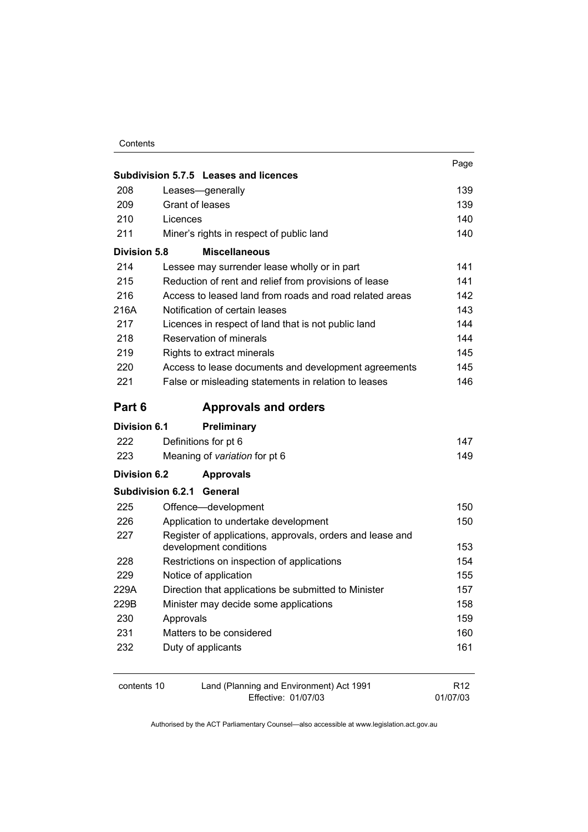|                     | Subdivision 5.7.5 Leases and licences                     | Page       |  |
|---------------------|-----------------------------------------------------------|------------|--|
| 208                 | Leases-generally                                          | 139        |  |
| 209                 | Grant of leases                                           |            |  |
| 210                 | Licences                                                  |            |  |
| 211                 | Miner's rights in respect of public land                  | 140        |  |
| <b>Division 5.8</b> | <b>Miscellaneous</b>                                      |            |  |
| 214                 | Lessee may surrender lease wholly or in part              | 141        |  |
| 215                 | Reduction of rent and relief from provisions of lease     | 141        |  |
| 216                 | Access to leased land from roads and road related areas   | 142        |  |
| 216A                | Notification of certain leases                            | 143        |  |
| 217                 | Licences in respect of land that is not public land       | 144        |  |
| 218                 | Reservation of minerals                                   | 144        |  |
| 219                 | Rights to extract minerals                                | 145        |  |
| 220                 | Access to lease documents and development agreements      | 145        |  |
| 221                 | False or misleading statements in relation to leases      | 146        |  |
| Part 6              | <b>Approvals and orders</b>                               |            |  |
| Division 6.1        | <b>Preliminary</b>                                        |            |  |
| 222                 | Definitions for pt 6                                      | 147        |  |
| 223                 | Meaning of variation for pt 6                             | 149        |  |
| <b>Division 6.2</b> | <b>Approvals</b>                                          |            |  |
|                     | <b>Subdivision 6.2.1 General</b>                          |            |  |
| 225                 | Offence-development                                       | 150        |  |
| 226                 | Application to undertake development                      | 150        |  |
| 227                 | Register of applications, approvals, orders and lease and |            |  |
|                     | development conditions                                    | 153        |  |
| 228                 | Restrictions on inspection of applications                | 154<br>155 |  |
| 229                 | Notice of application                                     |            |  |
| 229A                | Direction that applications be submitted to Minister      |            |  |
| 229B                | Minister may decide some applications                     | 158        |  |
| 230                 | Approvals                                                 | 159        |  |
| 231                 | Matters to be considered                                  | 160        |  |
| 232                 | Duty of applicants                                        | 161        |  |
|                     |                                                           |            |  |

| contents 10 | Land (Planning and Environment) Act 1991 | R <sub>12</sub> |
|-------------|------------------------------------------|-----------------|
|             | Effective: 01/07/03                      | 01/07/03        |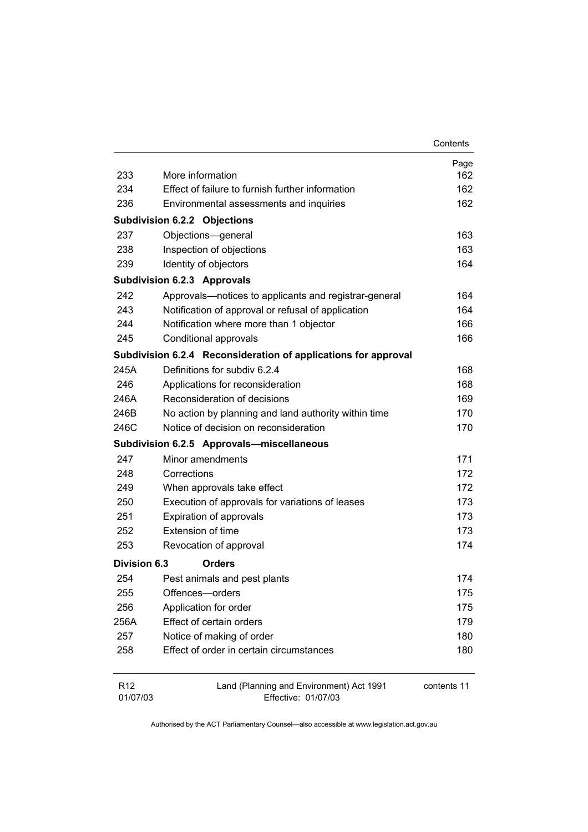|                             |                                                                 | Contents    |
|-----------------------------|-----------------------------------------------------------------|-------------|
|                             |                                                                 | Page        |
| 233                         | More information                                                | 162         |
| 234                         | Effect of failure to furnish further information                | 162         |
| 236                         | Environmental assessments and inquiries                         | 162         |
|                             | <b>Subdivision 6.2.2 Objections</b>                             |             |
| 237                         | Objections-general                                              | 163         |
| 238                         | Inspection of objections                                        | 163         |
| 239                         | Identity of objectors                                           | 164         |
|                             | <b>Subdivision 6.2.3 Approvals</b>                              |             |
| 242                         | Approvals-notices to applicants and registrar-general           | 164         |
| 243                         | Notification of approval or refusal of application              | 164         |
| 244                         | Notification where more than 1 objector                         | 166         |
| 245                         | Conditional approvals                                           | 166         |
|                             | Subdivision 6.2.4 Reconsideration of applications for approval  |             |
| 245A                        | Definitions for subdiv 6.2.4                                    | 168         |
| 246                         | Applications for reconsideration                                | 168         |
| 246A                        | Reconsideration of decisions                                    | 169         |
| 246B                        | No action by planning and land authority within time            | 170         |
| 246C                        | Notice of decision on reconsideration                           | 170         |
|                             | Subdivision 6.2.5 Approvals-miscellaneous                       |             |
| 247                         | Minor amendments                                                | 171         |
| 248                         | Corrections                                                     | 172         |
| 249                         | When approvals take effect                                      | 172         |
| 250                         | Execution of approvals for variations of leases                 | 173         |
| 251                         | Expiration of approvals                                         | 173         |
| 252                         | Extension of time                                               | 173         |
| 253                         | Revocation of approval                                          | 174         |
| <b>Division 6.3</b>         | <b>Orders</b>                                                   |             |
| 254                         | Pest animals and pest plants                                    | 174         |
| 255                         | Offences-orders                                                 | 175         |
| 256                         | Application for order                                           | 175         |
| 256A                        | Effect of certain orders                                        | 179         |
| 257                         | Notice of making of order                                       | 180         |
| 258                         | Effect of order in certain circumstances                        | 180         |
| R <sub>12</sub><br>01/07/03 | Land (Planning and Environment) Act 1991<br>Effective: 01/07/03 | contents 11 |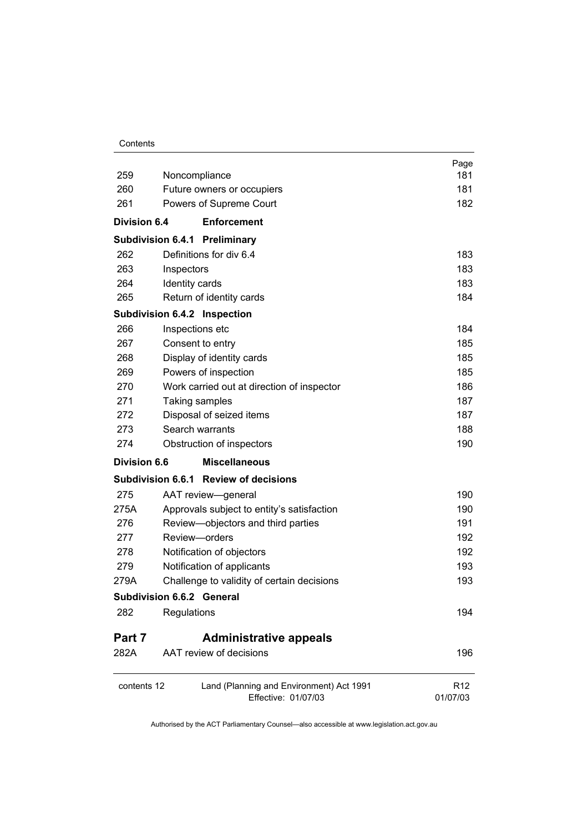|                      |                                                                 | Page                        |
|----------------------|-----------------------------------------------------------------|-----------------------------|
| 259<br>Noncompliance |                                                                 | 181                         |
| 260                  | Future owners or occupiers                                      | 181                         |
| 261                  | Powers of Supreme Court                                         | 182                         |
| <b>Division 6.4</b>  | <b>Enforcement</b>                                              |                             |
|                      | <b>Subdivision 6.4.1 Preliminary</b>                            |                             |
| 262                  | Definitions for div 6.4                                         | 183                         |
| 263                  | Inspectors                                                      | 183                         |
| 264                  | Identity cards                                                  | 183                         |
| 265                  | Return of identity cards                                        | 184                         |
|                      | Subdivision 6.4.2 Inspection                                    |                             |
| 266                  | Inspections etc                                                 | 184                         |
| 267                  | Consent to entry                                                | 185                         |
| 268                  | Display of identity cards                                       | 185                         |
| 269                  | Powers of inspection                                            | 185                         |
| 270                  | Work carried out at direction of inspector                      | 186                         |
| 271                  | Taking samples                                                  | 187                         |
| 272                  | Disposal of seized items                                        | 187                         |
| 273                  | Search warrants                                                 | 188                         |
| 274                  | Obstruction of inspectors                                       | 190                         |
| <b>Division 6.6</b>  | <b>Miscellaneous</b>                                            |                             |
|                      | Subdivision 6.6.1 Review of decisions                           |                             |
| 275                  | AAT review-general                                              | 190                         |
| 275A                 | Approvals subject to entity's satisfaction                      | 190                         |
| 276                  | Review-objectors and third parties                              | 191                         |
| 277                  | Review-orders                                                   | 192                         |
| 278                  | Notification of objectors                                       | 192                         |
| 279                  | Notification of applicants                                      | 193                         |
| 279A                 | Challenge to validity of certain decisions                      | 193                         |
|                      | <b>Subdivision 6.6.2 General</b>                                |                             |
| 282                  | Regulations                                                     | 194                         |
| Part 7               | <b>Administrative appeals</b>                                   |                             |
| 282A                 | AAT review of decisions                                         | 196                         |
| contents 12          | Land (Planning and Environment) Act 1991<br>Effective: 01/07/03 | R <sub>12</sub><br>01/07/03 |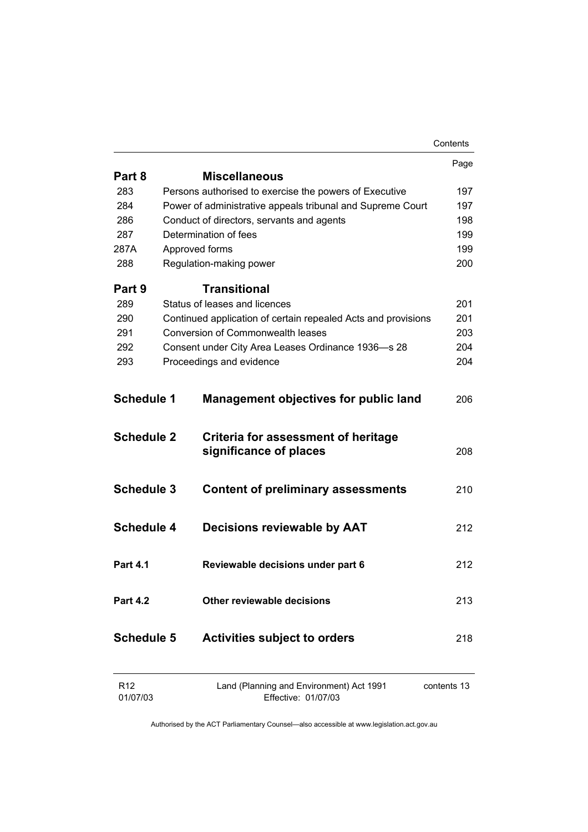|                             |                                                                 | Contents    |
|-----------------------------|-----------------------------------------------------------------|-------------|
|                             |                                                                 | Page        |
| Part 8                      | <b>Miscellaneous</b>                                            |             |
| 283                         | Persons authorised to exercise the powers of Executive          | 197         |
| 284                         | Power of administrative appeals tribunal and Supreme Court      | 197         |
| 286                         | Conduct of directors, servants and agents                       | 198         |
| 287                         | Determination of fees                                           | 199         |
| 287A                        | Approved forms                                                  | 199         |
| 288                         | Regulation-making power                                         | 200         |
| Part 9                      | Transitional                                                    |             |
| 289                         | Status of leases and licences                                   | 201         |
| 290                         | Continued application of certain repealed Acts and provisions   | 201         |
| 291                         | <b>Conversion of Commonwealth leases</b>                        | 203         |
| 292                         | Consent under City Area Leases Ordinance 1936-s 28              | 204         |
| 293                         | Proceedings and evidence                                        | 204         |
| <b>Schedule 1</b>           | <b>Management objectives for public land</b>                    | 206         |
|                             |                                                                 |             |
| <b>Schedule 2</b>           | Criteria for assessment of heritage<br>significance of places   | 208         |
| <b>Schedule 3</b>           | <b>Content of preliminary assessments</b>                       | 210         |
| <b>Schedule 4</b>           | Decisions reviewable by AAT                                     | 212         |
| Part 4.1                    | Reviewable decisions under part 6                               | 212         |
| <b>Part 4.2</b>             | Other reviewable decisions                                      | 213         |
| <b>Schedule 5</b>           | <b>Activities subject to orders</b>                             | 218         |
| R <sub>12</sub><br>01/07/03 | Land (Planning and Environment) Act 1991<br>Effective: 01/07/03 | contents 13 |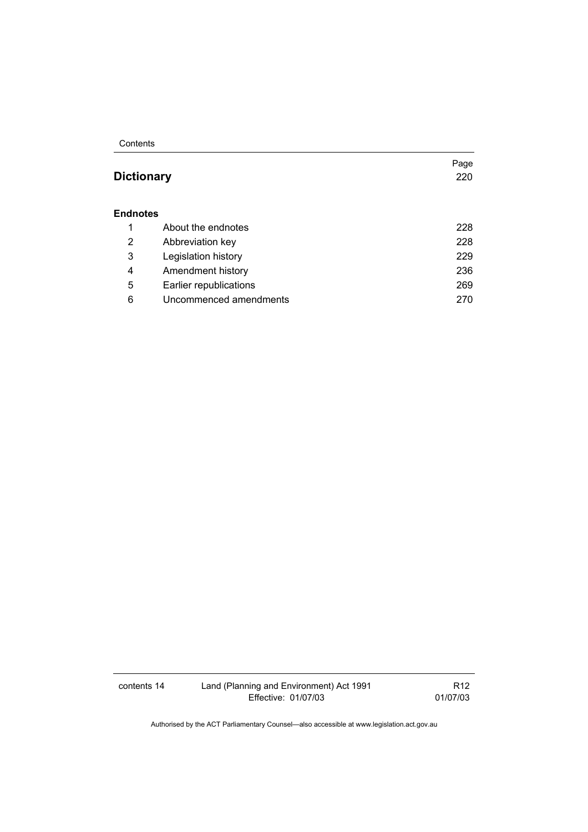**Contents** 

# **Dictionary** 220

Page

#### **Endnotes**

|   | About the endnotes     | 228 |
|---|------------------------|-----|
| 2 | Abbreviation key       | 228 |
| 3 | Legislation history    | 229 |
| 4 | Amendment history      | 236 |
| 5 | Earlier republications | 269 |
| 6 | Uncommenced amendments | 270 |

contents 14 Land (Planning and Environment) Act 1991 Effective: 01/07/03

R12 01/07/03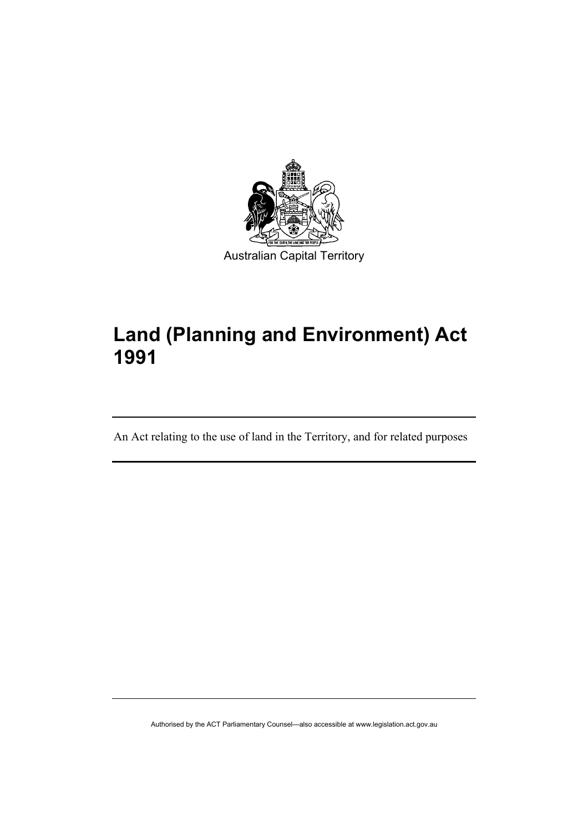

# **Land (Planning and Environment) Act 1991**

An Act relating to the use of land in the Territory, and for related purposes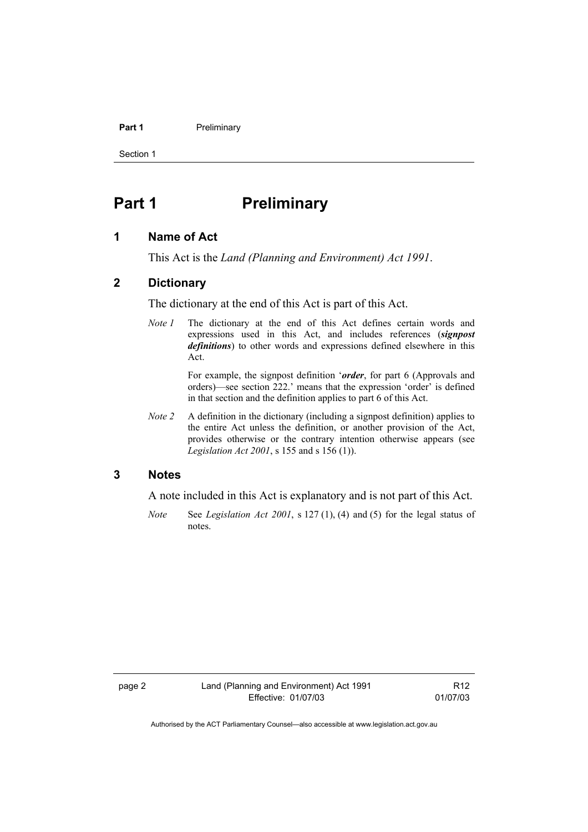#### **Part 1** Preliminary

Section 1

# **Part 1** Preliminary

#### **1 Name of Act**

This Act is the *Land (Planning and Environment) Act 1991*.

#### **2 Dictionary**

The dictionary at the end of this Act is part of this Act.

*Note 1* The dictionary at the end of this Act defines certain words and expressions used in this Act, and includes references (*signpost definitions*) to other words and expressions defined elsewhere in this Act.

> For example, the signpost definition '*order*, for part 6 (Approvals and orders)—see section 222.' means that the expression 'order' is defined in that section and the definition applies to part 6 of this Act.

*Note 2* A definition in the dictionary (including a signpost definition) applies to the entire Act unless the definition, or another provision of the Act, provides otherwise or the contrary intention otherwise appears (see *Legislation Act 2001*, s 155 and s 156 (1)).

#### **3 Notes**

A note included in this Act is explanatory and is not part of this Act.

*Note* See *Legislation Act 2001*, s 127 (1), (4) and (5) for the legal status of notes.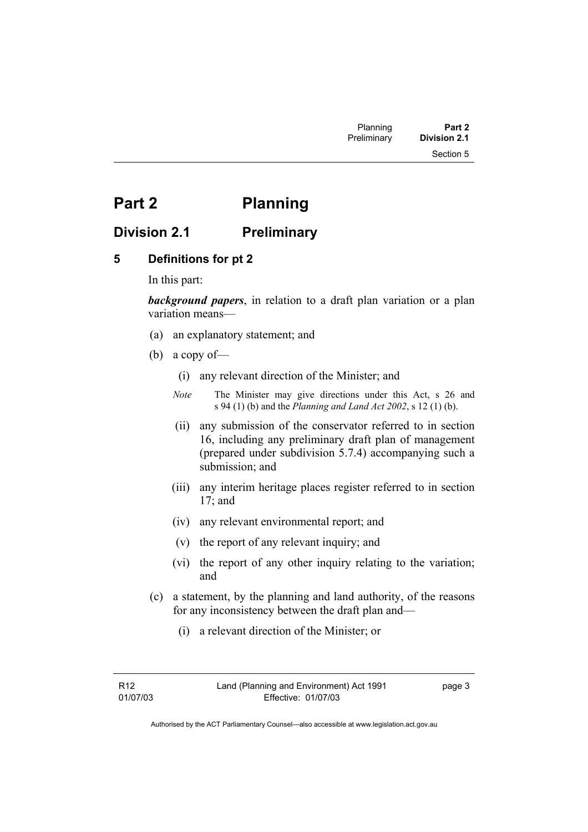# **Part 2 Planning**

# **Division 2.1 Preliminary**

## **5 Definitions for pt 2**

In this part:

*background papers*, in relation to a draft plan variation or a plan variation means—

- (a) an explanatory statement; and
- (b) a copy of—
	- (i) any relevant direction of the Minister; and
	- *Note* The Minister may give directions under this Act, s 26 and s 94 (1) (b) and the *Planning and Land Act 2002*, s 12 (1) (b).
	- (ii) any submission of the conservator referred to in section 16, including any preliminary draft plan of management (prepared under subdivision 5.7.4) accompanying such a submission; and
	- (iii) any interim heritage places register referred to in section 17; and
	- (iv) any relevant environmental report; and
	- (v) the report of any relevant inquiry; and
	- (vi) the report of any other inquiry relating to the variation; and
- (c) a statement, by the planning and land authority, of the reasons for any inconsistency between the draft plan and—
	- (i) a relevant direction of the Minister; or

page 3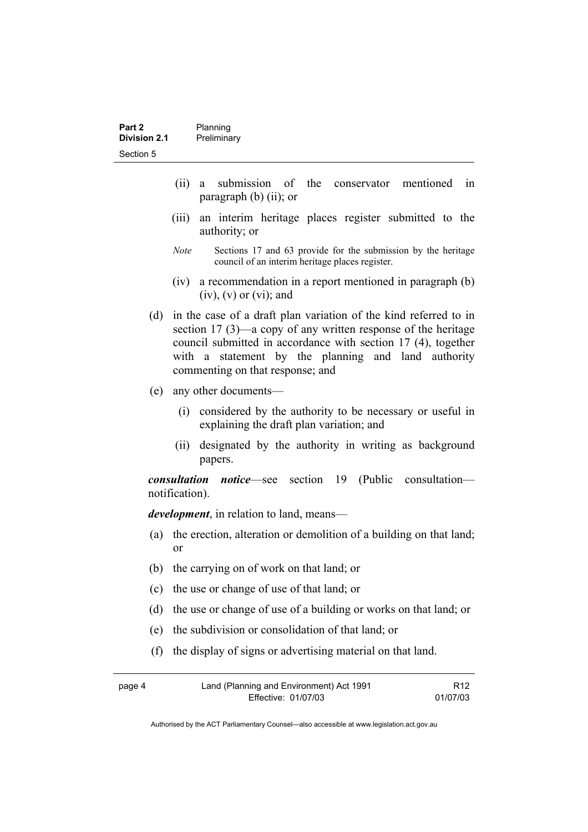- (ii) a submission of the conservator mentioned in paragraph (b) (ii); or
- (iii) an interim heritage places register submitted to the authority; or
- *Note* Sections 17 and 63 provide for the submission by the heritage council of an interim heritage places register.
- (iv) a recommendation in a report mentioned in paragraph (b)  $(iv)$ ,  $(v)$  or  $(vi)$ ; and
- (d) in the case of a draft plan variation of the kind referred to in section 17 (3)—a copy of any written response of the heritage council submitted in accordance with section 17 (4), together with a statement by the planning and land authority commenting on that response; and
- (e) any other documents—
	- (i) considered by the authority to be necessary or useful in explaining the draft plan variation; and
	- (ii) designated by the authority in writing as background papers.

*consultation notice*—see section 19 (Public consultation notification).

*development*, in relation to land, means—

- (a) the erection, alteration or demolition of a building on that land; or
- (b) the carrying on of work on that land; or
- (c) the use or change of use of that land; or
- (d) the use or change of use of a building or works on that land; or
- (e) the subdivision or consolidation of that land; or
- (f) the display of signs or advertising material on that land.

| page 4 | Land (Planning and Environment) Act 1991 | R <sub>12</sub> |
|--------|------------------------------------------|-----------------|
|        | Effective: 01/07/03                      | 01/07/03        |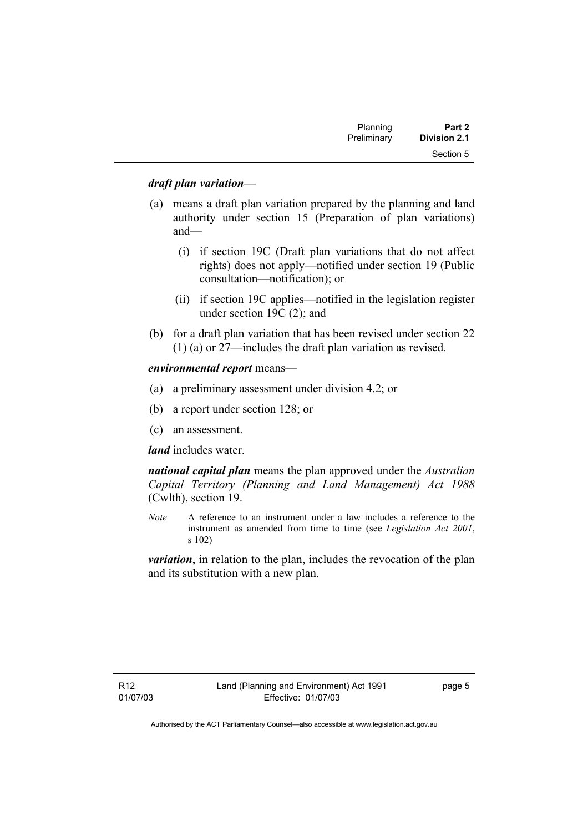| Planning    | Part 2              |  |
|-------------|---------------------|--|
| Preliminary | <b>Division 2.1</b> |  |
|             | Section 5           |  |

#### *draft plan variation*—

- (a) means a draft plan variation prepared by the planning and land authority under section 15 (Preparation of plan variations) and—
	- (i) if section 19C (Draft plan variations that do not affect rights) does not apply—notified under section 19 (Public consultation—notification); or
	- (ii) if section 19C applies—notified in the legislation register under section 19C (2); and
- (b) for a draft plan variation that has been revised under section 22 (1) (a) or 27—includes the draft plan variation as revised.

#### *environmental report* means—

- (a) a preliminary assessment under division 4.2; or
- (b) a report under section 128; or
- (c) an assessment.

#### *land* includes water.

*national capital plan* means the plan approved under the *Australian Capital Territory (Planning and Land Management) Act 1988* (Cwlth), section 19.

*Note* A reference to an instrument under a law includes a reference to the instrument as amended from time to time (see *Legislation Act 2001*, s 102)

*variation*, in relation to the plan, includes the revocation of the plan and its substitution with a new plan.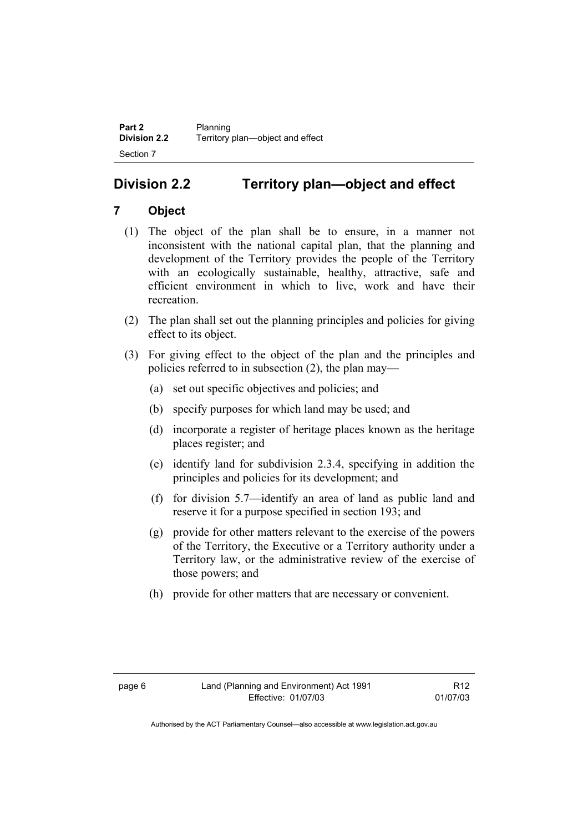# **Division 2.2 Territory plan—object and effect**

# **7 Object**

- (1) The object of the plan shall be to ensure, in a manner not inconsistent with the national capital plan, that the planning and development of the Territory provides the people of the Territory with an ecologically sustainable, healthy, attractive, safe and efficient environment in which to live, work and have their recreation.
- (2) The plan shall set out the planning principles and policies for giving effect to its object.
- (3) For giving effect to the object of the plan and the principles and policies referred to in subsection (2), the plan may—
	- (a) set out specific objectives and policies; and
	- (b) specify purposes for which land may be used; and
	- (d) incorporate a register of heritage places known as the heritage places register; and
	- (e) identify land for subdivision 2.3.4, specifying in addition the principles and policies for its development; and
	- (f) for division 5.7—identify an area of land as public land and reserve it for a purpose specified in section 193; and
	- (g) provide for other matters relevant to the exercise of the powers of the Territory, the Executive or a Territory authority under a Territory law, or the administrative review of the exercise of those powers; and
	- (h) provide for other matters that are necessary or convenient.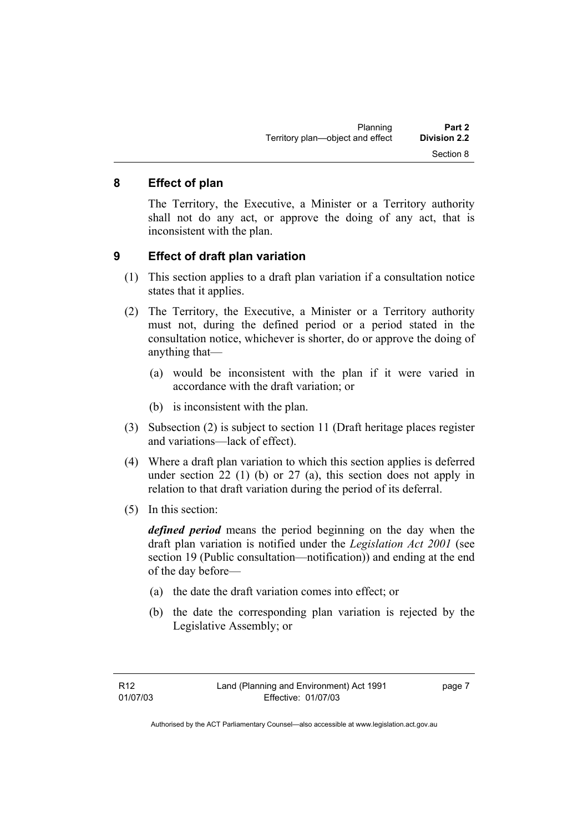### **8 Effect of plan**

The Territory, the Executive, a Minister or a Territory authority shall not do any act, or approve the doing of any act, that is inconsistent with the plan.

### **9 Effect of draft plan variation**

- (1) This section applies to a draft plan variation if a consultation notice states that it applies.
- (2) The Territory, the Executive, a Minister or a Territory authority must not, during the defined period or a period stated in the consultation notice, whichever is shorter, do or approve the doing of anything that—
	- (a) would be inconsistent with the plan if it were varied in accordance with the draft variation; or
	- (b) is inconsistent with the plan.
- (3) Subsection (2) is subject to section 11 (Draft heritage places register and variations—lack of effect).
- (4) Where a draft plan variation to which this section applies is deferred under section 22 (1) (b) or 27 (a), this section does not apply in relation to that draft variation during the period of its deferral.
- (5) In this section:

*defined period* means the period beginning on the day when the draft plan variation is notified under the *Legislation Act 2001* (see section 19 (Public consultation—notification)) and ending at the end of the day before—

- (a) the date the draft variation comes into effect; or
- (b) the date the corresponding plan variation is rejected by the Legislative Assembly; or

page 7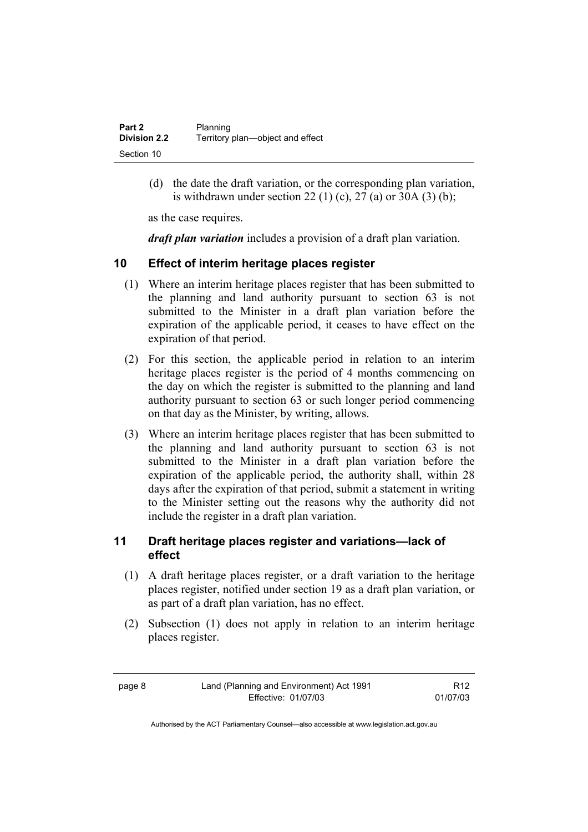| Part 2              | Planning                         |
|---------------------|----------------------------------|
| <b>Division 2.2</b> | Territory plan—object and effect |
| Section 10          |                                  |

 (d) the date the draft variation, or the corresponding plan variation, is withdrawn under section 22 (1) (c), 27 (a) or 30A (3) (b);

as the case requires.

*draft plan variation* includes a provision of a draft plan variation.

### **10 Effect of interim heritage places register**

- (1) Where an interim heritage places register that has been submitted to the planning and land authority pursuant to section 63 is not submitted to the Minister in a draft plan variation before the expiration of the applicable period, it ceases to have effect on the expiration of that period.
- (2) For this section, the applicable period in relation to an interim heritage places register is the period of 4 months commencing on the day on which the register is submitted to the planning and land authority pursuant to section 63 or such longer period commencing on that day as the Minister, by writing, allows.
- (3) Where an interim heritage places register that has been submitted to the planning and land authority pursuant to section 63 is not submitted to the Minister in a draft plan variation before the expiration of the applicable period, the authority shall, within 28 days after the expiration of that period, submit a statement in writing to the Minister setting out the reasons why the authority did not include the register in a draft plan variation.

## **11 Draft heritage places register and variations—lack of effect**

- (1) A draft heritage places register, or a draft variation to the heritage places register, notified under section 19 as a draft plan variation, or as part of a draft plan variation, has no effect.
- (2) Subsection (1) does not apply in relation to an interim heritage places register.

page 8 Land (Planning and Environment) Act 1991 Effective: 01/07/03

R12 01/07/03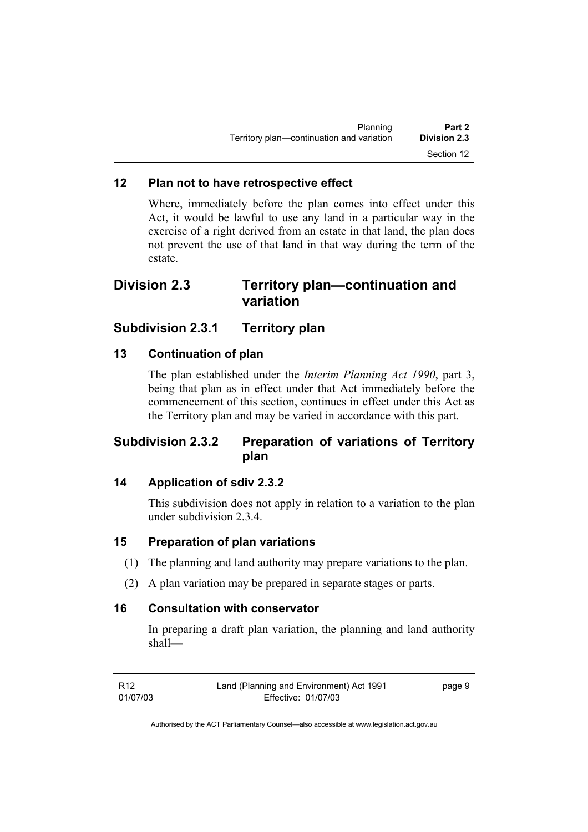| Planning                                  | Part 2              |
|-------------------------------------------|---------------------|
| Territory plan-continuation and variation | <b>Division 2.3</b> |
|                                           | Section 12          |

#### **12 Plan not to have retrospective effect**

Where, immediately before the plan comes into effect under this Act, it would be lawful to use any land in a particular way in the exercise of a right derived from an estate in that land, the plan does not prevent the use of that land in that way during the term of the estate.

# **Division 2.3 Territory plan—continuation and variation**

## **Subdivision 2.3.1 Territory plan**

### **13 Continuation of plan**

The plan established under the *Interim Planning Act 1990*, part 3, being that plan as in effect under that Act immediately before the commencement of this section, continues in effect under this Act as the Territory plan and may be varied in accordance with this part.

# **Subdivision 2.3.2 Preparation of variations of Territory plan**

### **14 Application of sdiv 2.3.2**

This subdivision does not apply in relation to a variation to the plan under subdivision 2.3.4.

#### **15 Preparation of plan variations**

- (1) The planning and land authority may prepare variations to the plan.
- (2) A plan variation may be prepared in separate stages or parts.

#### **16 Consultation with conservator**

In preparing a draft plan variation, the planning and land authority shall—

R12 01/07/03 Land (Planning and Environment) Act 1991 Effective: 01/07/03 page 9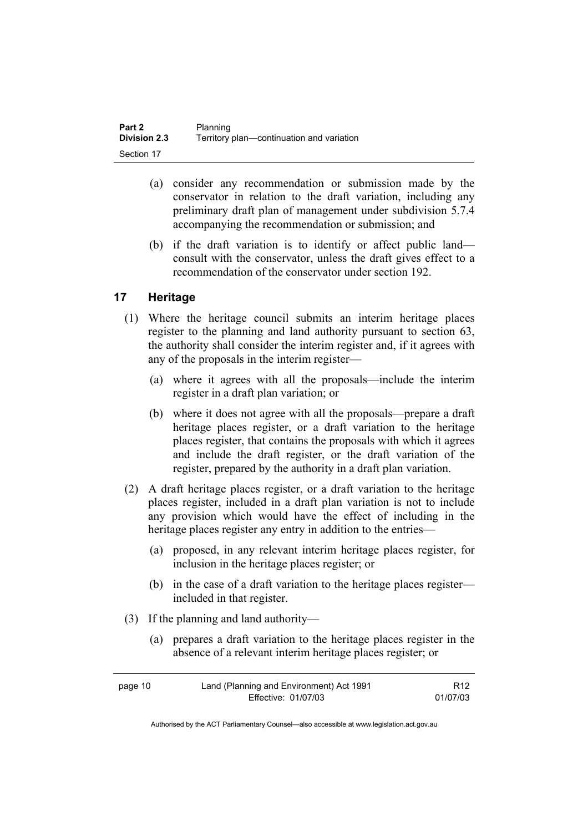| <b>Part 2</b>       | Planning                                  |
|---------------------|-------------------------------------------|
| <b>Division 2.3</b> | Territory plan-continuation and variation |
| Section 17          |                                           |

- (a) consider any recommendation or submission made by the conservator in relation to the draft variation, including any preliminary draft plan of management under subdivision 5.7.4 accompanying the recommendation or submission; and
- (b) if the draft variation is to identify or affect public land consult with the conservator, unless the draft gives effect to a recommendation of the conservator under section 192.

## **17 Heritage**

- (1) Where the heritage council submits an interim heritage places register to the planning and land authority pursuant to section 63, the authority shall consider the interim register and, if it agrees with any of the proposals in the interim register—
	- (a) where it agrees with all the proposals—include the interim register in a draft plan variation; or
	- (b) where it does not agree with all the proposals—prepare a draft heritage places register, or a draft variation to the heritage places register, that contains the proposals with which it agrees and include the draft register, or the draft variation of the register, prepared by the authority in a draft plan variation.
- (2) A draft heritage places register, or a draft variation to the heritage places register, included in a draft plan variation is not to include any provision which would have the effect of including in the heritage places register any entry in addition to the entries—
	- (a) proposed, in any relevant interim heritage places register, for inclusion in the heritage places register; or
	- (b) in the case of a draft variation to the heritage places register included in that register.
- (3) If the planning and land authority—
	- (a) prepares a draft variation to the heritage places register in the absence of a relevant interim heritage places register; or

| page 10 | Land (Planning and Environment) Act 1991 | R <sub>12</sub> |
|---------|------------------------------------------|-----------------|
|         | Effective: 01/07/03                      | 01/07/03        |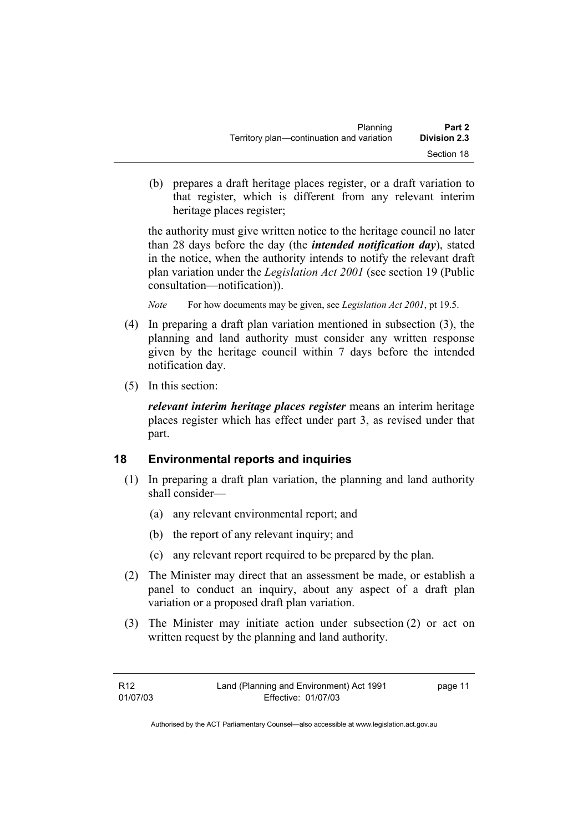| Planning                                  | Part 2              |
|-------------------------------------------|---------------------|
| Territory plan—continuation and variation | <b>Division 2.3</b> |
|                                           | Section 18          |

 (b) prepares a draft heritage places register, or a draft variation to that register, which is different from any relevant interim heritage places register;

the authority must give written notice to the heritage council no later than 28 days before the day (the *intended notification day*), stated in the notice, when the authority intends to notify the relevant draft plan variation under the *Legislation Act 2001* (see section 19 (Public consultation—notification)).

*Note* For how documents may be given, see *Legislation Act 2001*, pt 19.5.

- (4) In preparing a draft plan variation mentioned in subsection (3), the planning and land authority must consider any written response given by the heritage council within 7 days before the intended notification day.
- (5) In this section:

*relevant interim heritage places register* means an interim heritage places register which has effect under part 3, as revised under that part.

## **18 Environmental reports and inquiries**

- (1) In preparing a draft plan variation, the planning and land authority shall consider—
	- (a) any relevant environmental report; and
	- (b) the report of any relevant inquiry; and
	- (c) any relevant report required to be prepared by the plan.
- (2) The Minister may direct that an assessment be made, or establish a panel to conduct an inquiry, about any aspect of a draft plan variation or a proposed draft plan variation.
- (3) The Minister may initiate action under subsection (2) or act on written request by the planning and land authority.

| R <sub>12</sub> | Land (Planning and Environment) Act 1991 | page 11 |
|-----------------|------------------------------------------|---------|
| 01/07/03        | Effective: 01/07/03                      |         |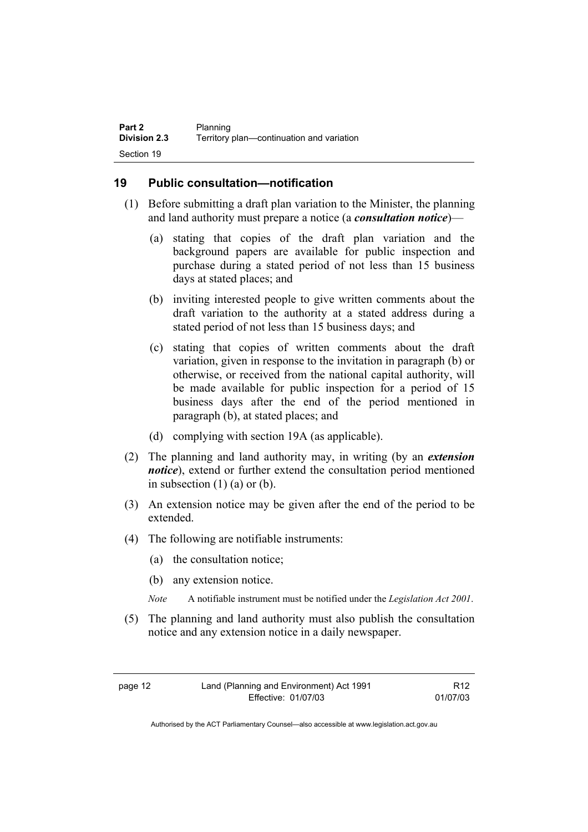### **19 Public consultation—notification**

- (1) Before submitting a draft plan variation to the Minister, the planning and land authority must prepare a notice (a *consultation notice*)—
	- (a) stating that copies of the draft plan variation and the background papers are available for public inspection and purchase during a stated period of not less than 15 business days at stated places; and
	- (b) inviting interested people to give written comments about the draft variation to the authority at a stated address during a stated period of not less than 15 business days; and
	- (c) stating that copies of written comments about the draft variation, given in response to the invitation in paragraph (b) or otherwise, or received from the national capital authority, will be made available for public inspection for a period of 15 business days after the end of the period mentioned in paragraph (b), at stated places; and
	- (d) complying with section 19A (as applicable).
- (2) The planning and land authority may, in writing (by an *extension notice*), extend or further extend the consultation period mentioned in subsection  $(1)$  (a) or (b).
- (3) An extension notice may be given after the end of the period to be extended.
- (4) The following are notifiable instruments:
	- (a) the consultation notice;
	- (b) any extension notice.
	- *Note* A notifiable instrument must be notified under the *Legislation Act 2001*.
- (5) The planning and land authority must also publish the consultation notice and any extension notice in a daily newspaper.

page 12 Land (Planning and Environment) Act 1991 Effective: 01/07/03

R12 01/07/03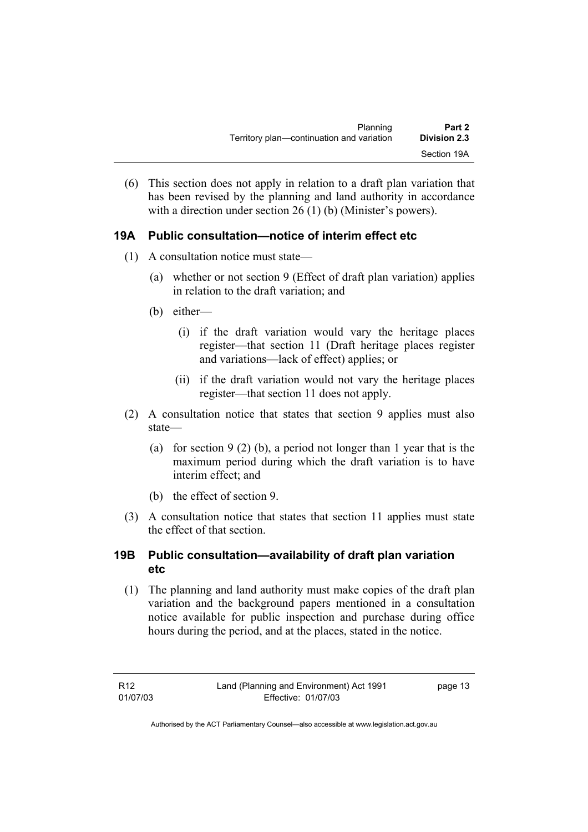| Planning                                  | Part 2              |
|-------------------------------------------|---------------------|
| Territory plan—continuation and variation | <b>Division 2.3</b> |
|                                           | Section 19A         |

(6) This section does not apply in relation to a draft plan variation that has been revised by the planning and land authority in accordance with a direction under section 26 (1) (b) (Minister's powers).

## **19A Public consultation—notice of interim effect etc**

- (1) A consultation notice must state—
	- (a) whether or not section 9 (Effect of draft plan variation) applies in relation to the draft variation; and
	- (b) either—
		- (i) if the draft variation would vary the heritage places register—that section 11 (Draft heritage places register and variations—lack of effect) applies; or
		- (ii) if the draft variation would not vary the heritage places register—that section 11 does not apply.
- (2) A consultation notice that states that section 9 applies must also state—
	- (a) for section 9 (2) (b), a period not longer than 1 year that is the maximum period during which the draft variation is to have interim effect; and
	- (b) the effect of section 9.
- (3) A consultation notice that states that section 11 applies must state the effect of that section.

### **19B Public consultation—availability of draft plan variation etc**

(1) The planning and land authority must make copies of the draft plan variation and the background papers mentioned in a consultation notice available for public inspection and purchase during office hours during the period, and at the places, stated in the notice.

page 13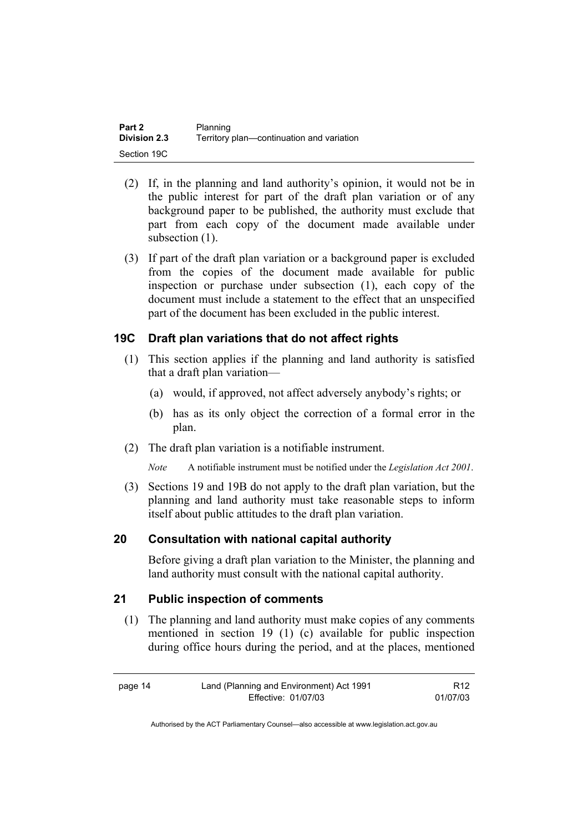| Part 2              | Planning                                  |
|---------------------|-------------------------------------------|
| <b>Division 2.3</b> | Territory plan—continuation and variation |
| Section 19C         |                                           |

- (2) If, in the planning and land authority's opinion, it would not be in the public interest for part of the draft plan variation or of any background paper to be published, the authority must exclude that part from each copy of the document made available under subsection  $(1)$ .
- (3) If part of the draft plan variation or a background paper is excluded from the copies of the document made available for public inspection or purchase under subsection (1), each copy of the document must include a statement to the effect that an unspecified part of the document has been excluded in the public interest.

### **19C Draft plan variations that do not affect rights**

- (1) This section applies if the planning and land authority is satisfied that a draft plan variation—
	- (a) would, if approved, not affect adversely anybody's rights; or
	- (b) has as its only object the correction of a formal error in the plan.
- (2) The draft plan variation is a notifiable instrument.
	- *Note* A notifiable instrument must be notified under the *Legislation Act 2001*.
- (3) Sections 19 and 19B do not apply to the draft plan variation, but the planning and land authority must take reasonable steps to inform itself about public attitudes to the draft plan variation.

#### **20 Consultation with national capital authority**

Before giving a draft plan variation to the Minister, the planning and land authority must consult with the national capital authority.

#### **21 Public inspection of comments**

 (1) The planning and land authority must make copies of any comments mentioned in section 19 (1) (c) available for public inspection during office hours during the period, and at the places, mentioned

| page 14 | Land (Planning and Environment) Act 1991 | R <sub>12</sub> |
|---------|------------------------------------------|-----------------|
|         | Effective: 01/07/03                      | 01/07/03        |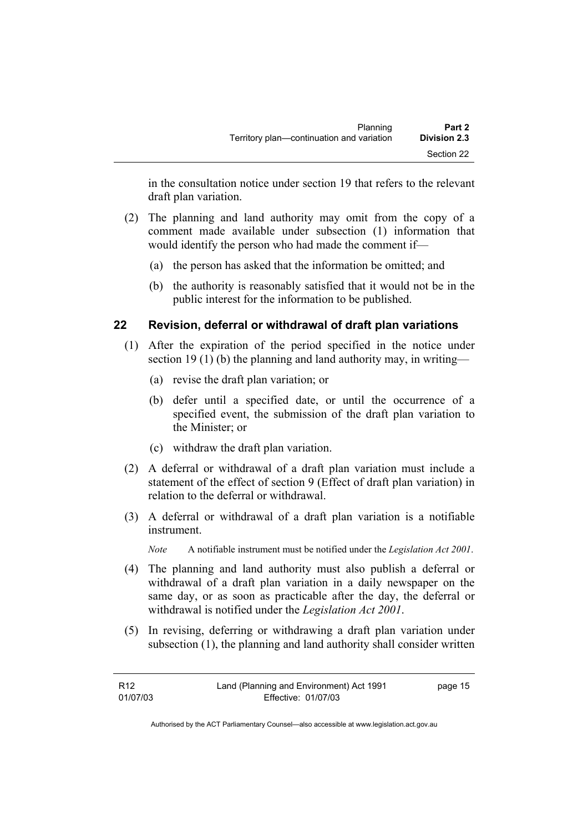in the consultation notice under section 19 that refers to the relevant draft plan variation.

- (2) The planning and land authority may omit from the copy of a comment made available under subsection (1) information that would identify the person who had made the comment if—
	- (a) the person has asked that the information be omitted; and
	- (b) the authority is reasonably satisfied that it would not be in the public interest for the information to be published.

### **22 Revision, deferral or withdrawal of draft plan variations**

- (1) After the expiration of the period specified in the notice under section 19 (1) (b) the planning and land authority may, in writing—
	- (a) revise the draft plan variation; or
	- (b) defer until a specified date, or until the occurrence of a specified event, the submission of the draft plan variation to the Minister; or
	- (c) withdraw the draft plan variation.
- (2) A deferral or withdrawal of a draft plan variation must include a statement of the effect of section 9 (Effect of draft plan variation) in relation to the deferral or withdrawal.
- (3) A deferral or withdrawal of a draft plan variation is a notifiable instrument.

*Note* A notifiable instrument must be notified under the *Legislation Act 2001*.

- (4) The planning and land authority must also publish a deferral or withdrawal of a draft plan variation in a daily newspaper on the same day, or as soon as practicable after the day, the deferral or withdrawal is notified under the *Legislation Act 2001*.
- (5) In revising, deferring or withdrawing a draft plan variation under subsection (1), the planning and land authority shall consider written

| R12      | Land (Planning and Environment) Act 1991 | page 15 |
|----------|------------------------------------------|---------|
| 01/07/03 | Effective: 01/07/03                      |         |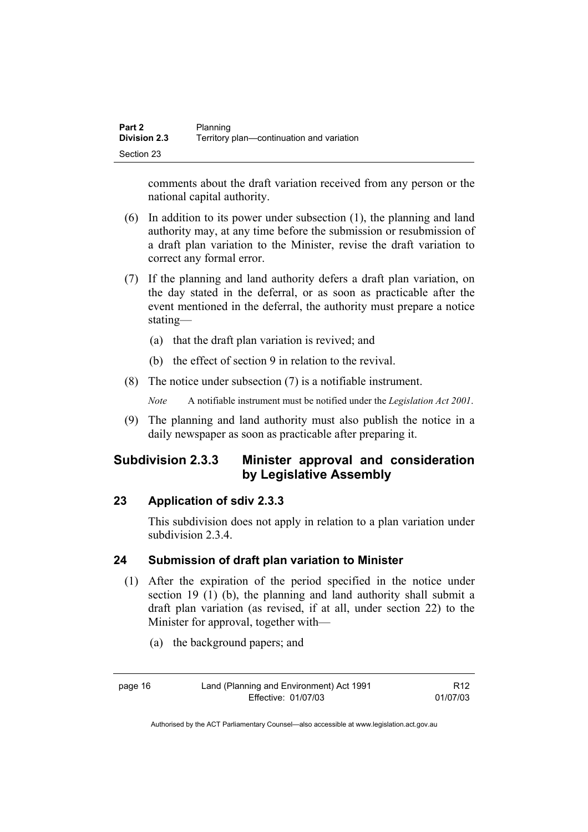| Part 2              | Planning                                  |
|---------------------|-------------------------------------------|
| <b>Division 2.3</b> | Territory plan—continuation and variation |
| Section 23          |                                           |

comments about the draft variation received from any person or the national capital authority.

- (6) In addition to its power under subsection (1), the planning and land authority may, at any time before the submission or resubmission of a draft plan variation to the Minister, revise the draft variation to correct any formal error.
- (7) If the planning and land authority defers a draft plan variation, on the day stated in the deferral, or as soon as practicable after the event mentioned in the deferral, the authority must prepare a notice stating—
	- (a) that the draft plan variation is revived; and
	- (b) the effect of section 9 in relation to the revival.
- (8) The notice under subsection (7) is a notifiable instrument.

*Note* A notifiable instrument must be notified under the *Legislation Act 2001*.

(9) The planning and land authority must also publish the notice in a daily newspaper as soon as practicable after preparing it.

# **Subdivision 2.3.3 Minister approval and consideration by Legislative Assembly**

#### **23 Application of sdiv 2.3.3**

This subdivision does not apply in relation to a plan variation under subdivision 2.3.4.

#### **24 Submission of draft plan variation to Minister**

- (1) After the expiration of the period specified in the notice under section 19 (1) (b), the planning and land authority shall submit a draft plan variation (as revised, if at all, under section 22) to the Minister for approval, together with—
	- (a) the background papers; and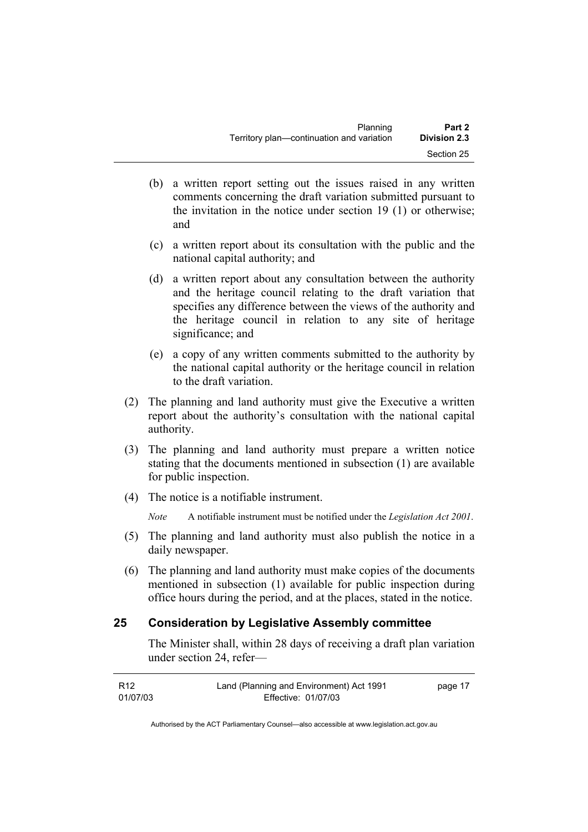| Planning                                  | Part 2              |
|-------------------------------------------|---------------------|
| Territory plan—continuation and variation | <b>Division 2.3</b> |
|                                           | Section 25          |

- (b) a written report setting out the issues raised in any written comments concerning the draft variation submitted pursuant to the invitation in the notice under section 19 (1) or otherwise; and
- (c) a written report about its consultation with the public and the national capital authority; and
- (d) a written report about any consultation between the authority and the heritage council relating to the draft variation that specifies any difference between the views of the authority and the heritage council in relation to any site of heritage significance; and
- (e) a copy of any written comments submitted to the authority by the national capital authority or the heritage council in relation to the draft variation.
- (2) The planning and land authority must give the Executive a written report about the authority's consultation with the national capital authority.
- (3) The planning and land authority must prepare a written notice stating that the documents mentioned in subsection (1) are available for public inspection.
- (4) The notice is a notifiable instrument.

*Note* A notifiable instrument must be notified under the *Legislation Act 2001*.

- (5) The planning and land authority must also publish the notice in a daily newspaper.
- (6) The planning and land authority must make copies of the documents mentioned in subsection (1) available for public inspection during office hours during the period, and at the places, stated in the notice.

#### **25 Consideration by Legislative Assembly committee**

The Minister shall, within 28 days of receiving a draft plan variation under section 24, refer—

| R12      | Land (Planning and Environment) Act 1991 | page 17 |
|----------|------------------------------------------|---------|
| 01/07/03 | Effective: 01/07/03                      |         |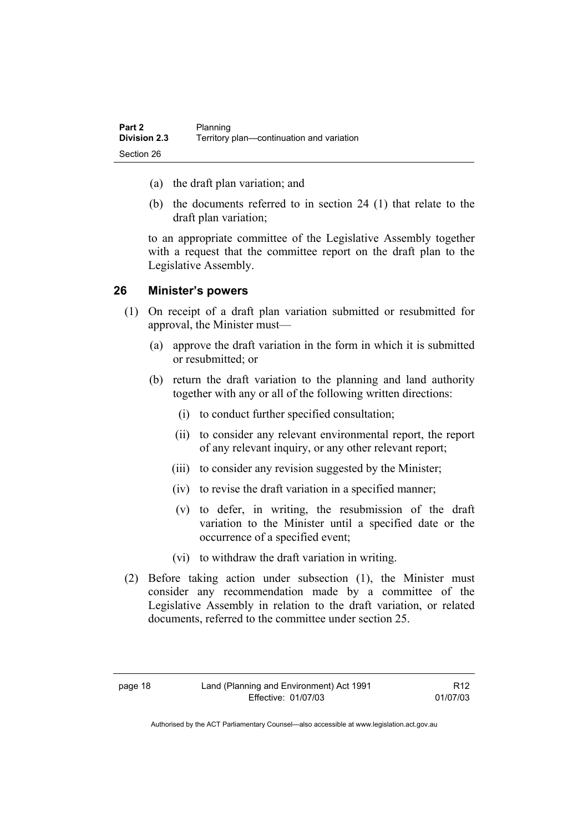| Part 2              | Planning                                  |
|---------------------|-------------------------------------------|
| <b>Division 2.3</b> | Territory plan—continuation and variation |
| Section 26          |                                           |

- (a) the draft plan variation; and
- (b) the documents referred to in section 24 (1) that relate to the draft plan variation;

to an appropriate committee of the Legislative Assembly together with a request that the committee report on the draft plan to the Legislative Assembly.

#### **26 Minister's powers**

- (1) On receipt of a draft plan variation submitted or resubmitted for approval, the Minister must—
	- (a) approve the draft variation in the form in which it is submitted or resubmitted; or
	- (b) return the draft variation to the planning and land authority together with any or all of the following written directions:
		- (i) to conduct further specified consultation;
		- (ii) to consider any relevant environmental report, the report of any relevant inquiry, or any other relevant report;
		- (iii) to consider any revision suggested by the Minister;
		- (iv) to revise the draft variation in a specified manner;
		- (v) to defer, in writing, the resubmission of the draft variation to the Minister until a specified date or the occurrence of a specified event;
		- (vi) to withdraw the draft variation in writing.
- (2) Before taking action under subsection (1), the Minister must consider any recommendation made by a committee of the Legislative Assembly in relation to the draft variation, or related documents, referred to the committee under section 25.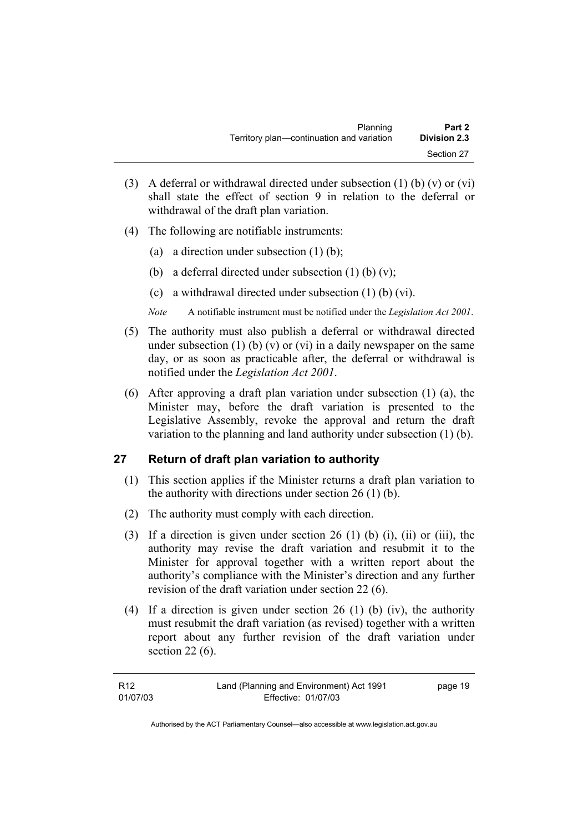| Planning                                  | Part 2              |
|-------------------------------------------|---------------------|
| Territory plan—continuation and variation | <b>Division 2.3</b> |
|                                           | Section 27          |

- (3) A deferral or withdrawal directed under subsection  $(1)$  (b)  $(v)$  or  $(vi)$ shall state the effect of section 9 in relation to the deferral or withdrawal of the draft plan variation.
- (4) The following are notifiable instruments:
	- (a) a direction under subsection  $(1)$  (b);
	- (b) a deferral directed under subsection  $(1)$  (b)  $(v)$ ;
	- (c) a withdrawal directed under subsection (1) (b) (vi).
	- *Note* A notifiable instrument must be notified under the *Legislation Act 2001*.
- (5) The authority must also publish a deferral or withdrawal directed under subsection (1) (b) (v) or (vi) in a daily newspaper on the same day, or as soon as practicable after, the deferral or withdrawal is notified under the *Legislation Act 2001*.
- (6) After approving a draft plan variation under subsection (1) (a), the Minister may, before the draft variation is presented to the Legislative Assembly, revoke the approval and return the draft variation to the planning and land authority under subsection (1) (b).

#### **27 Return of draft plan variation to authority**

- (1) This section applies if the Minister returns a draft plan variation to the authority with directions under section 26 (1) (b).
- (2) The authority must comply with each direction.
- (3) If a direction is given under section 26 (1) (b) (i), (ii) or (iii), the authority may revise the draft variation and resubmit it to the Minister for approval together with a written report about the authority's compliance with the Minister's direction and any further revision of the draft variation under section 22 (6).
- (4) If a direction is given under section 26 (1) (b) (iv), the authority must resubmit the draft variation (as revised) together with a written report about any further revision of the draft variation under section 22 (6).

| R <sub>12</sub> | Land (Planning and Environment) Act 1991 | page 19 |
|-----------------|------------------------------------------|---------|
| 01/07/03        | Effective: 01/07/03                      |         |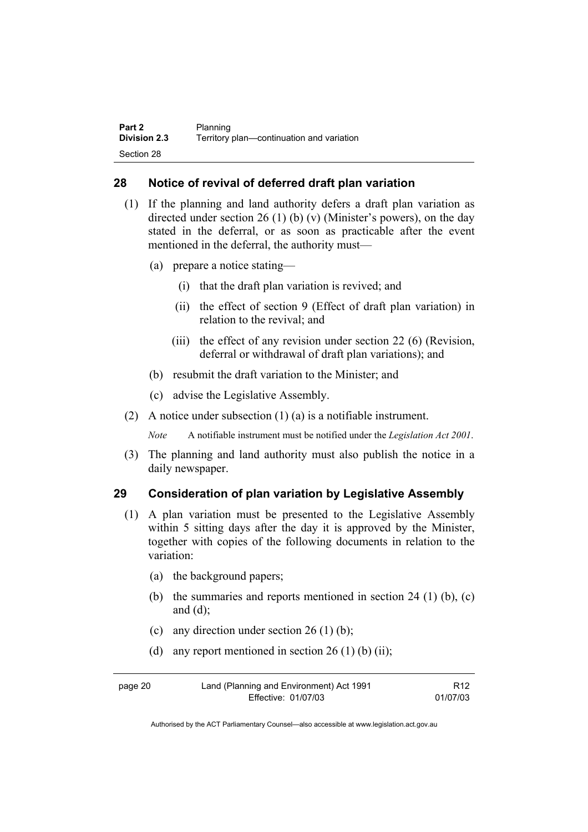| Part 2              | Planning                                  |
|---------------------|-------------------------------------------|
| <b>Division 2.3</b> | Territory plan—continuation and variation |
| Section 28          |                                           |

#### **28 Notice of revival of deferred draft plan variation**

- (1) If the planning and land authority defers a draft plan variation as directed under section 26 (1) (b) (v) (Minister's powers), on the day stated in the deferral, or as soon as practicable after the event mentioned in the deferral, the authority must—
	- (a) prepare a notice stating—
		- (i) that the draft plan variation is revived; and
		- (ii) the effect of section 9 (Effect of draft plan variation) in relation to the revival; and
		- (iii) the effect of any revision under section 22 (6) (Revision, deferral or withdrawal of draft plan variations); and
	- (b) resubmit the draft variation to the Minister; and
	- (c) advise the Legislative Assembly.
- (2) A notice under subsection (1) (a) is a notifiable instrument.

*Note* A notifiable instrument must be notified under the *Legislation Act 2001*.

(3) The planning and land authority must also publish the notice in a daily newspaper.

#### **29 Consideration of plan variation by Legislative Assembly**

- (1) A plan variation must be presented to the Legislative Assembly within 5 sitting days after the day it is approved by the Minister, together with copies of the following documents in relation to the variation:
	- (a) the background papers;
	- (b) the summaries and reports mentioned in section  $24$  (1) (b), (c) and  $(d)$ ;
	- (c) any direction under section  $26(1)$  (b);
	- (d) any report mentioned in section  $26(1)$  (b) (ii);

| page 20 | Land (Planning and Environment) Act 1991 | R <sub>12</sub> |
|---------|------------------------------------------|-----------------|
|         | Effective: 01/07/03                      | 01/07/03        |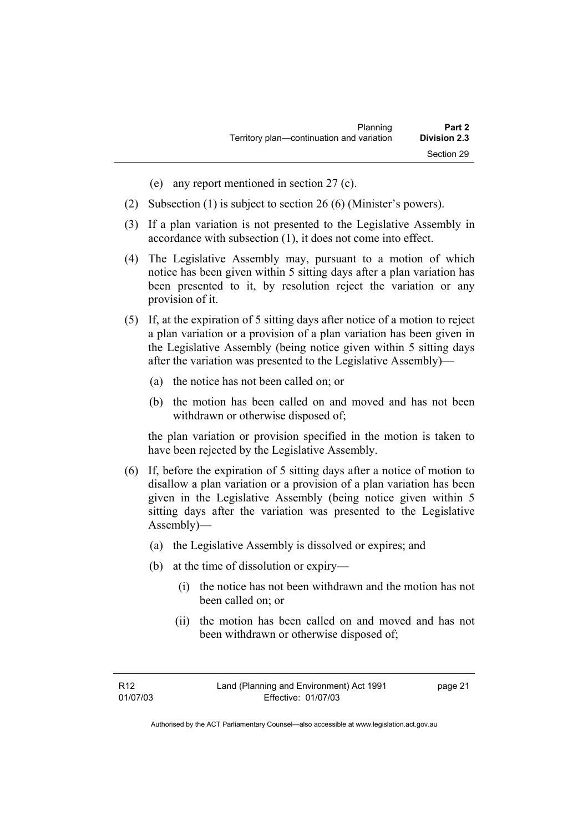| Planning                                  | Part 2       |
|-------------------------------------------|--------------|
| Territory plan—continuation and variation | Division 2.3 |
|                                           | Section 29   |

- (e) any report mentioned in section 27 (c).
- (2) Subsection (1) is subject to section 26 (6) (Minister's powers).
- (3) If a plan variation is not presented to the Legislative Assembly in accordance with subsection (1), it does not come into effect.
- (4) The Legislative Assembly may, pursuant to a motion of which notice has been given within 5 sitting days after a plan variation has been presented to it, by resolution reject the variation or any provision of it.
- (5) If, at the expiration of 5 sitting days after notice of a motion to reject a plan variation or a provision of a plan variation has been given in the Legislative Assembly (being notice given within 5 sitting days after the variation was presented to the Legislative Assembly)—
	- (a) the notice has not been called on; or
	- (b) the motion has been called on and moved and has not been withdrawn or otherwise disposed of;

the plan variation or provision specified in the motion is taken to have been rejected by the Legislative Assembly.

- (6) If, before the expiration of 5 sitting days after a notice of motion to disallow a plan variation or a provision of a plan variation has been given in the Legislative Assembly (being notice given within 5 sitting days after the variation was presented to the Legislative Assembly)—
	- (a) the Legislative Assembly is dissolved or expires; and
	- (b) at the time of dissolution or expiry—
		- (i) the notice has not been withdrawn and the motion has not been called on; or
		- (ii) the motion has been called on and moved and has not been withdrawn or otherwise disposed of;

page 21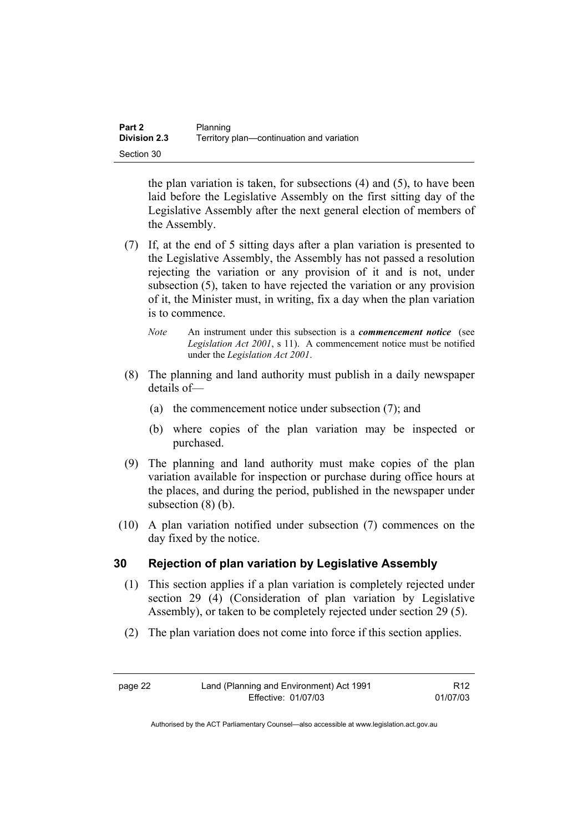| Part 2              | Planning                                  |
|---------------------|-------------------------------------------|
| <b>Division 2.3</b> | Territory plan-continuation and variation |
| Section 30          |                                           |

the plan variation is taken, for subsections (4) and (5), to have been laid before the Legislative Assembly on the first sitting day of the Legislative Assembly after the next general election of members of the Assembly.

- (7) If, at the end of 5 sitting days after a plan variation is presented to the Legislative Assembly, the Assembly has not passed a resolution rejecting the variation or any provision of it and is not, under subsection (5), taken to have rejected the variation or any provision of it, the Minister must, in writing, fix a day when the plan variation is to commence.
	- *Note* An instrument under this subsection is a *commencement notice* (see *Legislation Act 2001*, s 11). A commencement notice must be notified under the *Legislation Act 2001*.
- (8) The planning and land authority must publish in a daily newspaper details of—
	- (a) the commencement notice under subsection (7); and
	- (b) where copies of the plan variation may be inspected or purchased.
- (9) The planning and land authority must make copies of the plan variation available for inspection or purchase during office hours at the places, and during the period, published in the newspaper under subsection (8) (b).
- (10) A plan variation notified under subsection (7) commences on the day fixed by the notice.

### **30 Rejection of plan variation by Legislative Assembly**

- (1) This section applies if a plan variation is completely rejected under section 29 (4) (Consideration of plan variation by Legislative Assembly), or taken to be completely rejected under section 29 (5).
- (2) The plan variation does not come into force if this section applies.

R12 01/07/03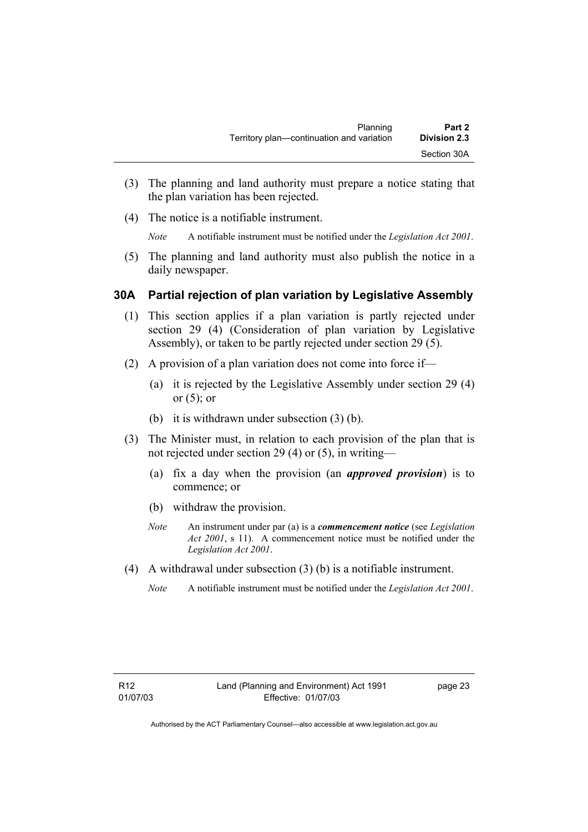- (3) The planning and land authority must prepare a notice stating that the plan variation has been rejected.
- (4) The notice is a notifiable instrument.

*Note* A notifiable instrument must be notified under the *Legislation Act 2001*.

(5) The planning and land authority must also publish the notice in a daily newspaper.

## **30A Partial rejection of plan variation by Legislative Assembly**

- (1) This section applies if a plan variation is partly rejected under section 29 (4) (Consideration of plan variation by Legislative Assembly), or taken to be partly rejected under section 29 (5).
- (2) A provision of a plan variation does not come into force if—
	- (a) it is rejected by the Legislative Assembly under section 29 (4) or  $(5)$ ; or
	- (b) it is withdrawn under subsection (3) (b).
- (3) The Minister must, in relation to each provision of the plan that is not rejected under section 29 (4) or (5), in writing—
	- (a) fix a day when the provision (an *approved provision*) is to commence; or
	- (b) withdraw the provision.
	- *Note* An instrument under par (a) is a *commencement notice* (see *Legislation Act 2001*, s 11). A commencement notice must be notified under the *Legislation Act 2001*.
- (4) A withdrawal under subsection (3) (b) is a notifiable instrument.
	- *Note* A notifiable instrument must be notified under the *Legislation Act 2001*.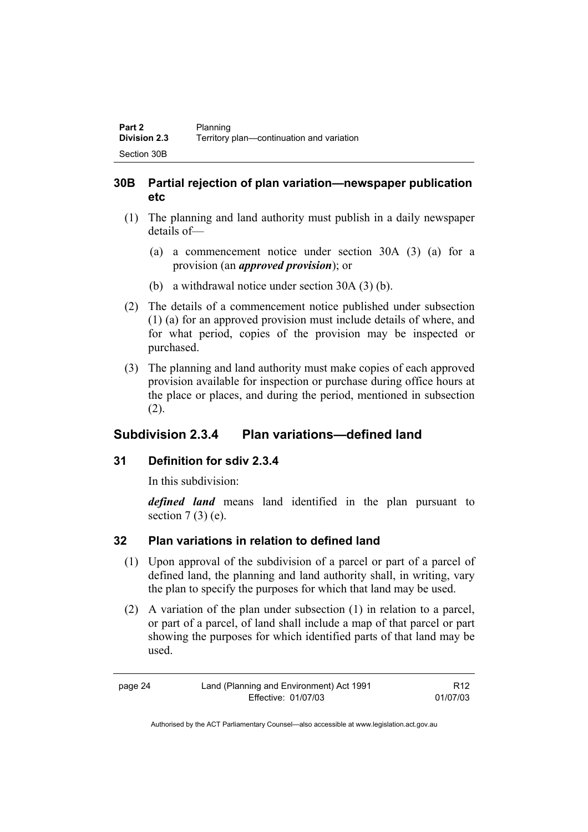## **30B Partial rejection of plan variation—newspaper publication etc**

- (1) The planning and land authority must publish in a daily newspaper details of—
	- (a) a commencement notice under section 30A (3) (a) for a provision (an *approved provision*); or
	- (b) a withdrawal notice under section 30A (3) (b).
- (2) The details of a commencement notice published under subsection (1) (a) for an approved provision must include details of where, and for what period, copies of the provision may be inspected or purchased.
- (3) The planning and land authority must make copies of each approved provision available for inspection or purchase during office hours at the place or places, and during the period, mentioned in subsection (2).

## **Subdivision 2.3.4 Plan variations—defined land**

### **31 Definition for sdiv 2.3.4**

In this subdivision:

*defined land* means land identified in the plan pursuant to section  $7(3)$  (e).

## **32 Plan variations in relation to defined land**

- (1) Upon approval of the subdivision of a parcel or part of a parcel of defined land, the planning and land authority shall, in writing, vary the plan to specify the purposes for which that land may be used.
- (2) A variation of the plan under subsection (1) in relation to a parcel, or part of a parcel, of land shall include a map of that parcel or part showing the purposes for which identified parts of that land may be used.

| page 24 | Land (Planning and Environment) Act 1991 | R <sub>12</sub> |
|---------|------------------------------------------|-----------------|
|         | Effective: 01/07/03                      | 01/07/03        |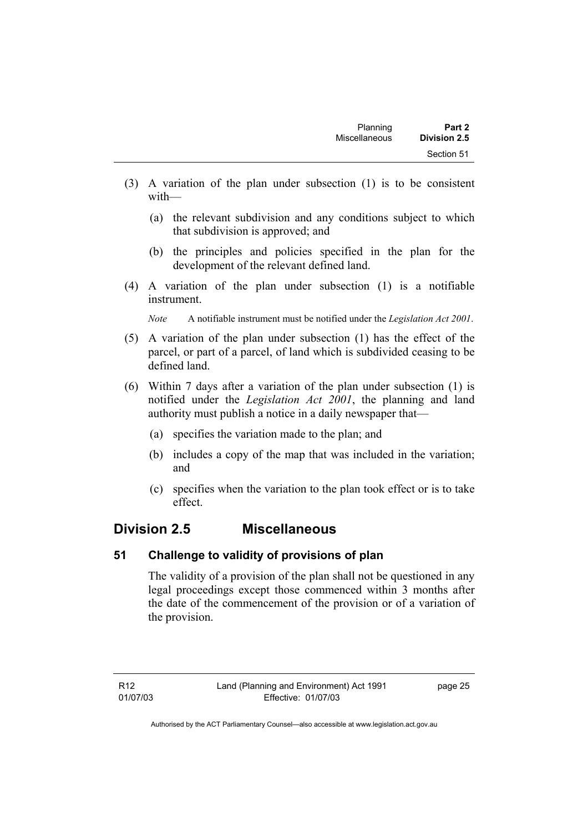- (3) A variation of the plan under subsection (1) is to be consistent with—
	- (a) the relevant subdivision and any conditions subject to which that subdivision is approved; and
	- (b) the principles and policies specified in the plan for the development of the relevant defined land.
- (4) A variation of the plan under subsection (1) is a notifiable instrument.

*Note* A notifiable instrument must be notified under the *Legislation Act 2001*.

- (5) A variation of the plan under subsection (1) has the effect of the parcel, or part of a parcel, of land which is subdivided ceasing to be defined land.
- (6) Within 7 days after a variation of the plan under subsection (1) is notified under the *Legislation Act 2001*, the planning and land authority must publish a notice in a daily newspaper that—
	- (a) specifies the variation made to the plan; and
	- (b) includes a copy of the map that was included in the variation; and
	- (c) specifies when the variation to the plan took effect or is to take effect.

## **Division 2.5 Miscellaneous**

#### **51 Challenge to validity of provisions of plan**

The validity of a provision of the plan shall not be questioned in any legal proceedings except those commenced within 3 months after the date of the commencement of the provision or of a variation of the provision.

page 25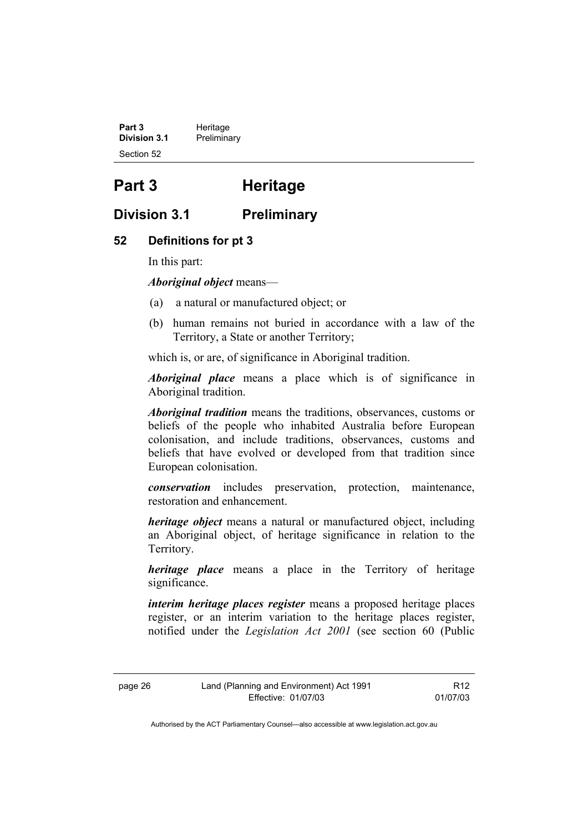**Part 3 Heritage**<br>**Division 3.1 Prelimina Division 3.1** Preliminary Section 52

# **Part 3 Heritage**

## **Division 3.1 Preliminary**

### **52 Definitions for pt 3**

In this part:

*Aboriginal object* means—

- (a) a natural or manufactured object; or
- (b) human remains not buried in accordance with a law of the Territory, a State or another Territory;

which is, or are, of significance in Aboriginal tradition.

*Aboriginal place* means a place which is of significance in Aboriginal tradition.

*Aboriginal tradition* means the traditions, observances, customs or beliefs of the people who inhabited Australia before European colonisation, and include traditions, observances, customs and beliefs that have evolved or developed from that tradition since European colonisation.

*conservation* includes preservation, protection, maintenance, restoration and enhancement.

*heritage object* means a natural or manufactured object, including an Aboriginal object, of heritage significance in relation to the Territory.

*heritage place* means a place in the Territory of heritage significance.

*interim heritage places register* means a proposed heritage places register, or an interim variation to the heritage places register, notified under the *Legislation Act 2001* (see section 60 (Public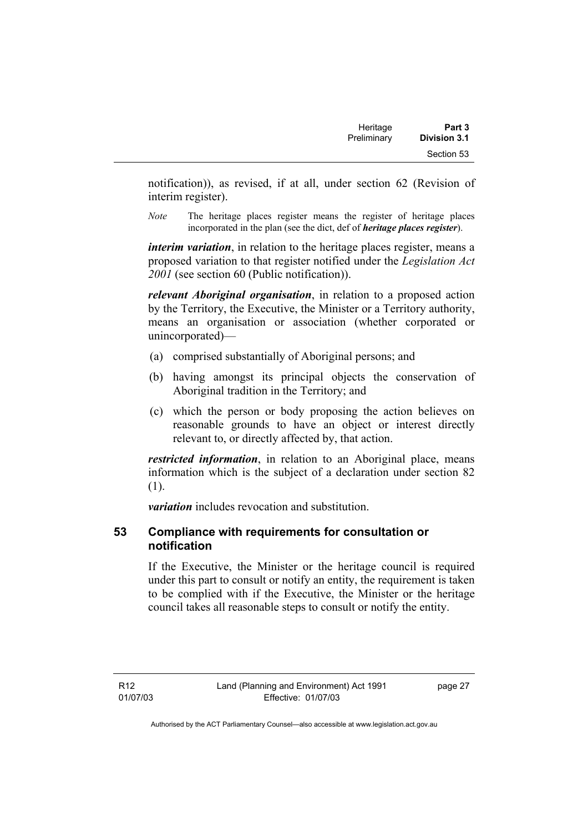| Heritage    | Part 3              |
|-------------|---------------------|
| Preliminary | <b>Division 3.1</b> |
|             | Section 53          |

notification)), as revised, if at all, under section 62 (Revision of interim register).

*Note* The heritage places register means the register of heritage places incorporated in the plan (see the dict, def of *heritage places register*).

*interim variation*, in relation to the heritage places register, means a proposed variation to that register notified under the *Legislation Act 2001* (see section 60 (Public notification)).

*relevant Aboriginal organisation*, in relation to a proposed action by the Territory, the Executive, the Minister or a Territory authority, means an organisation or association (whether corporated or unincorporated)—

- (a) comprised substantially of Aboriginal persons; and
- (b) having amongst its principal objects the conservation of Aboriginal tradition in the Territory; and
- (c) which the person or body proposing the action believes on reasonable grounds to have an object or interest directly relevant to, or directly affected by, that action.

*restricted information*, in relation to an Aboriginal place, means information which is the subject of a declaration under section 82 (1).

*variation* includes revocation and substitution.

### **53 Compliance with requirements for consultation or notification**

If the Executive, the Minister or the heritage council is required under this part to consult or notify an entity, the requirement is taken to be complied with if the Executive, the Minister or the heritage council takes all reasonable steps to consult or notify the entity.

R12 01/07/03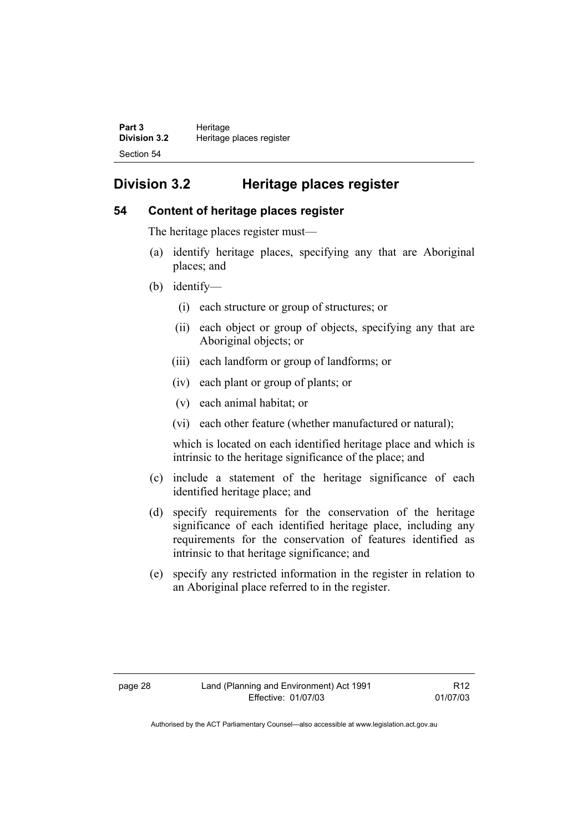| Part 3              | Heritage                 |
|---------------------|--------------------------|
| <b>Division 3.2</b> | Heritage places register |
| Section 54          |                          |

# **Division 3.2 Heritage places register**

#### **54 Content of heritage places register**

The heritage places register must—

- (a) identify heritage places, specifying any that are Aboriginal places; and
- (b) identify—
	- (i) each structure or group of structures; or
	- (ii) each object or group of objects, specifying any that are Aboriginal objects; or
	- (iii) each landform or group of landforms; or
	- (iv) each plant or group of plants; or
	- (v) each animal habitat; or
	- (vi) each other feature (whether manufactured or natural);

which is located on each identified heritage place and which is intrinsic to the heritage significance of the place; and

- (c) include a statement of the heritage significance of each identified heritage place; and
- (d) specify requirements for the conservation of the heritage significance of each identified heritage place, including any requirements for the conservation of features identified as intrinsic to that heritage significance; and
- (e) specify any restricted information in the register in relation to an Aboriginal place referred to in the register.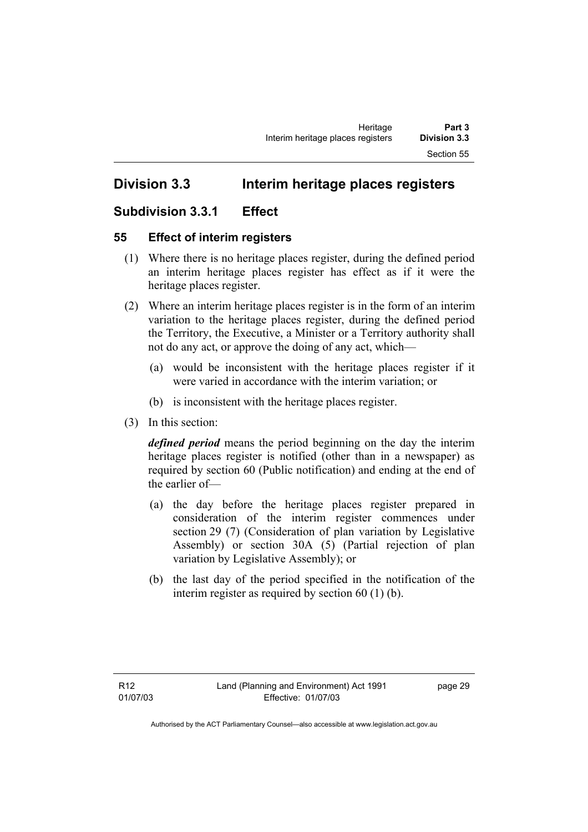# **Division 3.3 Interim heritage places registers**

## **Subdivision 3.3.1 Effect**

## **55 Effect of interim registers**

- (1) Where there is no heritage places register, during the defined period an interim heritage places register has effect as if it were the heritage places register.
- (2) Where an interim heritage places register is in the form of an interim variation to the heritage places register, during the defined period the Territory, the Executive, a Minister or a Territory authority shall not do any act, or approve the doing of any act, which—
	- (a) would be inconsistent with the heritage places register if it were varied in accordance with the interim variation; or
	- (b) is inconsistent with the heritage places register.
- (3) In this section:

*defined period* means the period beginning on the day the interim heritage places register is notified (other than in a newspaper) as required by section 60 (Public notification) and ending at the end of the earlier of—

- (a) the day before the heritage places register prepared in consideration of the interim register commences under section 29 (7) (Consideration of plan variation by Legislative Assembly) or section 30A (5) (Partial rejection of plan variation by Legislative Assembly); or
- (b) the last day of the period specified in the notification of the interim register as required by section 60 (1) (b).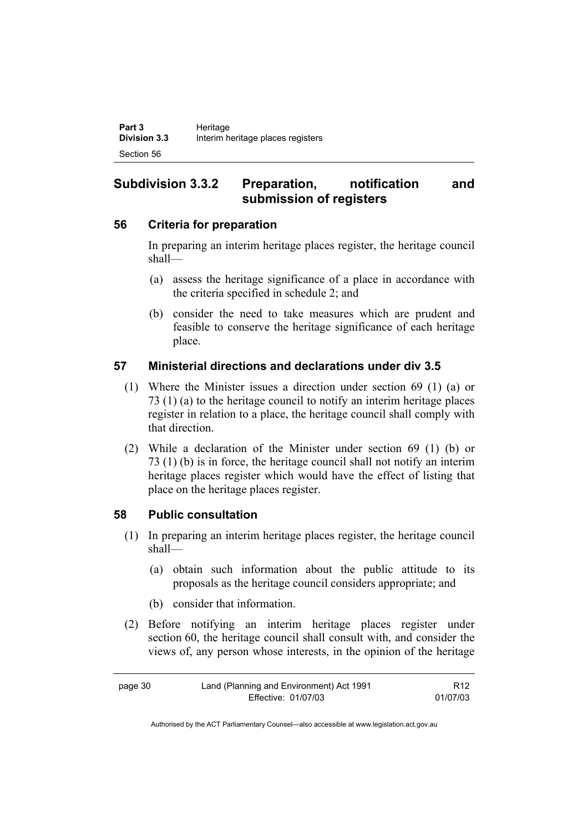## **Subdivision 3.3.2 Preparation, notification and submission of registers**

### **56 Criteria for preparation**

In preparing an interim heritage places register, the heritage council shall—

- (a) assess the heritage significance of a place in accordance with the criteria specified in schedule 2; and
- (b) consider the need to take measures which are prudent and feasible to conserve the heritage significance of each heritage place.

## **57 Ministerial directions and declarations under div 3.5**

- (1) Where the Minister issues a direction under section 69 (1) (a) or 73 (1) (a) to the heritage council to notify an interim heritage places register in relation to a place, the heritage council shall comply with that direction.
- (2) While a declaration of the Minister under section 69 (1) (b) or 73 (1) (b) is in force, the heritage council shall not notify an interim heritage places register which would have the effect of listing that place on the heritage places register.

## **58 Public consultation**

- (1) In preparing an interim heritage places register, the heritage council shall—
	- (a) obtain such information about the public attitude to its proposals as the heritage council considers appropriate; and
	- (b) consider that information.
- (2) Before notifying an interim heritage places register under section 60, the heritage council shall consult with, and consider the views of, any person whose interests, in the opinion of the heritage

page 30 Land (Planning and Environment) Act 1991 Effective: 01/07/03 R12 01/07/03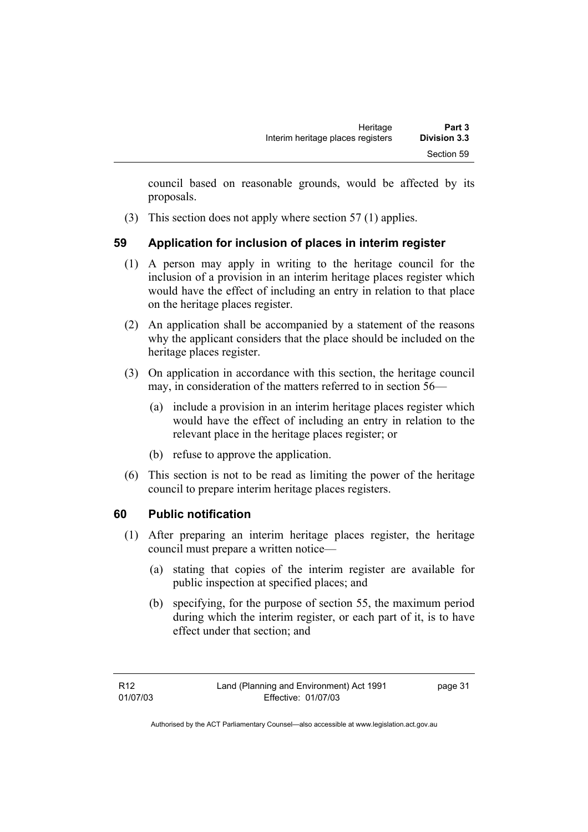council based on reasonable grounds, would be affected by its proposals.

(3) This section does not apply where section 57 (1) applies.

## **59 Application for inclusion of places in interim register**

- (1) A person may apply in writing to the heritage council for the inclusion of a provision in an interim heritage places register which would have the effect of including an entry in relation to that place on the heritage places register.
- (2) An application shall be accompanied by a statement of the reasons why the applicant considers that the place should be included on the heritage places register.
- (3) On application in accordance with this section, the heritage council may, in consideration of the matters referred to in section 56—
	- (a) include a provision in an interim heritage places register which would have the effect of including an entry in relation to the relevant place in the heritage places register; or
	- (b) refuse to approve the application.
- (6) This section is not to be read as limiting the power of the heritage council to prepare interim heritage places registers.

## **60 Public notification**

- (1) After preparing an interim heritage places register, the heritage council must prepare a written notice—
	- (a) stating that copies of the interim register are available for public inspection at specified places; and
	- (b) specifying, for the purpose of section 55, the maximum period during which the interim register, or each part of it, is to have effect under that section; and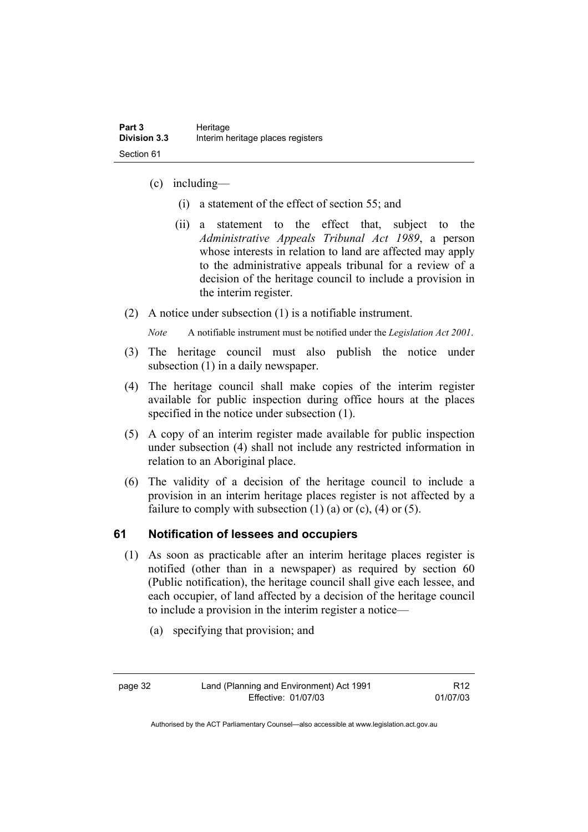- (c) including—
	- (i) a statement of the effect of section 55; and
	- (ii) a statement to the effect that, subject to the *Administrative Appeals Tribunal Act 1989*, a person whose interests in relation to land are affected may apply to the administrative appeals tribunal for a review of a decision of the heritage council to include a provision in the interim register.
- (2) A notice under subsection (1) is a notifiable instrument.

*Note* A notifiable instrument must be notified under the *Legislation Act 2001*.

- (3) The heritage council must also publish the notice under subsection (1) in a daily newspaper.
- (4) The heritage council shall make copies of the interim register available for public inspection during office hours at the places specified in the notice under subsection (1).
- (5) A copy of an interim register made available for public inspection under subsection (4) shall not include any restricted information in relation to an Aboriginal place.
- (6) The validity of a decision of the heritage council to include a provision in an interim heritage places register is not affected by a failure to comply with subsection  $(1)$   $(a)$  or  $(c)$ ,  $(4)$  or  $(5)$ .

## **61 Notification of lessees and occupiers**

- (1) As soon as practicable after an interim heritage places register is notified (other than in a newspaper) as required by section 60 (Public notification), the heritage council shall give each lessee, and each occupier, of land affected by a decision of the heritage council to include a provision in the interim register a notice—
	- (a) specifying that provision; and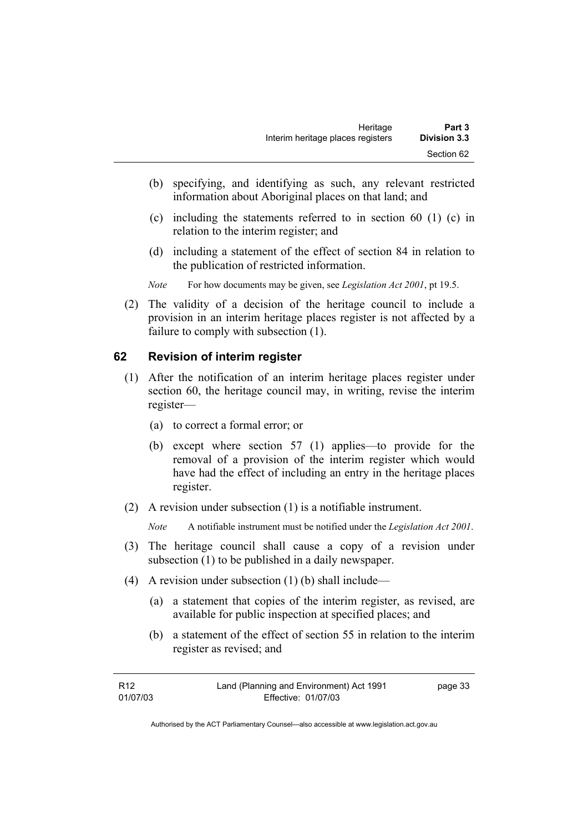- (b) specifying, and identifying as such, any relevant restricted information about Aboriginal places on that land; and
- (c) including the statements referred to in section 60 (1) (c) in relation to the interim register; and
- (d) including a statement of the effect of section 84 in relation to the publication of restricted information.
- *Note* For how documents may be given, see *Legislation Act 2001*, pt 19.5.
- (2) The validity of a decision of the heritage council to include a provision in an interim heritage places register is not affected by a failure to comply with subsection (1).

#### **62 Revision of interim register**

- (1) After the notification of an interim heritage places register under section 60, the heritage council may, in writing, revise the interim register—
	- (a) to correct a formal error; or
	- (b) except where section 57 (1) applies—to provide for the removal of a provision of the interim register which would have had the effect of including an entry in the heritage places register.
- (2) A revision under subsection (1) is a notifiable instrument.

*Note* A notifiable instrument must be notified under the *Legislation Act 2001*.

- (3) The heritage council shall cause a copy of a revision under subsection (1) to be published in a daily newspaper.
- (4) A revision under subsection (1) (b) shall include—
	- (a) a statement that copies of the interim register, as revised, are available for public inspection at specified places; and
	- (b) a statement of the effect of section 55 in relation to the interim register as revised; and

| R12      | Land (Planning and Environment) Act 1991 | page 33 |
|----------|------------------------------------------|---------|
| 01/07/03 | Effective: 01/07/03                      |         |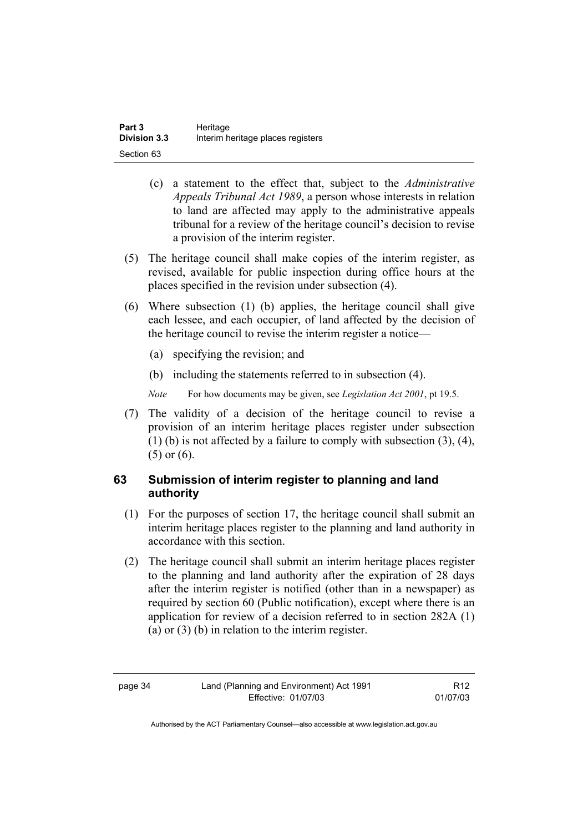| Part 3              | Heritage                          |
|---------------------|-----------------------------------|
| <b>Division 3.3</b> | Interim heritage places registers |
| Section 63          |                                   |

- (c) a statement to the effect that, subject to the *Administrative Appeals Tribunal Act 1989*, a person whose interests in relation to land are affected may apply to the administrative appeals tribunal for a review of the heritage council's decision to revise a provision of the interim register.
- (5) The heritage council shall make copies of the interim register, as revised, available for public inspection during office hours at the places specified in the revision under subsection (4).
- (6) Where subsection (1) (b) applies, the heritage council shall give each lessee, and each occupier, of land affected by the decision of the heritage council to revise the interim register a notice—
	- (a) specifying the revision; and
	- (b) including the statements referred to in subsection (4).
	- *Note* For how documents may be given, see *Legislation Act 2001*, pt 19.5.
- (7) The validity of a decision of the heritage council to revise a provision of an interim heritage places register under subsection (1) (b) is not affected by a failure to comply with subsection (3), (4), (5) or (6).

## **63 Submission of interim register to planning and land authority**

- (1) For the purposes of section 17, the heritage council shall submit an interim heritage places register to the planning and land authority in accordance with this section.
- (2) The heritage council shall submit an interim heritage places register to the planning and land authority after the expiration of 28 days after the interim register is notified (other than in a newspaper) as required by section 60 (Public notification), except where there is an application for review of a decision referred to in section 282A (1) (a) or (3) (b) in relation to the interim register.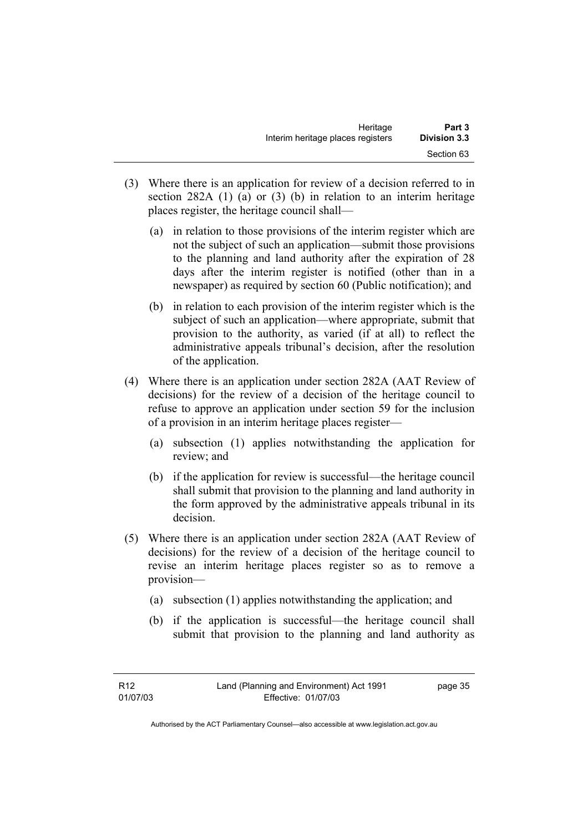- (3) Where there is an application for review of a decision referred to in section 282A (1) (a) or (3) (b) in relation to an interim heritage places register, the heritage council shall—
	- (a) in relation to those provisions of the interim register which are not the subject of such an application—submit those provisions to the planning and land authority after the expiration of 28 days after the interim register is notified (other than in a newspaper) as required by section 60 (Public notification); and
	- (b) in relation to each provision of the interim register which is the subject of such an application—where appropriate, submit that provision to the authority, as varied (if at all) to reflect the administrative appeals tribunal's decision, after the resolution of the application.
- (4) Where there is an application under section 282A (AAT Review of decisions) for the review of a decision of the heritage council to refuse to approve an application under section 59 for the inclusion of a provision in an interim heritage places register—
	- (a) subsection (1) applies notwithstanding the application for review; and
	- (b) if the application for review is successful—the heritage council shall submit that provision to the planning and land authority in the form approved by the administrative appeals tribunal in its decision.
- (5) Where there is an application under section 282A (AAT Review of decisions) for the review of a decision of the heritage council to revise an interim heritage places register so as to remove a provision—
	- (a) subsection (1) applies notwithstanding the application; and
	- (b) if the application is successful—the heritage council shall submit that provision to the planning and land authority as

page 35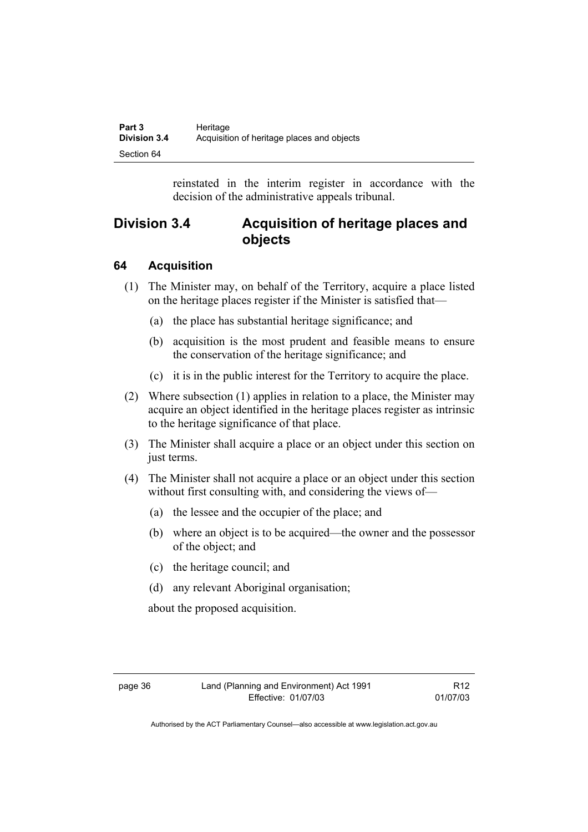| Part 3              | Heritage                                   |
|---------------------|--------------------------------------------|
| <b>Division 3.4</b> | Acquisition of heritage places and objects |
| Section 64          |                                            |

reinstated in the interim register in accordance with the decision of the administrative appeals tribunal.

## **Division 3.4 Acquisition of heritage places and objects**

## **64 Acquisition**

- (1) The Minister may, on behalf of the Territory, acquire a place listed on the heritage places register if the Minister is satisfied that—
	- (a) the place has substantial heritage significance; and
	- (b) acquisition is the most prudent and feasible means to ensure the conservation of the heritage significance; and
	- (c) it is in the public interest for the Territory to acquire the place.
- (2) Where subsection (1) applies in relation to a place, the Minister may acquire an object identified in the heritage places register as intrinsic to the heritage significance of that place.
- (3) The Minister shall acquire a place or an object under this section on just terms.
- (4) The Minister shall not acquire a place or an object under this section without first consulting with, and considering the views of-
	- (a) the lessee and the occupier of the place; and
	- (b) where an object is to be acquired—the owner and the possessor of the object; and
	- (c) the heritage council; and
	- (d) any relevant Aboriginal organisation;

about the proposed acquisition.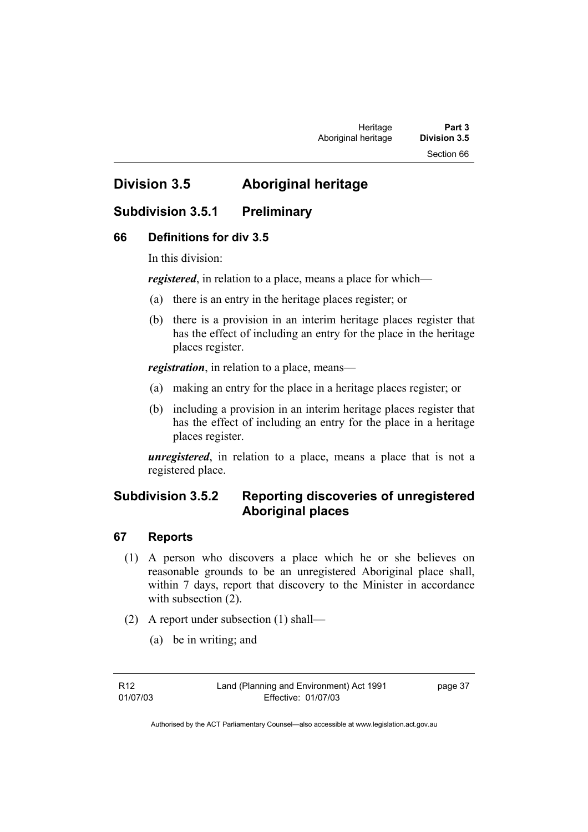Section 66

# **Division 3.5 Aboriginal heritage**

## **Subdivision 3.5.1 Preliminary**

#### **66 Definitions for div 3.5**

In this division:

*registered*, in relation to a place, means a place for which—

- (a) there is an entry in the heritage places register; or
- (b) there is a provision in an interim heritage places register that has the effect of including an entry for the place in the heritage places register.

*registration*, in relation to a place, means—

- (a) making an entry for the place in a heritage places register; or
- (b) including a provision in an interim heritage places register that has the effect of including an entry for the place in a heritage places register.

*unregistered*, in relation to a place, means a place that is not a registered place.

## **Subdivision 3.5.2 Reporting discoveries of unregistered Aboriginal places**

#### **67 Reports**

- (1) A person who discovers a place which he or she believes on reasonable grounds to be an unregistered Aboriginal place shall, within 7 days, report that discovery to the Minister in accordance with subsection  $(2)$ .
- (2) A report under subsection (1) shall—
	- (a) be in writing; and

page 37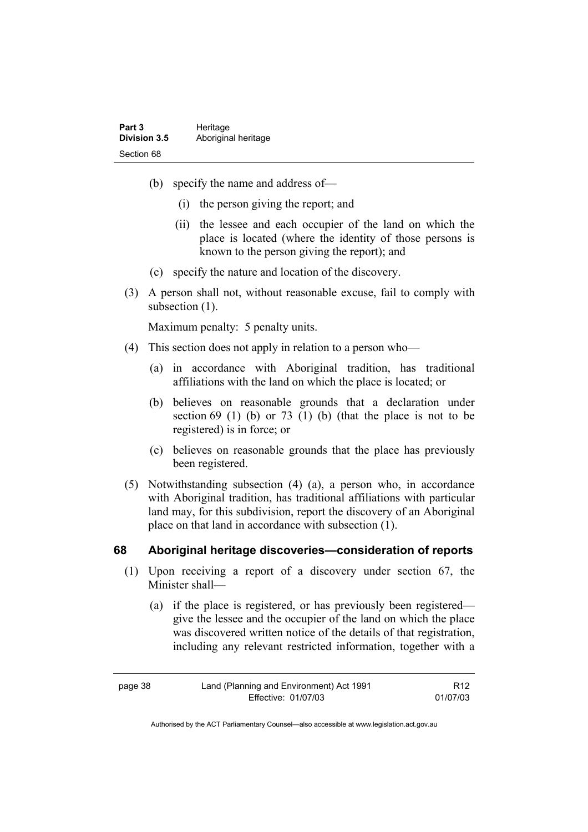| Part 3              | Heritage            |
|---------------------|---------------------|
| <b>Division 3.5</b> | Aboriginal heritage |
| Section 68          |                     |

- (b) specify the name and address of—
	- (i) the person giving the report; and
	- (ii) the lessee and each occupier of the land on which the place is located (where the identity of those persons is known to the person giving the report); and
- (c) specify the nature and location of the discovery.
- (3) A person shall not, without reasonable excuse, fail to comply with subsection  $(1)$ .

Maximum penalty: 5 penalty units.

- (4) This section does not apply in relation to a person who—
	- (a) in accordance with Aboriginal tradition, has traditional affiliations with the land on which the place is located; or
	- (b) believes on reasonable grounds that a declaration under section  $69$  (1) (b) or  $73$  (1) (b) (that the place is not to be registered) is in force; or
	- (c) believes on reasonable grounds that the place has previously been registered.
- (5) Notwithstanding subsection (4) (a), a person who, in accordance with Aboriginal tradition, has traditional affiliations with particular land may, for this subdivision, report the discovery of an Aboriginal place on that land in accordance with subsection (1).

#### **68 Aboriginal heritage discoveries—consideration of reports**

- (1) Upon receiving a report of a discovery under section 67, the Minister shall—
	- (a) if the place is registered, or has previously been registered give the lessee and the occupier of the land on which the place was discovered written notice of the details of that registration, including any relevant restricted information, together with a

| page 38 | Land (Planning and Environment) Act 1991 | R <sub>12</sub> |
|---------|------------------------------------------|-----------------|
|         | Effective: 01/07/03                      | 01/07/03        |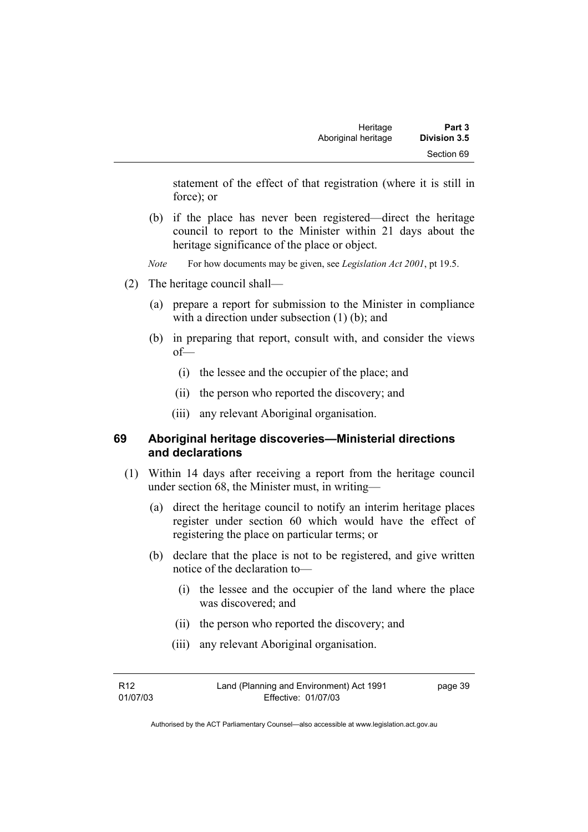statement of the effect of that registration (where it is still in force); or

- (b) if the place has never been registered—direct the heritage council to report to the Minister within 21 days about the heritage significance of the place or object.
- *Note* For how documents may be given, see *Legislation Act 2001*, pt 19.5.
- (2) The heritage council shall—
	- (a) prepare a report for submission to the Minister in compliance with a direction under subsection (1) (b); and
	- (b) in preparing that report, consult with, and consider the views of—
		- (i) the lessee and the occupier of the place; and
		- (ii) the person who reported the discovery; and
		- (iii) any relevant Aboriginal organisation.

#### **69 Aboriginal heritage discoveries—Ministerial directions and declarations**

- (1) Within 14 days after receiving a report from the heritage council under section 68, the Minister must, in writing—
	- (a) direct the heritage council to notify an interim heritage places register under section 60 which would have the effect of registering the place on particular terms; or
	- (b) declare that the place is not to be registered, and give written notice of the declaration to—
		- (i) the lessee and the occupier of the land where the place was discovered; and
		- (ii) the person who reported the discovery; and
		- (iii) any relevant Aboriginal organisation.

R12 01/07/03 page 39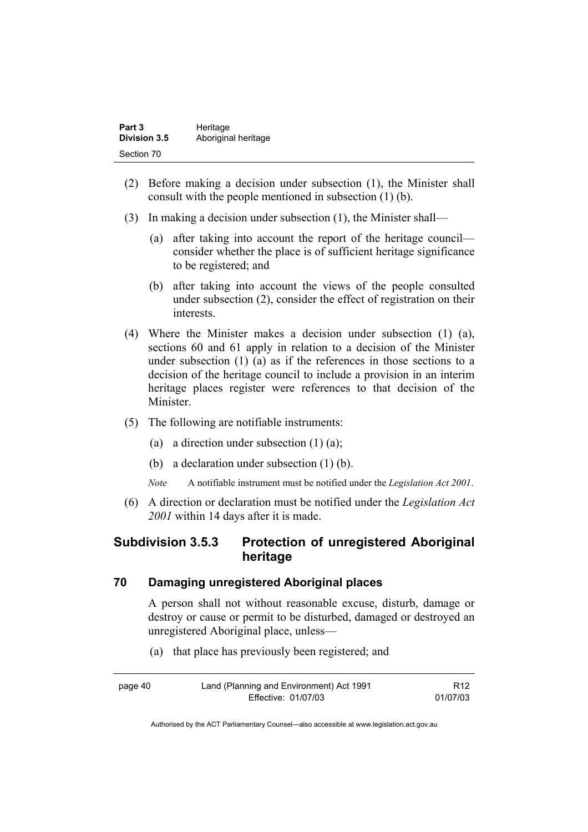| Part 3              | Heritage            |
|---------------------|---------------------|
| <b>Division 3.5</b> | Aboriginal heritage |
| Section 70          |                     |

- (2) Before making a decision under subsection (1), the Minister shall consult with the people mentioned in subsection (1) (b).
- (3) In making a decision under subsection (1), the Minister shall—
	- (a) after taking into account the report of the heritage council consider whether the place is of sufficient heritage significance to be registered; and
	- (b) after taking into account the views of the people consulted under subsection (2), consider the effect of registration on their interests.
- (4) Where the Minister makes a decision under subsection (1) (a), sections 60 and 61 apply in relation to a decision of the Minister under subsection (1) (a) as if the references in those sections to a decision of the heritage council to include a provision in an interim heritage places register were references to that decision of the Minister.
- (5) The following are notifiable instruments:
	- (a) a direction under subsection  $(1)$   $(a)$ ;
	- (b) a declaration under subsection (1) (b).
	- *Note* A notifiable instrument must be notified under the *Legislation Act 2001*.
- (6) A direction or declaration must be notified under the *Legislation Act 2001* within 14 days after it is made.

## **Subdivision 3.5.3 Protection of unregistered Aboriginal heritage**

#### **70 Damaging unregistered Aboriginal places**

A person shall not without reasonable excuse, disturb, damage or destroy or cause or permit to be disturbed, damaged or destroyed an unregistered Aboriginal place, unless—

(a) that place has previously been registered; and

| page 40 | Land (Planning and Environment) Act 1991 | R <sub>12</sub> |
|---------|------------------------------------------|-----------------|
|         | Effective: 01/07/03                      | 01/07/03        |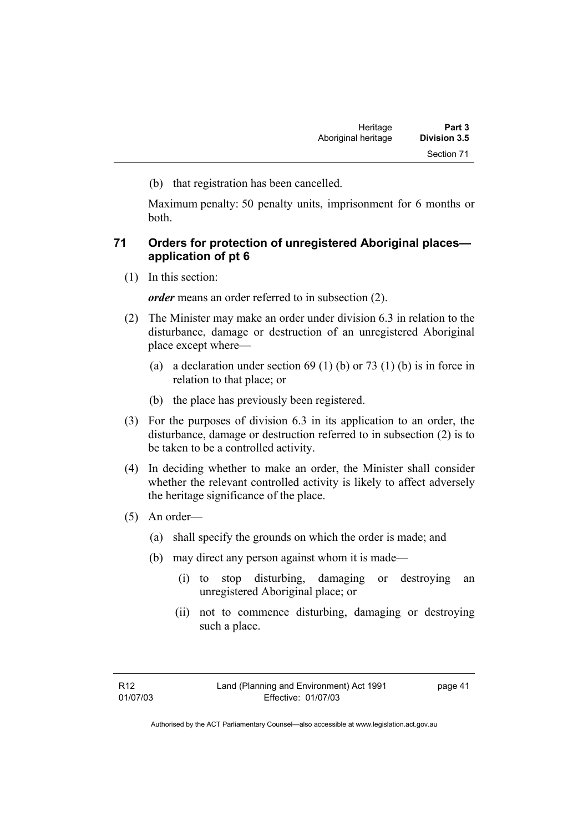(b) that registration has been cancelled.

Maximum penalty: 50 penalty units, imprisonment for 6 months or both.

### **71 Orders for protection of unregistered Aboriginal places application of pt 6**

(1) In this section:

*order* means an order referred to in subsection (2).

- (2) The Minister may make an order under division 6.3 in relation to the disturbance, damage or destruction of an unregistered Aboriginal place except where—
	- (a) a declaration under section  $69 (1) (b)$  or  $73 (1) (b)$  is in force in relation to that place; or
	- (b) the place has previously been registered.
- (3) For the purposes of division 6.3 in its application to an order, the disturbance, damage or destruction referred to in subsection (2) is to be taken to be a controlled activity.
- (4) In deciding whether to make an order, the Minister shall consider whether the relevant controlled activity is likely to affect adversely the heritage significance of the place.
- (5) An order—
	- (a) shall specify the grounds on which the order is made; and
	- (b) may direct any person against whom it is made—
		- (i) to stop disturbing, damaging or destroying an unregistered Aboriginal place; or
		- (ii) not to commence disturbing, damaging or destroying such a place.

page 41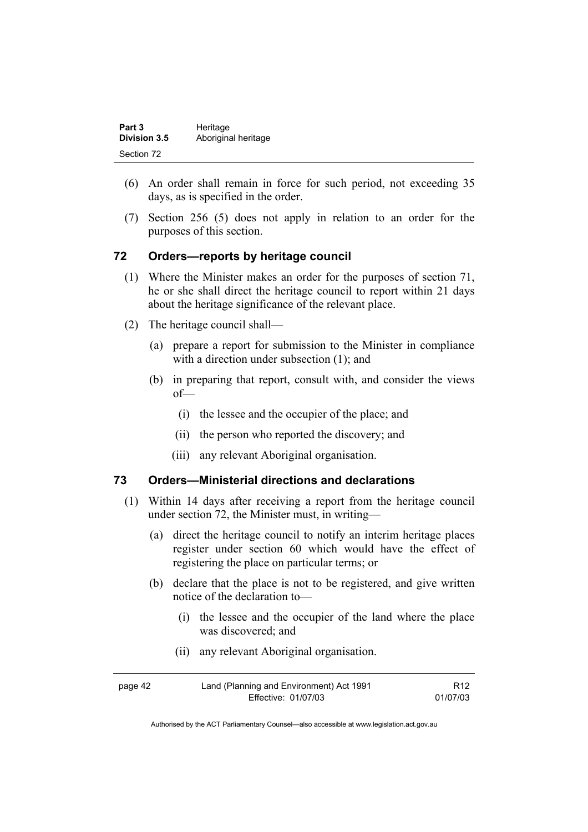| Part 3              | Heritage            |
|---------------------|---------------------|
| <b>Division 3.5</b> | Aboriginal heritage |
| Section 72          |                     |

- (6) An order shall remain in force for such period, not exceeding 35 days, as is specified in the order.
- (7) Section 256 (5) does not apply in relation to an order for the purposes of this section.

## **72 Orders—reports by heritage council**

- (1) Where the Minister makes an order for the purposes of section 71, he or she shall direct the heritage council to report within 21 days about the heritage significance of the relevant place.
- (2) The heritage council shall—
	- (a) prepare a report for submission to the Minister in compliance with a direction under subsection (1); and
	- (b) in preparing that report, consult with, and consider the views of—
		- (i) the lessee and the occupier of the place; and
		- (ii) the person who reported the discovery; and
		- (iii) any relevant Aboriginal organisation.

#### **73 Orders—Ministerial directions and declarations**

- (1) Within 14 days after receiving a report from the heritage council under section 72, the Minister must, in writing—
	- (a) direct the heritage council to notify an interim heritage places register under section 60 which would have the effect of registering the place on particular terms; or
	- (b) declare that the place is not to be registered, and give written notice of the declaration to—
		- (i) the lessee and the occupier of the land where the place was discovered; and
		- (ii) any relevant Aboriginal organisation.

| page 42 | Land (Planning and Environment) Act 1991 | R <sub>12</sub> |
|---------|------------------------------------------|-----------------|
|         | Effective: 01/07/03                      | 01/07/03        |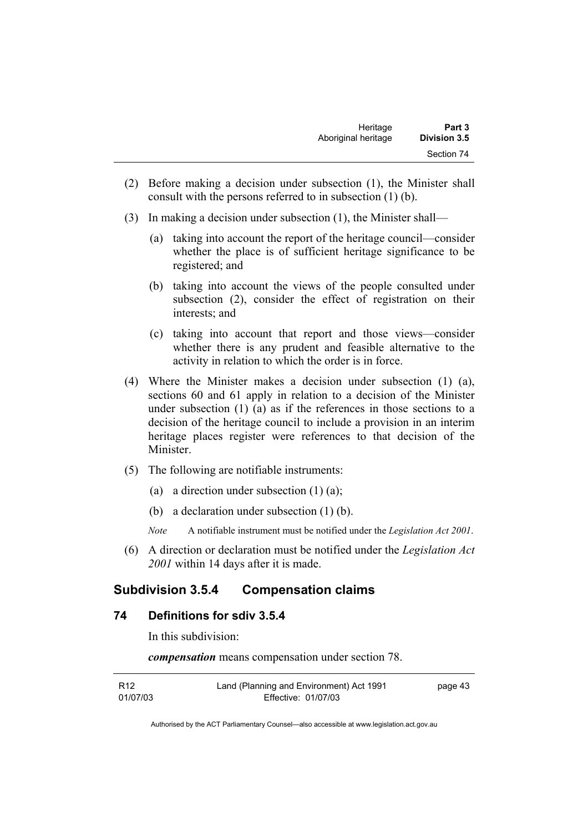- (2) Before making a decision under subsection (1), the Minister shall consult with the persons referred to in subsection (1) (b).
- (3) In making a decision under subsection (1), the Minister shall—
	- (a) taking into account the report of the heritage council—consider whether the place is of sufficient heritage significance to be registered; and
	- (b) taking into account the views of the people consulted under subsection (2), consider the effect of registration on their interests; and
	- (c) taking into account that report and those views—consider whether there is any prudent and feasible alternative to the activity in relation to which the order is in force.
- (4) Where the Minister makes a decision under subsection (1) (a), sections 60 and 61 apply in relation to a decision of the Minister under subsection (1) (a) as if the references in those sections to a decision of the heritage council to include a provision in an interim heritage places register were references to that decision of the Minister.
- (5) The following are notifiable instruments:
	- (a) a direction under subsection  $(1)$   $(a)$ ;
	- (b) a declaration under subsection (1) (b).
	- *Note* A notifiable instrument must be notified under the *Legislation Act 2001*.
- (6) A direction or declaration must be notified under the *Legislation Act 2001* within 14 days after it is made.

## **Subdivision 3.5.4 Compensation claims**

### **74 Definitions for sdiv 3.5.4**

In this subdivision:

*compensation* means compensation under section 78.

| R12      | Land (Planning and Environment) Act 1991 | page 43 |
|----------|------------------------------------------|---------|
| 01/07/03 | Effective: 01/07/03                      |         |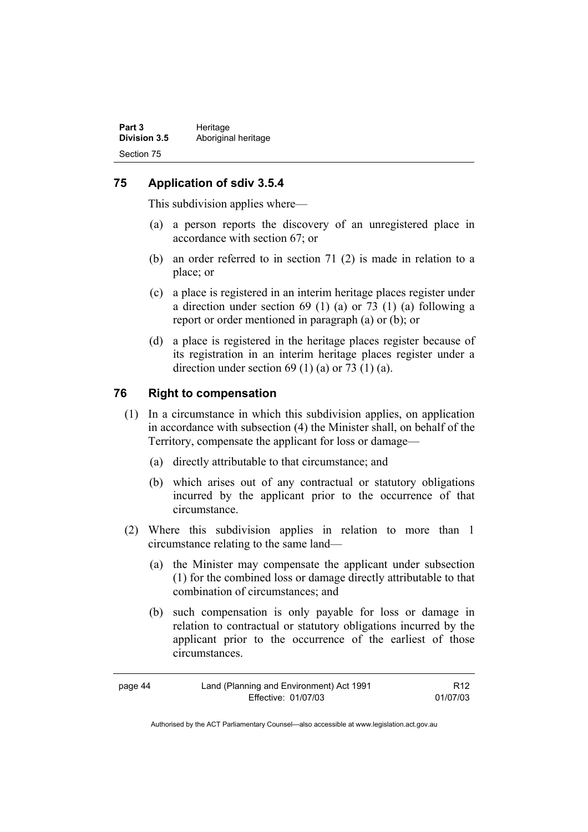### **75 Application of sdiv 3.5.4**

This subdivision applies where—

- (a) a person reports the discovery of an unregistered place in accordance with section 67; or
- (b) an order referred to in section 71 (2) is made in relation to a place; or
- (c) a place is registered in an interim heritage places register under a direction under section 69 (1) (a) or 73 (1) (a) following a report or order mentioned in paragraph (a) or (b); or
- (d) a place is registered in the heritage places register because of its registration in an interim heritage places register under a direction under section  $69$  (1) (a) or  $73$  (1) (a).

#### **76 Right to compensation**

- (1) In a circumstance in which this subdivision applies, on application in accordance with subsection (4) the Minister shall, on behalf of the Territory, compensate the applicant for loss or damage—
	- (a) directly attributable to that circumstance; and
	- (b) which arises out of any contractual or statutory obligations incurred by the applicant prior to the occurrence of that circumstance.
- (2) Where this subdivision applies in relation to more than 1 circumstance relating to the same land—
	- (a) the Minister may compensate the applicant under subsection (1) for the combined loss or damage directly attributable to that combination of circumstances; and
	- (b) such compensation is only payable for loss or damage in relation to contractual or statutory obligations incurred by the applicant prior to the occurrence of the earliest of those circumstances.

| page 44 | Land (Planning and Environment) Act 1991 | R <sub>12</sub> |
|---------|------------------------------------------|-----------------|
|         | Effective: 01/07/03                      | 01/07/03        |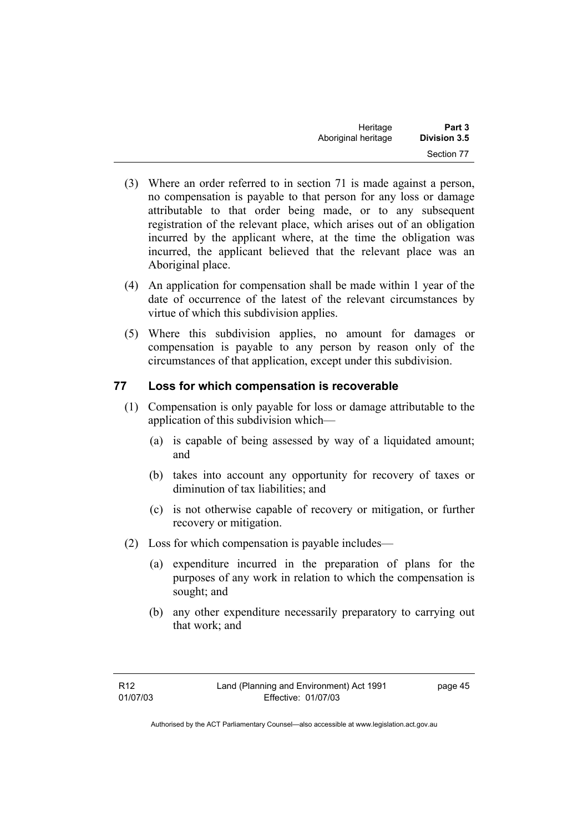| Heritage            | Part 3              |
|---------------------|---------------------|
| Aboriginal heritage | <b>Division 3.5</b> |
|                     | Section 77          |

- (3) Where an order referred to in section 71 is made against a person, no compensation is payable to that person for any loss or damage attributable to that order being made, or to any subsequent registration of the relevant place, which arises out of an obligation incurred by the applicant where, at the time the obligation was incurred, the applicant believed that the relevant place was an Aboriginal place.
- (4) An application for compensation shall be made within 1 year of the date of occurrence of the latest of the relevant circumstances by virtue of which this subdivision applies.
- (5) Where this subdivision applies, no amount for damages or compensation is payable to any person by reason only of the circumstances of that application, except under this subdivision.

#### **77 Loss for which compensation is recoverable**

- (1) Compensation is only payable for loss or damage attributable to the application of this subdivision which—
	- (a) is capable of being assessed by way of a liquidated amount; and
	- (b) takes into account any opportunity for recovery of taxes or diminution of tax liabilities; and
	- (c) is not otherwise capable of recovery or mitigation, or further recovery or mitigation.
- (2) Loss for which compensation is payable includes—
	- (a) expenditure incurred in the preparation of plans for the purposes of any work in relation to which the compensation is sought; and
	- (b) any other expenditure necessarily preparatory to carrying out that work; and

page 45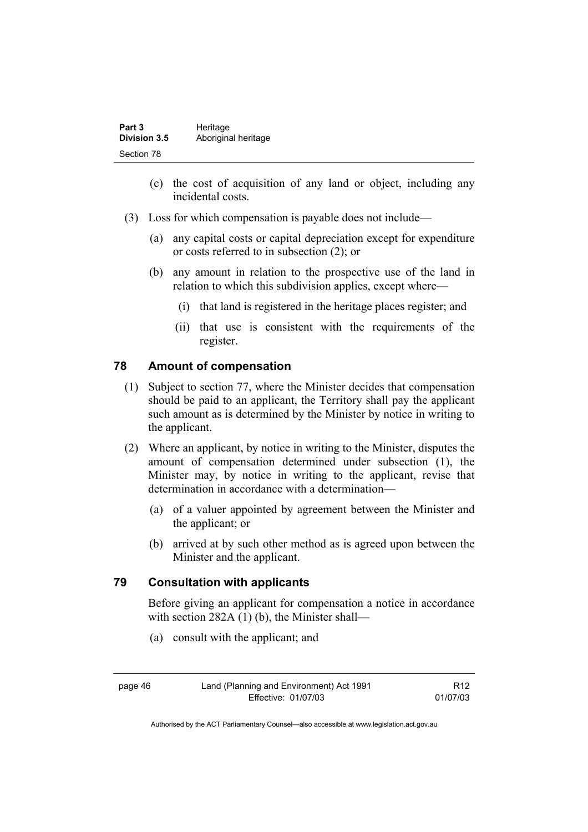| Part 3              | Heritage            |
|---------------------|---------------------|
| <b>Division 3.5</b> | Aboriginal heritage |
| Section 78          |                     |

- (c) the cost of acquisition of any land or object, including any incidental costs.
- (3) Loss for which compensation is payable does not include—
	- (a) any capital costs or capital depreciation except for expenditure or costs referred to in subsection (2); or
	- (b) any amount in relation to the prospective use of the land in relation to which this subdivision applies, except where—
		- (i) that land is registered in the heritage places register; and
		- (ii) that use is consistent with the requirements of the register.

#### **78 Amount of compensation**

- (1) Subject to section 77, where the Minister decides that compensation should be paid to an applicant, the Territory shall pay the applicant such amount as is determined by the Minister by notice in writing to the applicant.
- (2) Where an applicant, by notice in writing to the Minister, disputes the amount of compensation determined under subsection (1), the Minister may, by notice in writing to the applicant, revise that determination in accordance with a determination—
	- (a) of a valuer appointed by agreement between the Minister and the applicant; or
	- (b) arrived at by such other method as is agreed upon between the Minister and the applicant.

#### **79 Consultation with applicants**

Before giving an applicant for compensation a notice in accordance with section 282A (1) (b), the Minister shall—

(a) consult with the applicant; and

page 46 Land (Planning and Environment) Act 1991 Effective: 01/07/03

R12 01/07/03

Authorised by the ACT Parliamentary Counsel—also accessible at www.legislation.act.gov.au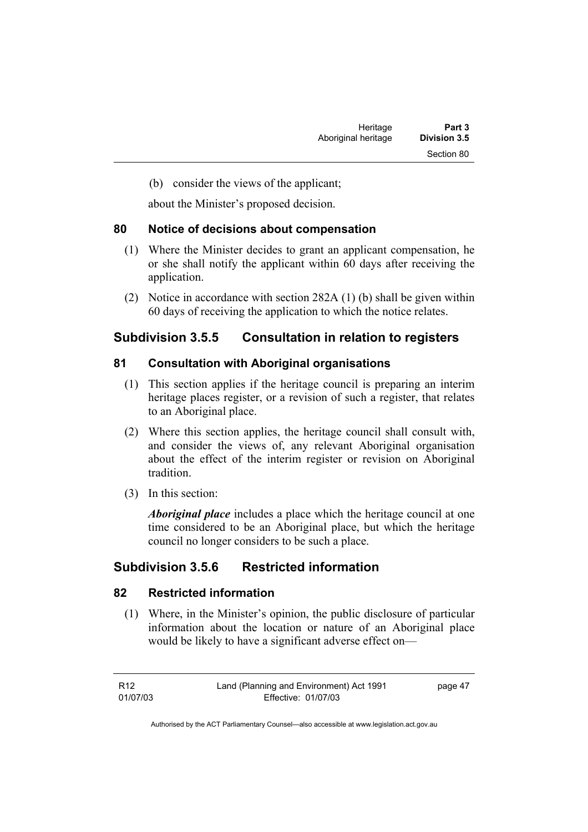(b) consider the views of the applicant;

about the Minister's proposed decision.

### **80 Notice of decisions about compensation**

- (1) Where the Minister decides to grant an applicant compensation, he or she shall notify the applicant within 60 days after receiving the application.
- (2) Notice in accordance with section 282A (1) (b) shall be given within 60 days of receiving the application to which the notice relates.

## **Subdivision 3.5.5 Consultation in relation to registers**

## **81 Consultation with Aboriginal organisations**

- (1) This section applies if the heritage council is preparing an interim heritage places register, or a revision of such a register, that relates to an Aboriginal place.
- (2) Where this section applies, the heritage council shall consult with, and consider the views of, any relevant Aboriginal organisation about the effect of the interim register or revision on Aboriginal tradition.
- (3) In this section:

*Aboriginal place* includes a place which the heritage council at one time considered to be an Aboriginal place, but which the heritage council no longer considers to be such a place.

## **Subdivision 3.5.6 Restricted information**

## **82 Restricted information**

 (1) Where, in the Minister's opinion, the public disclosure of particular information about the location or nature of an Aboriginal place would be likely to have a significant adverse effect on—

page 47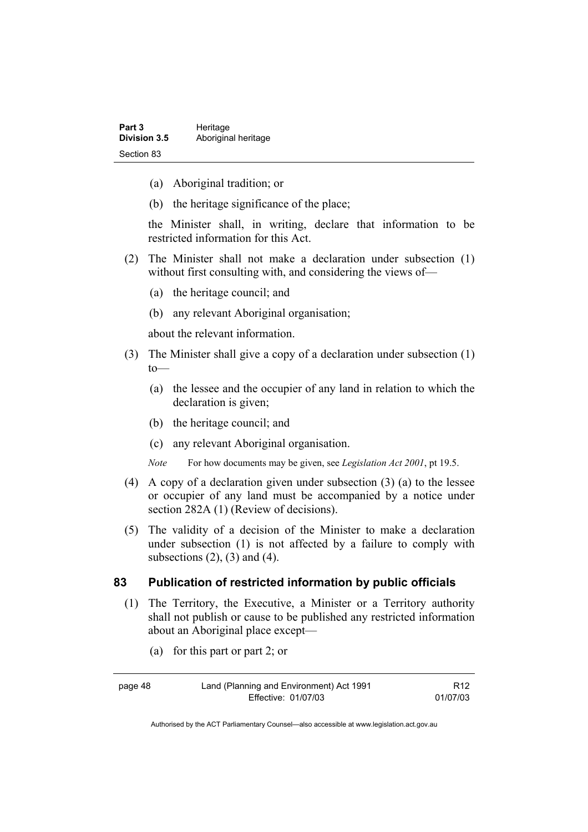- (a) Aboriginal tradition; or
- (b) the heritage significance of the place;

the Minister shall, in writing, declare that information to be restricted information for this Act.

- (2) The Minister shall not make a declaration under subsection (1) without first consulting with, and considering the views of-
	- (a) the heritage council; and
	- (b) any relevant Aboriginal organisation;

about the relevant information.

- (3) The Minister shall give a copy of a declaration under subsection (1)  $to$ —
	- (a) the lessee and the occupier of any land in relation to which the declaration is given;
	- (b) the heritage council; and
	- (c) any relevant Aboriginal organisation.

*Note* For how documents may be given, see *Legislation Act 2001*, pt 19.5.

- (4) A copy of a declaration given under subsection (3) (a) to the lessee or occupier of any land must be accompanied by a notice under section 282A (1) (Review of decisions).
- (5) The validity of a decision of the Minister to make a declaration under subsection (1) is not affected by a failure to comply with subsections  $(2)$ ,  $(3)$  and  $(4)$ .

#### **83 Publication of restricted information by public officials**

- (1) The Territory, the Executive, a Minister or a Territory authority shall not publish or cause to be published any restricted information about an Aboriginal place except—
	- (a) for this part or part 2; or

| page 48 | Land (Planning and Environment) Act 1991 | R <sub>12</sub> |
|---------|------------------------------------------|-----------------|
|         | Effective: 01/07/03                      | 01/07/03        |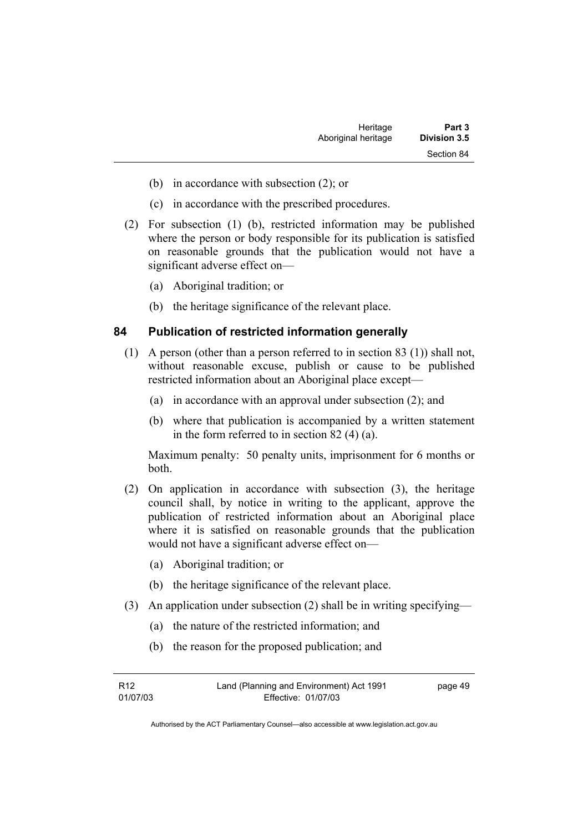| Heritage            | Part 3              |
|---------------------|---------------------|
| Aboriginal heritage | <b>Division 3.5</b> |
|                     | Section 84          |

- (b) in accordance with subsection (2); or
- (c) in accordance with the prescribed procedures.
- (2) For subsection (1) (b), restricted information may be published where the person or body responsible for its publication is satisfied on reasonable grounds that the publication would not have a significant adverse effect on—
	- (a) Aboriginal tradition; or
	- (b) the heritage significance of the relevant place.

#### **84 Publication of restricted information generally**

- (1) A person (other than a person referred to in section 83 (1)) shall not, without reasonable excuse, publish or cause to be published restricted information about an Aboriginal place except—
	- (a) in accordance with an approval under subsection (2); and
	- (b) where that publication is accompanied by a written statement in the form referred to in section 82 (4) (a).

Maximum penalty: 50 penalty units, imprisonment for 6 months or both.

- (2) On application in accordance with subsection (3), the heritage council shall, by notice in writing to the applicant, approve the publication of restricted information about an Aboriginal place where it is satisfied on reasonable grounds that the publication would not have a significant adverse effect on—
	- (a) Aboriginal tradition; or
	- (b) the heritage significance of the relevant place.
- (3) An application under subsection (2) shall be in writing specifying—
	- (a) the nature of the restricted information; and
	- (b) the reason for the proposed publication; and

| R12      | Land (Planning and Environment) Act 1991 | page 49 |
|----------|------------------------------------------|---------|
| 01/07/03 | Effective: 01/07/03                      |         |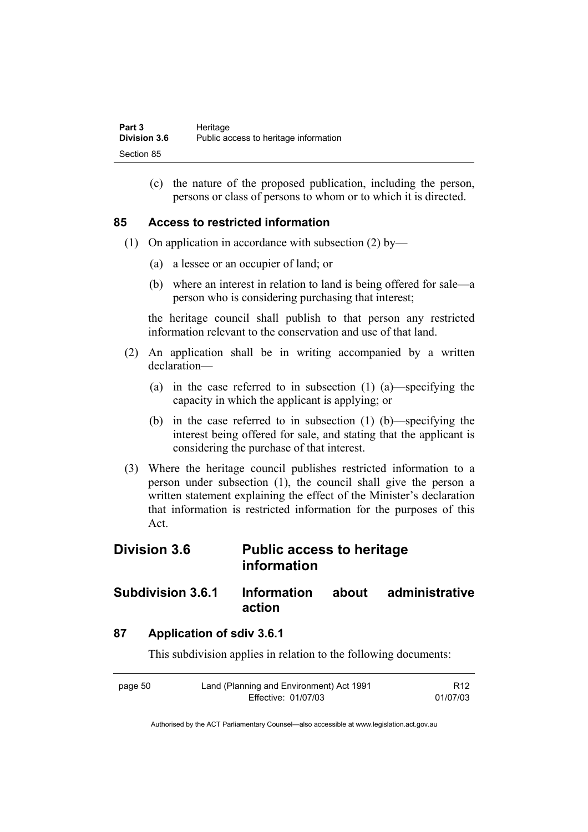| Part 3              | Heritage                              |
|---------------------|---------------------------------------|
| <b>Division 3.6</b> | Public access to heritage information |
| Section 85          |                                       |

 (c) the nature of the proposed publication, including the person, persons or class of persons to whom or to which it is directed.

#### **85 Access to restricted information**

- (1) On application in accordance with subsection (2) by—
	- (a) a lessee or an occupier of land; or
	- (b) where an interest in relation to land is being offered for sale—a person who is considering purchasing that interest;

the heritage council shall publish to that person any restricted information relevant to the conservation and use of that land.

- (2) An application shall be in writing accompanied by a written declaration—
	- (a) in the case referred to in subsection (1) (a)—specifying the capacity in which the applicant is applying; or
	- (b) in the case referred to in subsection (1) (b)—specifying the interest being offered for sale, and stating that the applicant is considering the purchase of that interest.
- (3) Where the heritage council publishes restricted information to a person under subsection (1), the council shall give the person a written statement explaining the effect of the Minister's declaration that information is restricted information for the purposes of this Act.

# **Division 3.6 Public access to heritage information**

## **Subdivision 3.6.1 Information about administrative action**

## **87 Application of sdiv 3.6.1**

This subdivision applies in relation to the following documents:

| page 50 | Land (Planning and Environment) Act 1991 | R <sub>12</sub> |
|---------|------------------------------------------|-----------------|
|         | Effective: 01/07/03                      | 01/07/03        |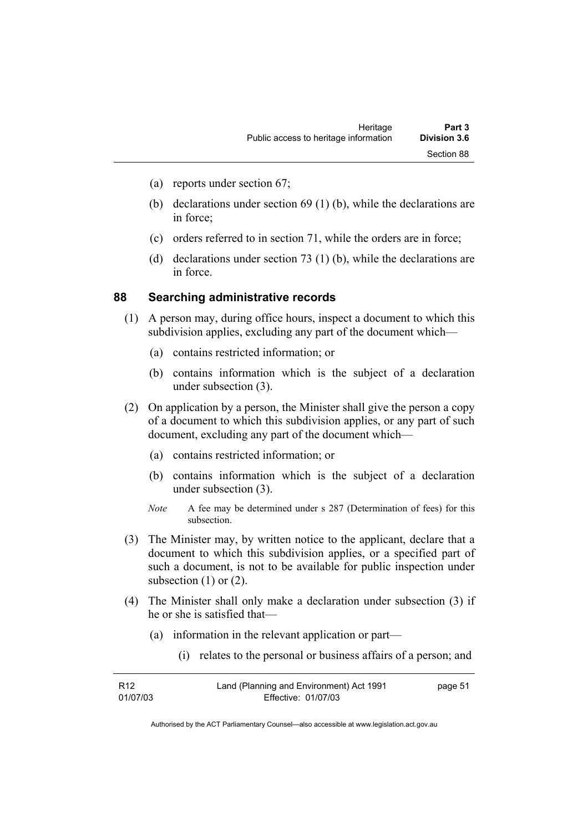- (a) reports under section 67;
- (b) declarations under section 69 (1) (b), while the declarations are in force;
- (c) orders referred to in section 71, while the orders are in force;
- (d) declarations under section 73 (1) (b), while the declarations are in force.

#### **88 Searching administrative records**

- (1) A person may, during office hours, inspect a document to which this subdivision applies, excluding any part of the document which—
	- (a) contains restricted information; or
	- (b) contains information which is the subject of a declaration under subsection (3).
- (2) On application by a person, the Minister shall give the person a copy of a document to which this subdivision applies, or any part of such document, excluding any part of the document which—
	- (a) contains restricted information; or
	- (b) contains information which is the subject of a declaration under subsection (3).
	- *Note* A fee may be determined under s 287 (Determination of fees) for this subsection.
- (3) The Minister may, by written notice to the applicant, declare that a document to which this subdivision applies, or a specified part of such a document, is not to be available for public inspection under subsection  $(1)$  or  $(2)$ .
- (4) The Minister shall only make a declaration under subsection (3) if he or she is satisfied that—
	- (a) information in the relevant application or part—
		- (i) relates to the personal or business affairs of a person; and

| R12      | Land (Planning and Environment) Act 1991 | page 51 |
|----------|------------------------------------------|---------|
| 01/07/03 | Effective: 01/07/03                      |         |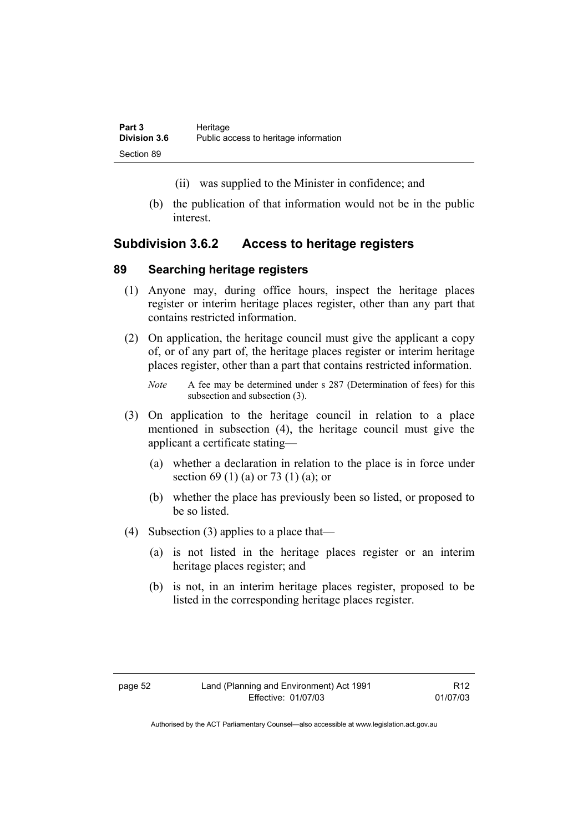- (ii) was supplied to the Minister in confidence; and
- (b) the publication of that information would not be in the public interest.

### **Subdivision 3.6.2 Access to heritage registers**

#### **89 Searching heritage registers**

- (1) Anyone may, during office hours, inspect the heritage places register or interim heritage places register, other than any part that contains restricted information.
- (2) On application, the heritage council must give the applicant a copy of, or of any part of, the heritage places register or interim heritage places register, other than a part that contains restricted information.
	- *Note* A fee may be determined under s 287 (Determination of fees) for this subsection and subsection (3).
- (3) On application to the heritage council in relation to a place mentioned in subsection (4), the heritage council must give the applicant a certificate stating—
	- (a) whether a declaration in relation to the place is in force under section 69 (1) (a) or 73 (1) (a); or
	- (b) whether the place has previously been so listed, or proposed to be so listed.
- (4) Subsection (3) applies to a place that—
	- (a) is not listed in the heritage places register or an interim heritage places register; and
	- (b) is not, in an interim heritage places register, proposed to be listed in the corresponding heritage places register.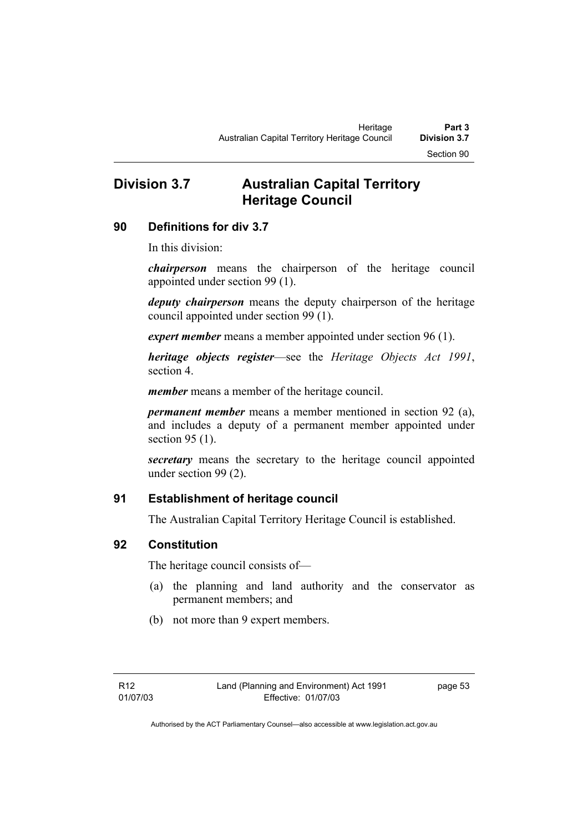# **Division 3.7 Australian Capital Territory Heritage Council**

### **90 Definitions for div 3.7**

In this division:

*chairperson* means the chairperson of the heritage council appointed under section 99 (1).

*deputy chairperson* means the deputy chairperson of the heritage council appointed under section 99 (1).

*expert member* means a member appointed under section 96 (1).

*heritage objects register*—see the *Heritage Objects Act 1991*, section 4.

*member* means a member of the heritage council.

*permanent member* means a member mentioned in section 92 (a), and includes a deputy of a permanent member appointed under section 95 (1).

*secretary* means the secretary to the heritage council appointed under section 99 (2).

## **91 Establishment of heritage council**

The Australian Capital Territory Heritage Council is established.

## **92 Constitution**

The heritage council consists of—

- (a) the planning and land authority and the conservator as permanent members; and
- (b) not more than 9 expert members.

page 53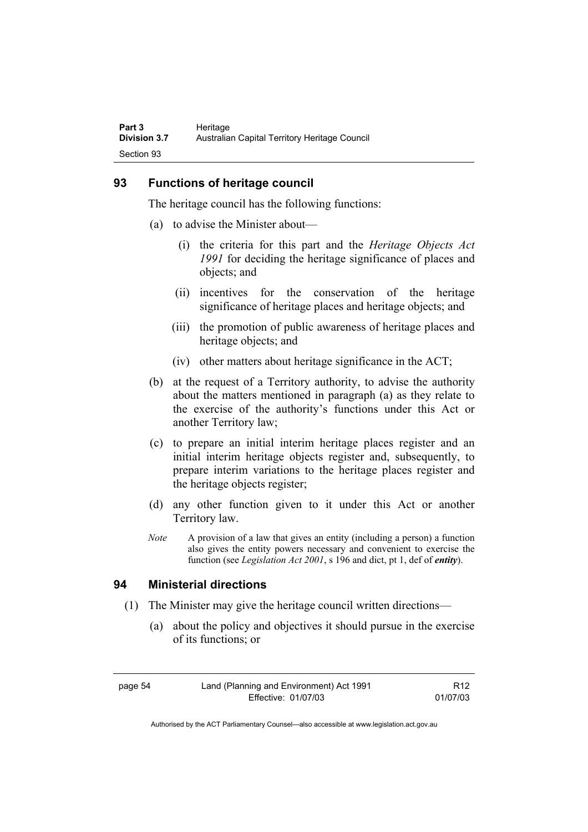### **93 Functions of heritage council**

The heritage council has the following functions:

- (a) to advise the Minister about—
	- (i) the criteria for this part and the *Heritage Objects Act 1991* for deciding the heritage significance of places and objects; and
	- (ii) incentives for the conservation of the heritage significance of heritage places and heritage objects; and
	- (iii) the promotion of public awareness of heritage places and heritage objects; and
	- (iv) other matters about heritage significance in the ACT;
- (b) at the request of a Territory authority, to advise the authority about the matters mentioned in paragraph (a) as they relate to the exercise of the authority's functions under this Act or another Territory law;
- (c) to prepare an initial interim heritage places register and an initial interim heritage objects register and, subsequently, to prepare interim variations to the heritage places register and the heritage objects register;
- (d) any other function given to it under this Act or another Territory law.
- *Note* A provision of a law that gives an entity (including a person) a function also gives the entity powers necessary and convenient to exercise the function (see *Legislation Act 2001*, s 196 and dict, pt 1, def of *entity*).

## **94 Ministerial directions**

- (1) The Minister may give the heritage council written directions—
	- (a) about the policy and objectives it should pursue in the exercise of its functions; or

page 54 Land (Planning and Environment) Act 1991 Effective: 01/07/03

R12 01/07/03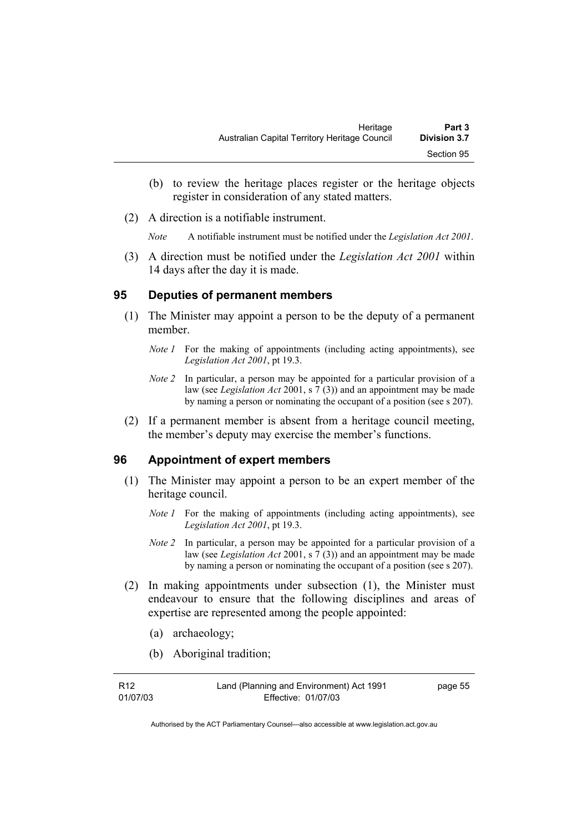- (b) to review the heritage places register or the heritage objects register in consideration of any stated matters.
- (2) A direction is a notifiable instrument.

*Note* A notifiable instrument must be notified under the *Legislation Act 2001*.

 (3) A direction must be notified under the *Legislation Act 2001* within 14 days after the day it is made.

#### **95 Deputies of permanent members**

- (1) The Minister may appoint a person to be the deputy of a permanent member.
	- *Note 1* For the making of appointments (including acting appointments), see *Legislation Act 2001*, pt 19.3.
	- *Note 2* In particular, a person may be appointed for a particular provision of a law (see *Legislation Act* 2001, s 7 (3)) and an appointment may be made by naming a person or nominating the occupant of a position (see s 207).
- (2) If a permanent member is absent from a heritage council meeting, the member's deputy may exercise the member's functions.

#### **96 Appointment of expert members**

- (1) The Minister may appoint a person to be an expert member of the heritage council.
	- *Note 1* For the making of appointments (including acting appointments), see *Legislation Act 2001*, pt 19.3.
	- *Note 2* In particular, a person may be appointed for a particular provision of a law (see *Legislation Act* 2001, s 7 (3)) and an appointment may be made by naming a person or nominating the occupant of a position (see s 207).
- (2) In making appointments under subsection (1), the Minister must endeavour to ensure that the following disciplines and areas of expertise are represented among the people appointed:
	- (a) archaeology;
	- (b) Aboriginal tradition;

| R12      | Land (Planning and Environment) Act 1991 | page 55 |
|----------|------------------------------------------|---------|
| 01/07/03 | Effective: 01/07/03                      |         |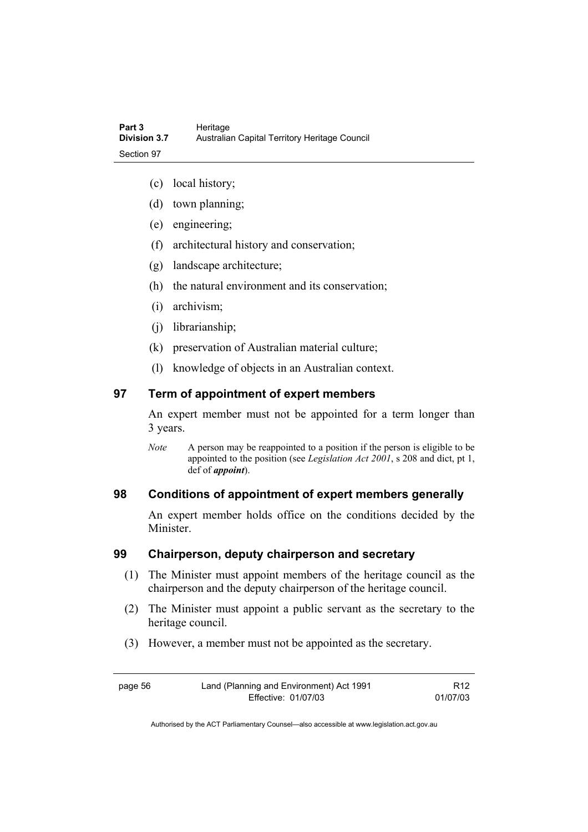- (c) local history;
- (d) town planning;
- (e) engineering;
- (f) architectural history and conservation;
- (g) landscape architecture;
- (h) the natural environment and its conservation;
- (i) archivism;
- (j) librarianship;
- (k) preservation of Australian material culture;
- (l) knowledge of objects in an Australian context.

#### **97 Term of appointment of expert members**

An expert member must not be appointed for a term longer than 3 years.

*Note* A person may be reappointed to a position if the person is eligible to be appointed to the position (see *Legislation Act 2001*, s 208 and dict, pt 1, def of *appoint*).

#### **98 Conditions of appointment of expert members generally**

An expert member holds office on the conditions decided by the **Minister** 

#### **99 Chairperson, deputy chairperson and secretary**

- (1) The Minister must appoint members of the heritage council as the chairperson and the deputy chairperson of the heritage council.
- (2) The Minister must appoint a public servant as the secretary to the heritage council.
- (3) However, a member must not be appointed as the secretary.

page 56 Land (Planning and Environment) Act 1991 Effective: 01/07/03

R12 01/07/03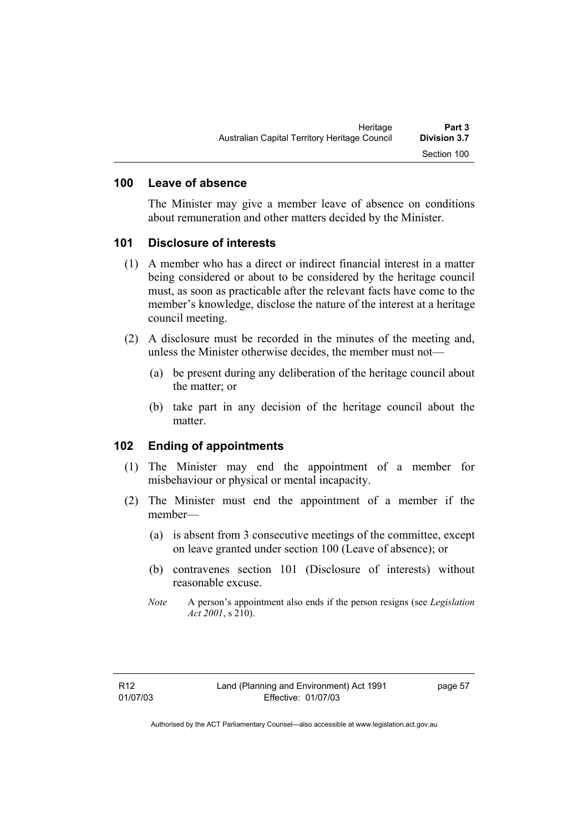### **100 Leave of absence**

The Minister may give a member leave of absence on conditions about remuneration and other matters decided by the Minister.

#### **101 Disclosure of interests**

- (1) A member who has a direct or indirect financial interest in a matter being considered or about to be considered by the heritage council must, as soon as practicable after the relevant facts have come to the member's knowledge, disclose the nature of the interest at a heritage council meeting.
- (2) A disclosure must be recorded in the minutes of the meeting and, unless the Minister otherwise decides, the member must not—
	- (a) be present during any deliberation of the heritage council about the matter; or
	- (b) take part in any decision of the heritage council about the matter.

#### **102 Ending of appointments**

- (1) The Minister may end the appointment of a member for misbehaviour or physical or mental incapacity.
- (2) The Minister must end the appointment of a member if the member—
	- (a) is absent from 3 consecutive meetings of the committee, except on leave granted under section 100 (Leave of absence); or
	- (b) contravenes section 101 (Disclosure of interests) without reasonable excuse.
	- *Note* A person's appointment also ends if the person resigns (see *Legislation Act 2001*, s 210).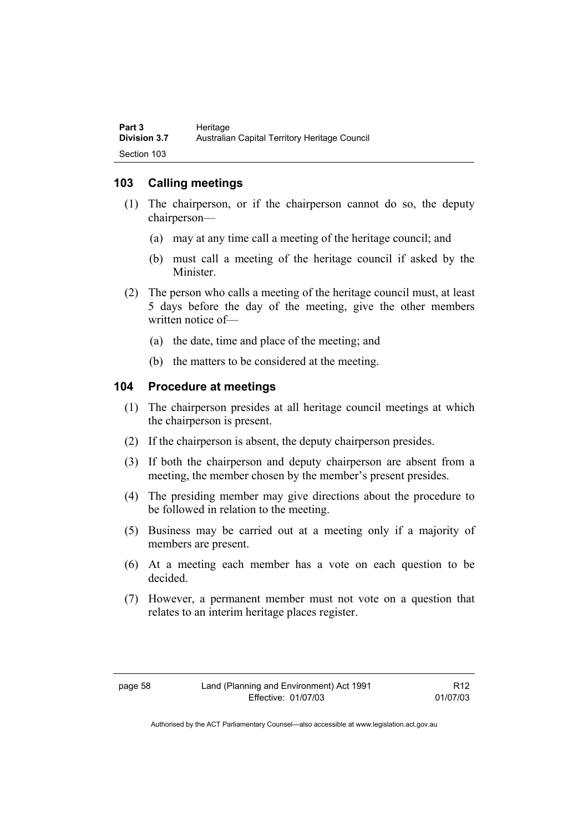## **103 Calling meetings**

- (1) The chairperson, or if the chairperson cannot do so, the deputy chairperson—
	- (a) may at any time call a meeting of the heritage council; and
	- (b) must call a meeting of the heritage council if asked by the Minister.
- (2) The person who calls a meeting of the heritage council must, at least 5 days before the day of the meeting, give the other members written notice of—
	- (a) the date, time and place of the meeting; and
	- (b) the matters to be considered at the meeting.

### **104 Procedure at meetings**

- (1) The chairperson presides at all heritage council meetings at which the chairperson is present.
- (2) If the chairperson is absent, the deputy chairperson presides.
- (3) If both the chairperson and deputy chairperson are absent from a meeting, the member chosen by the member's present presides.
- (4) The presiding member may give directions about the procedure to be followed in relation to the meeting.
- (5) Business may be carried out at a meeting only if a majority of members are present.
- (6) At a meeting each member has a vote on each question to be decided.
- (7) However, a permanent member must not vote on a question that relates to an interim heritage places register.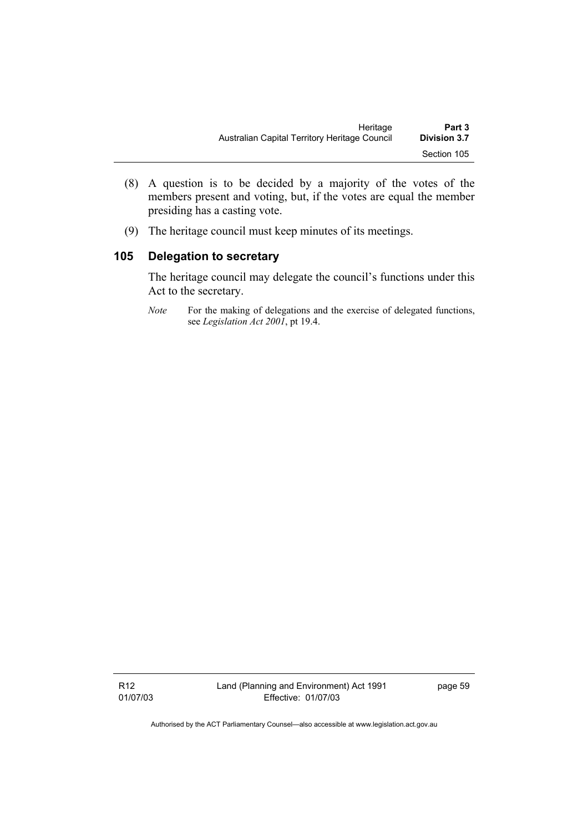- (8) A question is to be decided by a majority of the votes of the members present and voting, but, if the votes are equal the member presiding has a casting vote.
- (9) The heritage council must keep minutes of its meetings.

# **105 Delegation to secretary**

The heritage council may delegate the council's functions under this Act to the secretary.

*Note* For the making of delegations and the exercise of delegated functions, see *Legislation Act 2001*, pt 19.4.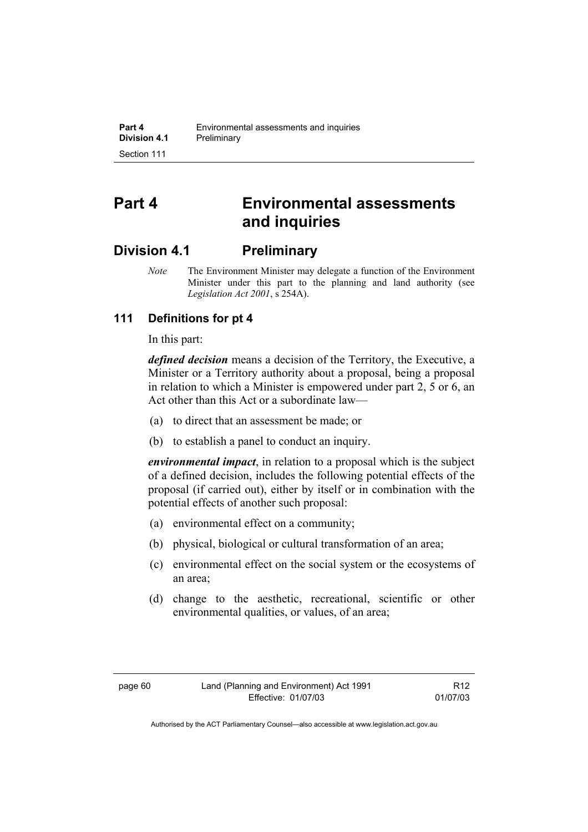# **Part 4 Environmental assessments and inquiries**

# **Division 4.1 Preliminary**

*Note* The Environment Minister may delegate a function of the Environment Minister under this part to the planning and land authority (see *Legislation Act 2001*, s 254A).

# **111 Definitions for pt 4**

In this part:

*defined decision* means a decision of the Territory, the Executive, a Minister or a Territory authority about a proposal, being a proposal in relation to which a Minister is empowered under part 2, 5 or 6, an Act other than this Act or a subordinate law—

- (a) to direct that an assessment be made; or
- (b) to establish a panel to conduct an inquiry.

*environmental impact*, in relation to a proposal which is the subject of a defined decision, includes the following potential effects of the proposal (if carried out), either by itself or in combination with the potential effects of another such proposal:

- (a) environmental effect on a community;
- (b) physical, biological or cultural transformation of an area;
- (c) environmental effect on the social system or the ecosystems of an area;
- (d) change to the aesthetic, recreational, scientific or other environmental qualities, or values, of an area;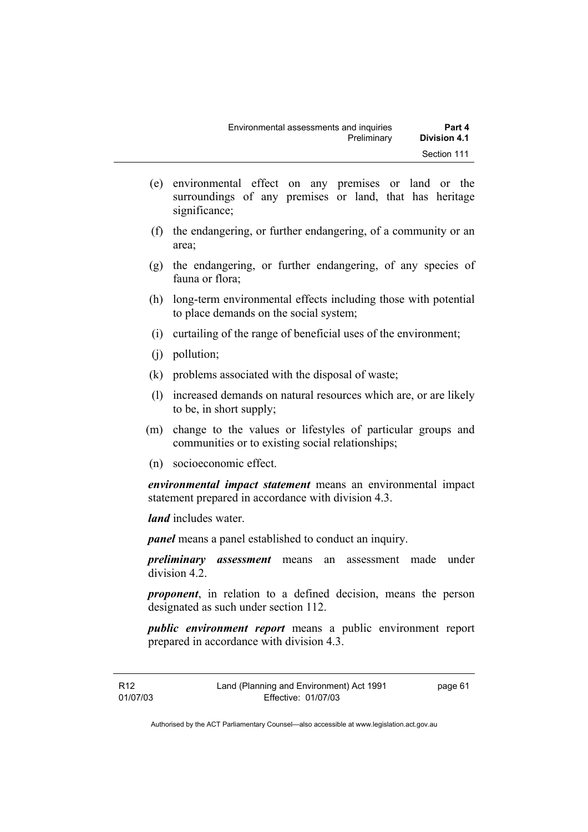- (e) environmental effect on any premises or land or the surroundings of any premises or land, that has heritage significance;
- (f) the endangering, or further endangering, of a community or an area;
- (g) the endangering, or further endangering, of any species of fauna or flora;
- (h) long-term environmental effects including those with potential to place demands on the social system;
- (i) curtailing of the range of beneficial uses of the environment;
- (j) pollution;
- (k) problems associated with the disposal of waste;
- (l) increased demands on natural resources which are, or are likely to be, in short supply;
- (m) change to the values or lifestyles of particular groups and communities or to existing social relationships;
- (n) socioeconomic effect.

*environmental impact statement* means an environmental impact statement prepared in accordance with division 4.3.

*land* includes water.

*panel* means a panel established to conduct an inquiry.

*preliminary assessment* means an assessment made under division 4.2.

*proponent*, in relation to a defined decision, means the person designated as such under section 112.

*public environment report* means a public environment report prepared in accordance with division 4.3.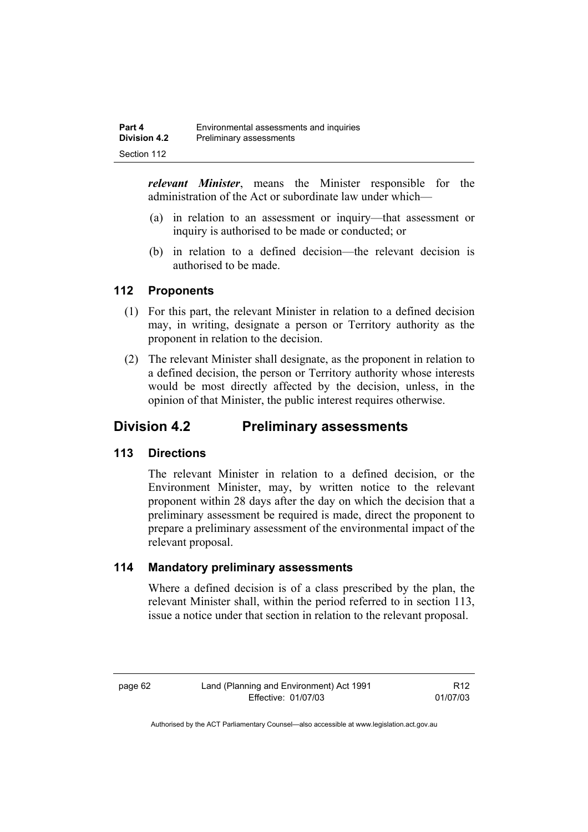*relevant Minister*, means the Minister responsible for the administration of the Act or subordinate law under which—

- (a) in relation to an assessment or inquiry—that assessment or inquiry is authorised to be made or conducted; or
- (b) in relation to a defined decision—the relevant decision is authorised to be made.

### **112 Proponents**

- (1) For this part, the relevant Minister in relation to a defined decision may, in writing, designate a person or Territory authority as the proponent in relation to the decision.
- (2) The relevant Minister shall designate, as the proponent in relation to a defined decision, the person or Territory authority whose interests would be most directly affected by the decision, unless, in the opinion of that Minister, the public interest requires otherwise.

# **Division 4.2 Preliminary assessments**

### **113 Directions**

The relevant Minister in relation to a defined decision, or the Environment Minister, may, by written notice to the relevant proponent within 28 days after the day on which the decision that a preliminary assessment be required is made, direct the proponent to prepare a preliminary assessment of the environmental impact of the relevant proposal.

### **114 Mandatory preliminary assessments**

Where a defined decision is of a class prescribed by the plan, the relevant Minister shall, within the period referred to in section 113, issue a notice under that section in relation to the relevant proposal.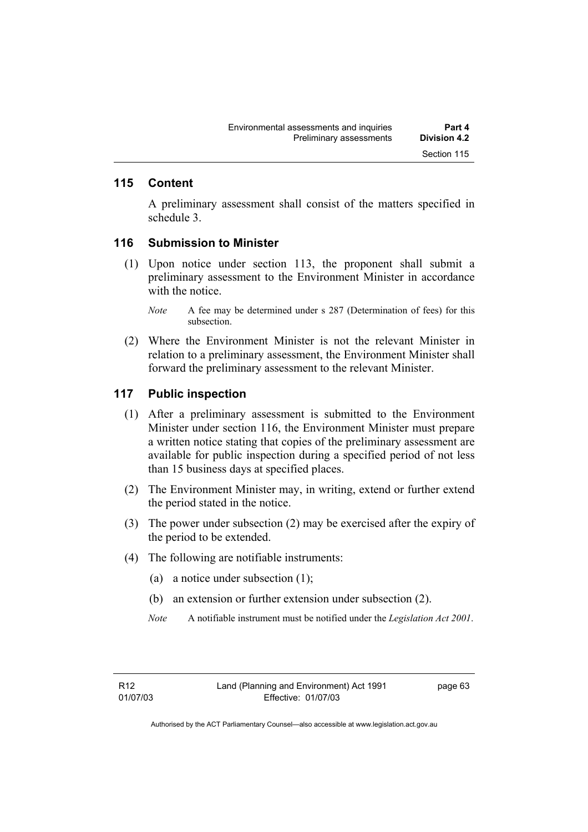### **115 Content**

A preliminary assessment shall consist of the matters specified in schedule 3.

#### **116 Submission to Minister**

- (1) Upon notice under section 113, the proponent shall submit a preliminary assessment to the Environment Minister in accordance with the notice
	- *Note* A fee may be determined under s 287 (Determination of fees) for this subsection.
- (2) Where the Environment Minister is not the relevant Minister in relation to a preliminary assessment, the Environment Minister shall forward the preliminary assessment to the relevant Minister.

#### **117 Public inspection**

- (1) After a preliminary assessment is submitted to the Environment Minister under section 116, the Environment Minister must prepare a written notice stating that copies of the preliminary assessment are available for public inspection during a specified period of not less than 15 business days at specified places.
- (2) The Environment Minister may, in writing, extend or further extend the period stated in the notice.
- (3) The power under subsection (2) may be exercised after the expiry of the period to be extended.
- (4) The following are notifiable instruments:
	- (a) a notice under subsection (1);
	- (b) an extension or further extension under subsection (2).
	- *Note* A notifiable instrument must be notified under the *Legislation Act 2001*.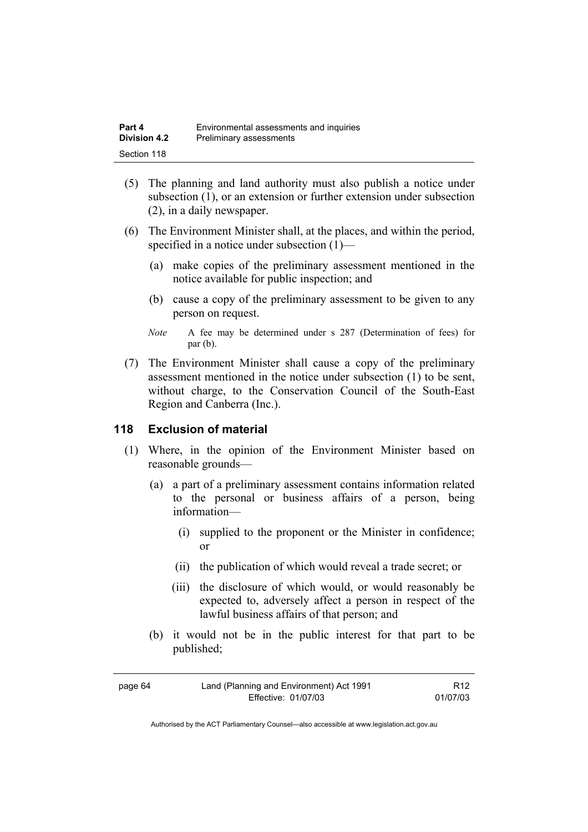| Part 4              | Environmental assessments and inquiries |
|---------------------|-----------------------------------------|
| <b>Division 4.2</b> | Preliminary assessments                 |
| Section 118         |                                         |

- (5) The planning and land authority must also publish a notice under subsection (1), or an extension or further extension under subsection (2), in a daily newspaper.
- (6) The Environment Minister shall, at the places, and within the period, specified in a notice under subsection (1)—
	- (a) make copies of the preliminary assessment mentioned in the notice available for public inspection; and
	- (b) cause a copy of the preliminary assessment to be given to any person on request.
	- *Note* A fee may be determined under s 287 (Determination of fees) for par (b).
- (7) The Environment Minister shall cause a copy of the preliminary assessment mentioned in the notice under subsection (1) to be sent, without charge, to the Conservation Council of the South-East Region and Canberra (Inc.).

### **118 Exclusion of material**

- (1) Where, in the opinion of the Environment Minister based on reasonable grounds—
	- (a) a part of a preliminary assessment contains information related to the personal or business affairs of a person, being information—
		- (i) supplied to the proponent or the Minister in confidence; or
		- (ii) the publication of which would reveal a trade secret; or
		- (iii) the disclosure of which would, or would reasonably be expected to, adversely affect a person in respect of the lawful business affairs of that person; and
	- (b) it would not be in the public interest for that part to be published;

| page 64 | Land (Planning and Environment) Act 1991 | R <sub>12</sub> |
|---------|------------------------------------------|-----------------|
|         | Effective: 01/07/03                      | 01/07/03        |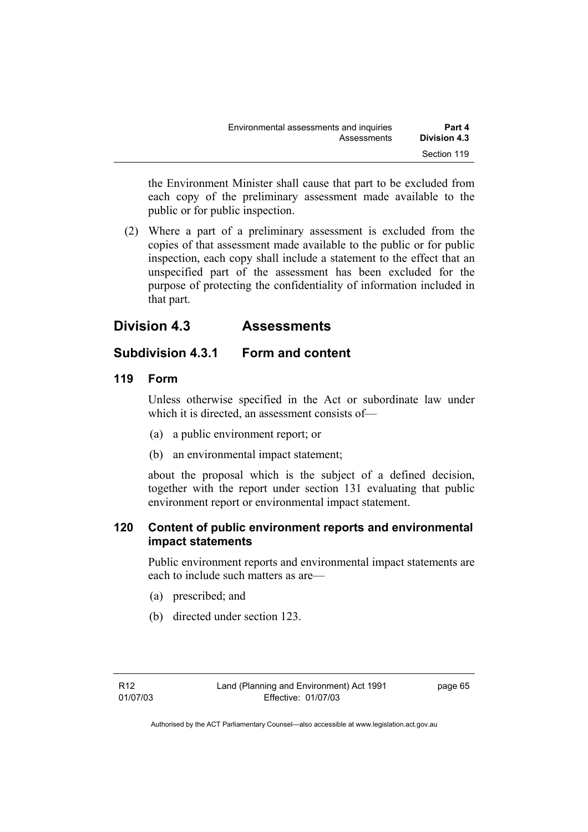the Environment Minister shall cause that part to be excluded from each copy of the preliminary assessment made available to the public or for public inspection.

 (2) Where a part of a preliminary assessment is excluded from the copies of that assessment made available to the public or for public inspection, each copy shall include a statement to the effect that an unspecified part of the assessment has been excluded for the purpose of protecting the confidentiality of information included in that part.

# **Division 4.3 Assessments**

# **Subdivision 4.3.1 Form and content**

# **119 Form**

Unless otherwise specified in the Act or subordinate law under which it is directed, an assessment consists of—

- (a) a public environment report; or
- (b) an environmental impact statement;

about the proposal which is the subject of a defined decision, together with the report under section 131 evaluating that public environment report or environmental impact statement.

# **120 Content of public environment reports and environmental impact statements**

Public environment reports and environmental impact statements are each to include such matters as are—

- (a) prescribed; and
- (b) directed under section 123.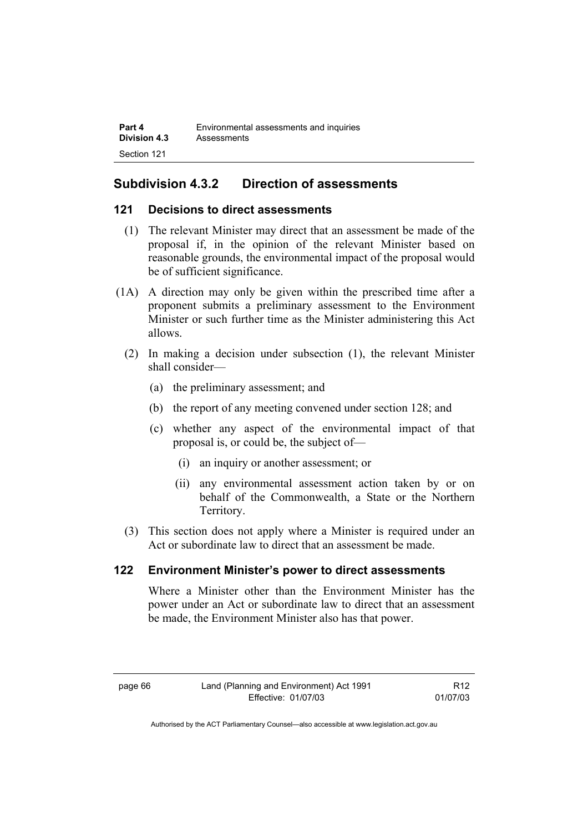| Part 4              | Environmental assessments and inquiries |
|---------------------|-----------------------------------------|
| <b>Division 4.3</b> | Assessments                             |
| Section 121         |                                         |

# **Subdivision 4.3.2 Direction of assessments**

### **121 Decisions to direct assessments**

- (1) The relevant Minister may direct that an assessment be made of the proposal if, in the opinion of the relevant Minister based on reasonable grounds, the environmental impact of the proposal would be of sufficient significance.
- (1A) A direction may only be given within the prescribed time after a proponent submits a preliminary assessment to the Environment Minister or such further time as the Minister administering this Act allows.
	- (2) In making a decision under subsection (1), the relevant Minister shall consider—
		- (a) the preliminary assessment; and
		- (b) the report of any meeting convened under section 128; and
		- (c) whether any aspect of the environmental impact of that proposal is, or could be, the subject of—
			- (i) an inquiry or another assessment; or
			- (ii) any environmental assessment action taken by or on behalf of the Commonwealth, a State or the Northern Territory.
	- (3) This section does not apply where a Minister is required under an Act or subordinate law to direct that an assessment be made.

### **122 Environment Minister's power to direct assessments**

Where a Minister other than the Environment Minister has the power under an Act or subordinate law to direct that an assessment be made, the Environment Minister also has that power.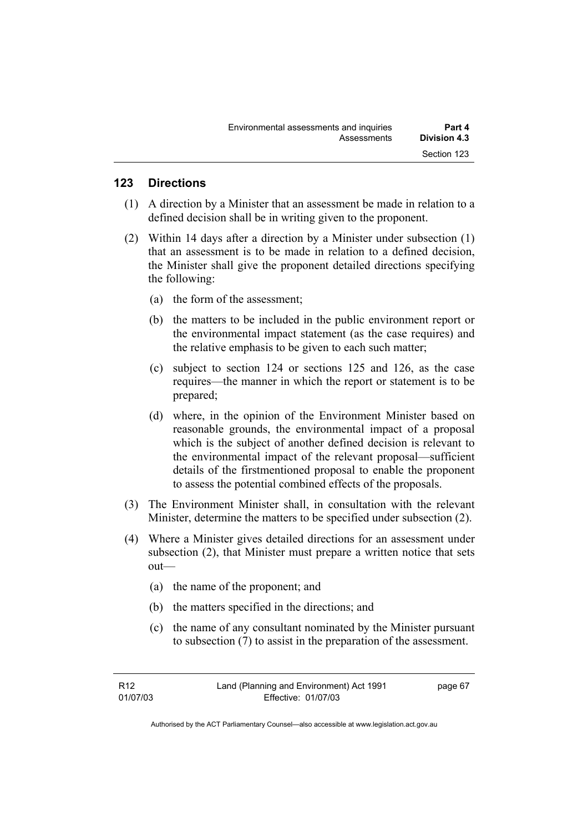## **123 Directions**

- (1) A direction by a Minister that an assessment be made in relation to a defined decision shall be in writing given to the proponent.
- (2) Within 14 days after a direction by a Minister under subsection (1) that an assessment is to be made in relation to a defined decision, the Minister shall give the proponent detailed directions specifying the following:
	- (a) the form of the assessment;
	- (b) the matters to be included in the public environment report or the environmental impact statement (as the case requires) and the relative emphasis to be given to each such matter;
	- (c) subject to section 124 or sections 125 and 126, as the case requires—the manner in which the report or statement is to be prepared;
	- (d) where, in the opinion of the Environment Minister based on reasonable grounds, the environmental impact of a proposal which is the subject of another defined decision is relevant to the environmental impact of the relevant proposal—sufficient details of the firstmentioned proposal to enable the proponent to assess the potential combined effects of the proposals.
- (3) The Environment Minister shall, in consultation with the relevant Minister, determine the matters to be specified under subsection (2).
- (4) Where a Minister gives detailed directions for an assessment under subsection (2), that Minister must prepare a written notice that sets out—
	- (a) the name of the proponent; and
	- (b) the matters specified in the directions; and
	- (c) the name of any consultant nominated by the Minister pursuant to subsection (7) to assist in the preparation of the assessment.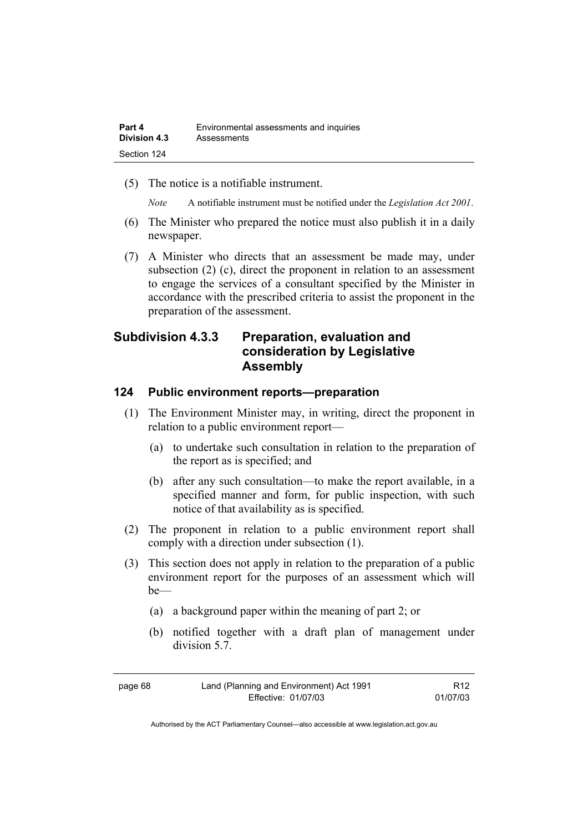(5) The notice is a notifiable instrument.

*Note* A notifiable instrument must be notified under the *Legislation Act 2001*.

- (6) The Minister who prepared the notice must also publish it in a daily newspaper.
- (7) A Minister who directs that an assessment be made may, under subsection (2) (c), direct the proponent in relation to an assessment to engage the services of a consultant specified by the Minister in accordance with the prescribed criteria to assist the proponent in the preparation of the assessment.

# **Subdivision 4.3.3 Preparation, evaluation and consideration by Legislative Assembly**

### **124 Public environment reports—preparation**

- (1) The Environment Minister may, in writing, direct the proponent in relation to a public environment report—
	- (a) to undertake such consultation in relation to the preparation of the report as is specified; and
	- (b) after any such consultation—to make the report available, in a specified manner and form, for public inspection, with such notice of that availability as is specified.
- (2) The proponent in relation to a public environment report shall comply with a direction under subsection (1).
- (3) This section does not apply in relation to the preparation of a public environment report for the purposes of an assessment which will be—
	- (a) a background paper within the meaning of part 2; or
	- (b) notified together with a draft plan of management under division 5.7.

| page 68 | Land (Planning and Environment) Act 1991 | R <sub>12</sub> |
|---------|------------------------------------------|-----------------|
|         | Effective: 01/07/03                      | 01/07/03        |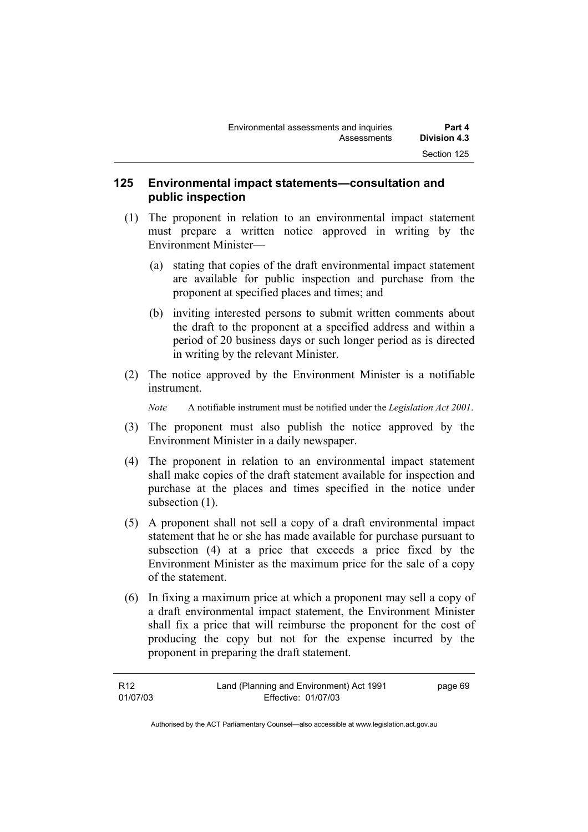### **125 Environmental impact statements—consultation and public inspection**

- (1) The proponent in relation to an environmental impact statement must prepare a written notice approved in writing by the Environment Minister—
	- (a) stating that copies of the draft environmental impact statement are available for public inspection and purchase from the proponent at specified places and times; and
	- (b) inviting interested persons to submit written comments about the draft to the proponent at a specified address and within a period of 20 business days or such longer period as is directed in writing by the relevant Minister.
- (2) The notice approved by the Environment Minister is a notifiable instrument.

*Note* A notifiable instrument must be notified under the *Legislation Act 2001*.

- (3) The proponent must also publish the notice approved by the Environment Minister in a daily newspaper.
- (4) The proponent in relation to an environmental impact statement shall make copies of the draft statement available for inspection and purchase at the places and times specified in the notice under subsection  $(1)$ .
- (5) A proponent shall not sell a copy of a draft environmental impact statement that he or she has made available for purchase pursuant to subsection (4) at a price that exceeds a price fixed by the Environment Minister as the maximum price for the sale of a copy of the statement.
- (6) In fixing a maximum price at which a proponent may sell a copy of a draft environmental impact statement, the Environment Minister shall fix a price that will reimburse the proponent for the cost of producing the copy but not for the expense incurred by the proponent in preparing the draft statement.

| R12      | Land (Planning and Environment) Act 1991 | page 69 |
|----------|------------------------------------------|---------|
| 01/07/03 | Effective: 01/07/03                      |         |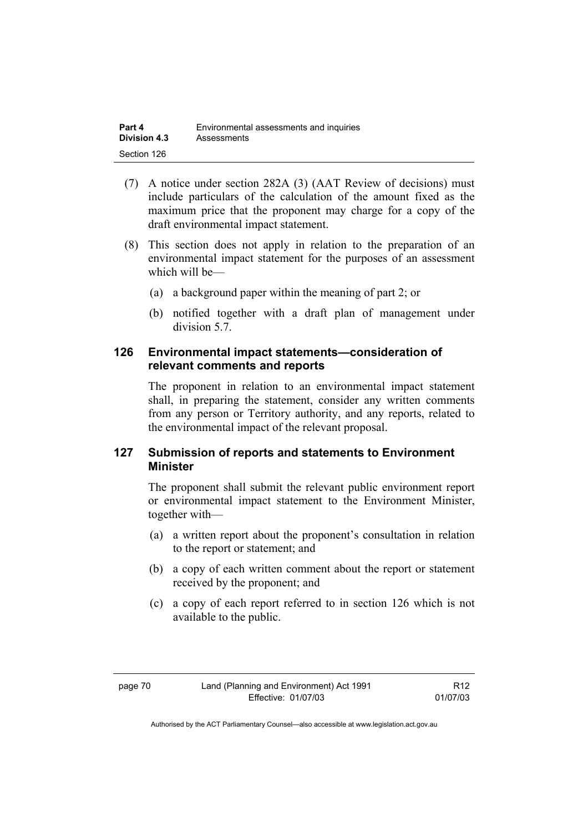| Part 4              | Environmental assessments and inquiries |
|---------------------|-----------------------------------------|
| <b>Division 4.3</b> | Assessments                             |
| Section 126         |                                         |

- (7) A notice under section 282A (3) (AAT Review of decisions) must include particulars of the calculation of the amount fixed as the maximum price that the proponent may charge for a copy of the draft environmental impact statement.
- (8) This section does not apply in relation to the preparation of an environmental impact statement for the purposes of an assessment which will be—
	- (a) a background paper within the meaning of part 2; or
	- (b) notified together with a draft plan of management under division 5.7.

### **126 Environmental impact statements—consideration of relevant comments and reports**

The proponent in relation to an environmental impact statement shall, in preparing the statement, consider any written comments from any person or Territory authority, and any reports, related to the environmental impact of the relevant proposal.

### **127 Submission of reports and statements to Environment Minister**

The proponent shall submit the relevant public environment report or environmental impact statement to the Environment Minister, together with—

- (a) a written report about the proponent's consultation in relation to the report or statement; and
- (b) a copy of each written comment about the report or statement received by the proponent; and
- (c) a copy of each report referred to in section 126 which is not available to the public.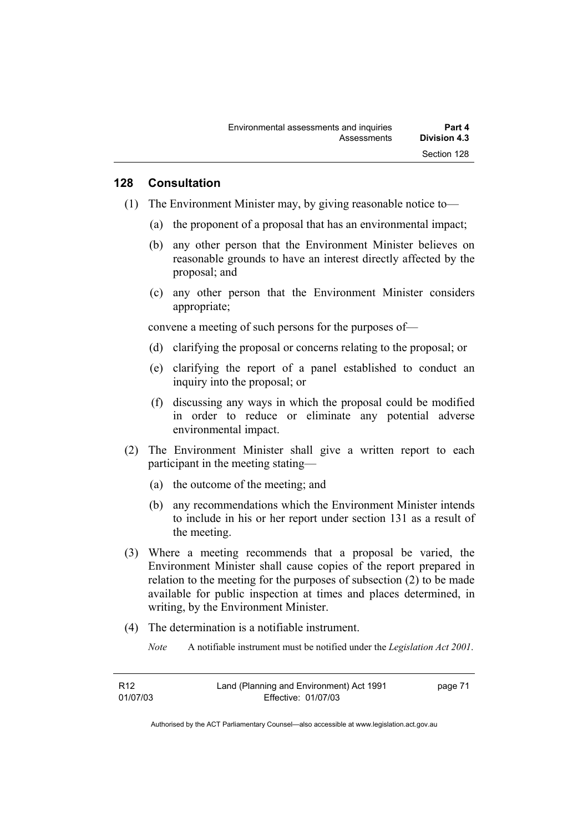#### **128 Consultation**

- (1) The Environment Minister may, by giving reasonable notice to—
	- (a) the proponent of a proposal that has an environmental impact;
	- (b) any other person that the Environment Minister believes on reasonable grounds to have an interest directly affected by the proposal; and
	- (c) any other person that the Environment Minister considers appropriate;

convene a meeting of such persons for the purposes of—

- (d) clarifying the proposal or concerns relating to the proposal; or
- (e) clarifying the report of a panel established to conduct an inquiry into the proposal; or
- (f) discussing any ways in which the proposal could be modified in order to reduce or eliminate any potential adverse environmental impact.
- (2) The Environment Minister shall give a written report to each participant in the meeting stating—
	- (a) the outcome of the meeting; and
	- (b) any recommendations which the Environment Minister intends to include in his or her report under section 131 as a result of the meeting.
- (3) Where a meeting recommends that a proposal be varied, the Environment Minister shall cause copies of the report prepared in relation to the meeting for the purposes of subsection (2) to be made available for public inspection at times and places determined, in writing, by the Environment Minister.
- (4) The determination is a notifiable instrument.
	- *Note* A notifiable instrument must be notified under the *Legislation Act 2001*.

| R12      | Land (Planning and Environment) Act 1991 | page 71 |
|----------|------------------------------------------|---------|
| 01/07/03 | Effective: 01/07/03                      |         |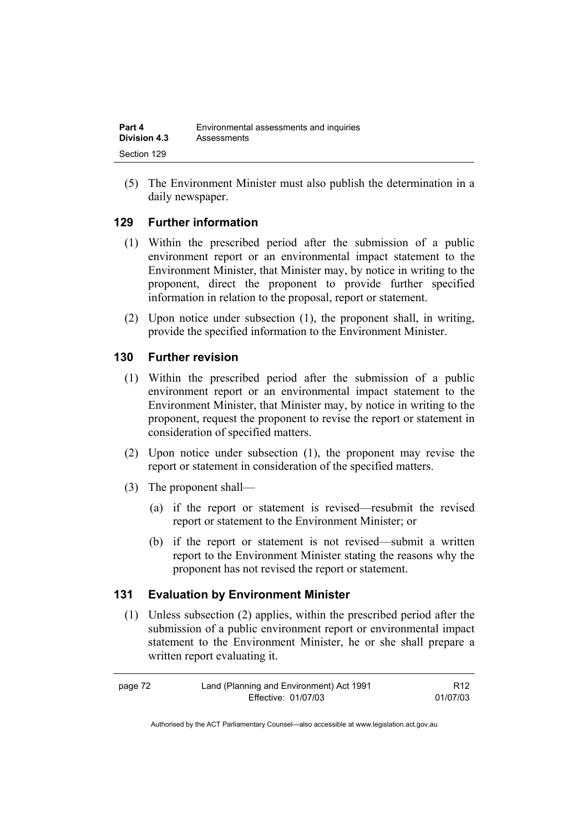| Part 4              | Environmental assessments and inquiries |
|---------------------|-----------------------------------------|
| <b>Division 4.3</b> | Assessments                             |
| Section 129         |                                         |

(5) The Environment Minister must also publish the determination in a daily newspaper.

### **129 Further information**

- (1) Within the prescribed period after the submission of a public environment report or an environmental impact statement to the Environment Minister, that Minister may, by notice in writing to the proponent, direct the proponent to provide further specified information in relation to the proposal, report or statement.
- (2) Upon notice under subsection (1), the proponent shall, in writing, provide the specified information to the Environment Minister.

### **130 Further revision**

- (1) Within the prescribed period after the submission of a public environment report or an environmental impact statement to the Environment Minister, that Minister may, by notice in writing to the proponent, request the proponent to revise the report or statement in consideration of specified matters.
- (2) Upon notice under subsection (1), the proponent may revise the report or statement in consideration of the specified matters.
- (3) The proponent shall—
	- (a) if the report or statement is revised—resubmit the revised report or statement to the Environment Minister; or
	- (b) if the report or statement is not revised—submit a written report to the Environment Minister stating the reasons why the proponent has not revised the report or statement.

### **131 Evaluation by Environment Minister**

 (1) Unless subsection (2) applies, within the prescribed period after the submission of a public environment report or environmental impact statement to the Environment Minister, he or she shall prepare a written report evaluating it.

| page 72 | Land (Planning and Environment) Act 1991 | R <sub>12</sub> |
|---------|------------------------------------------|-----------------|
|         | Effective: 01/07/03                      | 01/07/03        |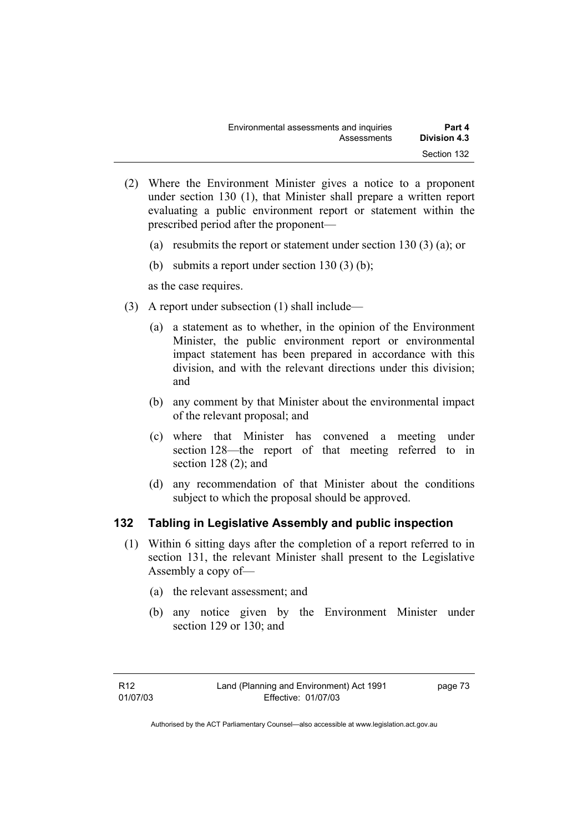- (2) Where the Environment Minister gives a notice to a proponent under section 130 (1), that Minister shall prepare a written report evaluating a public environment report or statement within the prescribed period after the proponent—
	- (a) resubmits the report or statement under section 130 (3) (a); or
	- (b) submits a report under section 130 (3) (b);

as the case requires.

- (3) A report under subsection (1) shall include—
	- (a) a statement as to whether, in the opinion of the Environment Minister, the public environment report or environmental impact statement has been prepared in accordance with this division, and with the relevant directions under this division; and
	- (b) any comment by that Minister about the environmental impact of the relevant proposal; and
	- (c) where that Minister has convened a meeting under section 128—the report of that meeting referred to in section 128 (2); and
	- (d) any recommendation of that Minister about the conditions subject to which the proposal should be approved.

# **132 Tabling in Legislative Assembly and public inspection**

- (1) Within 6 sitting days after the completion of a report referred to in section 131, the relevant Minister shall present to the Legislative Assembly a copy of—
	- (a) the relevant assessment; and
	- (b) any notice given by the Environment Minister under section 129 or 130; and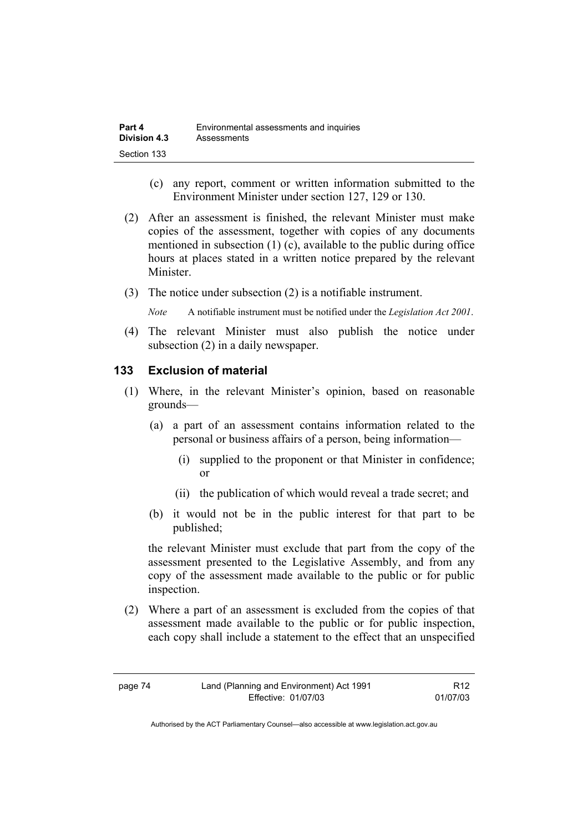- (c) any report, comment or written information submitted to the Environment Minister under section 127, 129 or 130.
- (2) After an assessment is finished, the relevant Minister must make copies of the assessment, together with copies of any documents mentioned in subsection (1) (c), available to the public during office hours at places stated in a written notice prepared by the relevant **Minister**
- (3) The notice under subsection (2) is a notifiable instrument.

*Note* A notifiable instrument must be notified under the *Legislation Act 2001*.

(4) The relevant Minister must also publish the notice under subsection (2) in a daily newspaper.

### **133 Exclusion of material**

- (1) Where, in the relevant Minister's opinion, based on reasonable grounds—
	- (a) a part of an assessment contains information related to the personal or business affairs of a person, being information—
		- (i) supplied to the proponent or that Minister in confidence; or
		- (ii) the publication of which would reveal a trade secret; and
	- (b) it would not be in the public interest for that part to be published;

the relevant Minister must exclude that part from the copy of the assessment presented to the Legislative Assembly, and from any copy of the assessment made available to the public or for public inspection.

 (2) Where a part of an assessment is excluded from the copies of that assessment made available to the public or for public inspection, each copy shall include a statement to the effect that an unspecified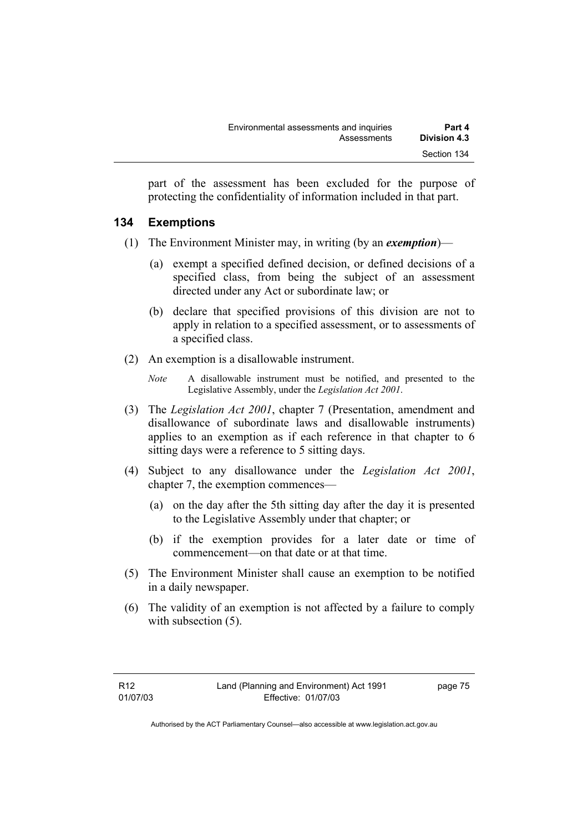part of the assessment has been excluded for the purpose of protecting the confidentiality of information included in that part.

### **134 Exemptions**

- (1) The Environment Minister may, in writing (by an *exemption*)—
	- (a) exempt a specified defined decision, or defined decisions of a specified class, from being the subject of an assessment directed under any Act or subordinate law; or
	- (b) declare that specified provisions of this division are not to apply in relation to a specified assessment, or to assessments of a specified class.
- (2) An exemption is a disallowable instrument.
	- *Note* A disallowable instrument must be notified, and presented to the Legislative Assembly, under the *Legislation Act 2001*.
- (3) The *Legislation Act 2001*, chapter 7 (Presentation, amendment and disallowance of subordinate laws and disallowable instruments) applies to an exemption as if each reference in that chapter to 6 sitting days were a reference to 5 sitting days.
- (4) Subject to any disallowance under the *Legislation Act 2001*, chapter 7, the exemption commences—
	- (a) on the day after the 5th sitting day after the day it is presented to the Legislative Assembly under that chapter; or
	- (b) if the exemption provides for a later date or time of commencement—on that date or at that time.
- (5) The Environment Minister shall cause an exemption to be notified in a daily newspaper.
- (6) The validity of an exemption is not affected by a failure to comply with subsection  $(5)$ .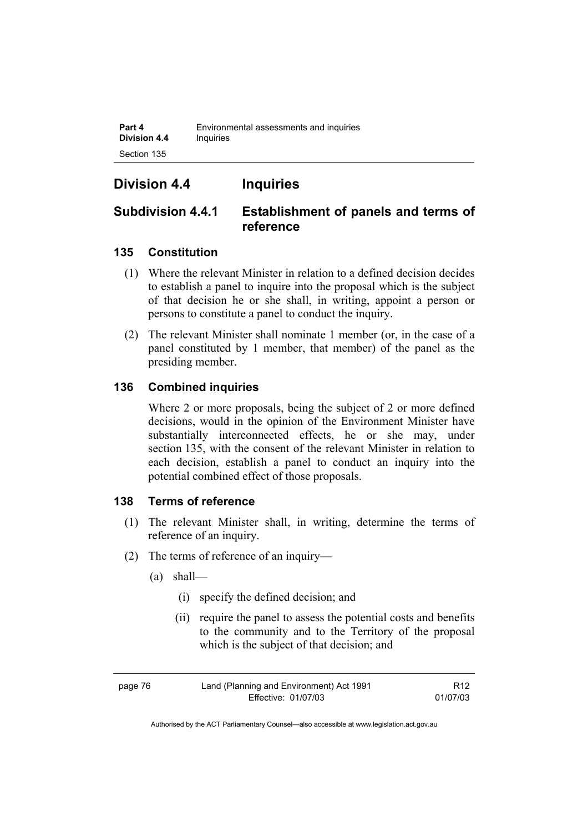**Part 4 Environmental assessments and inquiries Division 4.4 Inquiries** Section 135

# **Division 4.4 Inquiries**

# **Subdivision 4.4.1 Establishment of panels and terms of reference**

# **135 Constitution**

- (1) Where the relevant Minister in relation to a defined decision decides to establish a panel to inquire into the proposal which is the subject of that decision he or she shall, in writing, appoint a person or persons to constitute a panel to conduct the inquiry.
- (2) The relevant Minister shall nominate 1 member (or, in the case of a panel constituted by 1 member, that member) of the panel as the presiding member.

# **136 Combined inquiries**

Where 2 or more proposals, being the subject of 2 or more defined decisions, would in the opinion of the Environment Minister have substantially interconnected effects, he or she may, under section 135, with the consent of the relevant Minister in relation to each decision, establish a panel to conduct an inquiry into the potential combined effect of those proposals.

# **138 Terms of reference**

- (1) The relevant Minister shall, in writing, determine the terms of reference of an inquiry.
- (2) The terms of reference of an inquiry—
	- (a) shall—
		- (i) specify the defined decision; and
		- (ii) require the panel to assess the potential costs and benefits to the community and to the Territory of the proposal which is the subject of that decision; and

R12 01/07/03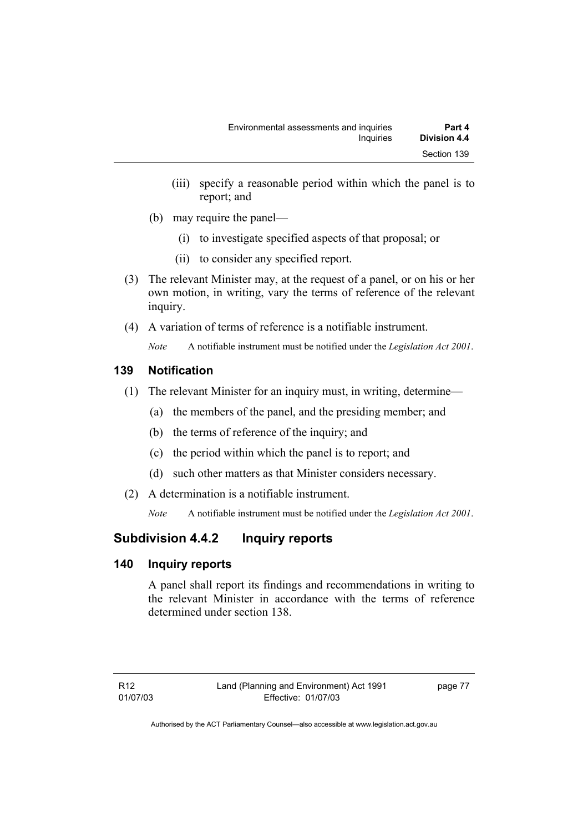- (iii) specify a reasonable period within which the panel is to report; and
- (b) may require the panel—
	- (i) to investigate specified aspects of that proposal; or
	- (ii) to consider any specified report.
- (3) The relevant Minister may, at the request of a panel, or on his or her own motion, in writing, vary the terms of reference of the relevant inquiry.
- (4) A variation of terms of reference is a notifiable instrument.

*Note* A notifiable instrument must be notified under the *Legislation Act 2001*.

# **139 Notification**

- (1) The relevant Minister for an inquiry must, in writing, determine—
	- (a) the members of the panel, and the presiding member; and
	- (b) the terms of reference of the inquiry; and
	- (c) the period within which the panel is to report; and
	- (d) such other matters as that Minister considers necessary.
- (2) A determination is a notifiable instrument.

*Note* A notifiable instrument must be notified under the *Legislation Act 2001*.

# **Subdivision 4.4.2 Inquiry reports**

# **140 Inquiry reports**

A panel shall report its findings and recommendations in writing to the relevant Minister in accordance with the terms of reference determined under section 138.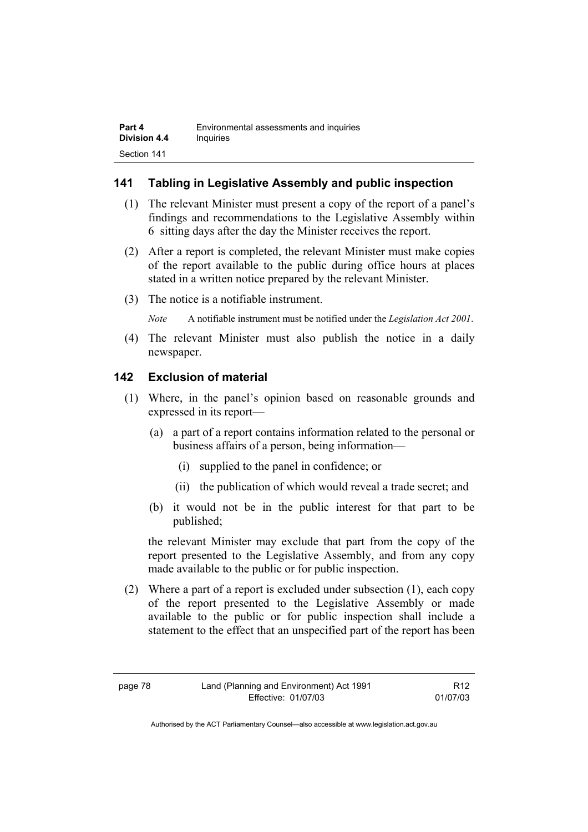## **141 Tabling in Legislative Assembly and public inspection**

- (1) The relevant Minister must present a copy of the report of a panel's findings and recommendations to the Legislative Assembly within 6 sitting days after the day the Minister receives the report.
- (2) After a report is completed, the relevant Minister must make copies of the report available to the public during office hours at places stated in a written notice prepared by the relevant Minister.
- (3) The notice is a notifiable instrument.

*Note* A notifiable instrument must be notified under the *Legislation Act 2001*.

(4) The relevant Minister must also publish the notice in a daily newspaper.

### **142 Exclusion of material**

- (1) Where, in the panel's opinion based on reasonable grounds and expressed in its report—
	- (a) a part of a report contains information related to the personal or business affairs of a person, being information—
		- (i) supplied to the panel in confidence; or
		- (ii) the publication of which would reveal a trade secret; and
	- (b) it would not be in the public interest for that part to be published;

the relevant Minister may exclude that part from the copy of the report presented to the Legislative Assembly, and from any copy made available to the public or for public inspection.

 (2) Where a part of a report is excluded under subsection (1), each copy of the report presented to the Legislative Assembly or made available to the public or for public inspection shall include a statement to the effect that an unspecified part of the report has been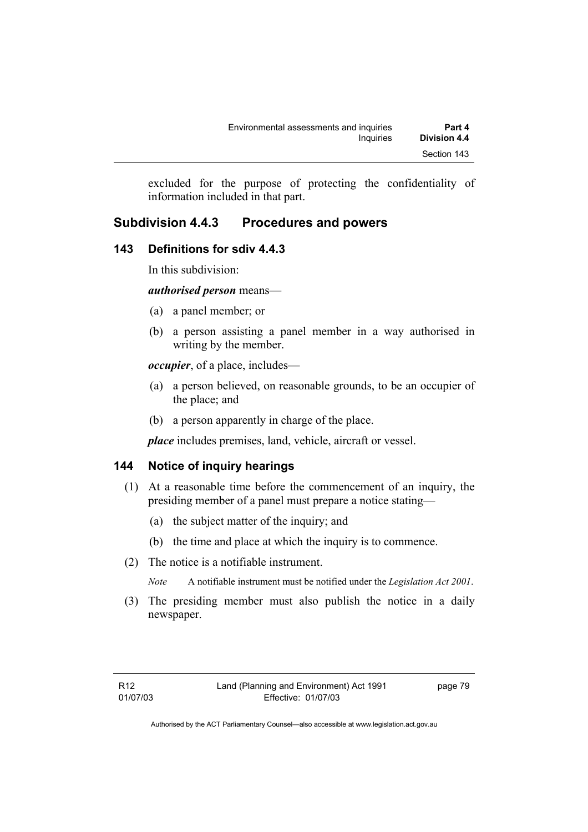excluded for the purpose of protecting the confidentiality of information included in that part.

# **Subdivision 4.4.3 Procedures and powers**

# **143 Definitions for sdiv 4.4.3**

In this subdivision:

*authorised person* means—

- (a) a panel member; or
- (b) a person assisting a panel member in a way authorised in writing by the member.

*occupier*, of a place, includes—

- (a) a person believed, on reasonable grounds, to be an occupier of the place; and
- (b) a person apparently in charge of the place.

*place* includes premises, land, vehicle, aircraft or vessel.

# **144 Notice of inquiry hearings**

- (1) At a reasonable time before the commencement of an inquiry, the presiding member of a panel must prepare a notice stating—
	- (a) the subject matter of the inquiry; and
	- (b) the time and place at which the inquiry is to commence.
- (2) The notice is a notifiable instrument.

*Note* A notifiable instrument must be notified under the *Legislation Act 2001*.

(3) The presiding member must also publish the notice in a daily newspaper.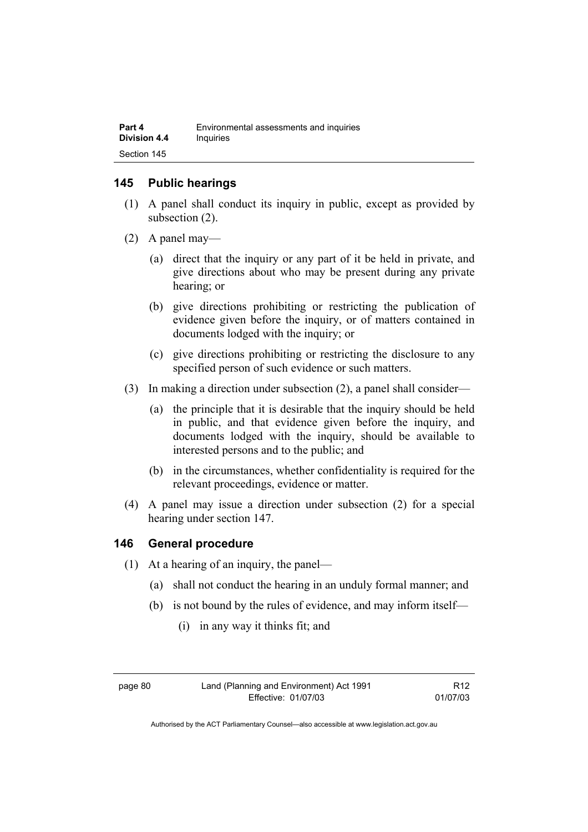## **145 Public hearings**

- (1) A panel shall conduct its inquiry in public, except as provided by subsection (2).
- (2) A panel may—
	- (a) direct that the inquiry or any part of it be held in private, and give directions about who may be present during any private hearing; or
	- (b) give directions prohibiting or restricting the publication of evidence given before the inquiry, or of matters contained in documents lodged with the inquiry; or
	- (c) give directions prohibiting or restricting the disclosure to any specified person of such evidence or such matters.
- (3) In making a direction under subsection (2), a panel shall consider—
	- (a) the principle that it is desirable that the inquiry should be held in public, and that evidence given before the inquiry, and documents lodged with the inquiry, should be available to interested persons and to the public; and
	- (b) in the circumstances, whether confidentiality is required for the relevant proceedings, evidence or matter.
- (4) A panel may issue a direction under subsection (2) for a special hearing under section 147.

# **146 General procedure**

- (1) At a hearing of an inquiry, the panel—
	- (a) shall not conduct the hearing in an unduly formal manner; and
	- (b) is not bound by the rules of evidence, and may inform itself—
		- (i) in any way it thinks fit; and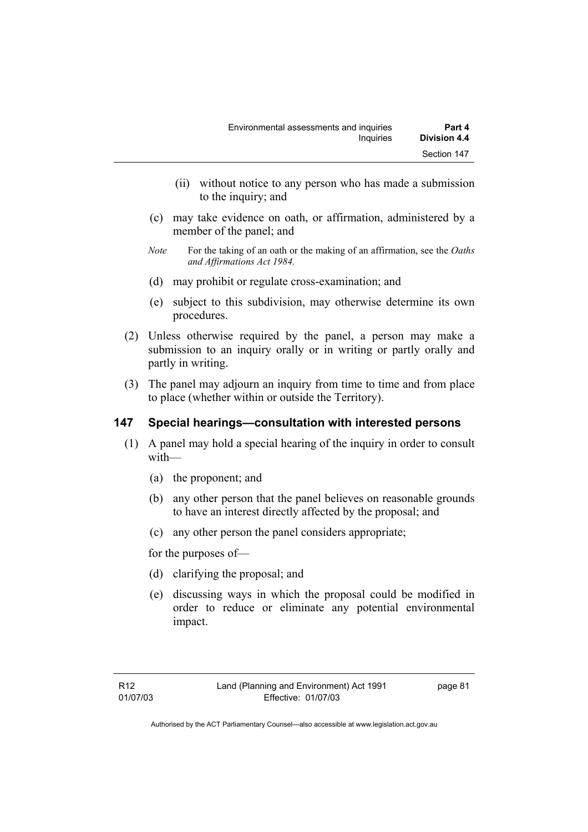- (ii) without notice to any person who has made a submission to the inquiry; and
- (c) may take evidence on oath, or affirmation, administered by a member of the panel; and
- *Note* For the taking of an oath or the making of an affirmation, see the *Oaths and Affirmations Act 1984.*
- (d) may prohibit or regulate cross-examination; and
- (e) subject to this subdivision, may otherwise determine its own procedures.
- (2) Unless otherwise required by the panel, a person may make a submission to an inquiry orally or in writing or partly orally and partly in writing.
- (3) The panel may adjourn an inquiry from time to time and from place to place (whether within or outside the Territory).

# **147 Special hearings—consultation with interested persons**

- (1) A panel may hold a special hearing of the inquiry in order to consult with—
	- (a) the proponent; and
	- (b) any other person that the panel believes on reasonable grounds to have an interest directly affected by the proposal; and
	- (c) any other person the panel considers appropriate;

for the purposes of—

- (d) clarifying the proposal; and
- (e) discussing ways in which the proposal could be modified in order to reduce or eliminate any potential environmental impact.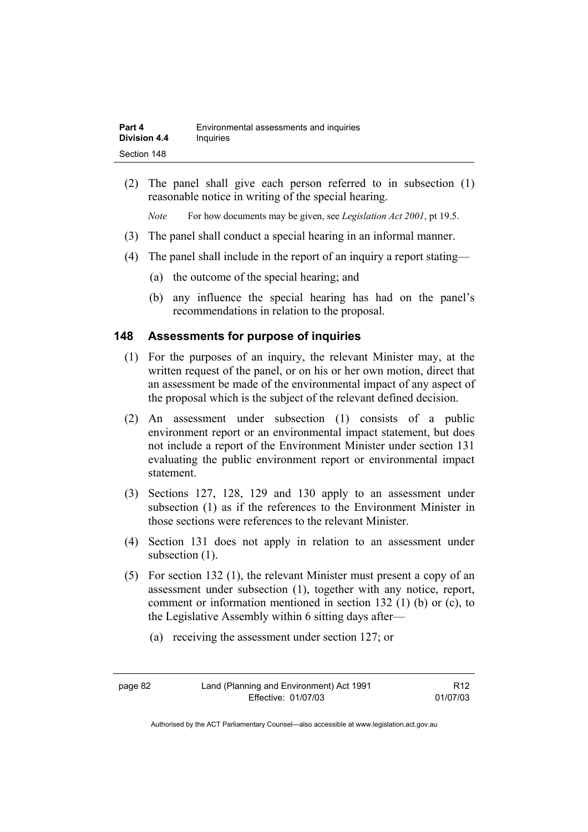| Part 4              | Environmental assessments and inquiries |
|---------------------|-----------------------------------------|
| <b>Division 4.4</b> | Inquiries                               |
| Section 148         |                                         |

 (2) The panel shall give each person referred to in subsection (1) reasonable notice in writing of the special hearing.

*Note* For how documents may be given, see *Legislation Act 2001*, pt 19.5.

- (3) The panel shall conduct a special hearing in an informal manner.
- (4) The panel shall include in the report of an inquiry a report stating—
	- (a) the outcome of the special hearing; and
	- (b) any influence the special hearing has had on the panel's recommendations in relation to the proposal.

### **148 Assessments for purpose of inquiries**

- (1) For the purposes of an inquiry, the relevant Minister may, at the written request of the panel, or on his or her own motion, direct that an assessment be made of the environmental impact of any aspect of the proposal which is the subject of the relevant defined decision.
- (2) An assessment under subsection (1) consists of a public environment report or an environmental impact statement, but does not include a report of the Environment Minister under section 131 evaluating the public environment report or environmental impact statement.
- (3) Sections 127, 128, 129 and 130 apply to an assessment under subsection (1) as if the references to the Environment Minister in those sections were references to the relevant Minister.
- (4) Section 131 does not apply in relation to an assessment under subsection  $(1)$ .
- (5) For section 132 (1), the relevant Minister must present a copy of an assessment under subsection (1), together with any notice, report, comment or information mentioned in section 132 (1) (b) or (c), to the Legislative Assembly within 6 sitting days after—
	- (a) receiving the assessment under section 127; or

page 82 Land (Planning and Environment) Act 1991 Effective: 01/07/03

R12 01/07/03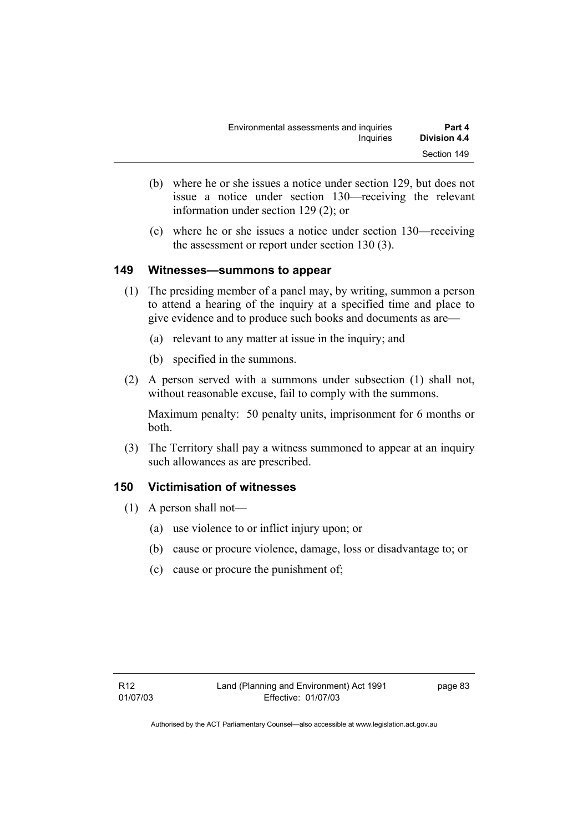- (b) where he or she issues a notice under section 129, but does not issue a notice under section 130—receiving the relevant information under section 129 (2); or
- (c) where he or she issues a notice under section 130—receiving the assessment or report under section 130 (3).

### **149 Witnesses—summons to appear**

- (1) The presiding member of a panel may, by writing, summon a person to attend a hearing of the inquiry at a specified time and place to give evidence and to produce such books and documents as are—
	- (a) relevant to any matter at issue in the inquiry; and
	- (b) specified in the summons.
- (2) A person served with a summons under subsection (1) shall not, without reasonable excuse, fail to comply with the summons.

Maximum penalty: 50 penalty units, imprisonment for 6 months or both.

 (3) The Territory shall pay a witness summoned to appear at an inquiry such allowances as are prescribed.

# **150 Victimisation of witnesses**

- (1) A person shall not—
	- (a) use violence to or inflict injury upon; or
	- (b) cause or procure violence, damage, loss or disadvantage to; or
	- (c) cause or procure the punishment of;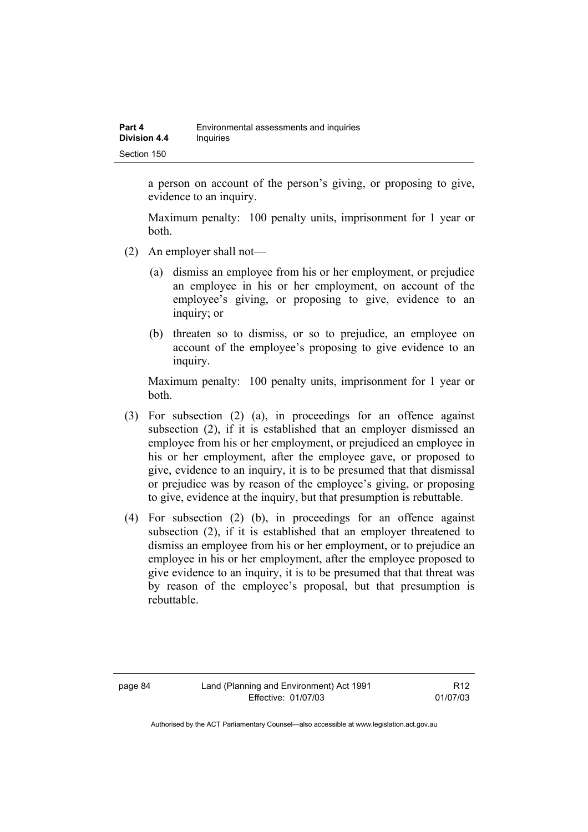a person on account of the person's giving, or proposing to give, evidence to an inquiry.

Maximum penalty: 100 penalty units, imprisonment for 1 year or both.

- (2) An employer shall not—
	- (a) dismiss an employee from his or her employment, or prejudice an employee in his or her employment, on account of the employee's giving, or proposing to give, evidence to an inquiry; or
	- (b) threaten so to dismiss, or so to prejudice, an employee on account of the employee's proposing to give evidence to an inquiry.

Maximum penalty: 100 penalty units, imprisonment for 1 year or both.

- (3) For subsection (2) (a), in proceedings for an offence against subsection (2), if it is established that an employer dismissed an employee from his or her employment, or prejudiced an employee in his or her employment, after the employee gave, or proposed to give, evidence to an inquiry, it is to be presumed that that dismissal or prejudice was by reason of the employee's giving, or proposing to give, evidence at the inquiry, but that presumption is rebuttable.
- (4) For subsection (2) (b), in proceedings for an offence against subsection (2), if it is established that an employer threatened to dismiss an employee from his or her employment, or to prejudice an employee in his or her employment, after the employee proposed to give evidence to an inquiry, it is to be presumed that that threat was by reason of the employee's proposal, but that presumption is rebuttable.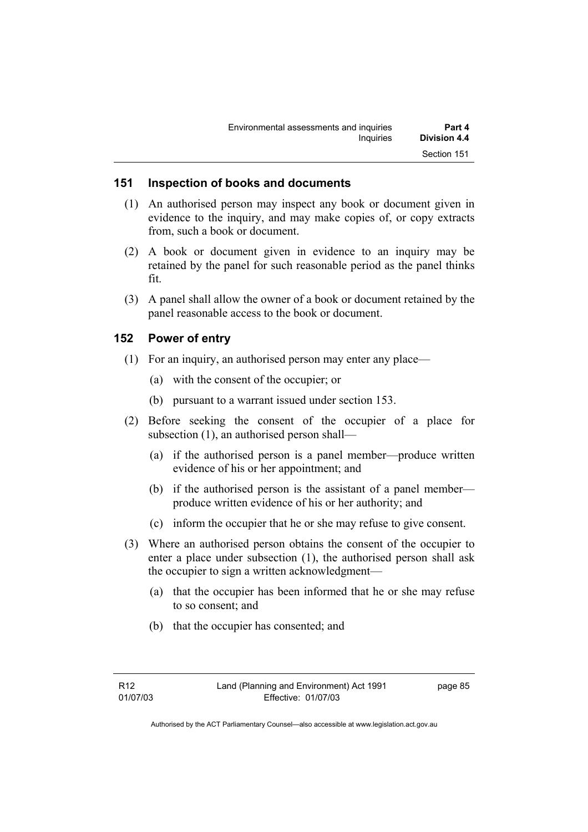| Environmental assessments and inquiries | Part 4       |
|-----------------------------------------|--------------|
| Inquiries                               | Division 4.4 |
|                                         | Section 151  |

#### **151 Inspection of books and documents**

- (1) An authorised person may inspect any book or document given in evidence to the inquiry, and may make copies of, or copy extracts from, such a book or document.
- (2) A book or document given in evidence to an inquiry may be retained by the panel for such reasonable period as the panel thinks fit.
- (3) A panel shall allow the owner of a book or document retained by the panel reasonable access to the book or document.

### **152 Power of entry**

- (1) For an inquiry, an authorised person may enter any place—
	- (a) with the consent of the occupier; or
	- (b) pursuant to a warrant issued under section 153.
- (2) Before seeking the consent of the occupier of a place for subsection (1), an authorised person shall—
	- (a) if the authorised person is a panel member—produce written evidence of his or her appointment; and
	- (b) if the authorised person is the assistant of a panel member produce written evidence of his or her authority; and
	- (c) inform the occupier that he or she may refuse to give consent.
- (3) Where an authorised person obtains the consent of the occupier to enter a place under subsection (1), the authorised person shall ask the occupier to sign a written acknowledgment—
	- (a) that the occupier has been informed that he or she may refuse to so consent; and
	- (b) that the occupier has consented; and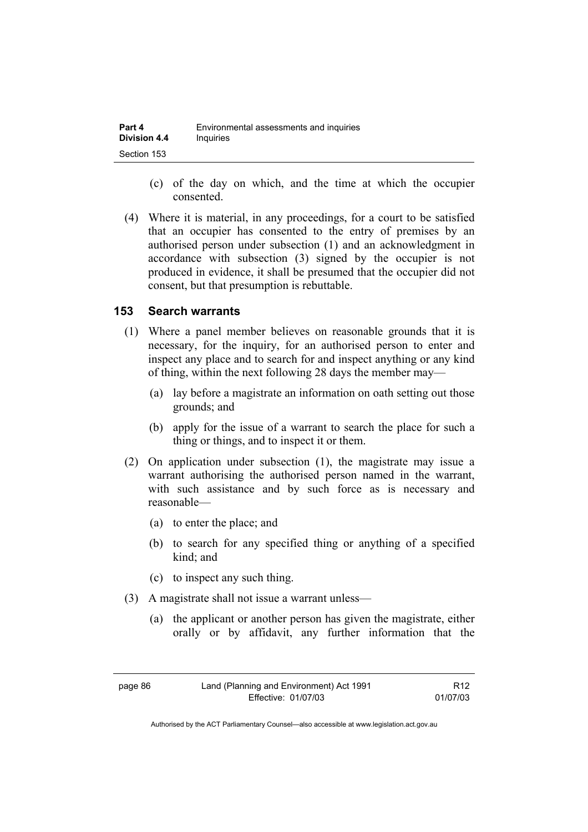| Part 4              | Environmental assessments and inquiries |
|---------------------|-----------------------------------------|
| <b>Division 4.4</b> | Inquiries                               |
| Section 153         |                                         |

- (c) of the day on which, and the time at which the occupier consented.
- (4) Where it is material, in any proceedings, for a court to be satisfied that an occupier has consented to the entry of premises by an authorised person under subsection (1) and an acknowledgment in accordance with subsection (3) signed by the occupier is not produced in evidence, it shall be presumed that the occupier did not consent, but that presumption is rebuttable.

### **153 Search warrants**

- (1) Where a panel member believes on reasonable grounds that it is necessary, for the inquiry, for an authorised person to enter and inspect any place and to search for and inspect anything or any kind of thing, within the next following 28 days the member may—
	- (a) lay before a magistrate an information on oath setting out those grounds; and
	- (b) apply for the issue of a warrant to search the place for such a thing or things, and to inspect it or them.
- (2) On application under subsection (1), the magistrate may issue a warrant authorising the authorised person named in the warrant, with such assistance and by such force as is necessary and reasonable—
	- (a) to enter the place; and
	- (b) to search for any specified thing or anything of a specified kind; and
	- (c) to inspect any such thing.
- (3) A magistrate shall not issue a warrant unless—
	- (a) the applicant or another person has given the magistrate, either orally or by affidavit, any further information that the

R12 01/07/03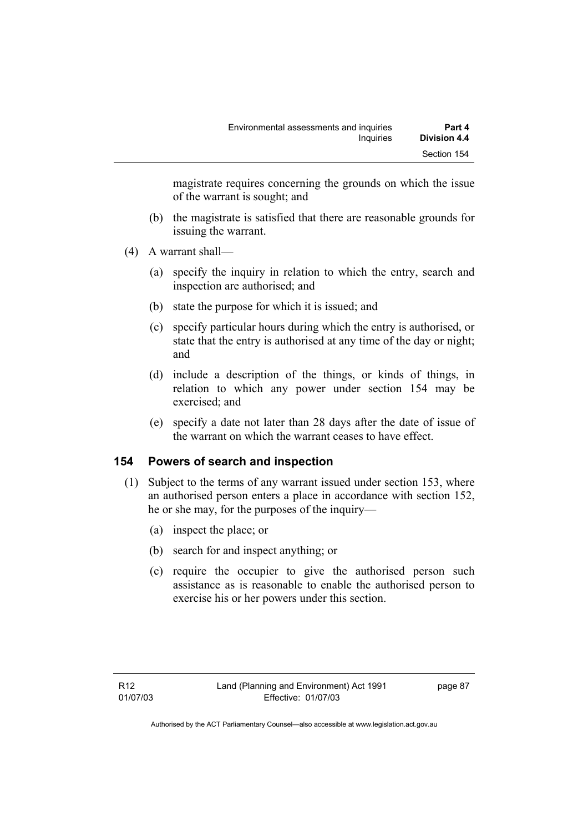magistrate requires concerning the grounds on which the issue of the warrant is sought; and

- (b) the magistrate is satisfied that there are reasonable grounds for issuing the warrant.
- (4) A warrant shall—
	- (a) specify the inquiry in relation to which the entry, search and inspection are authorised; and
	- (b) state the purpose for which it is issued; and
	- (c) specify particular hours during which the entry is authorised, or state that the entry is authorised at any time of the day or night; and
	- (d) include a description of the things, or kinds of things, in relation to which any power under section 154 may be exercised; and
	- (e) specify a date not later than 28 days after the date of issue of the warrant on which the warrant ceases to have effect.

# **154 Powers of search and inspection**

- (1) Subject to the terms of any warrant issued under section 153, where an authorised person enters a place in accordance with section 152, he or she may, for the purposes of the inquiry—
	- (a) inspect the place; or
	- (b) search for and inspect anything; or
	- (c) require the occupier to give the authorised person such assistance as is reasonable to enable the authorised person to exercise his or her powers under this section.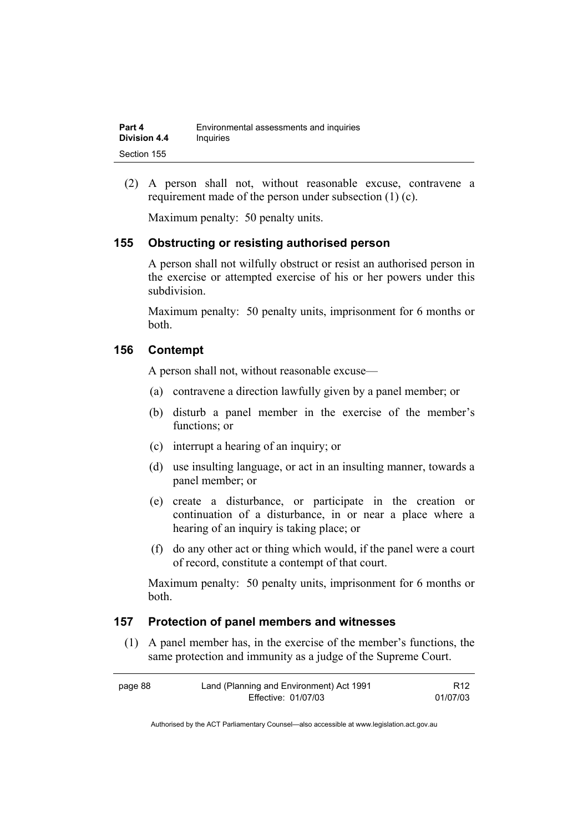| Part 4              | Environmental assessments and inquiries |
|---------------------|-----------------------------------------|
| <b>Division 4.4</b> | Inquiries                               |
| Section 155         |                                         |

 (2) A person shall not, without reasonable excuse, contravene a requirement made of the person under subsection (1) (c).

Maximum penalty: 50 penalty units.

### **155 Obstructing or resisting authorised person**

A person shall not wilfully obstruct or resist an authorised person in the exercise or attempted exercise of his or her powers under this subdivision.

Maximum penalty: 50 penalty units, imprisonment for 6 months or both.

#### **156 Contempt**

A person shall not, without reasonable excuse—

- (a) contravene a direction lawfully given by a panel member; or
- (b) disturb a panel member in the exercise of the member's functions; or
- (c) interrupt a hearing of an inquiry; or
- (d) use insulting language, or act in an insulting manner, towards a panel member; or
- (e) create a disturbance, or participate in the creation or continuation of a disturbance, in or near a place where a hearing of an inquiry is taking place; or
- (f) do any other act or thing which would, if the panel were a court of record, constitute a contempt of that court.

Maximum penalty: 50 penalty units, imprisonment for 6 months or both.

## **157 Protection of panel members and witnesses**

 (1) A panel member has, in the exercise of the member's functions, the same protection and immunity as a judge of the Supreme Court.

| page 88 | Land (Planning and Environment) Act 1991 | R <sub>12</sub> |
|---------|------------------------------------------|-----------------|
|         | Effective: 01/07/03                      | 01/07/03        |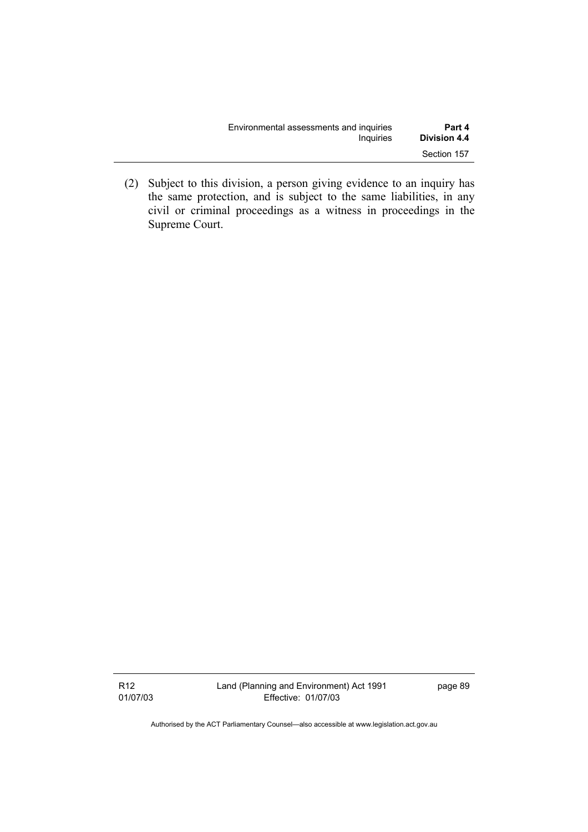| Environmental assessments and inquiries | Part 4       |
|-----------------------------------------|--------------|
| Inquiries                               | Division 4.4 |
|                                         | Section 157  |

 (2) Subject to this division, a person giving evidence to an inquiry has the same protection, and is subject to the same liabilities, in any civil or criminal proceedings as a witness in proceedings in the Supreme Court.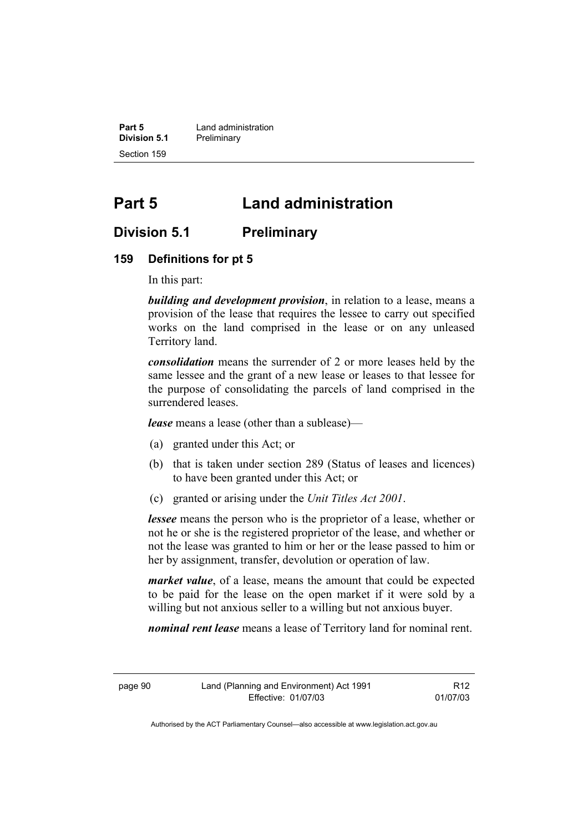**Part 5 Land administration Division 5.1** Preliminary Section 159

# **Part 5 Land administration**

# **Division 5.1 Preliminary**

#### **159 Definitions for pt 5**

In this part:

*building and development provision*, in relation to a lease, means a provision of the lease that requires the lessee to carry out specified works on the land comprised in the lease or on any unleased Territory land.

*consolidation* means the surrender of 2 or more leases held by the same lessee and the grant of a new lease or leases to that lessee for the purpose of consolidating the parcels of land comprised in the surrendered leases.

*lease* means a lease (other than a sublease)—

- (a) granted under this Act; or
- (b) that is taken under section 289 (Status of leases and licences) to have been granted under this Act; or
- (c) granted or arising under the *Unit Titles Act 2001*.

*lessee* means the person who is the proprietor of a lease, whether or not he or she is the registered proprietor of the lease, and whether or not the lease was granted to him or her or the lease passed to him or her by assignment, transfer, devolution or operation of law.

*market value*, of a lease, means the amount that could be expected to be paid for the lease on the open market if it were sold by a willing but not anxious seller to a willing but not anxious buyer.

*nominal rent lease* means a lease of Territory land for nominal rent.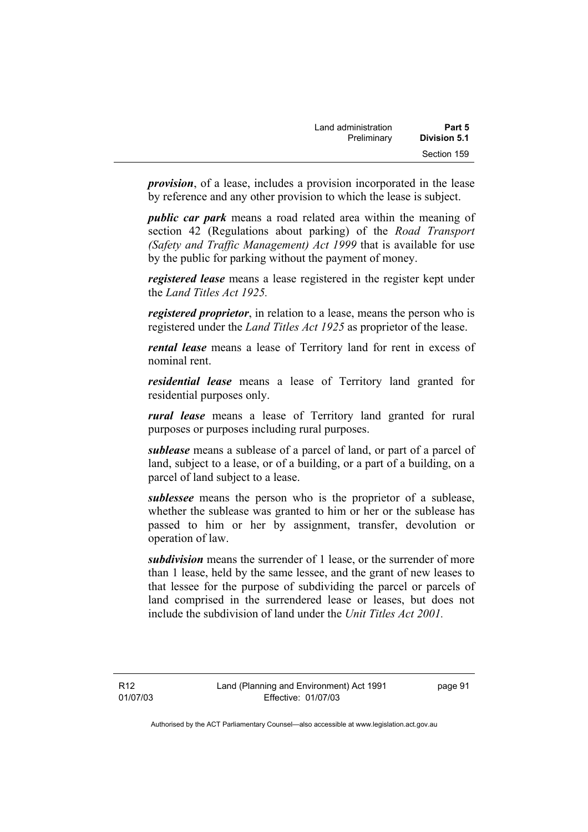| Land administration | Part 5       |  |
|---------------------|--------------|--|
| Preliminary         | Division 5.1 |  |
|                     | Section 159  |  |

*provision*, of a lease, includes a provision incorporated in the lease by reference and any other provision to which the lease is subject.

*public car park* means a road related area within the meaning of section 42 (Regulations about parking) of the *Road Transport (Safety and Traffic Management) Act 1999* that is available for use by the public for parking without the payment of money.

*registered lease* means a lease registered in the register kept under the *Land Titles Act 1925.*

*registered proprietor*, in relation to a lease, means the person who is registered under the *Land Titles Act 1925* as proprietor of the lease.

*rental lease* means a lease of Territory land for rent in excess of nominal rent.

*residential lease* means a lease of Territory land granted for residential purposes only.

*rural lease* means a lease of Territory land granted for rural purposes or purposes including rural purposes.

*sublease* means a sublease of a parcel of land, or part of a parcel of land, subject to a lease, or of a building, or a part of a building, on a parcel of land subject to a lease.

*sublessee* means the person who is the proprietor of a sublease, whether the sublease was granted to him or her or the sublease has passed to him or her by assignment, transfer, devolution or operation of law.

*subdivision* means the surrender of 1 lease, or the surrender of more than 1 lease, held by the same lessee, and the grant of new leases to that lessee for the purpose of subdividing the parcel or parcels of land comprised in the surrendered lease or leases, but does not include the subdivision of land under the *Unit Titles Act 2001.* 

R12 01/07/03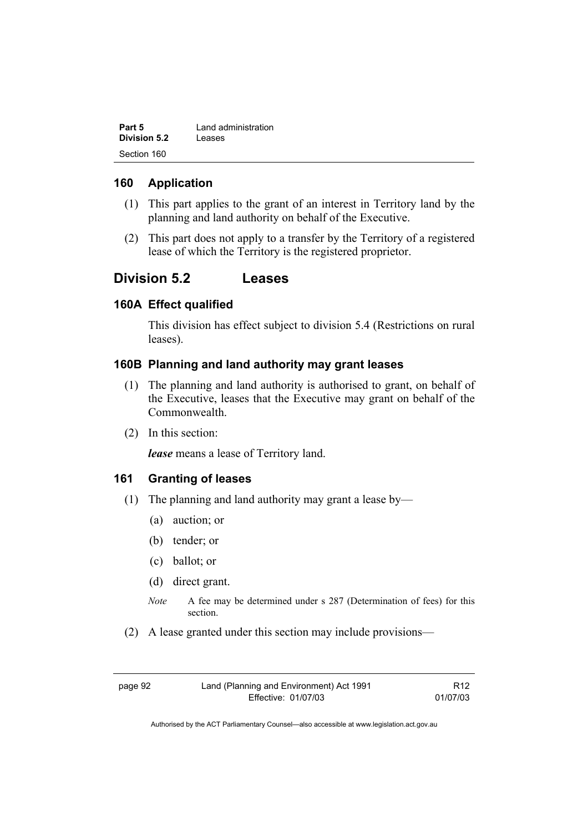| Part 5       | Land administration |
|--------------|---------------------|
| Division 5.2 | Leases              |
| Section 160  |                     |

### **160 Application**

- (1) This part applies to the grant of an interest in Territory land by the planning and land authority on behalf of the Executive.
- (2) This part does not apply to a transfer by the Territory of a registered lease of which the Territory is the registered proprietor.

# **Division 5.2 Leases**

### **160A Effect qualified**

This division has effect subject to division 5.4 (Restrictions on rural leases).

### **160B Planning and land authority may grant leases**

- (1) The planning and land authority is authorised to grant, on behalf of the Executive, leases that the Executive may grant on behalf of the Commonwealth.
- (2) In this section:

*lease* means a lease of Territory land.

### **161 Granting of leases**

- (1) The planning and land authority may grant a lease by—
	- (a) auction; or
	- (b) tender; or
	- (c) ballot; or
	- (d) direct grant.
	- *Note* A fee may be determined under s 287 (Determination of fees) for this section.
- (2) A lease granted under this section may include provisions—

page 92 Land (Planning and Environment) Act 1991 Effective: 01/07/03

R12 01/07/03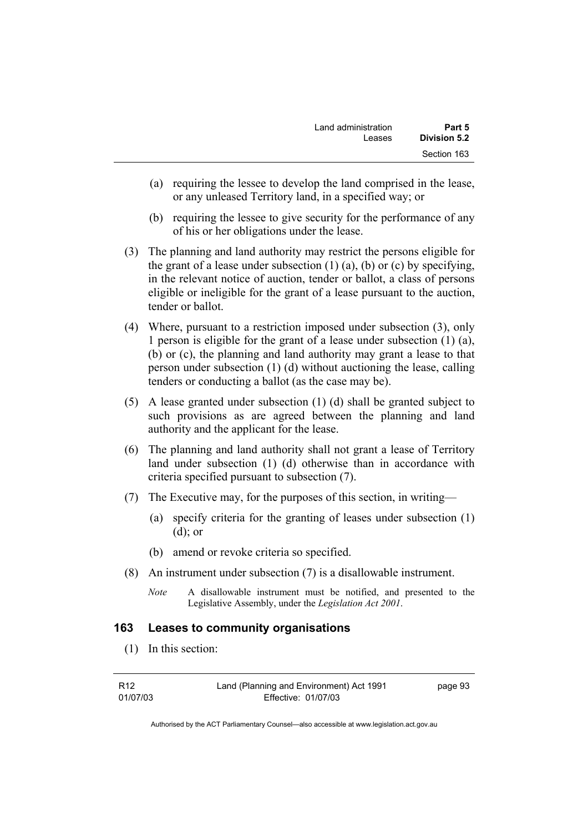| Land administration | Part 5       |
|---------------------|--------------|
| Leases              | Division 5.2 |
|                     | Section 163  |

- (a) requiring the lessee to develop the land comprised in the lease, or any unleased Territory land, in a specified way; or
- (b) requiring the lessee to give security for the performance of any of his or her obligations under the lease.
- (3) The planning and land authority may restrict the persons eligible for the grant of a lease under subsection  $(1)$   $(a)$ ,  $(b)$  or  $(c)$  by specifying, in the relevant notice of auction, tender or ballot, a class of persons eligible or ineligible for the grant of a lease pursuant to the auction, tender or ballot.
- (4) Where, pursuant to a restriction imposed under subsection (3), only 1 person is eligible for the grant of a lease under subsection (1) (a), (b) or (c), the planning and land authority may grant a lease to that person under subsection (1) (d) without auctioning the lease, calling tenders or conducting a ballot (as the case may be).
- (5) A lease granted under subsection (1) (d) shall be granted subject to such provisions as are agreed between the planning and land authority and the applicant for the lease.
- (6) The planning and land authority shall not grant a lease of Territory land under subsection (1) (d) otherwise than in accordance with criteria specified pursuant to subsection (7).
- (7) The Executive may, for the purposes of this section, in writing—
	- (a) specify criteria for the granting of leases under subsection (1) (d); or
	- (b) amend or revoke criteria so specified.
- (8) An instrument under subsection (7) is a disallowable instrument.
	- *Note* A disallowable instrument must be notified, and presented to the Legislative Assembly, under the *Legislation Act 2001*.

#### **163 Leases to community organisations**

(1) In this section:

| R <sub>12</sub> | Land (Planning and Environment) Act 1991 | page 93 |
|-----------------|------------------------------------------|---------|
| 01/07/03        | Effective: 01/07/03                      |         |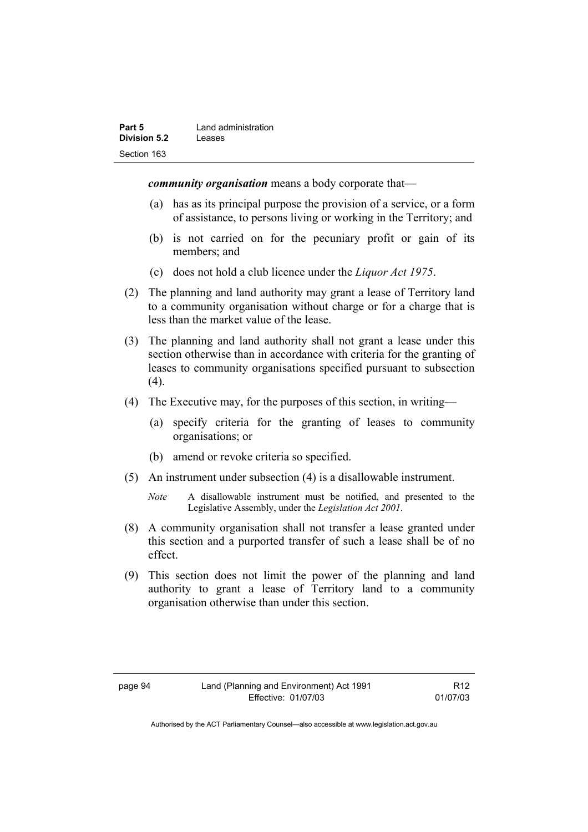| Part 5       | Land administration |
|--------------|---------------------|
| Division 5.2 | Leases              |
| Section 163  |                     |

*community organisation* means a body corporate that—

- (a) has as its principal purpose the provision of a service, or a form of assistance, to persons living or working in the Territory; and
- (b) is not carried on for the pecuniary profit or gain of its members; and
- (c) does not hold a club licence under the *Liquor Act 1975*.
- (2) The planning and land authority may grant a lease of Territory land to a community organisation without charge or for a charge that is less than the market value of the lease.
- (3) The planning and land authority shall not grant a lease under this section otherwise than in accordance with criteria for the granting of leases to community organisations specified pursuant to subsection  $(4).$
- (4) The Executive may, for the purposes of this section, in writing—
	- (a) specify criteria for the granting of leases to community organisations; or
	- (b) amend or revoke criteria so specified.
- (5) An instrument under subsection (4) is a disallowable instrument.
	- *Note* A disallowable instrument must be notified, and presented to the Legislative Assembly, under the *Legislation Act 2001*.
- (8) A community organisation shall not transfer a lease granted under this section and a purported transfer of such a lease shall be of no effect.
- (9) This section does not limit the power of the planning and land authority to grant a lease of Territory land to a community organisation otherwise than under this section.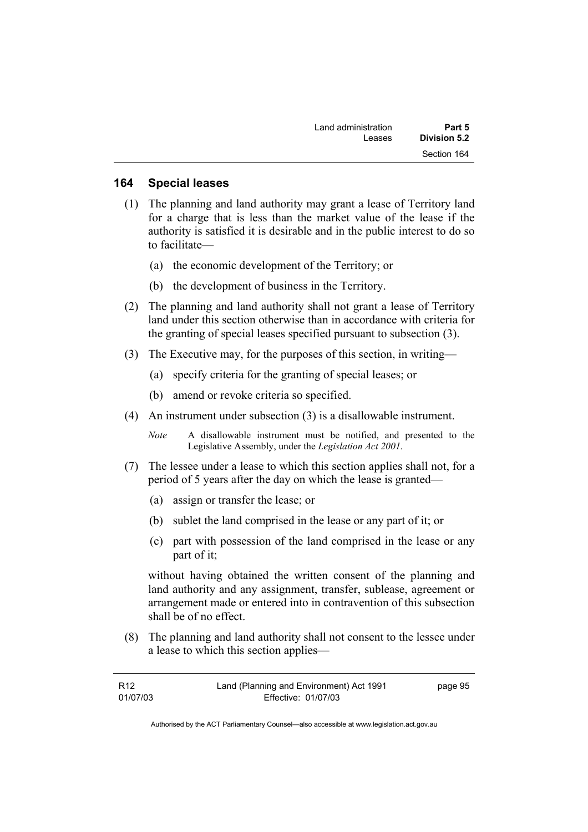| Land administration | Part 5       |
|---------------------|--------------|
| Leases              | Division 5.2 |
|                     | Section 164  |

#### **164 Special leases**

- (1) The planning and land authority may grant a lease of Territory land for a charge that is less than the market value of the lease if the authority is satisfied it is desirable and in the public interest to do so to facilitate—
	- (a) the economic development of the Territory; or
	- (b) the development of business in the Territory.
- (2) The planning and land authority shall not grant a lease of Territory land under this section otherwise than in accordance with criteria for the granting of special leases specified pursuant to subsection (3).
- (3) The Executive may, for the purposes of this section, in writing—
	- (a) specify criteria for the granting of special leases; or
	- (b) amend or revoke criteria so specified.
- (4) An instrument under subsection (3) is a disallowable instrument.
	- *Note* A disallowable instrument must be notified, and presented to the Legislative Assembly, under the *Legislation Act 2001*.
- (7) The lessee under a lease to which this section applies shall not, for a period of 5 years after the day on which the lease is granted—
	- (a) assign or transfer the lease; or
	- (b) sublet the land comprised in the lease or any part of it; or
	- (c) part with possession of the land comprised in the lease or any part of it;

without having obtained the written consent of the planning and land authority and any assignment, transfer, sublease, agreement or arrangement made or entered into in contravention of this subsection shall be of no effect.

 (8) The planning and land authority shall not consent to the lessee under a lease to which this section applies—

| R12      | Land (Planning and Environment) Act 1991 | page 95 |
|----------|------------------------------------------|---------|
| 01/07/03 | Effective: 01/07/03                      |         |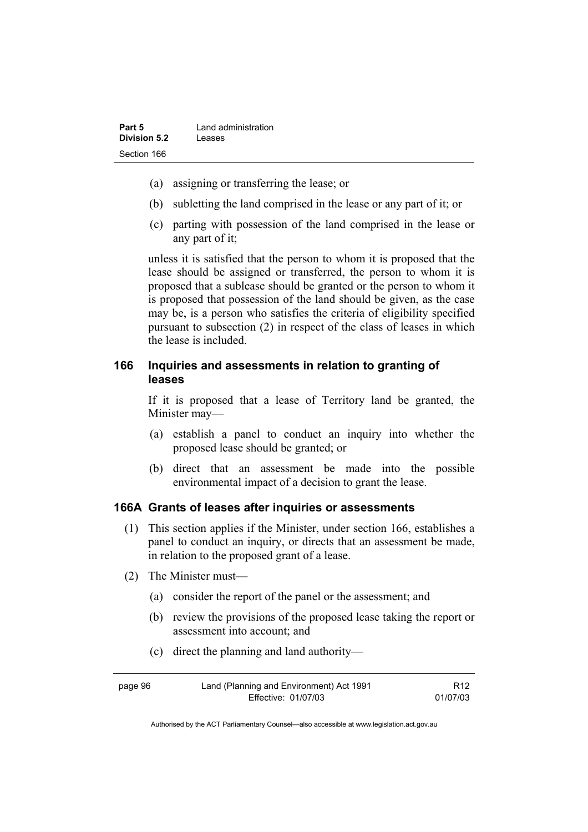- (a) assigning or transferring the lease; or
- (b) subletting the land comprised in the lease or any part of it; or
- (c) parting with possession of the land comprised in the lease or any part of it;

unless it is satisfied that the person to whom it is proposed that the lease should be assigned or transferred, the person to whom it is proposed that a sublease should be granted or the person to whom it is proposed that possession of the land should be given, as the case may be, is a person who satisfies the criteria of eligibility specified pursuant to subsection (2) in respect of the class of leases in which the lease is included.

## **166 Inquiries and assessments in relation to granting of leases**

If it is proposed that a lease of Territory land be granted, the Minister may—

- (a) establish a panel to conduct an inquiry into whether the proposed lease should be granted; or
- (b) direct that an assessment be made into the possible environmental impact of a decision to grant the lease.

#### **166A Grants of leases after inquiries or assessments**

- (1) This section applies if the Minister, under section 166, establishes a panel to conduct an inquiry, or directs that an assessment be made, in relation to the proposed grant of a lease.
- (2) The Minister must—
	- (a) consider the report of the panel or the assessment; and
	- (b) review the provisions of the proposed lease taking the report or assessment into account; and
	- (c) direct the planning and land authority—

| page 96 | Land (Planning and Environment) Act 1991 | R <sub>12</sub> |
|---------|------------------------------------------|-----------------|
|         | Effective: 01/07/03                      | 01/07/03        |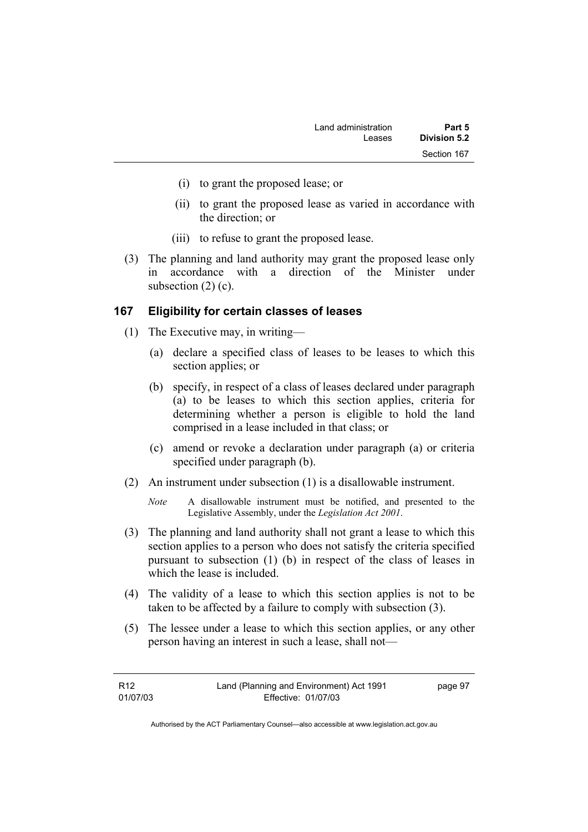- (i) to grant the proposed lease; or
- (ii) to grant the proposed lease as varied in accordance with the direction; or
- (iii) to refuse to grant the proposed lease.
- (3) The planning and land authority may grant the proposed lease only in accordance with a direction of the Minister under subsection  $(2)$  (c).

#### **167 Eligibility for certain classes of leases**

- (1) The Executive may, in writing—
	- (a) declare a specified class of leases to be leases to which this section applies; or
	- (b) specify, in respect of a class of leases declared under paragraph (a) to be leases to which this section applies, criteria for determining whether a person is eligible to hold the land comprised in a lease included in that class; or
	- (c) amend or revoke a declaration under paragraph (a) or criteria specified under paragraph (b).
- (2) An instrument under subsection (1) is a disallowable instrument.
	- *Note* A disallowable instrument must be notified, and presented to the Legislative Assembly, under the *Legislation Act 2001*.
- (3) The planning and land authority shall not grant a lease to which this section applies to a person who does not satisfy the criteria specified pursuant to subsection (1) (b) in respect of the class of leases in which the lease is included.
- (4) The validity of a lease to which this section applies is not to be taken to be affected by a failure to comply with subsection (3).
- (5) The lessee under a lease to which this section applies, or any other person having an interest in such a lease, shall not—

| R12      | Land (Planning and Environment) Act 1991 | page 97 |
|----------|------------------------------------------|---------|
| 01/07/03 | Effective: 01/07/03                      |         |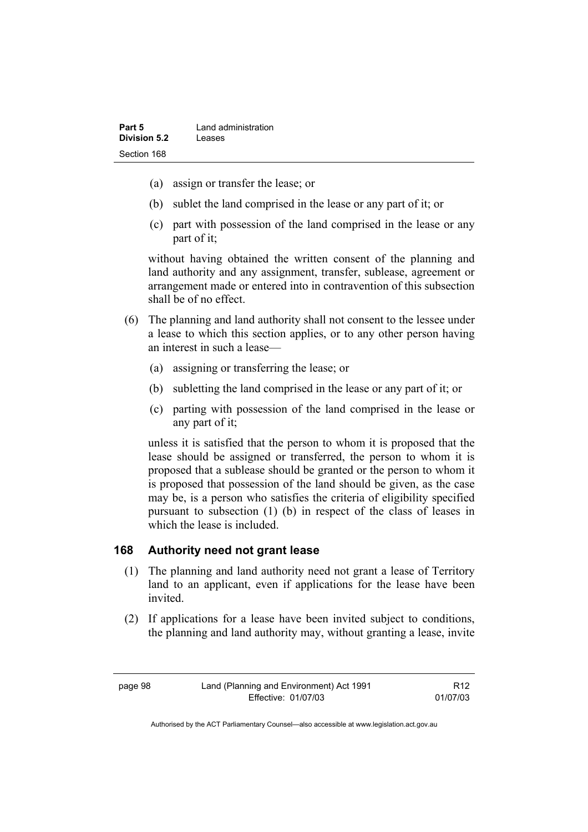- (a) assign or transfer the lease; or
- (b) sublet the land comprised in the lease or any part of it; or
- (c) part with possession of the land comprised in the lease or any part of it;

without having obtained the written consent of the planning and land authority and any assignment, transfer, sublease, agreement or arrangement made or entered into in contravention of this subsection shall be of no effect.

- (6) The planning and land authority shall not consent to the lessee under a lease to which this section applies, or to any other person having an interest in such a lease—
	- (a) assigning or transferring the lease; or
	- (b) subletting the land comprised in the lease or any part of it; or
	- (c) parting with possession of the land comprised in the lease or any part of it;

unless it is satisfied that the person to whom it is proposed that the lease should be assigned or transferred, the person to whom it is proposed that a sublease should be granted or the person to whom it is proposed that possession of the land should be given, as the case may be, is a person who satisfies the criteria of eligibility specified pursuant to subsection (1) (b) in respect of the class of leases in which the lease is included.

### **168 Authority need not grant lease**

- (1) The planning and land authority need not grant a lease of Territory land to an applicant, even if applications for the lease have been invited.
- (2) If applications for a lease have been invited subject to conditions, the planning and land authority may, without granting a lease, invite

R12 01/07/03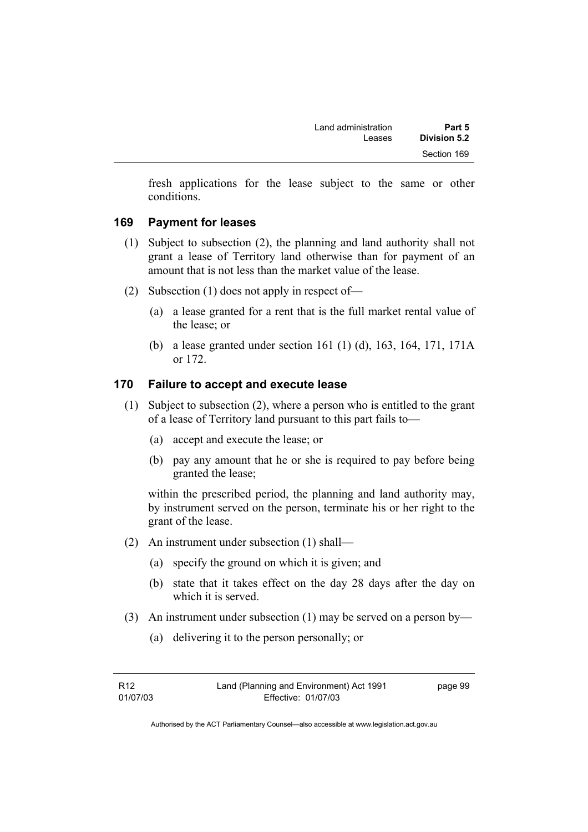| Land administration | Part 5       |
|---------------------|--------------|
| Leases              | Division 5.2 |
|                     | Section 169  |

fresh applications for the lease subject to the same or other conditions.

#### **169 Payment for leases**

- (1) Subject to subsection (2), the planning and land authority shall not grant a lease of Territory land otherwise than for payment of an amount that is not less than the market value of the lease.
- (2) Subsection (1) does not apply in respect of—
	- (a) a lease granted for a rent that is the full market rental value of the lease; or
	- (b) a lease granted under section 161 (1) (d), 163, 164, 171, 171A or 172.

#### **170 Failure to accept and execute lease**

- (1) Subject to subsection (2), where a person who is entitled to the grant of a lease of Territory land pursuant to this part fails to—
	- (a) accept and execute the lease; or
	- (b) pay any amount that he or she is required to pay before being granted the lease;

within the prescribed period, the planning and land authority may, by instrument served on the person, terminate his or her right to the grant of the lease.

- (2) An instrument under subsection (1) shall—
	- (a) specify the ground on which it is given; and
	- (b) state that it takes effect on the day 28 days after the day on which it is served.
- (3) An instrument under subsection (1) may be served on a person by—
	- (a) delivering it to the person personally; or

| R12      | Land (Planning and Environment) Act 1991 | page 99 |
|----------|------------------------------------------|---------|
| 01/07/03 | Effective: 01/07/03                      |         |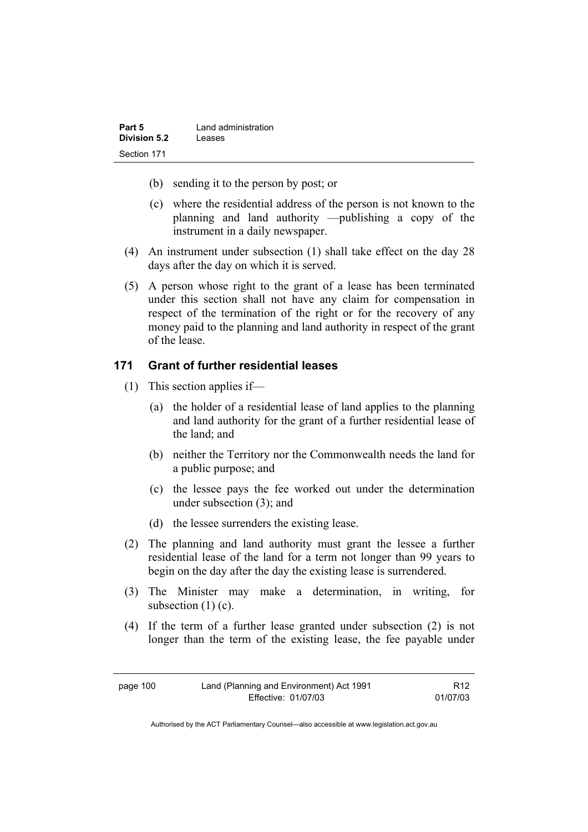| Part 5              | Land administration |
|---------------------|---------------------|
| <b>Division 5.2</b> | Leases              |
| Section 171         |                     |

- (b) sending it to the person by post; or
- (c) where the residential address of the person is not known to the planning and land authority —publishing a copy of the instrument in a daily newspaper.
- (4) An instrument under subsection (1) shall take effect on the day 28 days after the day on which it is served.
- (5) A person whose right to the grant of a lease has been terminated under this section shall not have any claim for compensation in respect of the termination of the right or for the recovery of any money paid to the planning and land authority in respect of the grant of the lease.

## **171 Grant of further residential leases**

- (1) This section applies if—
	- (a) the holder of a residential lease of land applies to the planning and land authority for the grant of a further residential lease of the land; and
	- (b) neither the Territory nor the Commonwealth needs the land for a public purpose; and
	- (c) the lessee pays the fee worked out under the determination under subsection (3); and
	- (d) the lessee surrenders the existing lease.
- (2) The planning and land authority must grant the lessee a further residential lease of the land for a term not longer than 99 years to begin on the day after the day the existing lease is surrendered.
- (3) The Minister may make a determination, in writing, for subsection  $(1)$  (c).
- (4) If the term of a further lease granted under subsection (2) is not longer than the term of the existing lease, the fee payable under

| page 100 |
|----------|
|          |

R12 01/07/03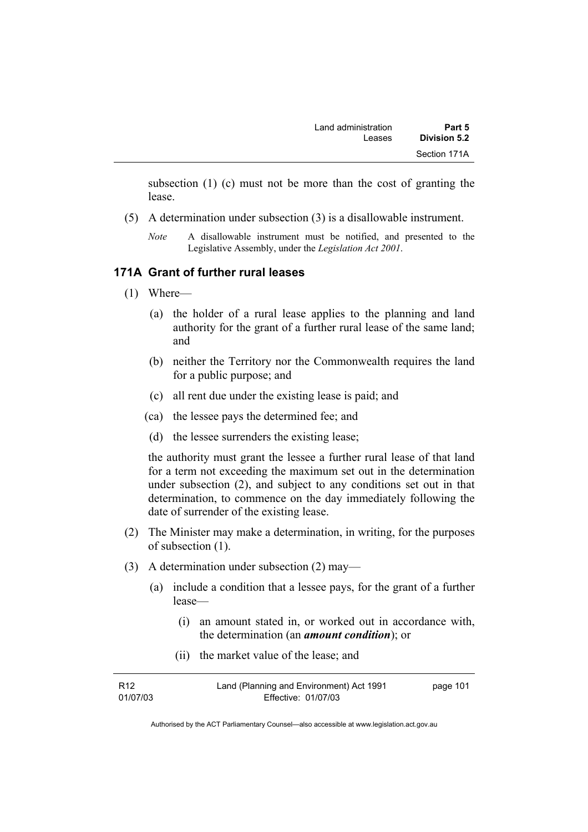| Land administration | Part 5       |
|---------------------|--------------|
| Leases              | Division 5.2 |
|                     | Section 171A |

subsection (1) (c) must not be more than the cost of granting the lease.

- (5) A determination under subsection (3) is a disallowable instrument.
	- *Note* A disallowable instrument must be notified, and presented to the Legislative Assembly, under the *Legislation Act 2001*.

#### **171A Grant of further rural leases**

- (1) Where—
	- (a) the holder of a rural lease applies to the planning and land authority for the grant of a further rural lease of the same land; and
	- (b) neither the Territory nor the Commonwealth requires the land for a public purpose; and
	- (c) all rent due under the existing lease is paid; and
	- (ca) the lessee pays the determined fee; and
	- (d) the lessee surrenders the existing lease;

the authority must grant the lessee a further rural lease of that land for a term not exceeding the maximum set out in the determination under subsection (2), and subject to any conditions set out in that determination, to commence on the day immediately following the date of surrender of the existing lease.

- (2) The Minister may make a determination, in writing, for the purposes of subsection (1).
- (3) A determination under subsection (2) may—
	- (a) include a condition that a lessee pays, for the grant of a further lease—
		- (i) an amount stated in, or worked out in accordance with, the determination (an *amount condition*); or
		- (ii) the market value of the lease; and

| R12      | Land (Planning and Environment) Act 1991 | page 101 |
|----------|------------------------------------------|----------|
| 01/07/03 | Effective: 01/07/03                      |          |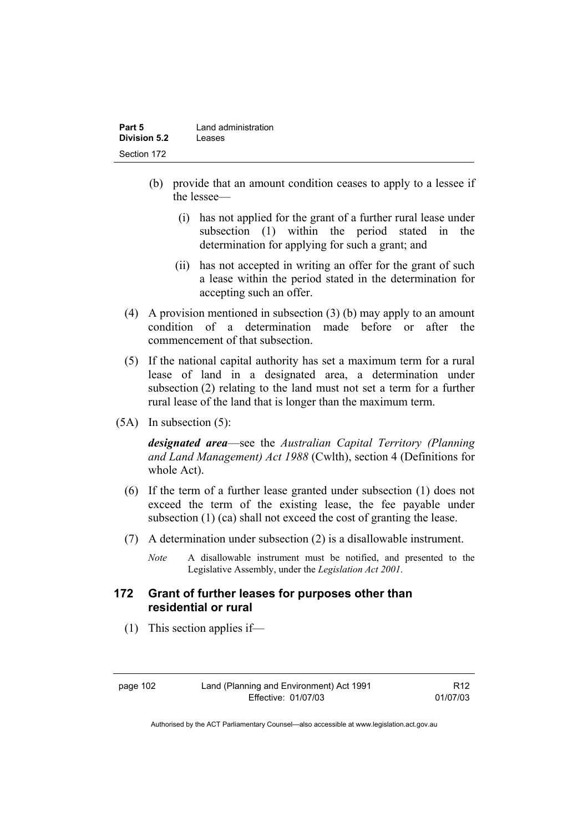| Part 5       | Land administration |
|--------------|---------------------|
| Division 5.2 | Leases              |
| Section 172  |                     |

- (b) provide that an amount condition ceases to apply to a lessee if the lessee—
	- (i) has not applied for the grant of a further rural lease under subsection (1) within the period stated in the determination for applying for such a grant; and
	- (ii) has not accepted in writing an offer for the grant of such a lease within the period stated in the determination for accepting such an offer.
- (4) A provision mentioned in subsection (3) (b) may apply to an amount condition of a determination made before or after the commencement of that subsection.
- (5) If the national capital authority has set a maximum term for a rural lease of land in a designated area, a determination under subsection (2) relating to the land must not set a term for a further rural lease of the land that is longer than the maximum term.
- (5A) In subsection (5):

*designated area*—see the *Australian Capital Territory (Planning and Land Management) Act 1988* (Cwlth), section 4 (Definitions for whole Act).

- (6) If the term of a further lease granted under subsection (1) does not exceed the term of the existing lease, the fee payable under subsection (1) (ca) shall not exceed the cost of granting the lease.
- (7) A determination under subsection (2) is a disallowable instrument.
	- *Note* A disallowable instrument must be notified, and presented to the Legislative Assembly, under the *Legislation Act 2001*.

### **172 Grant of further leases for purposes other than residential or rural**

(1) This section applies if—

page 102 Land (Planning and Environment) Act 1991 Effective: 01/07/03

R12 01/07/03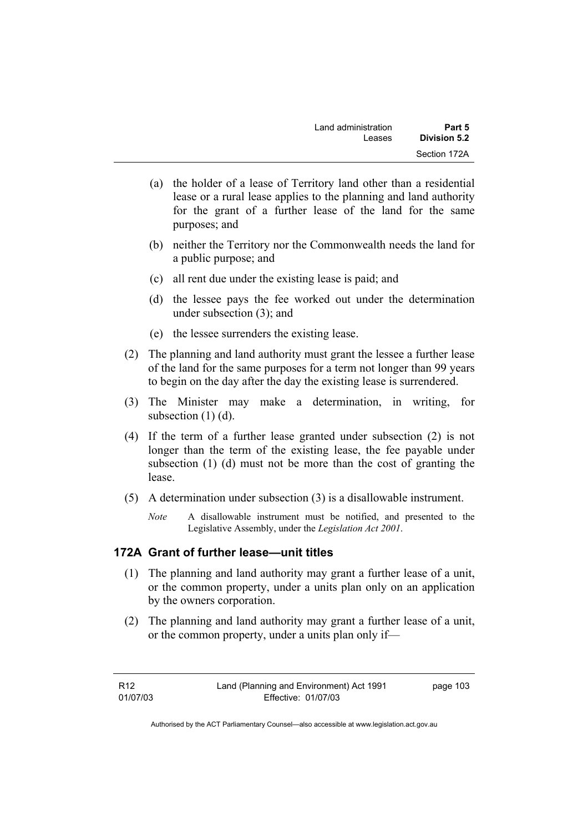- (a) the holder of a lease of Territory land other than a residential lease or a rural lease applies to the planning and land authority for the grant of a further lease of the land for the same purposes; and
- (b) neither the Territory nor the Commonwealth needs the land for a public purpose; and
- (c) all rent due under the existing lease is paid; and
- (d) the lessee pays the fee worked out under the determination under subsection (3); and
- (e) the lessee surrenders the existing lease.
- (2) The planning and land authority must grant the lessee a further lease of the land for the same purposes for a term not longer than 99 years to begin on the day after the day the existing lease is surrendered.
- (3) The Minister may make a determination, in writing, for subsection (1) (d).
- (4) If the term of a further lease granted under subsection (2) is not longer than the term of the existing lease, the fee payable under subsection (1) (d) must not be more than the cost of granting the lease.
- (5) A determination under subsection (3) is a disallowable instrument.
	- *Note* A disallowable instrument must be notified, and presented to the Legislative Assembly, under the *Legislation Act 2001*.

# **172A Grant of further lease—unit titles**

- (1) The planning and land authority may grant a further lease of a unit, or the common property, under a units plan only on an application by the owners corporation.
- (2) The planning and land authority may grant a further lease of a unit, or the common property, under a units plan only if—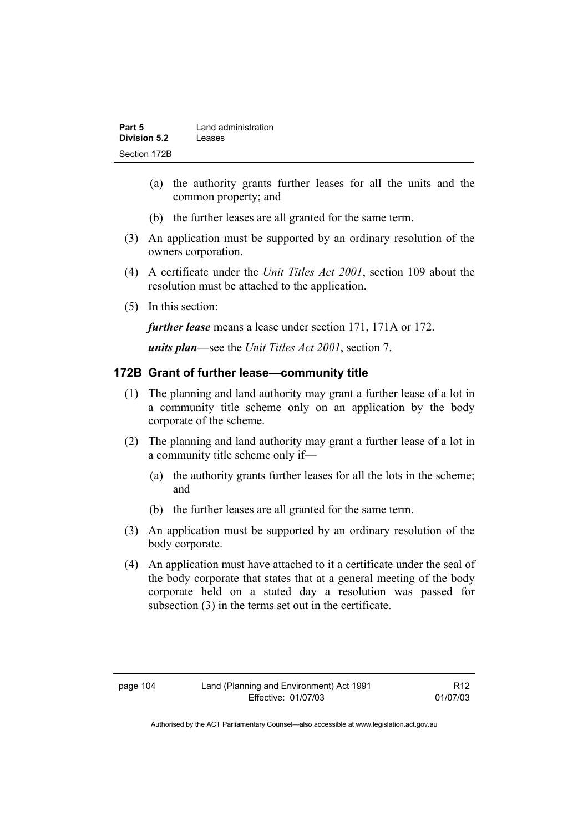| Part 5       | Land administration |
|--------------|---------------------|
| Division 5.2 | Leases              |
| Section 172B |                     |

- (a) the authority grants further leases for all the units and the common property; and
- (b) the further leases are all granted for the same term.
- (3) An application must be supported by an ordinary resolution of the owners corporation.
- (4) A certificate under the *Unit Titles Act 2001*, section 109 about the resolution must be attached to the application.
- (5) In this section:

*further lease* means a lease under section 171, 171A or 172.

*units plan*—see the *Unit Titles Act 2001*, section 7.

## **172B Grant of further lease—community title**

- (1) The planning and land authority may grant a further lease of a lot in a community title scheme only on an application by the body corporate of the scheme.
- (2) The planning and land authority may grant a further lease of a lot in a community title scheme only if—
	- (a) the authority grants further leases for all the lots in the scheme; and
	- (b) the further leases are all granted for the same term.
- (3) An application must be supported by an ordinary resolution of the body corporate.
- (4) An application must have attached to it a certificate under the seal of the body corporate that states that at a general meeting of the body corporate held on a stated day a resolution was passed for subsection (3) in the terms set out in the certificate.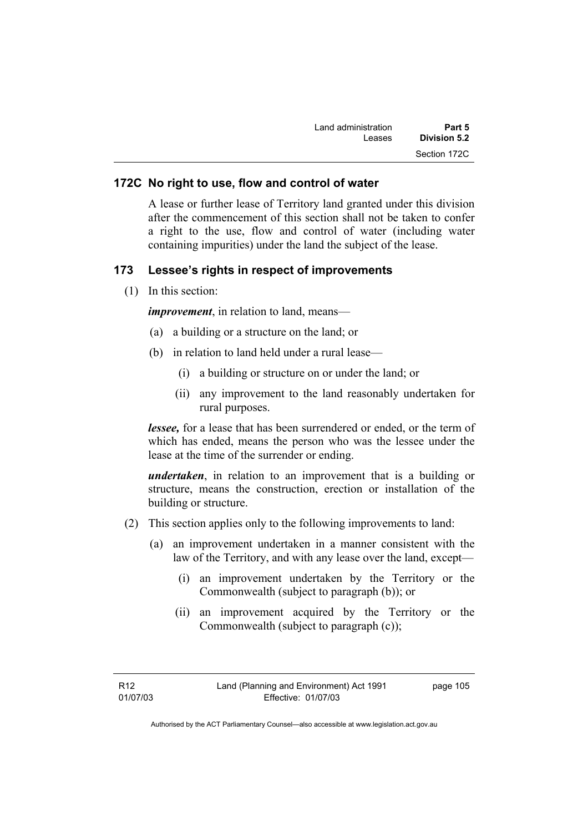| Part 5       | Land administration |
|--------------|---------------------|
| Division 5.2 | Leases              |
| Section 172C |                     |

#### **172C No right to use, flow and control of water**

A lease or further lease of Territory land granted under this division after the commencement of this section shall not be taken to confer a right to the use, flow and control of water (including water containing impurities) under the land the subject of the lease.

#### **173 Lessee's rights in respect of improvements**

(1) In this section:

*improvement*, in relation to land, means—

- (a) a building or a structure on the land; or
- (b) in relation to land held under a rural lease—
	- (i) a building or structure on or under the land; or
	- (ii) any improvement to the land reasonably undertaken for rural purposes.

*lessee*, for a lease that has been surrendered or ended, or the term of which has ended, means the person who was the lessee under the lease at the time of the surrender or ending.

*undertaken*, in relation to an improvement that is a building or structure, means the construction, erection or installation of the building or structure.

- (2) This section applies only to the following improvements to land:
	- (a) an improvement undertaken in a manner consistent with the law of the Territory, and with any lease over the land, except—
		- (i) an improvement undertaken by the Territory or the Commonwealth (subject to paragraph (b)); or
		- (ii) an improvement acquired by the Territory or the Commonwealth (subject to paragraph (c));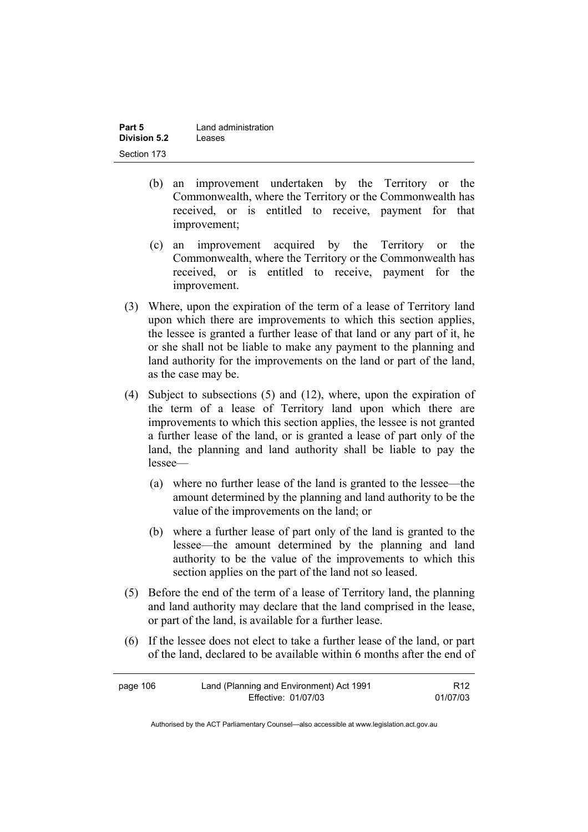| Part 5              | Land administration |
|---------------------|---------------------|
| <b>Division 5.2</b> | Leases              |
| Section 173         |                     |

- (b) an improvement undertaken by the Territory or the Commonwealth, where the Territory or the Commonwealth has received, or is entitled to receive, payment for that improvement;
- (c) an improvement acquired by the Territory or the Commonwealth, where the Territory or the Commonwealth has received, or is entitled to receive, payment for the improvement.
- (3) Where, upon the expiration of the term of a lease of Territory land upon which there are improvements to which this section applies, the lessee is granted a further lease of that land or any part of it, he or she shall not be liable to make any payment to the planning and land authority for the improvements on the land or part of the land, as the case may be.
- (4) Subject to subsections (5) and (12), where, upon the expiration of the term of a lease of Territory land upon which there are improvements to which this section applies, the lessee is not granted a further lease of the land, or is granted a lease of part only of the land, the planning and land authority shall be liable to pay the lessee—
	- (a) where no further lease of the land is granted to the lessee—the amount determined by the planning and land authority to be the value of the improvements on the land; or
	- (b) where a further lease of part only of the land is granted to the lessee—the amount determined by the planning and land authority to be the value of the improvements to which this section applies on the part of the land not so leased.
- (5) Before the end of the term of a lease of Territory land, the planning and land authority may declare that the land comprised in the lease, or part of the land, is available for a further lease.
- (6) If the lessee does not elect to take a further lease of the land, or part of the land, declared to be available within 6 months after the end of

| page 106 | Land (Planning and Environment) Act 1991 | R <sub>12</sub> |
|----------|------------------------------------------|-----------------|
|          | Effective: 01/07/03                      | 01/07/03        |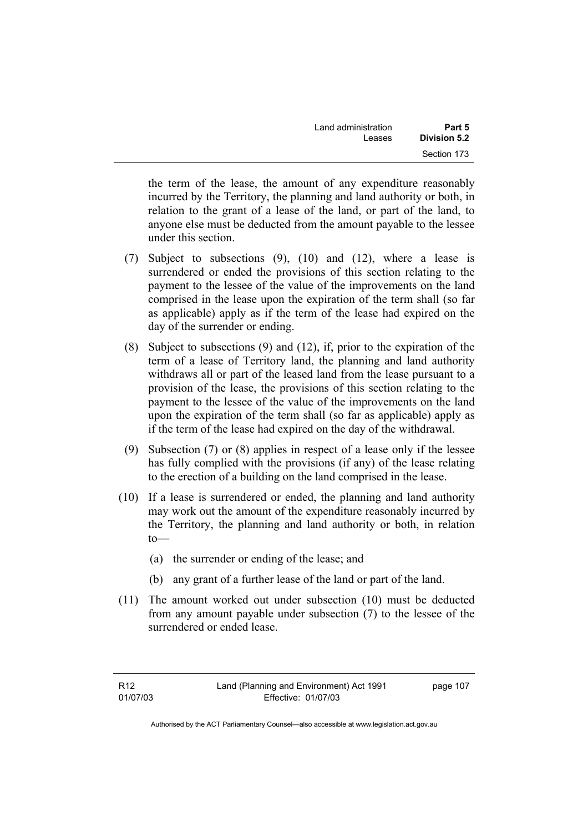| Land administration | Part 5       |
|---------------------|--------------|
| Leases              | Division 5.2 |
|                     | Section 173  |

the term of the lease, the amount of any expenditure reasonably incurred by the Territory, the planning and land authority or both, in relation to the grant of a lease of the land, or part of the land, to anyone else must be deducted from the amount payable to the lessee under this section.

- (7) Subject to subsections (9), (10) and (12), where a lease is surrendered or ended the provisions of this section relating to the payment to the lessee of the value of the improvements on the land comprised in the lease upon the expiration of the term shall (so far as applicable) apply as if the term of the lease had expired on the day of the surrender or ending.
- (8) Subject to subsections (9) and (12), if, prior to the expiration of the term of a lease of Territory land, the planning and land authority withdraws all or part of the leased land from the lease pursuant to a provision of the lease, the provisions of this section relating to the payment to the lessee of the value of the improvements on the land upon the expiration of the term shall (so far as applicable) apply as if the term of the lease had expired on the day of the withdrawal.
- (9) Subsection (7) or (8) applies in respect of a lease only if the lessee has fully complied with the provisions (if any) of the lease relating to the erection of a building on the land comprised in the lease.
- (10) If a lease is surrendered or ended, the planning and land authority may work out the amount of the expenditure reasonably incurred by the Territory, the planning and land authority or both, in relation to—
	- (a) the surrender or ending of the lease; and
	- (b) any grant of a further lease of the land or part of the land.
- (11) The amount worked out under subsection (10) must be deducted from any amount payable under subsection (7) to the lessee of the surrendered or ended lease.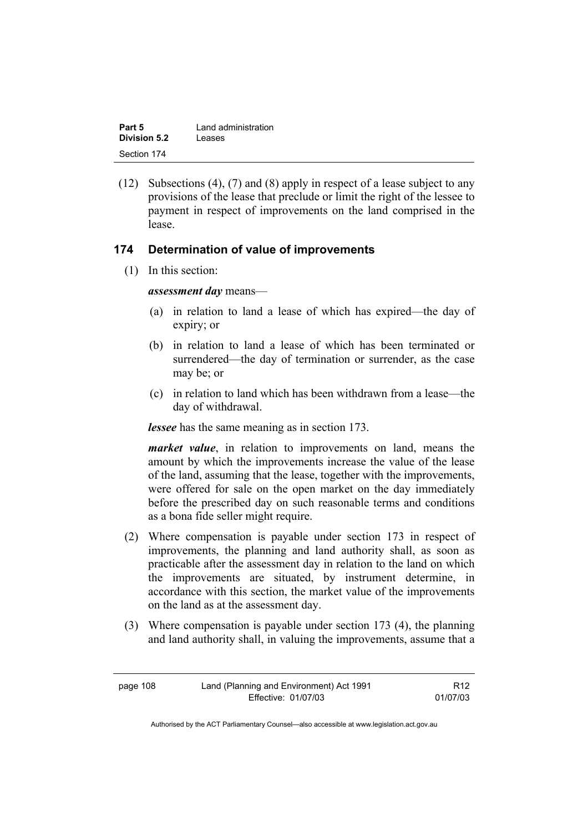| Part 5       | Land administration |
|--------------|---------------------|
| Division 5.2 | Leases              |
| Section 174  |                     |

 (12) Subsections (4), (7) and (8) apply in respect of a lease subject to any provisions of the lease that preclude or limit the right of the lessee to payment in respect of improvements on the land comprised in the lease.

#### **174 Determination of value of improvements**

(1) In this section:

*assessment day* means—

- (a) in relation to land a lease of which has expired—the day of expiry; or
- (b) in relation to land a lease of which has been terminated or surrendered—the day of termination or surrender, as the case may be; or
- (c) in relation to land which has been withdrawn from a lease—the day of withdrawal.

*lessee* has the same meaning as in section 173.

*market value*, in relation to improvements on land, means the amount by which the improvements increase the value of the lease of the land, assuming that the lease, together with the improvements, were offered for sale on the open market on the day immediately before the prescribed day on such reasonable terms and conditions as a bona fide seller might require.

- (2) Where compensation is payable under section 173 in respect of improvements, the planning and land authority shall, as soon as practicable after the assessment day in relation to the land on which the improvements are situated, by instrument determine, in accordance with this section, the market value of the improvements on the land as at the assessment day.
- (3) Where compensation is payable under section 173 (4), the planning and land authority shall, in valuing the improvements, assume that a

| page 108 | Land (Planning and Environment) Act 1991 | R <sub>12</sub> |
|----------|------------------------------------------|-----------------|
|          | Effective: 01/07/03                      | 01/07/03        |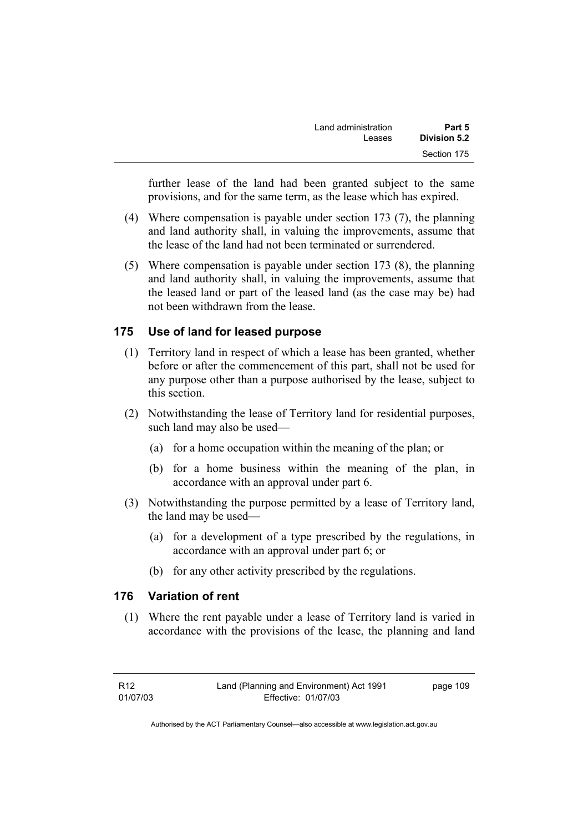| Part 5<br>Division 5.2 | Land administration |
|------------------------|---------------------|
|                        | Leases              |
| Section 175            |                     |

further lease of the land had been granted subject to the same provisions, and for the same term, as the lease which has expired.

- (4) Where compensation is payable under section 173 (7), the planning and land authority shall, in valuing the improvements, assume that the lease of the land had not been terminated or surrendered.
- (5) Where compensation is payable under section 173 (8), the planning and land authority shall, in valuing the improvements, assume that the leased land or part of the leased land (as the case may be) had not been withdrawn from the lease.

## **175 Use of land for leased purpose**

- (1) Territory land in respect of which a lease has been granted, whether before or after the commencement of this part, shall not be used for any purpose other than a purpose authorised by the lease, subject to this section.
- (2) Notwithstanding the lease of Territory land for residential purposes, such land may also be used—
	- (a) for a home occupation within the meaning of the plan; or
	- (b) for a home business within the meaning of the plan, in accordance with an approval under part 6.
- (3) Notwithstanding the purpose permitted by a lease of Territory land, the land may be used—
	- (a) for a development of a type prescribed by the regulations, in accordance with an approval under part 6; or
	- (b) for any other activity prescribed by the regulations.

### **176 Variation of rent**

 (1) Where the rent payable under a lease of Territory land is varied in accordance with the provisions of the lease, the planning and land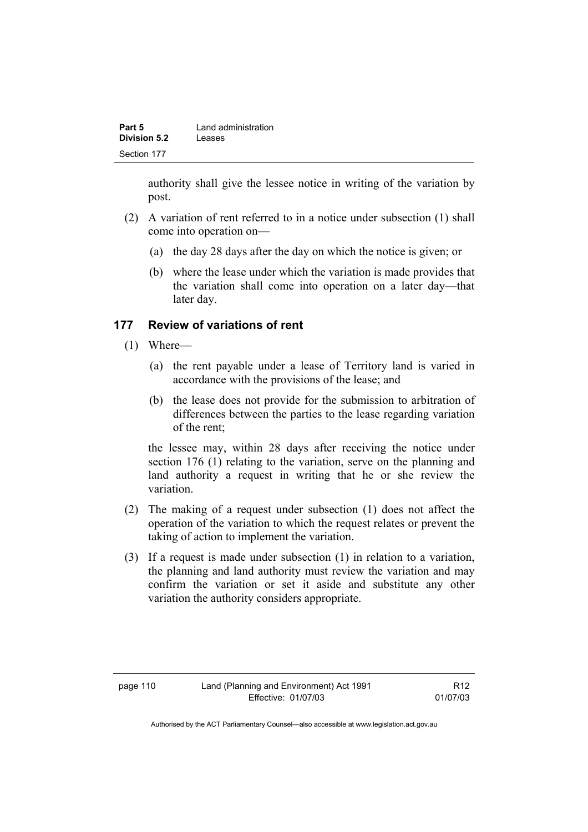| Part 5              | Land administration |
|---------------------|---------------------|
| <b>Division 5.2</b> | Leases              |
| Section 177         |                     |

authority shall give the lessee notice in writing of the variation by post.

- (2) A variation of rent referred to in a notice under subsection (1) shall come into operation on—
	- (a) the day 28 days after the day on which the notice is given; or
	- (b) where the lease under which the variation is made provides that the variation shall come into operation on a later day—that later day.

## **177 Review of variations of rent**

- (1) Where—
	- (a) the rent payable under a lease of Territory land is varied in accordance with the provisions of the lease; and
	- (b) the lease does not provide for the submission to arbitration of differences between the parties to the lease regarding variation of the rent;

the lessee may, within 28 days after receiving the notice under section 176 (1) relating to the variation, serve on the planning and land authority a request in writing that he or she review the variation.

- (2) The making of a request under subsection (1) does not affect the operation of the variation to which the request relates or prevent the taking of action to implement the variation.
- (3) If a request is made under subsection (1) in relation to a variation, the planning and land authority must review the variation and may confirm the variation or set it aside and substitute any other variation the authority considers appropriate.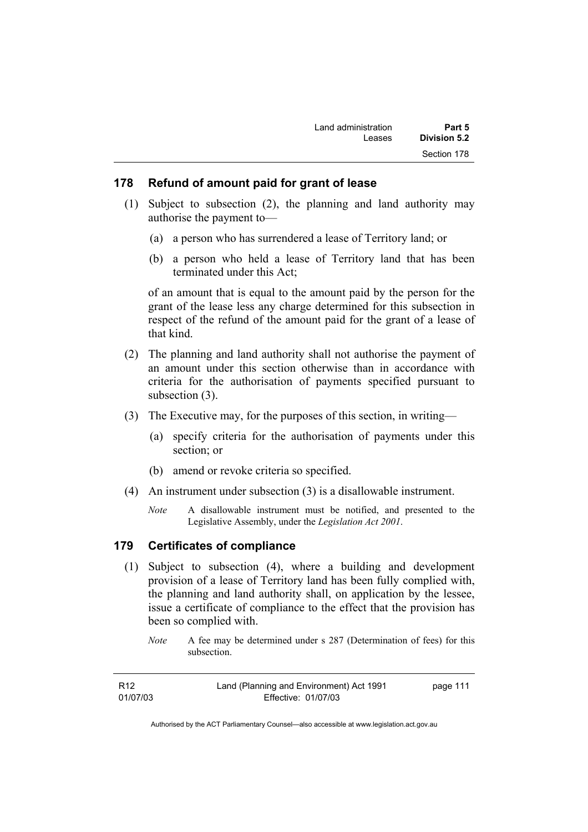| Land administration | Part 5       |
|---------------------|--------------|
| Leases              | Division 5.2 |
|                     | Section 178  |

#### **178 Refund of amount paid for grant of lease**

- (1) Subject to subsection (2), the planning and land authority may authorise the payment to—
	- (a) a person who has surrendered a lease of Territory land; or
	- (b) a person who held a lease of Territory land that has been terminated under this Act;

of an amount that is equal to the amount paid by the person for the grant of the lease less any charge determined for this subsection in respect of the refund of the amount paid for the grant of a lease of that kind.

- (2) The planning and land authority shall not authorise the payment of an amount under this section otherwise than in accordance with criteria for the authorisation of payments specified pursuant to subsection  $(3)$ .
- (3) The Executive may, for the purposes of this section, in writing—
	- (a) specify criteria for the authorisation of payments under this section; or
	- (b) amend or revoke criteria so specified.
- (4) An instrument under subsection (3) is a disallowable instrument.
	- *Note* A disallowable instrument must be notified, and presented to the Legislative Assembly, under the *Legislation Act 2001*.

#### **179 Certificates of compliance**

- (1) Subject to subsection (4), where a building and development provision of a lease of Territory land has been fully complied with, the planning and land authority shall, on application by the lessee, issue a certificate of compliance to the effect that the provision has been so complied with.
	- *Note* A fee may be determined under s 287 (Determination of fees) for this subsection.

| R <sub>12</sub> | Land (Planning and Environment) Act 1991 | page 111 |
|-----------------|------------------------------------------|----------|
| 01/07/03        | Effective: 01/07/03                      |          |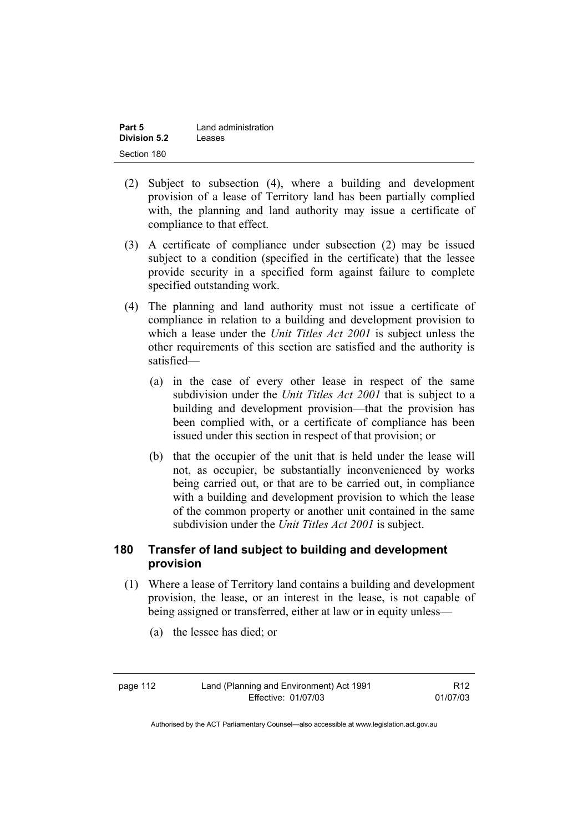| Part 5       | Land administration |
|--------------|---------------------|
| Division 5.2 | Leases              |
| Section 180  |                     |

- (2) Subject to subsection (4), where a building and development provision of a lease of Territory land has been partially complied with, the planning and land authority may issue a certificate of compliance to that effect.
- (3) A certificate of compliance under subsection (2) may be issued subject to a condition (specified in the certificate) that the lessee provide security in a specified form against failure to complete specified outstanding work.
- (4) The planning and land authority must not issue a certificate of compliance in relation to a building and development provision to which a lease under the *Unit Titles Act 2001* is subject unless the other requirements of this section are satisfied and the authority is satisfied—
	- (a) in the case of every other lease in respect of the same subdivision under the *Unit Titles Act 2001* that is subject to a building and development provision—that the provision has been complied with, or a certificate of compliance has been issued under this section in respect of that provision; or
	- (b) that the occupier of the unit that is held under the lease will not, as occupier, be substantially inconvenienced by works being carried out, or that are to be carried out, in compliance with a building and development provision to which the lease of the common property or another unit contained in the same subdivision under the *Unit Titles Act 2001* is subject.

# **180 Transfer of land subject to building and development provision**

- (1) Where a lease of Territory land contains a building and development provision, the lease, or an interest in the lease, is not capable of being assigned or transferred, either at law or in equity unless—
	- (a) the lessee has died; or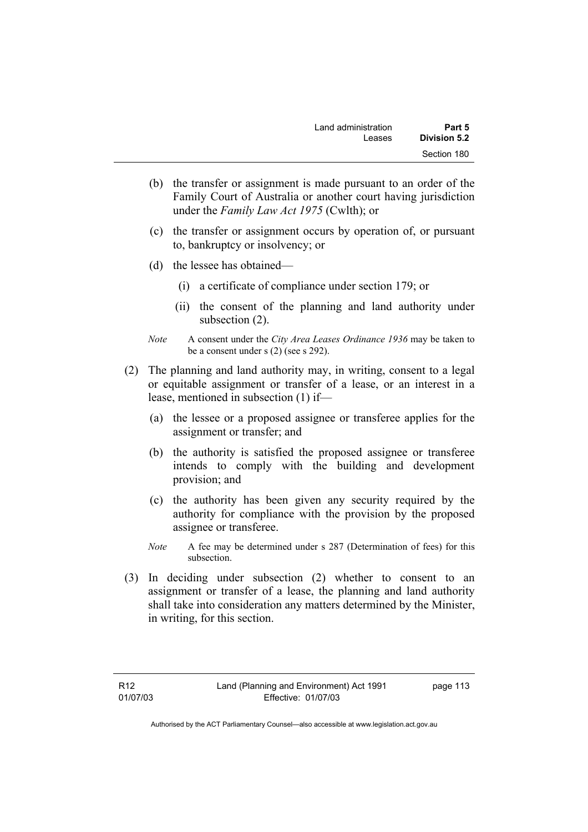| Land administration | Part 5       |
|---------------------|--------------|
| Leases              | Division 5.2 |
|                     | Section 180  |

- (b) the transfer or assignment is made pursuant to an order of the Family Court of Australia or another court having jurisdiction under the *Family Law Act 1975* (Cwlth); or
- (c) the transfer or assignment occurs by operation of, or pursuant to, bankruptcy or insolvency; or
- (d) the lessee has obtained—
	- (i) a certificate of compliance under section 179; or
	- (ii) the consent of the planning and land authority under subsection  $(2)$ .
- *Note* A consent under the *City Area Leases Ordinance 1936* may be taken to be a consent under s (2) (see s 292).
- (2) The planning and land authority may, in writing, consent to a legal or equitable assignment or transfer of a lease, or an interest in a lease, mentioned in subsection (1) if—
	- (a) the lessee or a proposed assignee or transferee applies for the assignment or transfer; and
	- (b) the authority is satisfied the proposed assignee or transferee intends to comply with the building and development provision; and
	- (c) the authority has been given any security required by the authority for compliance with the provision by the proposed assignee or transferee.
	- *Note* A fee may be determined under s 287 (Determination of fees) for this subsection.
- (3) In deciding under subsection (2) whether to consent to an assignment or transfer of a lease, the planning and land authority shall take into consideration any matters determined by the Minister, in writing, for this section.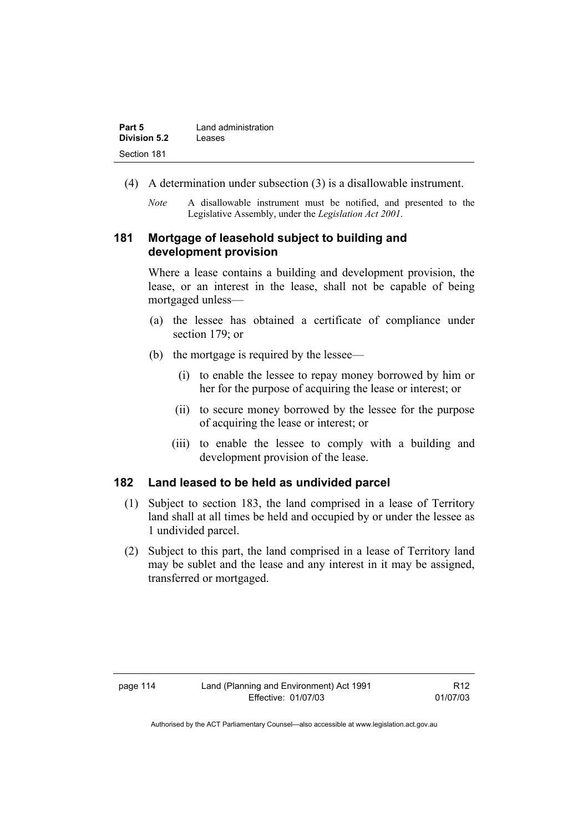| Part 5              | Land administration |
|---------------------|---------------------|
| <b>Division 5.2</b> | Leases              |
| Section 181         |                     |

- (4) A determination under subsection (3) is a disallowable instrument.
	- *Note* A disallowable instrument must be notified, and presented to the Legislative Assembly, under the *Legislation Act 2001*.

## **181 Mortgage of leasehold subject to building and development provision**

Where a lease contains a building and development provision, the lease, or an interest in the lease, shall not be capable of being mortgaged unless—

- (a) the lessee has obtained a certificate of compliance under section 179; or
- (b) the mortgage is required by the lessee—
	- (i) to enable the lessee to repay money borrowed by him or her for the purpose of acquiring the lease or interest; or
	- (ii) to secure money borrowed by the lessee for the purpose of acquiring the lease or interest; or
	- (iii) to enable the lessee to comply with a building and development provision of the lease.

#### **182 Land leased to be held as undivided parcel**

- (1) Subject to section 183, the land comprised in a lease of Territory land shall at all times be held and occupied by or under the lessee as 1 undivided parcel.
- (2) Subject to this part, the land comprised in a lease of Territory land may be sublet and the lease and any interest in it may be assigned, transferred or mortgaged.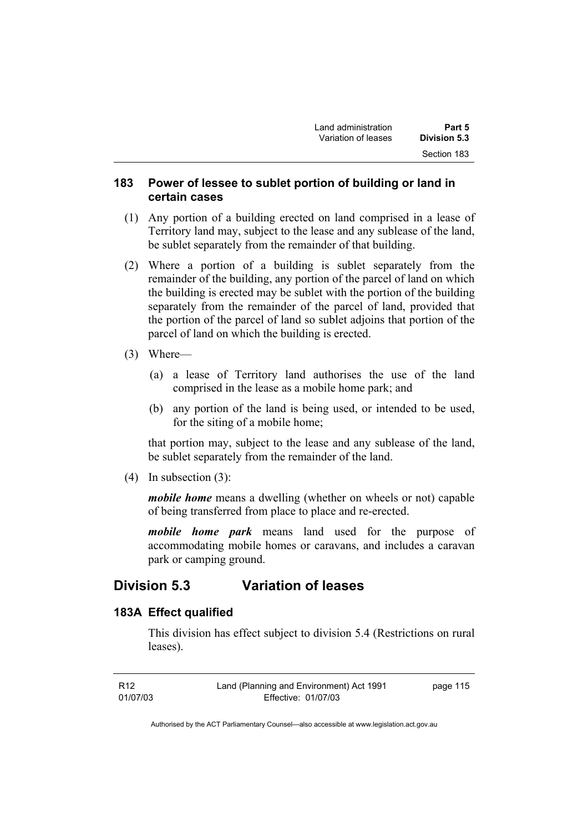## **183 Power of lessee to sublet portion of building or land in certain cases**

- (1) Any portion of a building erected on land comprised in a lease of Territory land may, subject to the lease and any sublease of the land, be sublet separately from the remainder of that building.
- (2) Where a portion of a building is sublet separately from the remainder of the building, any portion of the parcel of land on which the building is erected may be sublet with the portion of the building separately from the remainder of the parcel of land, provided that the portion of the parcel of land so sublet adjoins that portion of the parcel of land on which the building is erected.
- (3) Where—
	- (a) a lease of Territory land authorises the use of the land comprised in the lease as a mobile home park; and
	- (b) any portion of the land is being used, or intended to be used, for the siting of a mobile home;

that portion may, subject to the lease and any sublease of the land, be sublet separately from the remainder of the land.

(4) In subsection (3):

*mobile home* means a dwelling (whether on wheels or not) capable of being transferred from place to place and re-erected.

*mobile home park* means land used for the purpose of accommodating mobile homes or caravans, and includes a caravan park or camping ground.

# **Division 5.3 Variation of leases**

#### **183A Effect qualified**

This division has effect subject to division 5.4 (Restrictions on rural leases).

| R <sub>12</sub> | Land (Planning and Environment) Act 1991 | page 115 |
|-----------------|------------------------------------------|----------|
| 01/07/03        | Effective: 01/07/03                      |          |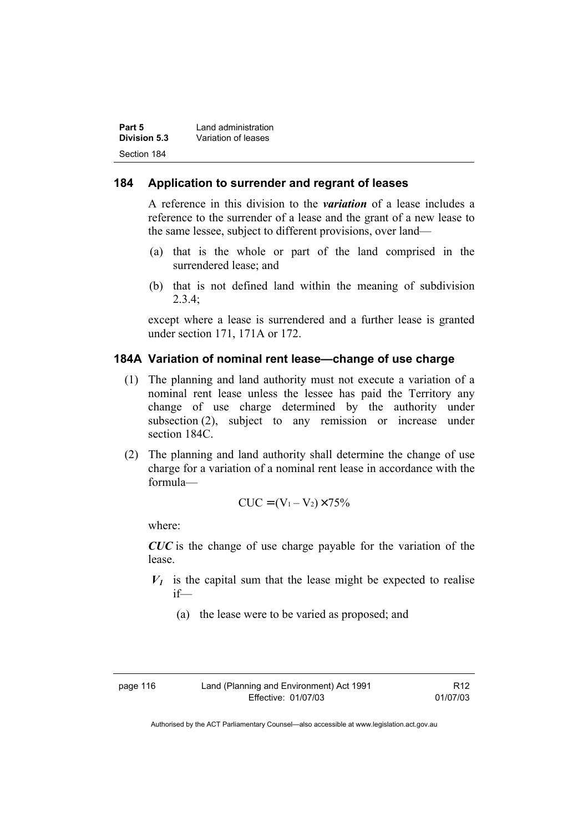| Part 5       | Land administration |
|--------------|---------------------|
| Division 5.3 | Variation of leases |
| Section 184  |                     |

#### **184 Application to surrender and regrant of leases**

A reference in this division to the *variation* of a lease includes a reference to the surrender of a lease and the grant of a new lease to the same lessee, subject to different provisions, over land—

- (a) that is the whole or part of the land comprised in the surrendered lease; and
- (b) that is not defined land within the meaning of subdivision  $2.3.4$

except where a lease is surrendered and a further lease is granted under section 171, 171A or 172.

#### **184A Variation of nominal rent lease—change of use charge**

- (1) The planning and land authority must not execute a variation of a nominal rent lease unless the lessee has paid the Territory any change of use charge determined by the authority under subsection (2), subject to any remission or increase under section 184C.
- (2) The planning and land authority shall determine the change of use charge for a variation of a nominal rent lease in accordance with the formula—

$$
CUC = (V_1 - V_2) \times 75\%
$$

where:

*CUC* is the change of use charge payable for the variation of the lease.

- $V_1$  is the capital sum that the lease might be expected to realise if—
	- (a) the lease were to be varied as proposed; and

| page 116 |  |
|----------|--|
|----------|--|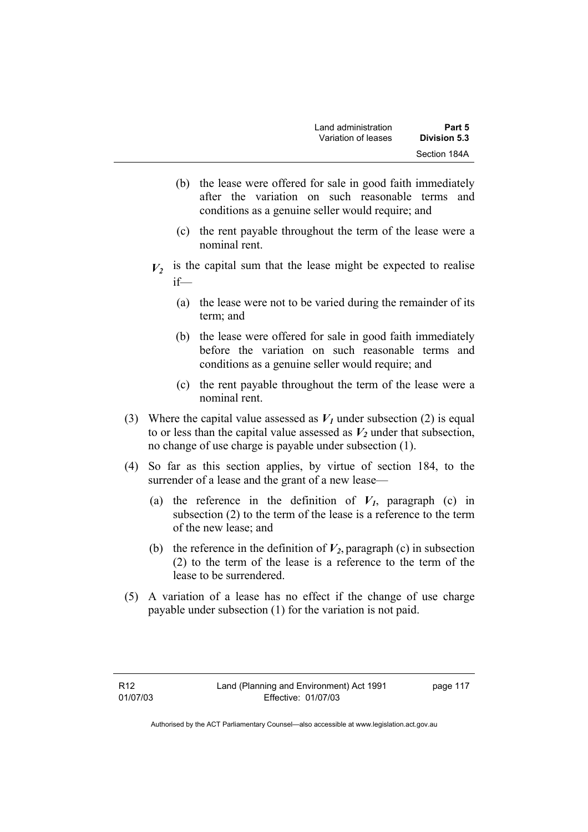- (b) the lease were offered for sale in good faith immediately after the variation on such reasonable terms and conditions as a genuine seller would require; and
- (c) the rent payable throughout the term of the lease were a nominal rent.
- $V_2$  is the capital sum that the lease might be expected to realise if—
	- (a) the lease were not to be varied during the remainder of its term; and
	- (b) the lease were offered for sale in good faith immediately before the variation on such reasonable terms and conditions as a genuine seller would require; and
	- (c) the rent payable throughout the term of the lease were a nominal rent.
- (3) Where the capital value assessed as  $V_I$  under subsection (2) is equal to or less than the capital value assessed as  $V_2$  under that subsection, no change of use charge is payable under subsection (1).
- (4) So far as this section applies, by virtue of section 184, to the surrender of a lease and the grant of a new lease—
	- (a) the reference in the definition of  $V_I$ , paragraph (c) in subsection (2) to the term of the lease is a reference to the term of the new lease; and
	- (b) the reference in the definition of  $V_2$ , paragraph (c) in subsection (2) to the term of the lease is a reference to the term of the lease to be surrendered.
- (5) A variation of a lease has no effect if the change of use charge payable under subsection (1) for the variation is not paid.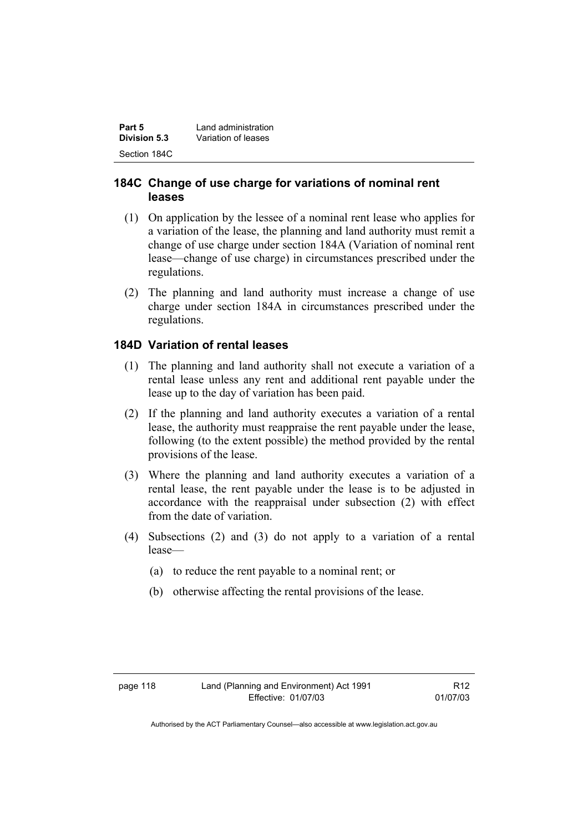| Part 5       | Land administration |
|--------------|---------------------|
| Division 5.3 | Variation of leases |
| Section 184C |                     |

## **184C Change of use charge for variations of nominal rent leases**

- (1) On application by the lessee of a nominal rent lease who applies for a variation of the lease, the planning and land authority must remit a change of use charge under section 184A (Variation of nominal rent lease—change of use charge) in circumstances prescribed under the regulations.
- (2) The planning and land authority must increase a change of use charge under section 184A in circumstances prescribed under the regulations.

## **184D Variation of rental leases**

- (1) The planning and land authority shall not execute a variation of a rental lease unless any rent and additional rent payable under the lease up to the day of variation has been paid.
- (2) If the planning and land authority executes a variation of a rental lease, the authority must reappraise the rent payable under the lease, following (to the extent possible) the method provided by the rental provisions of the lease.
- (3) Where the planning and land authority executes a variation of a rental lease, the rent payable under the lease is to be adjusted in accordance with the reappraisal under subsection (2) with effect from the date of variation.
- (4) Subsections (2) and (3) do not apply to a variation of a rental lease—
	- (a) to reduce the rent payable to a nominal rent; or
	- (b) otherwise affecting the rental provisions of the lease.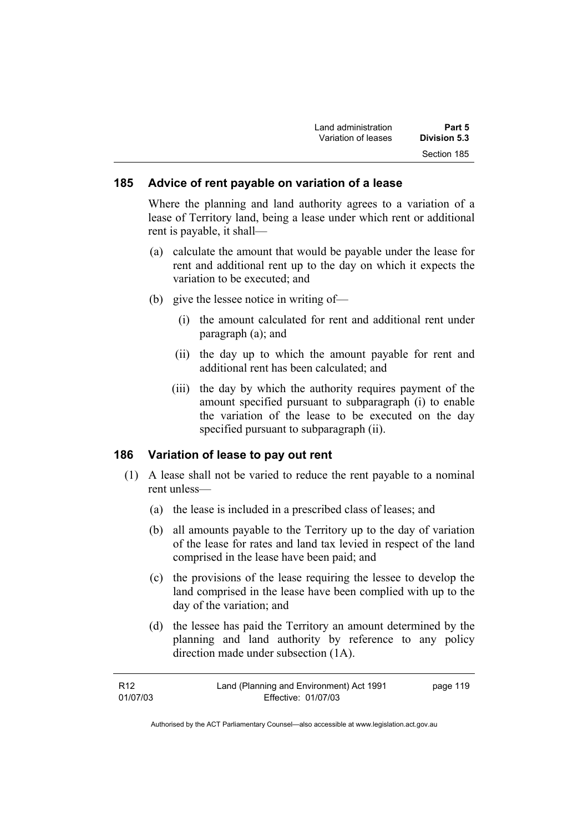| Land administration | Part 5              |  |
|---------------------|---------------------|--|
| Variation of leases | <b>Division 5.3</b> |  |
|                     | Section 185         |  |

#### **185 Advice of rent payable on variation of a lease**

Where the planning and land authority agrees to a variation of a lease of Territory land, being a lease under which rent or additional rent is payable, it shall—

- (a) calculate the amount that would be payable under the lease for rent and additional rent up to the day on which it expects the variation to be executed; and
- (b) give the lessee notice in writing of—
	- (i) the amount calculated for rent and additional rent under paragraph (a); and
	- (ii) the day up to which the amount payable for rent and additional rent has been calculated; and
	- (iii) the day by which the authority requires payment of the amount specified pursuant to subparagraph (i) to enable the variation of the lease to be executed on the day specified pursuant to subparagraph (ii).

#### **186 Variation of lease to pay out rent**

- (1) A lease shall not be varied to reduce the rent payable to a nominal rent unless—
	- (a) the lease is included in a prescribed class of leases; and
	- (b) all amounts payable to the Territory up to the day of variation of the lease for rates and land tax levied in respect of the land comprised in the lease have been paid; and
	- (c) the provisions of the lease requiring the lessee to develop the land comprised in the lease have been complied with up to the day of the variation; and
	- (d) the lessee has paid the Territory an amount determined by the planning and land authority by reference to any policy direction made under subsection (1A).

| R12      | Land (Planning and Environment) Act 1991 | page 119 |
|----------|------------------------------------------|----------|
| 01/07/03 | Effective: 01/07/03                      |          |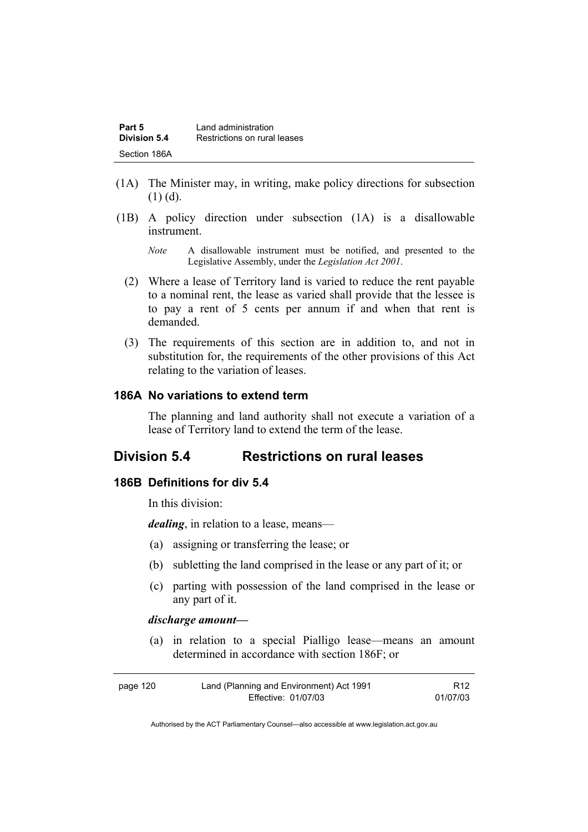| Part 5       | Land administration          |
|--------------|------------------------------|
| Division 5.4 | Restrictions on rural leases |
| Section 186A |                              |

- (1A) The Minister may, in writing, make policy directions for subsection  $(1)$  (d).
- (1B) A policy direction under subsection (1A) is a disallowable instrument.
	- *Note* A disallowable instrument must be notified, and presented to the Legislative Assembly, under the *Legislation Act 2001*.
	- (2) Where a lease of Territory land is varied to reduce the rent payable to a nominal rent, the lease as varied shall provide that the lessee is to pay a rent of 5 cents per annum if and when that rent is demanded.
	- (3) The requirements of this section are in addition to, and not in substitution for, the requirements of the other provisions of this Act relating to the variation of leases.

## **186A No variations to extend term**

The planning and land authority shall not execute a variation of a lease of Territory land to extend the term of the lease.

# **Division 5.4 Restrictions on rural leases**

### **186B Definitions for div 5.4**

In this division:

*dealing*, in relation to a lease, means—

- (a) assigning or transferring the lease; or
- (b) subletting the land comprised in the lease or any part of it; or
- (c) parting with possession of the land comprised in the lease or any part of it.

#### *discharge amount—*

 (a) in relation to a special Pialligo lease—means an amount determined in accordance with section 186F; or

| page 120 | Land (Planning and Environment) Act 1991 | R <sub>12</sub> |
|----------|------------------------------------------|-----------------|
|          | Effective: 01/07/03                      | 01/07/03        |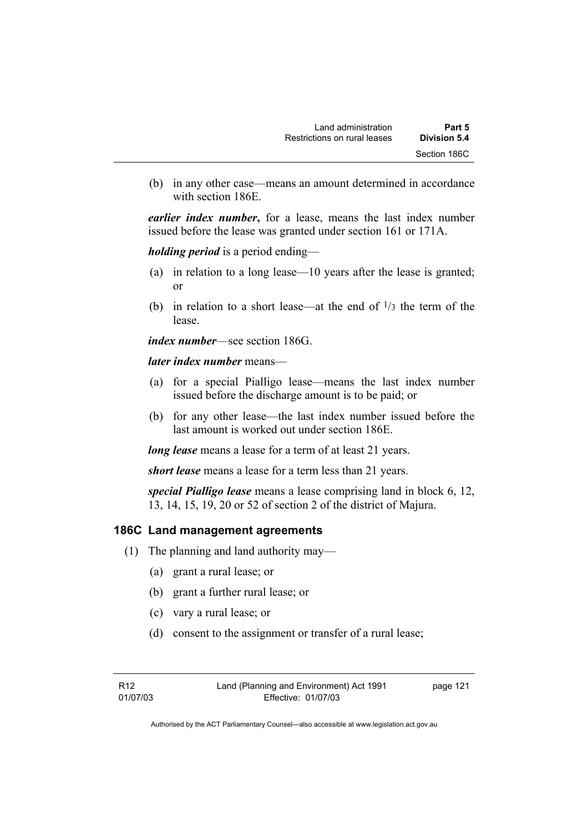(b) in any other case—means an amount determined in accordance with section 186E.

*earlier index number***,** for a lease, means the last index number issued before the lease was granted under section 161 or 171A.

*holding period* is a period ending—

- (a) in relation to a long lease—10 years after the lease is granted; or
- (b) in relation to a short lease—at the end of  $\frac{1}{3}$  the term of the lease.

*index number*—see section 186G.

*later index number* means—

- (a) for a special Pialligo lease—means the last index number issued before the discharge amount is to be paid; or
- (b) for any other lease—the last index number issued before the last amount is worked out under section 186E.

*long lease* means a lease for a term of at least 21 years.

*short lease* means a lease for a term less than 21 years.

*special Pialligo lease* means a lease comprising land in block 6, 12, 13, 14, 15, 19, 20 or 52 of section 2 of the district of Majura.

# **186C Land management agreements**

- (1) The planning and land authority may—
	- (a) grant a rural lease; or
	- (b) grant a further rural lease; or
	- (c) vary a rural lease; or
	- (d) consent to the assignment or transfer of a rural lease;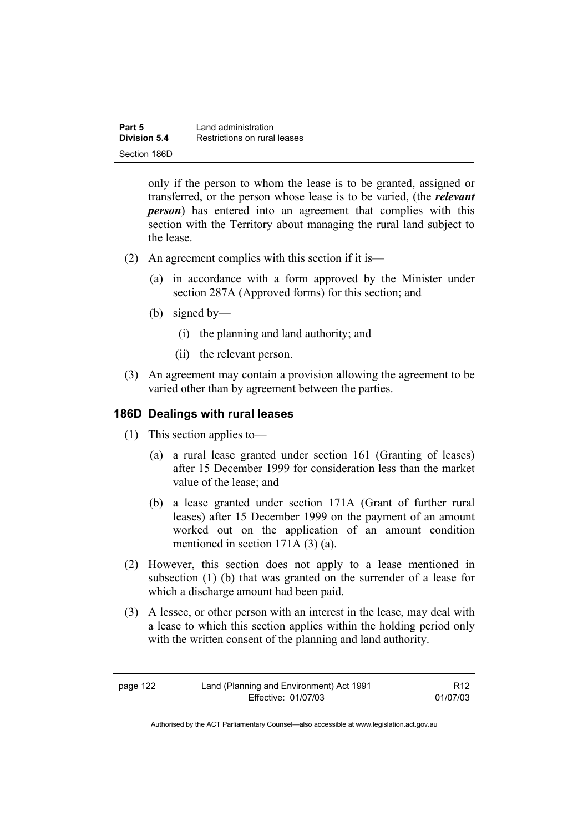| Part 5<br>Division 5.4 | Land administration<br>Restrictions on rural leases |
|------------------------|-----------------------------------------------------|
|                        |                                                     |
| Section 186D           |                                                     |

only if the person to whom the lease is to be granted, assigned or transferred, or the person whose lease is to be varied, (the *relevant person*) has entered into an agreement that complies with this section with the Territory about managing the rural land subject to the lease.

- (2) An agreement complies with this section if it is—
	- (a) in accordance with a form approved by the Minister under section 287A (Approved forms) for this section; and
	- (b) signed by—
		- (i) the planning and land authority; and
		- (ii) the relevant person.
- (3) An agreement may contain a provision allowing the agreement to be varied other than by agreement between the parties.

#### **186D Dealings with rural leases**

- (1) This section applies to—
	- (a) a rural lease granted under section 161 (Granting of leases) after 15 December 1999 for consideration less than the market value of the lease; and
	- (b) a lease granted under section 171A (Grant of further rural leases) after 15 December 1999 on the payment of an amount worked out on the application of an amount condition mentioned in section 171A (3) (a).
- (2) However, this section does not apply to a lease mentioned in subsection (1) (b) that was granted on the surrender of a lease for which a discharge amount had been paid.
- (3) A lessee, or other person with an interest in the lease, may deal with a lease to which this section applies within the holding period only with the written consent of the planning and land authority.

| page 122 | Land (Planning and Environment) Act 1991 | R <sub>12</sub> |
|----------|------------------------------------------|-----------------|
|          | Effective: 01/07/03                      | 01/07/03        |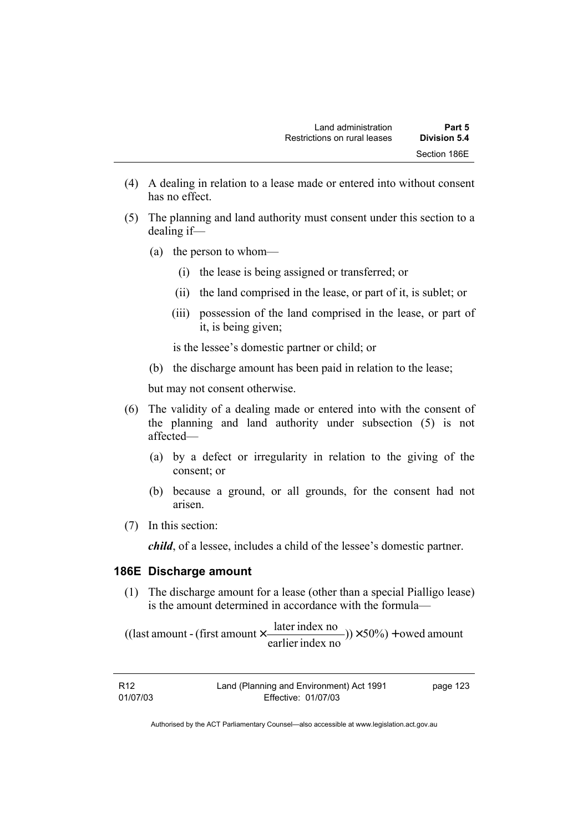- (4) A dealing in relation to a lease made or entered into without consent has no effect.
- (5) The planning and land authority must consent under this section to a dealing if—
	- (a) the person to whom—
		- (i) the lease is being assigned or transferred; or
		- (ii) the land comprised in the lease, or part of it, is sublet; or
		- (iii) possession of the land comprised in the lease, or part of it, is being given;

is the lessee's domestic partner or child; or

(b) the discharge amount has been paid in relation to the lease;

but may not consent otherwise.

- (6) The validity of a dealing made or entered into with the consent of the planning and land authority under subsection (5) is not affected—
	- (a) by a defect or irregularity in relation to the giving of the consent; or
	- (b) because a ground, or all grounds, for the consent had not arisen.
- (7) In this section:

*child*, of a lessee, includes a child of the lessee's domestic partner.

#### **186E Discharge amount**

 (1) The discharge amount for a lease (other than a special Pialligo lease) is the amount determined in accordance with the formula—

 $(y) \times 50\%$  + owed amount earlier index no ((last amount - (first amount  $\times \frac{\text{later index no}}{\text{in} \cdot \cdot \cdot \cdot}$ )) $\times$  50%) +

| R12      | Land (Planning and Environment) Act 1991 | page 123 |
|----------|------------------------------------------|----------|
| 01/07/03 | Effective: 01/07/03                      |          |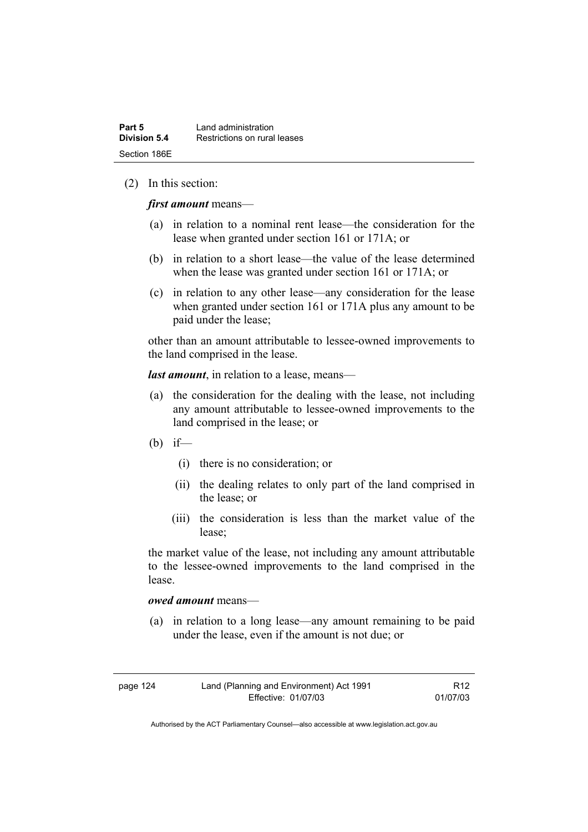#### (2) In this section:

*first amount* means—

- (a) in relation to a nominal rent lease—the consideration for the lease when granted under section 161 or 171A; or
- (b) in relation to a short lease—the value of the lease determined when the lease was granted under section 161 or 171A; or
- (c) in relation to any other lease—any consideration for the lease when granted under section 161 or 171A plus any amount to be paid under the lease;

other than an amount attributable to lessee-owned improvements to the land comprised in the lease.

*last amount*, in relation to a lease, means—

- (a) the consideration for the dealing with the lease, not including any amount attributable to lessee-owned improvements to the land comprised in the lease; or
- (b) if—
	- (i) there is no consideration; or
	- (ii) the dealing relates to only part of the land comprised in the lease; or
	- (iii) the consideration is less than the market value of the lease;

the market value of the lease, not including any amount attributable to the lessee-owned improvements to the land comprised in the lease.

#### *owed amount* means—

 (a) in relation to a long lease—any amount remaining to be paid under the lease, even if the amount is not due; or

| page 124 | Land (Planning and Environment) Act 1991 | R12      |
|----------|------------------------------------------|----------|
|          | Effective: 01/07/03                      | 01/07/03 |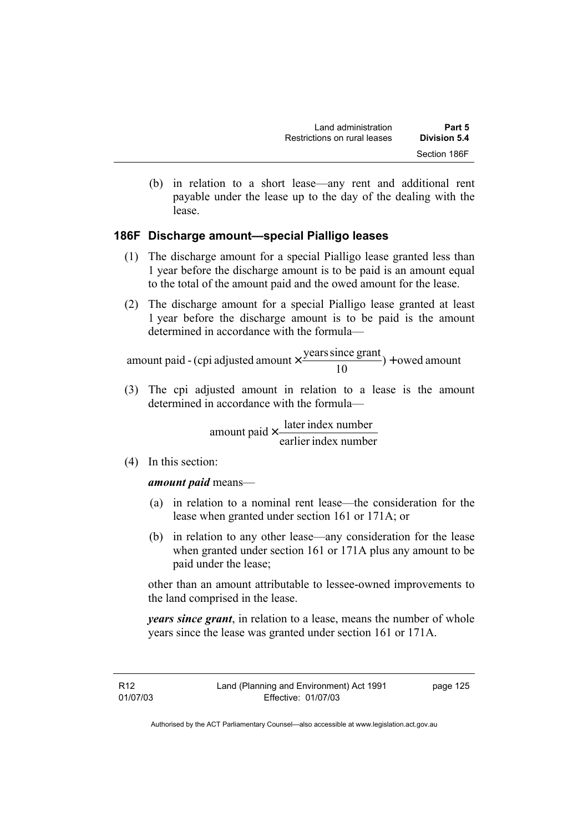(b) in relation to a short lease—any rent and additional rent payable under the lease up to the day of the dealing with the lease.

# **186F Discharge amount—special Pialligo leases**

- (1) The discharge amount for a special Pialligo lease granted less than 1 year before the discharge amount is to be paid is an amount equal to the total of the amount paid and the owed amount for the lease.
- (2) The discharge amount for a special Pialligo lease granted at least 1 year before the discharge amount is to be paid is the amount determined in accordance with the formula—

 $) +$  owed amount 10 amount paid - (cpi adjusted amount  $\times \frac{\text{years since grant}}{10}$ ) +

 (3) The cpi adjusted amount in relation to a lease is the amount determined in accordance with the formula—

> earlier index number amount paid  $\times \frac{\text{later index number}}{\text{linter index}}$

(4) In this section:

#### *amount paid* means—

- (a) in relation to a nominal rent lease—the consideration for the lease when granted under section 161 or 171A; or
- (b) in relation to any other lease—any consideration for the lease when granted under section 161 or 171A plus any amount to be paid under the lease;

other than an amount attributable to lessee-owned improvements to the land comprised in the lease.

*years since grant*, in relation to a lease, means the number of whole years since the lease was granted under section 161 or 171A.

R12 01/07/03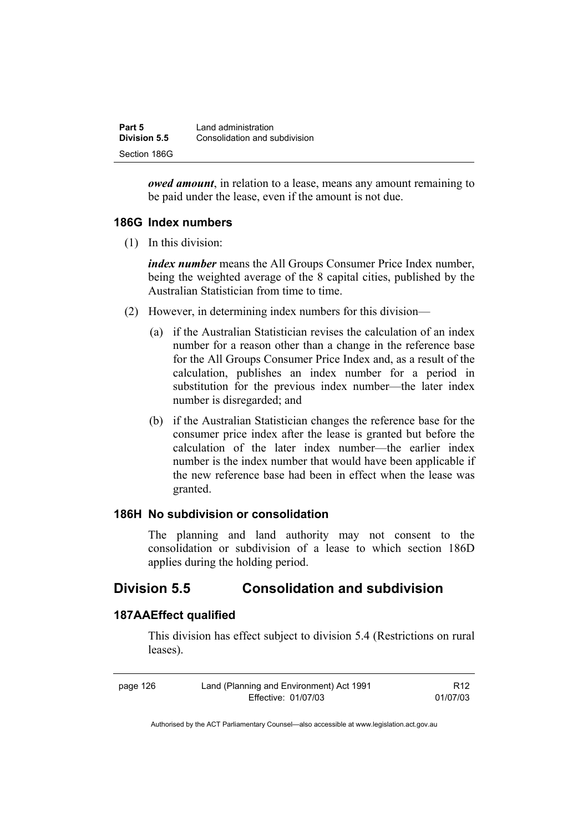| Part 5       | Land administration           |  |
|--------------|-------------------------------|--|
| Division 5.5 | Consolidation and subdivision |  |
| Section 186G |                               |  |

*owed amount*, in relation to a lease, means any amount remaining to be paid under the lease, even if the amount is not due.

## **186G Index numbers**

(1) In this division:

*index number* means the All Groups Consumer Price Index number, being the weighted average of the 8 capital cities, published by the Australian Statistician from time to time.

- (2) However, in determining index numbers for this division—
	- (a) if the Australian Statistician revises the calculation of an index number for a reason other than a change in the reference base for the All Groups Consumer Price Index and, as a result of the calculation, publishes an index number for a period in substitution for the previous index number—the later index number is disregarded; and
	- (b) if the Australian Statistician changes the reference base for the consumer price index after the lease is granted but before the calculation of the later index number—the earlier index number is the index number that would have been applicable if the new reference base had been in effect when the lease was granted.

## **186H No subdivision or consolidation**

The planning and land authority may not consent to the consolidation or subdivision of a lease to which section 186D applies during the holding period.

# **Division 5.5 Consolidation and subdivision**

### **187AAEffect qualified**

This division has effect subject to division 5.4 (Restrictions on rural leases).

| page 126 | Land (Planning and Environment) Act 1991 | R <sub>12</sub> |
|----------|------------------------------------------|-----------------|
|          | Effective: 01/07/03                      | 01/07/03        |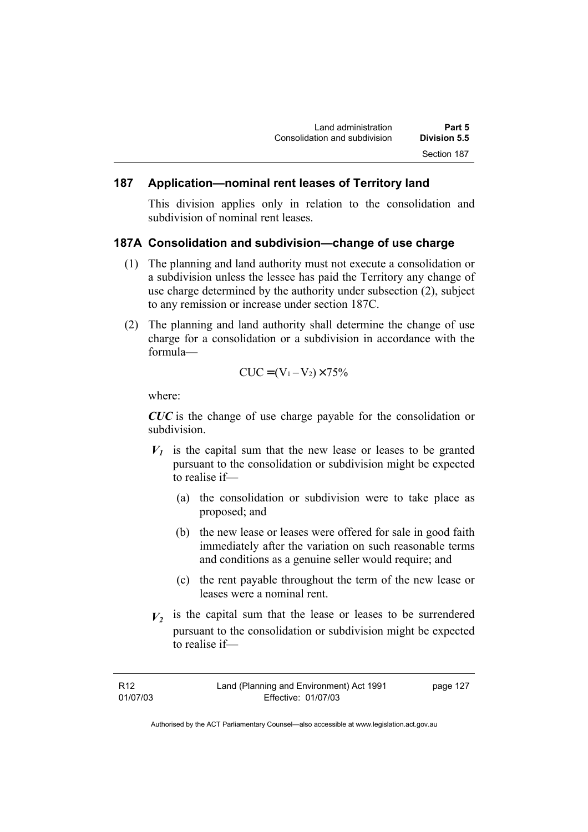## **187 Application—nominal rent leases of Territory land**

This division applies only in relation to the consolidation and subdivision of nominal rent leases.

#### **187A Consolidation and subdivision—change of use charge**

- (1) The planning and land authority must not execute a consolidation or a subdivision unless the lessee has paid the Territory any change of use charge determined by the authority under subsection (2), subject to any remission or increase under section 187C.
- (2) The planning and land authority shall determine the change of use charge for a consolidation or a subdivision in accordance with the formula—

$$
CUC = (V_1 - V_2) \times 75\%
$$

where:

*CUC* is the change of use charge payable for the consolidation or subdivision.

- $V_1$  is the capital sum that the new lease or leases to be granted pursuant to the consolidation or subdivision might be expected to realise if—
	- (a) the consolidation or subdivision were to take place as proposed; and
	- (b) the new lease or leases were offered for sale in good faith immediately after the variation on such reasonable terms and conditions as a genuine seller would require; and
	- (c) the rent payable throughout the term of the new lease or leases were a nominal rent.
- $V_2$  is the capital sum that the lease or leases to be surrendered pursuant to the consolidation or subdivision might be expected to realise if—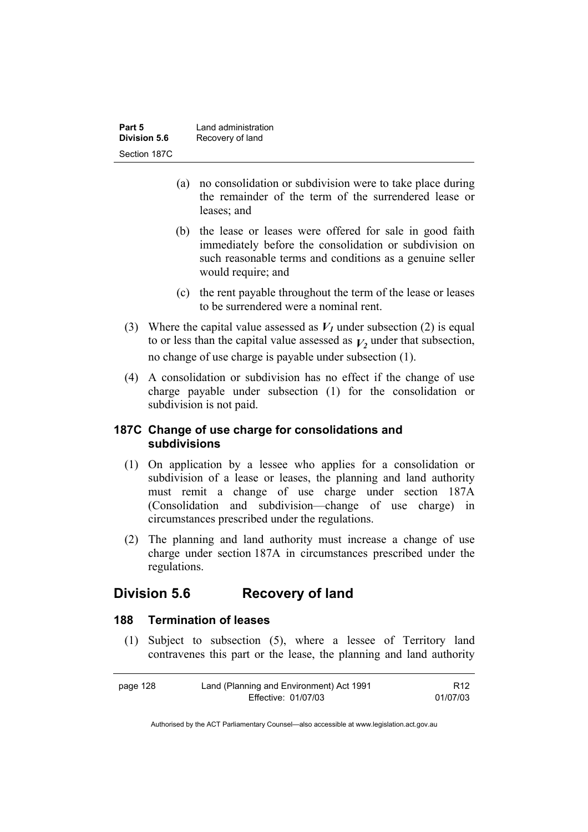| Part 5       | Land administration |  |
|--------------|---------------------|--|
| Division 5.6 | Recovery of land    |  |
| Section 187C |                     |  |

- (a) no consolidation or subdivision were to take place during the remainder of the term of the surrendered lease or leases; and
- (b) the lease or leases were offered for sale in good faith immediately before the consolidation or subdivision on such reasonable terms and conditions as a genuine seller would require; and
- (c) the rent payable throughout the term of the lease or leases to be surrendered were a nominal rent.
- (3) Where the capital value assessed as  $V_1$  under subsection (2) is equal to or less than the capital value assessed as  $V_2$  under that subsection, no change of use charge is payable under subsection (1).
- (4) A consolidation or subdivision has no effect if the change of use charge payable under subsection (1) for the consolidation or subdivision is not paid.

## **187C Change of use charge for consolidations and subdivisions**

- (1) On application by a lessee who applies for a consolidation or subdivision of a lease or leases, the planning and land authority must remit a change of use charge under section 187A (Consolidation and subdivision—change of use charge) in circumstances prescribed under the regulations.
- (2) The planning and land authority must increase a change of use charge under section 187A in circumstances prescribed under the regulations.

# **Division 5.6 Recovery of land**

#### **188 Termination of leases**

 (1) Subject to subsection (5), where a lessee of Territory land contravenes this part or the lease, the planning and land authority

| page 128 | Land (Planning and Environment) Act 1991 | R <sub>12</sub> |
|----------|------------------------------------------|-----------------|
|          | Effective: 01/07/03                      | 01/07/03        |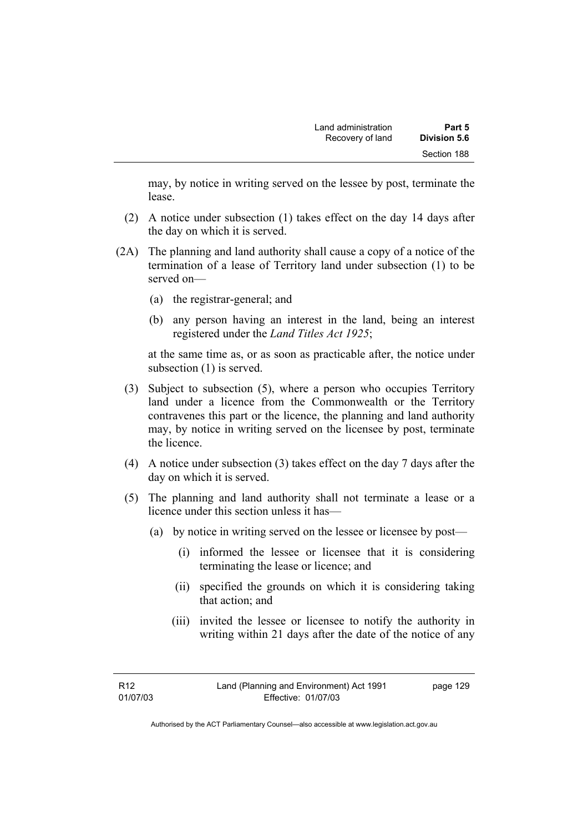may, by notice in writing served on the lessee by post, terminate the lease.

- (2) A notice under subsection (1) takes effect on the day 14 days after the day on which it is served.
- (2A) The planning and land authority shall cause a copy of a notice of the termination of a lease of Territory land under subsection (1) to be served on—
	- (a) the registrar-general; and
	- (b) any person having an interest in the land, being an interest registered under the *Land Titles Act 1925*;

at the same time as, or as soon as practicable after, the notice under subsection (1) is served.

- (3) Subject to subsection (5), where a person who occupies Territory land under a licence from the Commonwealth or the Territory contravenes this part or the licence, the planning and land authority may, by notice in writing served on the licensee by post, terminate the licence.
- (4) A notice under subsection (3) takes effect on the day 7 days after the day on which it is served.
- (5) The planning and land authority shall not terminate a lease or a licence under this section unless it has—
	- (a) by notice in writing served on the lessee or licensee by post—
		- (i) informed the lessee or licensee that it is considering terminating the lease or licence; and
		- (ii) specified the grounds on which it is considering taking that action; and
		- (iii) invited the lessee or licensee to notify the authority in writing within 21 days after the date of the notice of any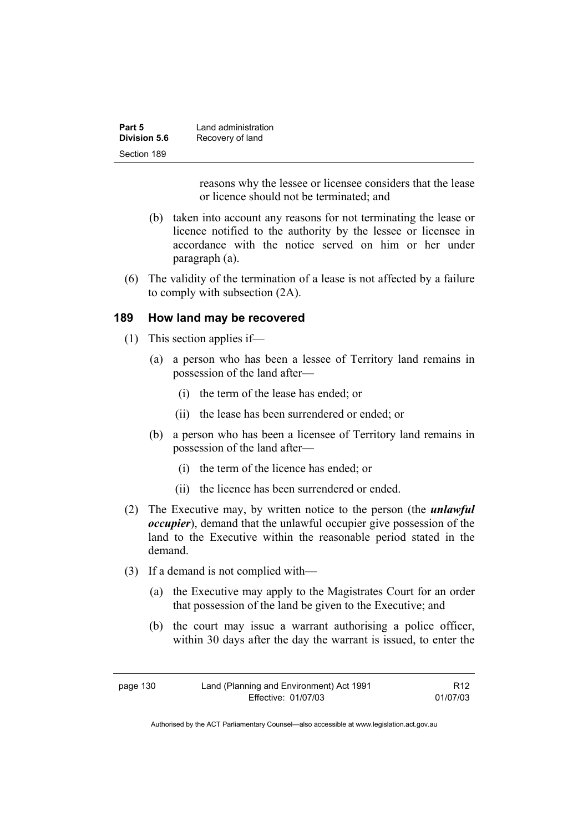| Part 5       | Land administration |
|--------------|---------------------|
| Division 5.6 | Recovery of land    |
| Section 189  |                     |

reasons why the lessee or licensee considers that the lease or licence should not be terminated; and

- (b) taken into account any reasons for not terminating the lease or licence notified to the authority by the lessee or licensee in accordance with the notice served on him or her under paragraph (a).
- (6) The validity of the termination of a lease is not affected by a failure to comply with subsection (2A).

#### **189 How land may be recovered**

- (1) This section applies if—
	- (a) a person who has been a lessee of Territory land remains in possession of the land after—
		- (i) the term of the lease has ended; or
		- (ii) the lease has been surrendered or ended; or
	- (b) a person who has been a licensee of Territory land remains in possession of the land after—
		- (i) the term of the licence has ended; or
		- (ii) the licence has been surrendered or ended.
- (2) The Executive may, by written notice to the person (the *unlawful occupier*), demand that the unlawful occupier give possession of the land to the Executive within the reasonable period stated in the demand.
- (3) If a demand is not complied with—
	- (a) the Executive may apply to the Magistrates Court for an order that possession of the land be given to the Executive; and
	- (b) the court may issue a warrant authorising a police officer, within 30 days after the day the warrant is issued, to enter the

R12 01/07/03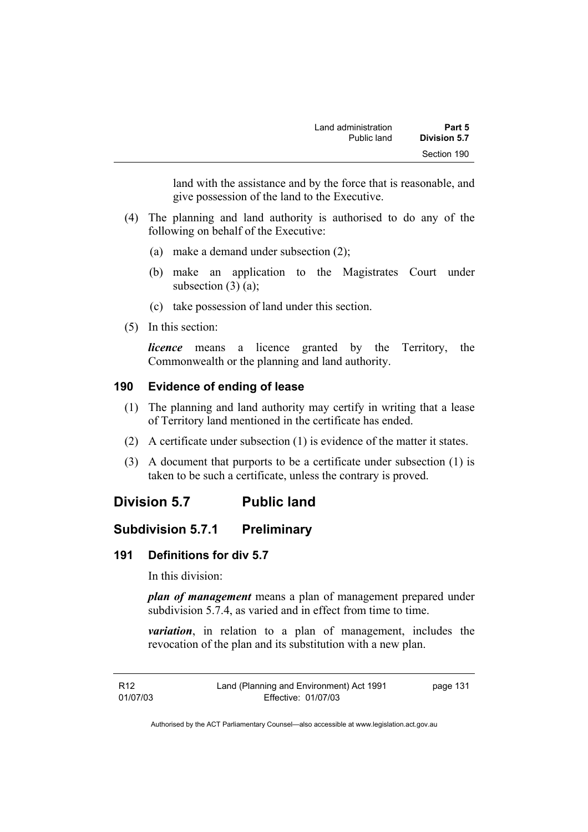land with the assistance and by the force that is reasonable, and give possession of the land to the Executive.

- (4) The planning and land authority is authorised to do any of the following on behalf of the Executive:
	- (a) make a demand under subsection (2);
	- (b) make an application to the Magistrates Court under subsection  $(3)$   $(a)$ ;
	- (c) take possession of land under this section.
- (5) In this section:

*licence* means a licence granted by the Territory, the Commonwealth or the planning and land authority.

# **190 Evidence of ending of lease**

- (1) The planning and land authority may certify in writing that a lease of Territory land mentioned in the certificate has ended.
- (2) A certificate under subsection (1) is evidence of the matter it states.
- (3) A document that purports to be a certificate under subsection (1) is taken to be such a certificate, unless the contrary is proved.

# **Division 5.7 Public land**

# **Subdivision 5.7.1 Preliminary**

# **191 Definitions for div 5.7**

In this division:

*plan of management* means a plan of management prepared under subdivision 5.7.4, as varied and in effect from time to time.

*variation*, in relation to a plan of management, includes the revocation of the plan and its substitution with a new plan.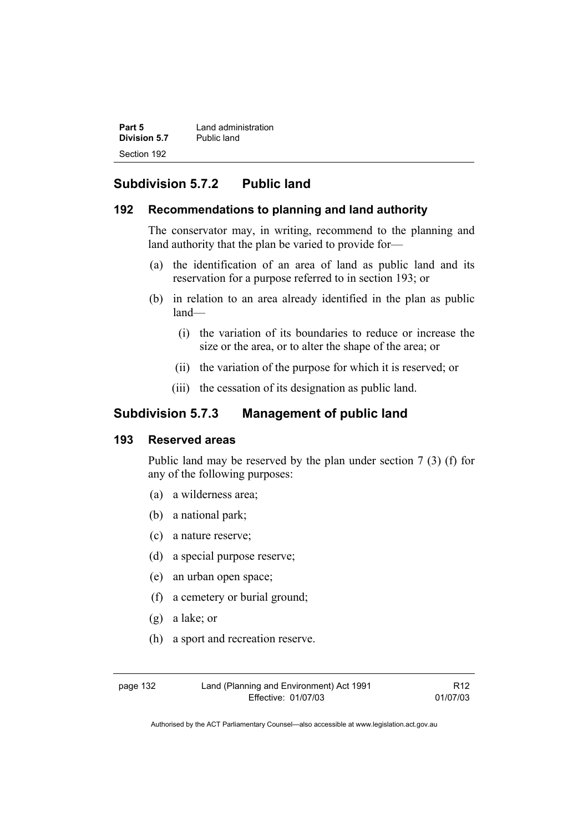| Part 5              | Land administration |
|---------------------|---------------------|
| <b>Division 5.7</b> | Public land         |
| Section 192         |                     |

# **Subdivision 5.7.2 Public land**

#### **192 Recommendations to planning and land authority**

The conservator may, in writing, recommend to the planning and land authority that the plan be varied to provide for—

- (a) the identification of an area of land as public land and its reservation for a purpose referred to in section 193; or
- (b) in relation to an area already identified in the plan as public land—
	- (i) the variation of its boundaries to reduce or increase the size or the area, or to alter the shape of the area; or
	- (ii) the variation of the purpose for which it is reserved; or
	- (iii) the cessation of its designation as public land.

# **Subdivision 5.7.3 Management of public land**

# **193 Reserved areas**

Public land may be reserved by the plan under section 7 (3) (f) for any of the following purposes:

- (a) a wilderness area;
- (b) a national park;
- (c) a nature reserve;
- (d) a special purpose reserve;
- (e) an urban open space;
- (f) a cemetery or burial ground;
- (g) a lake; or
- (h) a sport and recreation reserve.

page 132 Land (Planning and Environment) Act 1991 Effective: 01/07/03

R12 01/07/03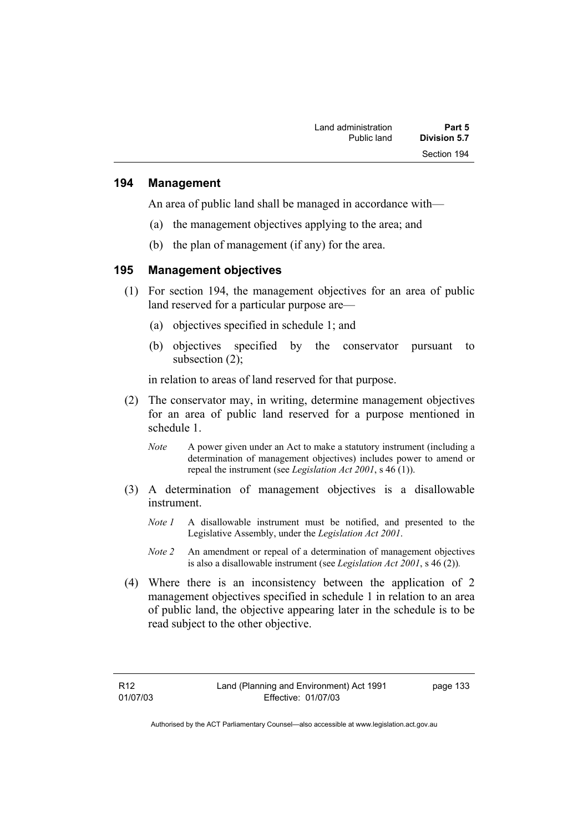#### **194 Management**

An area of public land shall be managed in accordance with—

- (a) the management objectives applying to the area; and
- (b) the plan of management (if any) for the area.

#### **195 Management objectives**

- (1) For section 194, the management objectives for an area of public land reserved for a particular purpose are—
	- (a) objectives specified in schedule 1; and
	- (b) objectives specified by the conservator pursuant to subsection (2);

in relation to areas of land reserved for that purpose.

- (2) The conservator may, in writing, determine management objectives for an area of public land reserved for a purpose mentioned in schedule 1.
	- *Note* A power given under an Act to make a statutory instrument (including a determination of management objectives) includes power to amend or repeal the instrument (see *Legislation Act 2001*, s 46 (1)).
- (3) A determination of management objectives is a disallowable instrument.
	- *Note 1* A disallowable instrument must be notified, and presented to the Legislative Assembly, under the *Legislation Act 2001*.
	- *Note 2* An amendment or repeal of a determination of management objectives is also a disallowable instrument (see *Legislation Act 2001*, s 46 (2))*.*
- (4) Where there is an inconsistency between the application of 2 management objectives specified in schedule 1 in relation to an area of public land, the objective appearing later in the schedule is to be read subject to the other objective.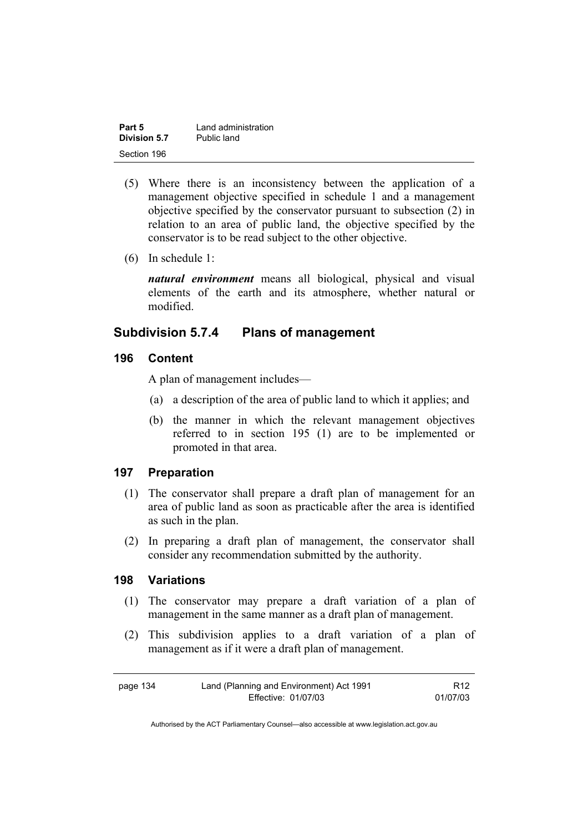| Part 5       | Land administration |
|--------------|---------------------|
| Division 5.7 | Public land         |
| Section 196  |                     |

- (5) Where there is an inconsistency between the application of a management objective specified in schedule 1 and a management objective specified by the conservator pursuant to subsection (2) in relation to an area of public land, the objective specified by the conservator is to be read subject to the other objective.
- (6) In schedule 1:

*natural environment* means all biological, physical and visual elements of the earth and its atmosphere, whether natural or modified.

# **Subdivision 5.7.4 Plans of management**

#### **196 Content**

A plan of management includes—

- (a) a description of the area of public land to which it applies; and
- (b) the manner in which the relevant management objectives referred to in section 195 (1) are to be implemented or promoted in that area.

#### **197 Preparation**

- (1) The conservator shall prepare a draft plan of management for an area of public land as soon as practicable after the area is identified as such in the plan.
- (2) In preparing a draft plan of management, the conservator shall consider any recommendation submitted by the authority.

#### **198 Variations**

- (1) The conservator may prepare a draft variation of a plan of management in the same manner as a draft plan of management.
- (2) This subdivision applies to a draft variation of a plan of management as if it were a draft plan of management.

| page 134 | Land (Planning and Environment) Act 1991 | R <sub>12</sub> |
|----------|------------------------------------------|-----------------|
|          | Effective: 01/07/03                      | 01/07/03        |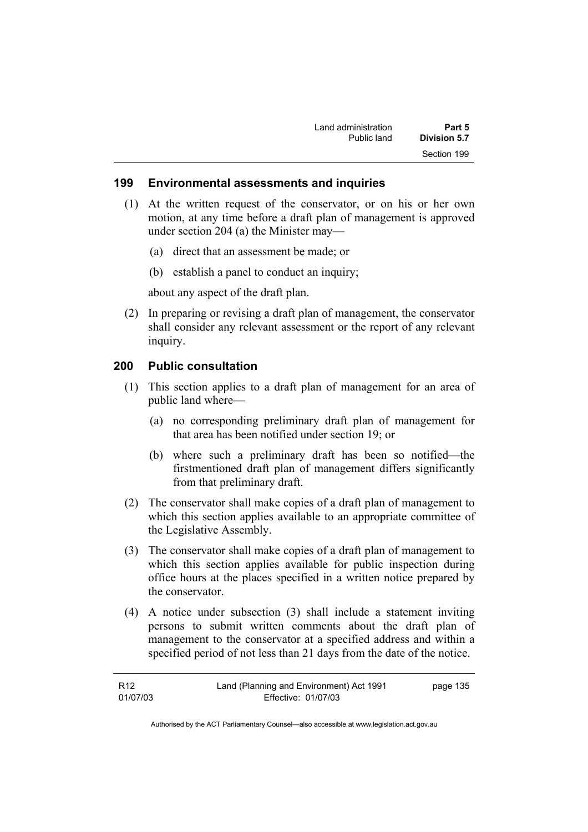| Land administration | Part 5       |
|---------------------|--------------|
| Public land         | Division 5.7 |
|                     | Section 199  |

#### **199 Environmental assessments and inquiries**

- (1) At the written request of the conservator, or on his or her own motion, at any time before a draft plan of management is approved under section 204 (a) the Minister may—
	- (a) direct that an assessment be made; or
	- (b) establish a panel to conduct an inquiry;

about any aspect of the draft plan.

 (2) In preparing or revising a draft plan of management, the conservator shall consider any relevant assessment or the report of any relevant inquiry.

## **200 Public consultation**

- (1) This section applies to a draft plan of management for an area of public land where—
	- (a) no corresponding preliminary draft plan of management for that area has been notified under section 19; or
	- (b) where such a preliminary draft has been so notified—the firstmentioned draft plan of management differs significantly from that preliminary draft.
- (2) The conservator shall make copies of a draft plan of management to which this section applies available to an appropriate committee of the Legislative Assembly.
- (3) The conservator shall make copies of a draft plan of management to which this section applies available for public inspection during office hours at the places specified in a written notice prepared by the conservator.
- (4) A notice under subsection (3) shall include a statement inviting persons to submit written comments about the draft plan of management to the conservator at a specified address and within a specified period of not less than 21 days from the date of the notice.

| R12      | Land (Planning and Environment) Act 1991 | page 135 |
|----------|------------------------------------------|----------|
| 01/07/03 | Effective: 01/07/03                      |          |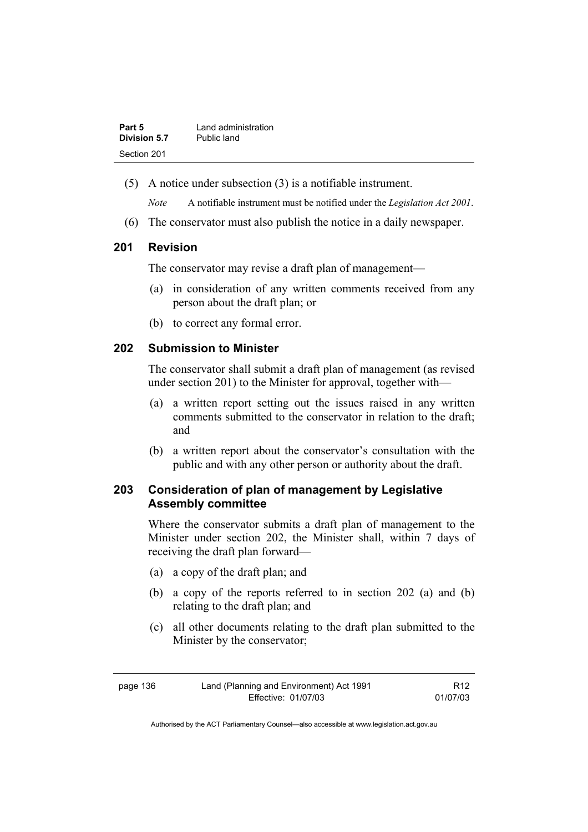| Part 5       | Land administration |
|--------------|---------------------|
| Division 5.7 | Public land         |
| Section 201  |                     |

(5) A notice under subsection (3) is a notifiable instrument.

*Note* A notifiable instrument must be notified under the *Legislation Act 2001*.

(6) The conservator must also publish the notice in a daily newspaper.

## **201 Revision**

The conservator may revise a draft plan of management—

- (a) in consideration of any written comments received from any person about the draft plan; or
- (b) to correct any formal error.

## **202 Submission to Minister**

The conservator shall submit a draft plan of management (as revised under section 201) to the Minister for approval, together with—

- (a) a written report setting out the issues raised in any written comments submitted to the conservator in relation to the draft; and
- (b) a written report about the conservator's consultation with the public and with any other person or authority about the draft.

# **203 Consideration of plan of management by Legislative Assembly committee**

Where the conservator submits a draft plan of management to the Minister under section 202, the Minister shall, within 7 days of receiving the draft plan forward—

- (a) a copy of the draft plan; and
- (b) a copy of the reports referred to in section 202 (a) and (b) relating to the draft plan; and
- (c) all other documents relating to the draft plan submitted to the Minister by the conservator;

| page 136 | Land (Planning and Environment) Act 1991 | R <sub>12</sub> |
|----------|------------------------------------------|-----------------|
|          | Effective: 01/07/03                      | 01/07/03        |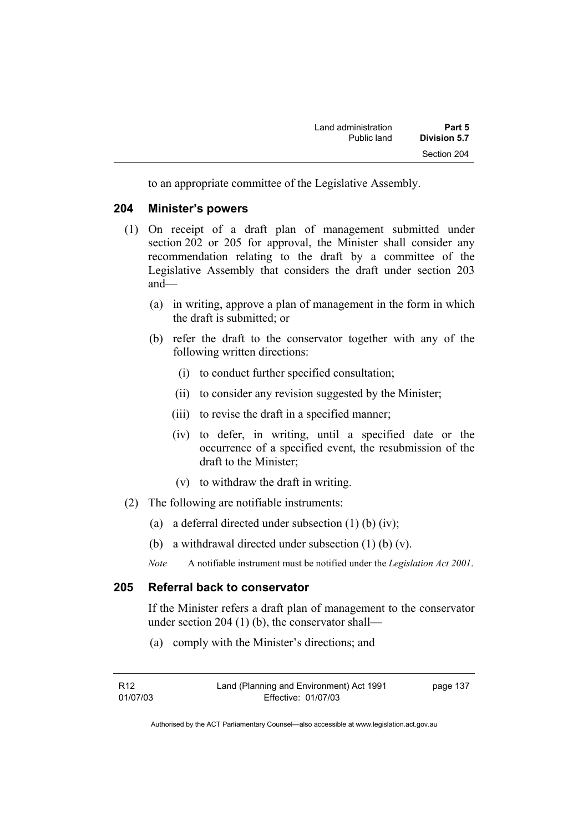to an appropriate committee of the Legislative Assembly.

#### **204 Minister's powers**

- (1) On receipt of a draft plan of management submitted under section 202 or 205 for approval, the Minister shall consider any recommendation relating to the draft by a committee of the Legislative Assembly that considers the draft under section 203 and—
	- (a) in writing, approve a plan of management in the form in which the draft is submitted; or
	- (b) refer the draft to the conservator together with any of the following written directions:
		- (i) to conduct further specified consultation;
		- (ii) to consider any revision suggested by the Minister;
		- (iii) to revise the draft in a specified manner;
		- (iv) to defer, in writing, until a specified date or the occurrence of a specified event, the resubmission of the draft to the Minister;
		- (v) to withdraw the draft in writing.
- (2) The following are notifiable instruments:
	- (a) a deferral directed under subsection  $(1)$  (b)  $(iv)$ ;
	- (b) a withdrawal directed under subsection (1) (b) (v).
	- *Note* A notifiable instrument must be notified under the *Legislation Act 2001*.

# **205 Referral back to conservator**

If the Minister refers a draft plan of management to the conservator under section 204 (1) (b), the conservator shall—

(a) comply with the Minister's directions; and

| R12      | Land (Planning and Environment) Act 1991 | page 137 |
|----------|------------------------------------------|----------|
| 01/07/03 | Effective: 01/07/03                      |          |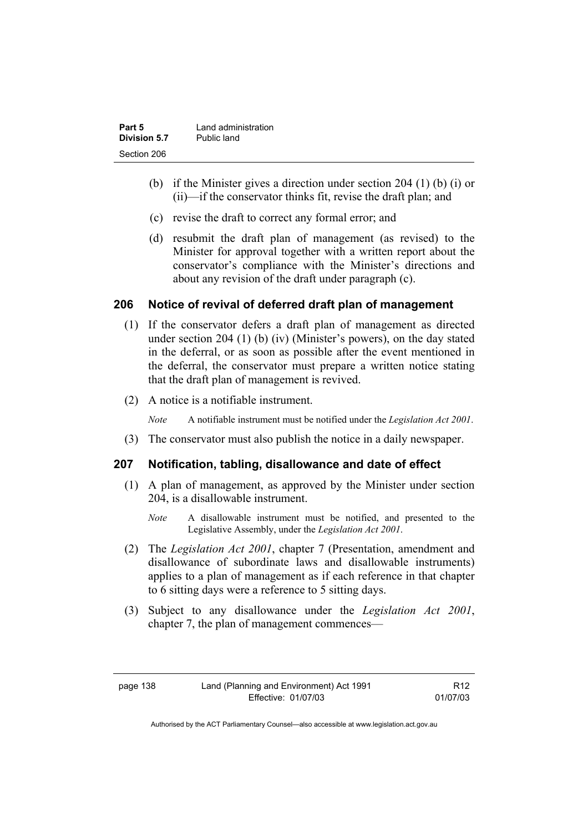| Part 5       | Land administration |
|--------------|---------------------|
| Division 5.7 | Public land         |
| Section 206  |                     |

- (b) if the Minister gives a direction under section 204 (1) (b) (i) or (ii)—if the conservator thinks fit, revise the draft plan; and
- (c) revise the draft to correct any formal error; and
- (d) resubmit the draft plan of management (as revised) to the Minister for approval together with a written report about the conservator's compliance with the Minister's directions and about any revision of the draft under paragraph (c).

# **206 Notice of revival of deferred draft plan of management**

- (1) If the conservator defers a draft plan of management as directed under section 204 (1) (b) (iv) (Minister's powers), on the day stated in the deferral, or as soon as possible after the event mentioned in the deferral, the conservator must prepare a written notice stating that the draft plan of management is revived.
- (2) A notice is a notifiable instrument.

*Note* A notifiable instrument must be notified under the *Legislation Act 2001*.

(3) The conservator must also publish the notice in a daily newspaper.

#### **207 Notification, tabling, disallowance and date of effect**

- (1) A plan of management, as approved by the Minister under section 204, is a disallowable instrument.
	- *Note* A disallowable instrument must be notified, and presented to the Legislative Assembly, under the *Legislation Act 2001*.
- (2) The *Legislation Act 2001*, chapter 7 (Presentation, amendment and disallowance of subordinate laws and disallowable instruments) applies to a plan of management as if each reference in that chapter to 6 sitting days were a reference to 5 sitting days.
- (3) Subject to any disallowance under the *Legislation Act 2001*, chapter 7, the plan of management commences—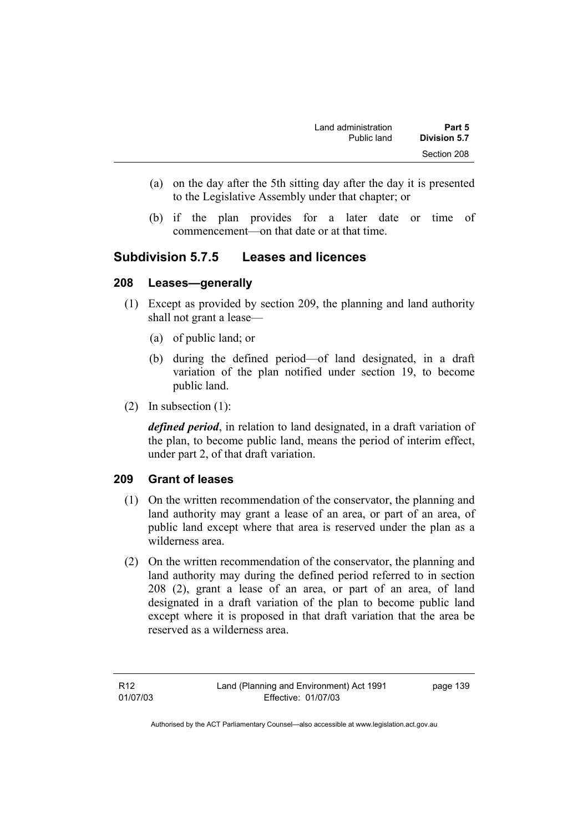- (a) on the day after the 5th sitting day after the day it is presented to the Legislative Assembly under that chapter; or
- (b) if the plan provides for a later date or time of commencement—on that date or at that time.

# **Subdivision 5.7.5 Leases and licences**

#### **208 Leases—generally**

- (1) Except as provided by section 209, the planning and land authority shall not grant a lease—
	- (a) of public land; or
	- (b) during the defined period—of land designated, in a draft variation of the plan notified under section 19, to become public land.
- (2) In subsection (1):

*defined period*, in relation to land designated, in a draft variation of the plan, to become public land, means the period of interim effect, under part 2, of that draft variation.

# **209 Grant of leases**

- (1) On the written recommendation of the conservator, the planning and land authority may grant a lease of an area, or part of an area, of public land except where that area is reserved under the plan as a wilderness area.
- (2) On the written recommendation of the conservator, the planning and land authority may during the defined period referred to in section 208 (2), grant a lease of an area, or part of an area, of land designated in a draft variation of the plan to become public land except where it is proposed in that draft variation that the area be reserved as a wilderness area.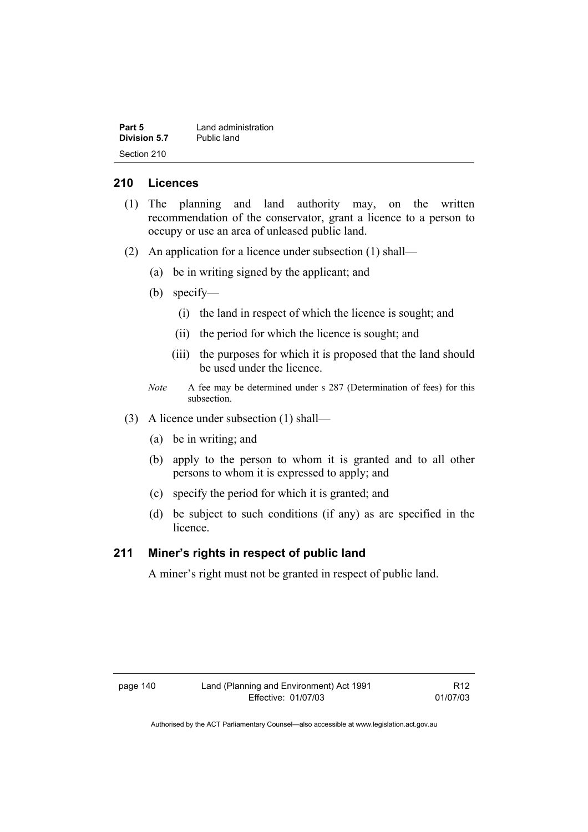| Part 5              | Land administration |
|---------------------|---------------------|
| <b>Division 5.7</b> | Public land         |
| Section 210         |                     |

#### **210 Licences**

- (1) The planning and land authority may, on the written recommendation of the conservator, grant a licence to a person to occupy or use an area of unleased public land.
- (2) An application for a licence under subsection (1) shall—
	- (a) be in writing signed by the applicant; and
	- (b) specify—
		- (i) the land in respect of which the licence is sought; and
		- (ii) the period for which the licence is sought; and
		- (iii) the purposes for which it is proposed that the land should be used under the licence.
	- *Note* A fee may be determined under s 287 (Determination of fees) for this subsection.
- (3) A licence under subsection (1) shall—
	- (a) be in writing; and
	- (b) apply to the person to whom it is granted and to all other persons to whom it is expressed to apply; and
	- (c) specify the period for which it is granted; and
	- (d) be subject to such conditions (if any) as are specified in the licence.

#### **211 Miner's rights in respect of public land**

A miner's right must not be granted in respect of public land.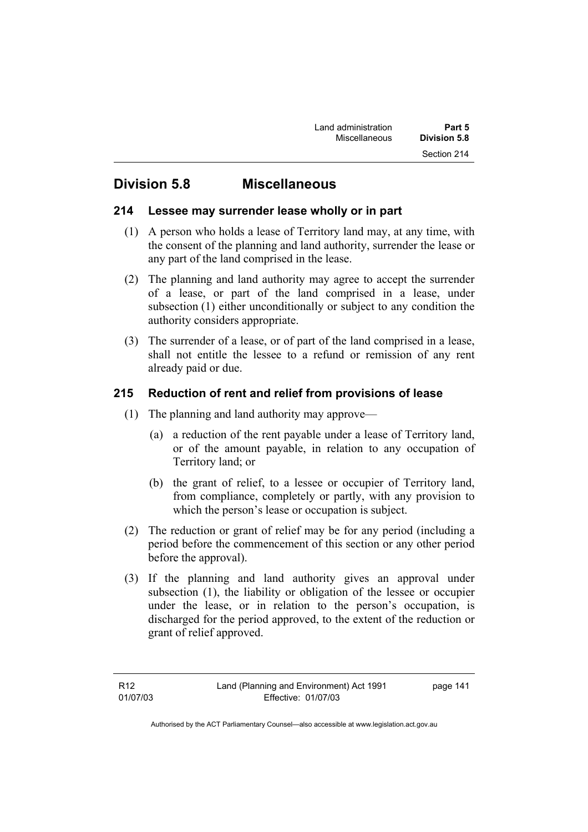# **Division 5.8 Miscellaneous**

# **214 Lessee may surrender lease wholly or in part**

- (1) A person who holds a lease of Territory land may, at any time, with the consent of the planning and land authority, surrender the lease or any part of the land comprised in the lease.
- (2) The planning and land authority may agree to accept the surrender of a lease, or part of the land comprised in a lease, under subsection (1) either unconditionally or subject to any condition the authority considers appropriate.
- (3) The surrender of a lease, or of part of the land comprised in a lease, shall not entitle the lessee to a refund or remission of any rent already paid or due.

# **215 Reduction of rent and relief from provisions of lease**

- (1) The planning and land authority may approve—
	- (a) a reduction of the rent payable under a lease of Territory land, or of the amount payable, in relation to any occupation of Territory land; or
	- (b) the grant of relief, to a lessee or occupier of Territory land, from compliance, completely or partly, with any provision to which the person's lease or occupation is subject.
- (2) The reduction or grant of relief may be for any period (including a period before the commencement of this section or any other period before the approval).
- (3) If the planning and land authority gives an approval under subsection (1), the liability or obligation of the lessee or occupier under the lease, or in relation to the person's occupation, is discharged for the period approved, to the extent of the reduction or grant of relief approved.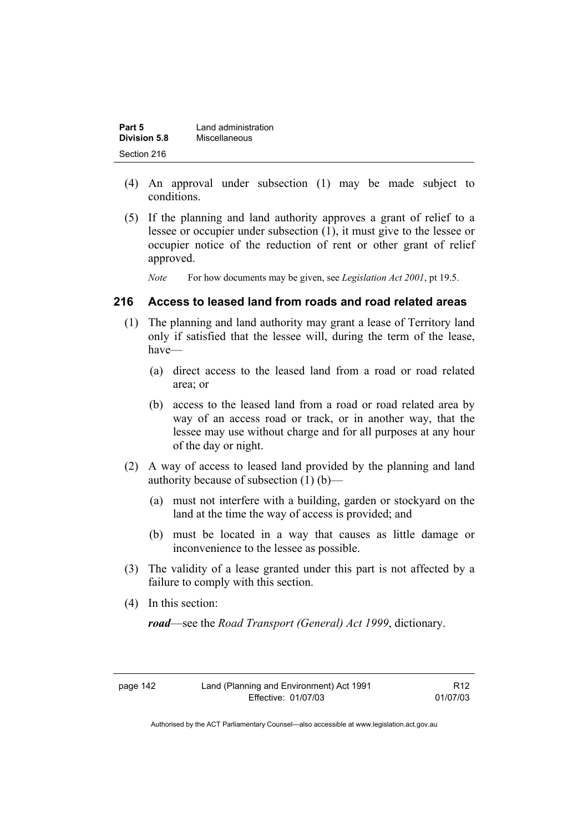| Part 5       | Land administration |
|--------------|---------------------|
| Division 5.8 | Miscellaneous       |
| Section 216  |                     |

- (4) An approval under subsection (1) may be made subject to conditions.
- (5) If the planning and land authority approves a grant of relief to a lessee or occupier under subsection (1), it must give to the lessee or occupier notice of the reduction of rent or other grant of relief approved.

*Note* For how documents may be given, see *Legislation Act 2001*, pt 19.5.

#### **216 Access to leased land from roads and road related areas**

- (1) The planning and land authority may grant a lease of Territory land only if satisfied that the lessee will, during the term of the lease, have—
	- (a) direct access to the leased land from a road or road related area; or
	- (b) access to the leased land from a road or road related area by way of an access road or track, or in another way, that the lessee may use without charge and for all purposes at any hour of the day or night.
- (2) A way of access to leased land provided by the planning and land authority because of subsection (1) (b)—
	- (a) must not interfere with a building, garden or stockyard on the land at the time the way of access is provided; and
	- (b) must be located in a way that causes as little damage or inconvenience to the lessee as possible.
- (3) The validity of a lease granted under this part is not affected by a failure to comply with this section.
- (4) In this section:

*road*—see the *Road Transport (General) Act 1999*, dictionary.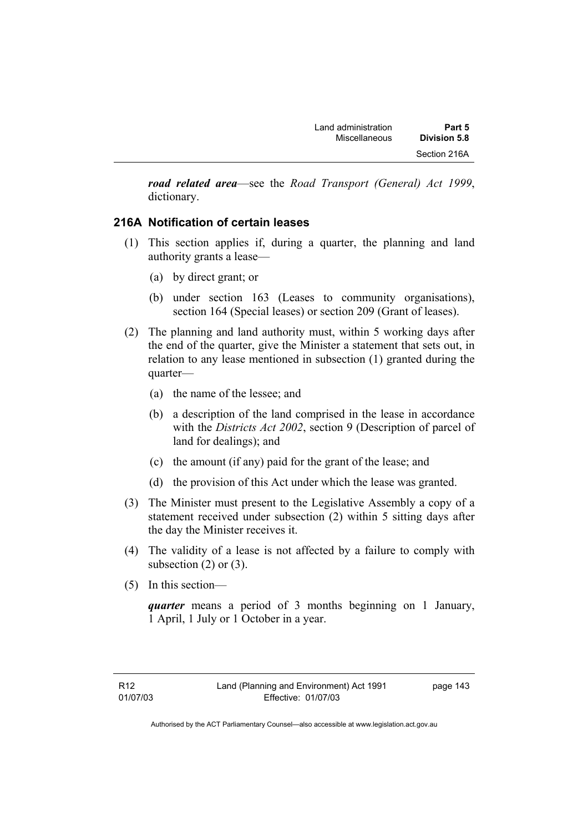*road related area*—see the *Road Transport (General) Act 1999*, dictionary.

# **216A Notification of certain leases**

- (1) This section applies if, during a quarter, the planning and land authority grants a lease—
	- (a) by direct grant; or
	- (b) under section 163 (Leases to community organisations), section 164 (Special leases) or section 209 (Grant of leases).
- (2) The planning and land authority must, within 5 working days after the end of the quarter, give the Minister a statement that sets out, in relation to any lease mentioned in subsection (1) granted during the quarter—
	- (a) the name of the lessee; and
	- (b) a description of the land comprised in the lease in accordance with the *Districts Act 2002*, section 9 (Description of parcel of land for dealings); and
	- (c) the amount (if any) paid for the grant of the lease; and
	- (d) the provision of this Act under which the lease was granted.
- (3) The Minister must present to the Legislative Assembly a copy of a statement received under subsection (2) within 5 sitting days after the day the Minister receives it.
- (4) The validity of a lease is not affected by a failure to comply with subsection  $(2)$  or  $(3)$ .
- (5) In this section—

*quarter* means a period of 3 months beginning on 1 January, 1 April, 1 July or 1 October in a year.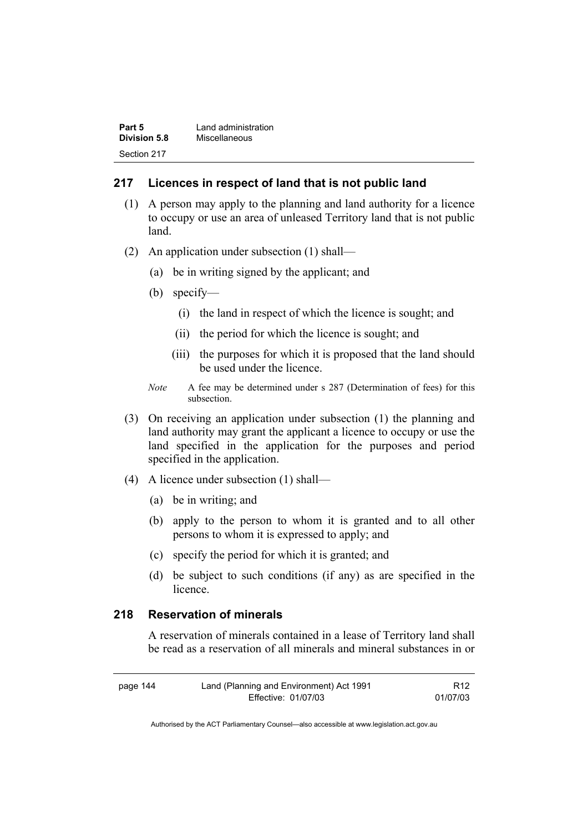| Part 5       | Land administration |  |
|--------------|---------------------|--|
| Division 5.8 | Miscellaneous       |  |
| Section 217  |                     |  |

#### **217 Licences in respect of land that is not public land**

- (1) A person may apply to the planning and land authority for a licence to occupy or use an area of unleased Territory land that is not public land.
- (2) An application under subsection (1) shall—
	- (a) be in writing signed by the applicant; and
	- (b) specify—
		- (i) the land in respect of which the licence is sought; and
		- (ii) the period for which the licence is sought; and
		- (iii) the purposes for which it is proposed that the land should be used under the licence.
	- *Note* A fee may be determined under s 287 (Determination of fees) for this subsection.
- (3) On receiving an application under subsection (1) the planning and land authority may grant the applicant a licence to occupy or use the land specified in the application for the purposes and period specified in the application.
- (4) A licence under subsection (1) shall—
	- (a) be in writing; and
	- (b) apply to the person to whom it is granted and to all other persons to whom it is expressed to apply; and
	- (c) specify the period for which it is granted; and
	- (d) be subject to such conditions (if any) as are specified in the licence.

# **218 Reservation of minerals**

A reservation of minerals contained in a lease of Territory land shall be read as a reservation of all minerals and mineral substances in or

| page 144 | Land (Planning and Environment) Act 1991 | R <sub>12</sub> |
|----------|------------------------------------------|-----------------|
|          | Effective: 01/07/03                      | 01/07/03        |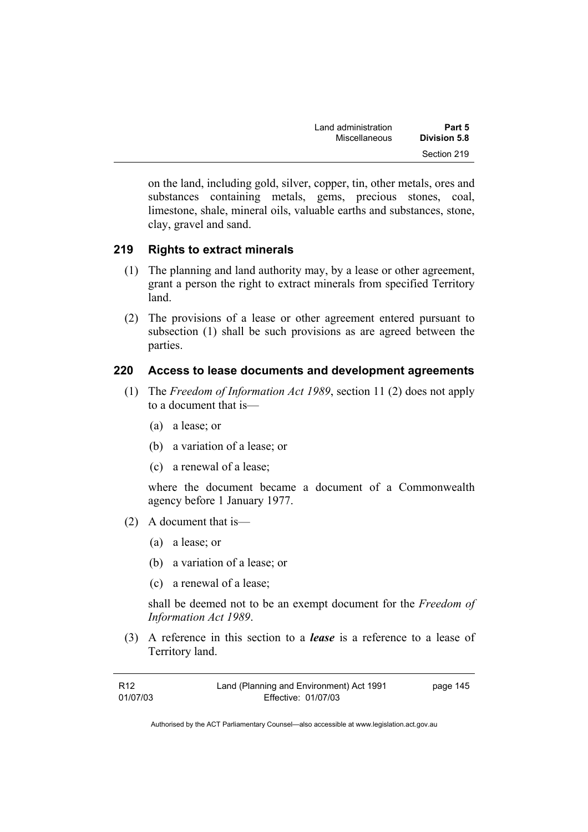| Land administration | Part 5              |  |
|---------------------|---------------------|--|
| Miscellaneous       | <b>Division 5.8</b> |  |
|                     | Section 219         |  |

on the land, including gold, silver, copper, tin, other metals, ores and substances containing metals, gems, precious stones, coal, limestone, shale, mineral oils, valuable earths and substances, stone, clay, gravel and sand.

# **219 Rights to extract minerals**

- (1) The planning and land authority may, by a lease or other agreement, grant a person the right to extract minerals from specified Territory land.
- (2) The provisions of a lease or other agreement entered pursuant to subsection (1) shall be such provisions as are agreed between the parties.

# **220 Access to lease documents and development agreements**

- (1) The *Freedom of Information Act 1989*, section 11 (2) does not apply to a document that is—
	- (a) a lease; or
	- (b) a variation of a lease; or
	- (c) a renewal of a lease;

where the document became a document of a Commonwealth agency before 1 January 1977.

- (2) A document that is—
	- (a) a lease; or
	- (b) a variation of a lease; or
	- (c) a renewal of a lease;

shall be deemed not to be an exempt document for the *Freedom of Information Act 1989*.

 (3) A reference in this section to a *lease* is a reference to a lease of Territory land.

| R <sub>12</sub> | Land (Planning and Environment) Act 1991 | page 145 |
|-----------------|------------------------------------------|----------|
| 01/07/03        | Effective: 01/07/03                      |          |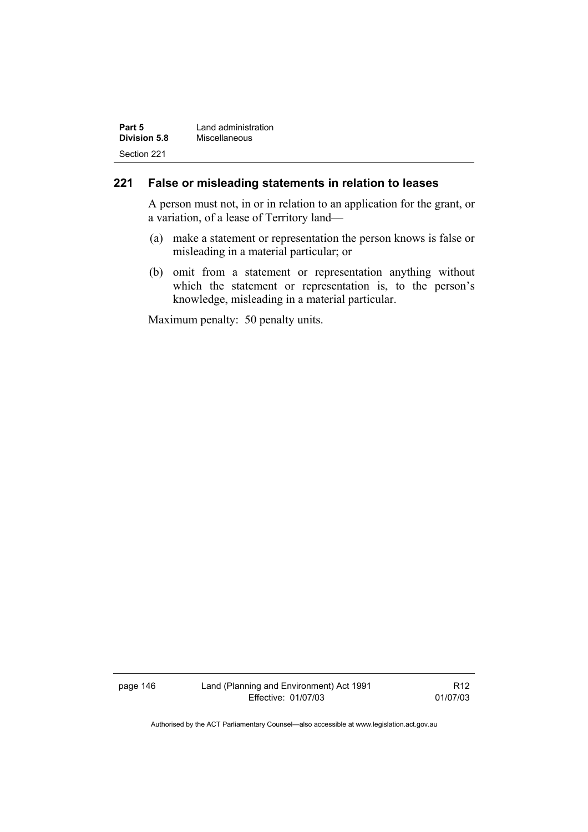| Part 5              | Land administration |  |
|---------------------|---------------------|--|
| <b>Division 5.8</b> | Miscellaneous       |  |
| Section 221         |                     |  |

## **221 False or misleading statements in relation to leases**

A person must not, in or in relation to an application for the grant, or a variation, of a lease of Territory land—

- (a) make a statement or representation the person knows is false or misleading in a material particular; or
- (b) omit from a statement or representation anything without which the statement or representation is, to the person's knowledge, misleading in a material particular.

Maximum penalty: 50 penalty units.

page 146 Land (Planning and Environment) Act 1991 Effective: 01/07/03

R12 01/07/03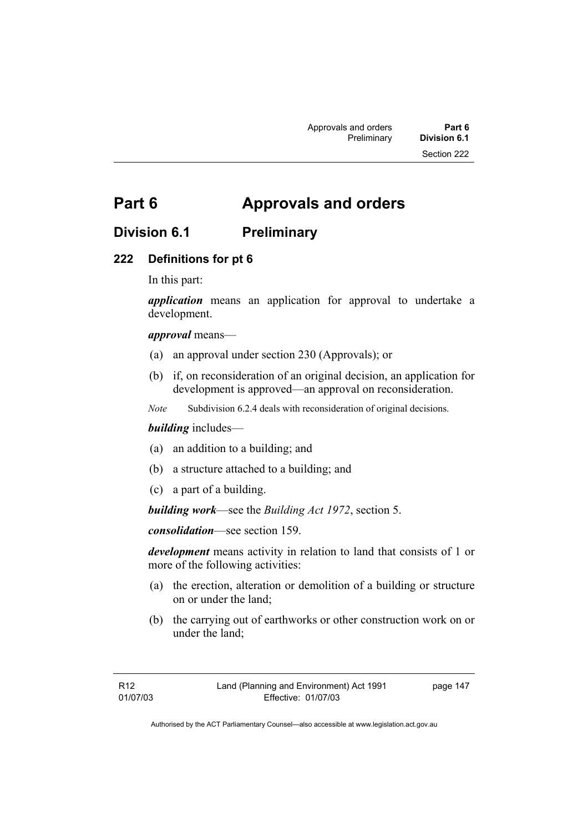# **Part 6 Approvals and orders**

# **Division 6.1 Preliminary**

# **222 Definitions for pt 6**

In this part:

*application* means an application for approval to undertake a development.

*approval* means—

- (a) an approval under section 230 (Approvals); or
- (b) if, on reconsideration of an original decision, an application for development is approved—an approval on reconsideration.
- *Note* Subdivision 6.2.4 deals with reconsideration of original decisions.

#### *building* includes—

- (a) an addition to a building; and
- (b) a structure attached to a building; and
- (c) a part of a building.

*building work*—see the *Building Act 1972*, section 5.

*consolidation*—see section 159.

*development* means activity in relation to land that consists of 1 or more of the following activities:

- (a) the erection, alteration or demolition of a building or structure on or under the land;
- (b) the carrying out of earthworks or other construction work on or under the land;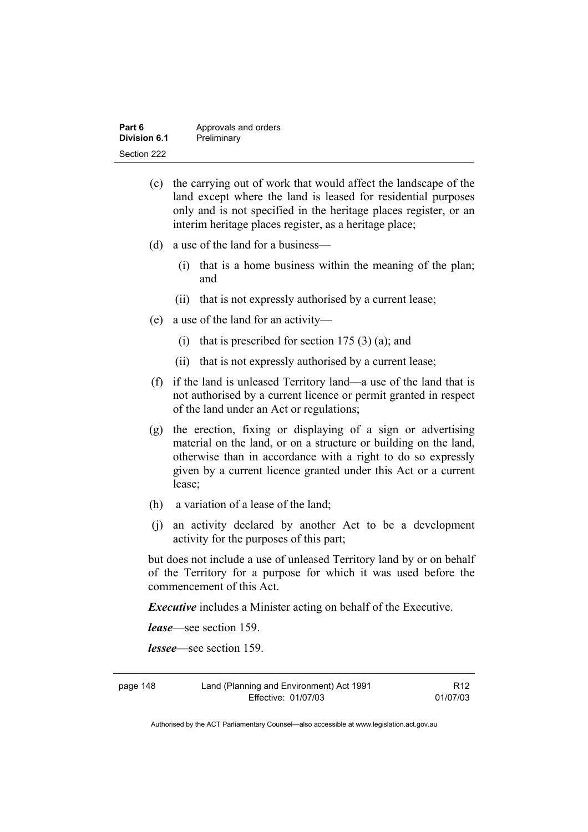| Part 6       | Approvals and orders |
|--------------|----------------------|
| Division 6.1 | Preliminary          |
| Section 222  |                      |

- (c) the carrying out of work that would affect the landscape of the land except where the land is leased for residential purposes only and is not specified in the heritage places register, or an interim heritage places register, as a heritage place;
- (d) a use of the land for a business—
	- (i) that is a home business within the meaning of the plan; and
	- (ii) that is not expressly authorised by a current lease;
- (e) a use of the land for an activity—
	- (i) that is prescribed for section  $175(3)(a)$ ; and
	- (ii) that is not expressly authorised by a current lease;
- (f) if the land is unleased Territory land—a use of the land that is not authorised by a current licence or permit granted in respect of the land under an Act or regulations;
- (g) the erection, fixing or displaying of a sign or advertising material on the land, or on a structure or building on the land, otherwise than in accordance with a right to do so expressly given by a current licence granted under this Act or a current lease;
- (h) a variation of a lease of the land;
- (j) an activity declared by another Act to be a development activity for the purposes of this part;

but does not include a use of unleased Territory land by or on behalf of the Territory for a purpose for which it was used before the commencement of this Act.

*Executive* includes a Minister acting on behalf of the Executive.

*lease*—see section 159.

*lessee*—see section 159.

page 148 Land (Planning and Environment) Act 1991 Effective: 01/07/03

R12 01/07/03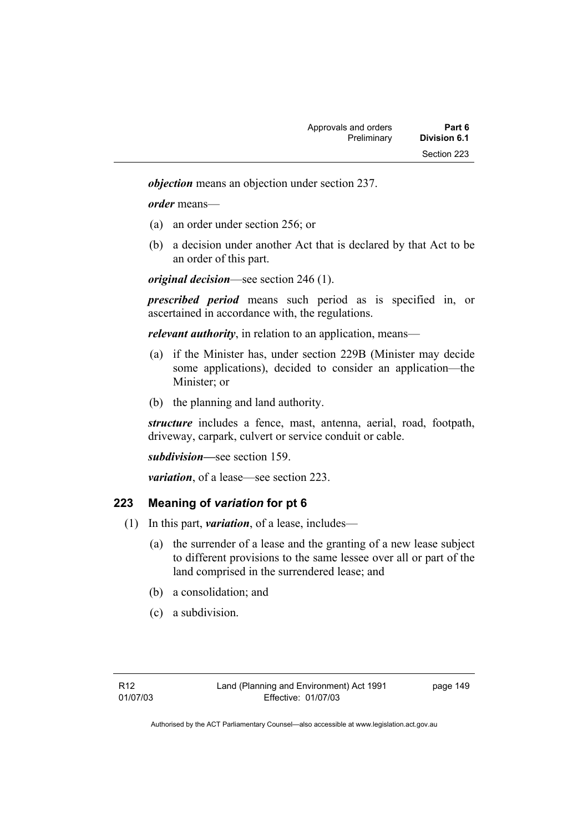*objection* means an objection under section 237.

*order* means—

- (a) an order under section 256; or
- (b) a decision under another Act that is declared by that Act to be an order of this part.

*original decision*—see section 246 (1).

*prescribed period* means such period as is specified in, or ascertained in accordance with, the regulations.

*relevant authority*, in relation to an application, means—

- (a) if the Minister has, under section 229B (Minister may decide some applications), decided to consider an application—the Minister; or
- (b) the planning and land authority.

*structure* includes a fence, mast, antenna, aerial, road, footpath, driveway, carpark, culvert or service conduit or cable.

*subdivision—*see section 159.

*variation*, of a lease—see section 223.

#### **223 Meaning of** *variation* **for pt 6**

- (1) In this part, *variation*, of a lease, includes—
	- (a) the surrender of a lease and the granting of a new lease subject to different provisions to the same lessee over all or part of the land comprised in the surrendered lease; and
	- (b) a consolidation; and
	- (c) a subdivision.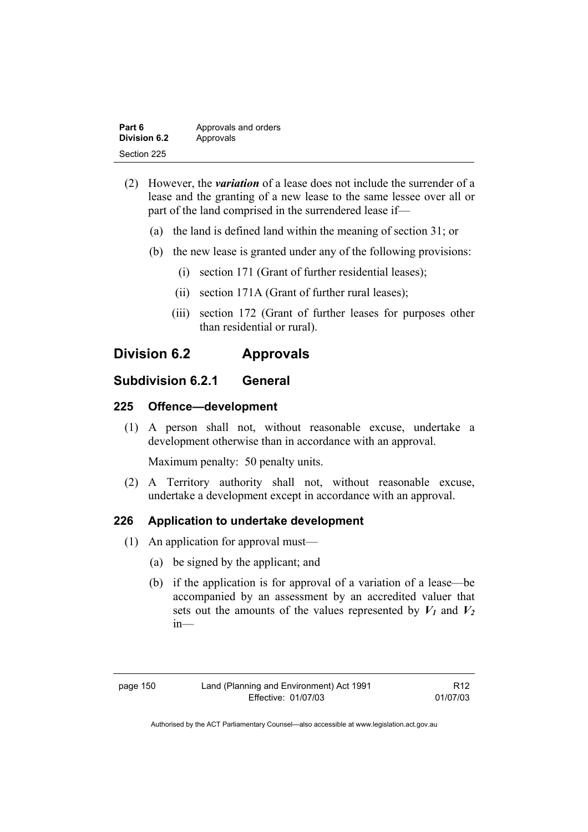| Part 6       | Approvals and orders |
|--------------|----------------------|
| Division 6.2 | Approvals            |
| Section 225  |                      |

- (2) However, the *variation* of a lease does not include the surrender of a lease and the granting of a new lease to the same lessee over all or part of the land comprised in the surrendered lease if—
	- (a) the land is defined land within the meaning of section 31; or
	- (b) the new lease is granted under any of the following provisions:
		- (i) section 171 (Grant of further residential leases);
		- (ii) section 171A (Grant of further rural leases);
		- (iii) section 172 (Grant of further leases for purposes other than residential or rural).

# **Division 6.2 Approvals**

# **Subdivision 6.2.1 General**

# **225 Offence—development**

 (1) A person shall not, without reasonable excuse, undertake a development otherwise than in accordance with an approval.

Maximum penalty: 50 penalty units.

 (2) A Territory authority shall not, without reasonable excuse, undertake a development except in accordance with an approval.

# **226 Application to undertake development**

- (1) An application for approval must—
	- (a) be signed by the applicant; and
	- (b) if the application is for approval of a variation of a lease—be accompanied by an assessment by an accredited valuer that sets out the amounts of the values represented by  $V_1$  and  $V_2$ in—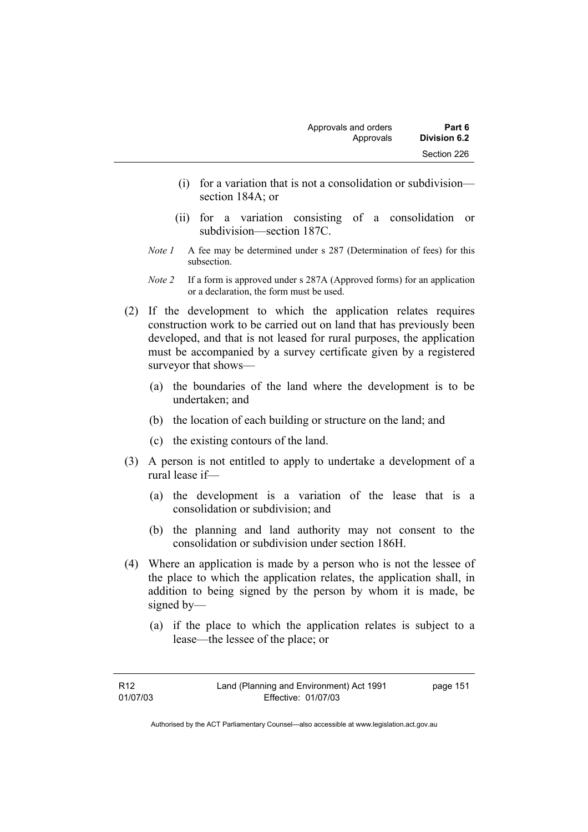- (i) for a variation that is not a consolidation or subdivision section 184A; or
- (ii) for a variation consisting of a consolidation or subdivision—section 187C.
- *Note 1* A fee may be determined under s 287 (Determination of fees) for this subsection.
- *Note 2* If a form is approved under s 287A (Approved forms) for an application or a declaration, the form must be used.
- (2) If the development to which the application relates requires construction work to be carried out on land that has previously been developed, and that is not leased for rural purposes, the application must be accompanied by a survey certificate given by a registered surveyor that shows—
	- (a) the boundaries of the land where the development is to be undertaken; and
	- (b) the location of each building or structure on the land; and
	- (c) the existing contours of the land.
- (3) A person is not entitled to apply to undertake a development of a rural lease if—
	- (a) the development is a variation of the lease that is a consolidation or subdivision; and
	- (b) the planning and land authority may not consent to the consolidation or subdivision under section 186H.
- (4) Where an application is made by a person who is not the lessee of the place to which the application relates, the application shall, in addition to being signed by the person by whom it is made, be signed by—
	- (a) if the place to which the application relates is subject to a lease—the lessee of the place; or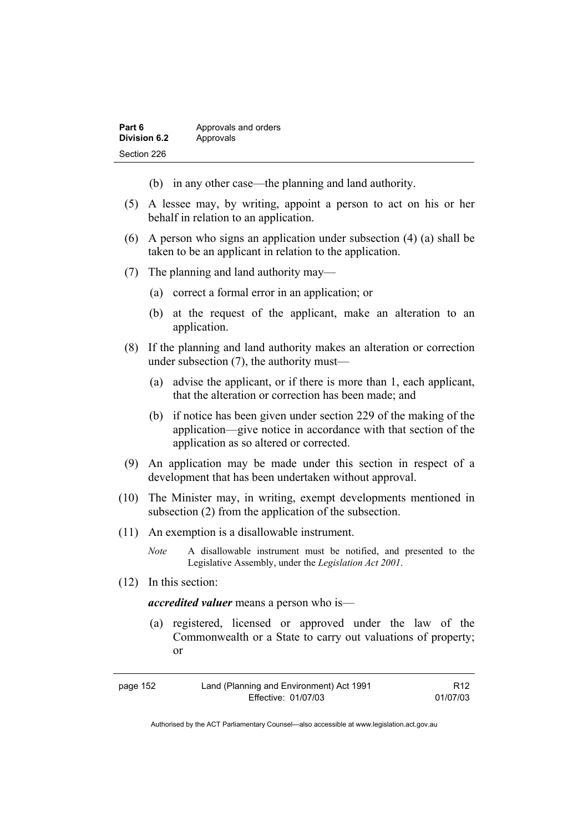| Part 6       | Approvals and orders |
|--------------|----------------------|
| Division 6.2 | Approvals            |
| Section 226  |                      |

- (b) in any other case—the planning and land authority.
- (5) A lessee may, by writing, appoint a person to act on his or her behalf in relation to an application.
- (6) A person who signs an application under subsection (4) (a) shall be taken to be an applicant in relation to the application.
- (7) The planning and land authority may—
	- (a) correct a formal error in an application; or
	- (b) at the request of the applicant, make an alteration to an application.
- (8) If the planning and land authority makes an alteration or correction under subsection (7), the authority must—
	- (a) advise the applicant, or if there is more than 1, each applicant, that the alteration or correction has been made; and
	- (b) if notice has been given under section 229 of the making of the application—give notice in accordance with that section of the application as so altered or corrected.
- (9) An application may be made under this section in respect of a development that has been undertaken without approval.
- (10) The Minister may, in writing, exempt developments mentioned in subsection (2) from the application of the subsection.
- (11) An exemption is a disallowable instrument.
	- *Note* A disallowable instrument must be notified, and presented to the Legislative Assembly, under the *Legislation Act 2001*.
- (12) In this section:

*accredited valuer* means a person who is—

 (a) registered, licensed or approved under the law of the Commonwealth or a State to carry out valuations of property; or

| page 152 | Land (Planning and Environment) Act 1991 | R <sub>12</sub> |
|----------|------------------------------------------|-----------------|
|          | Effective: 01/07/03                      | 01/07/03        |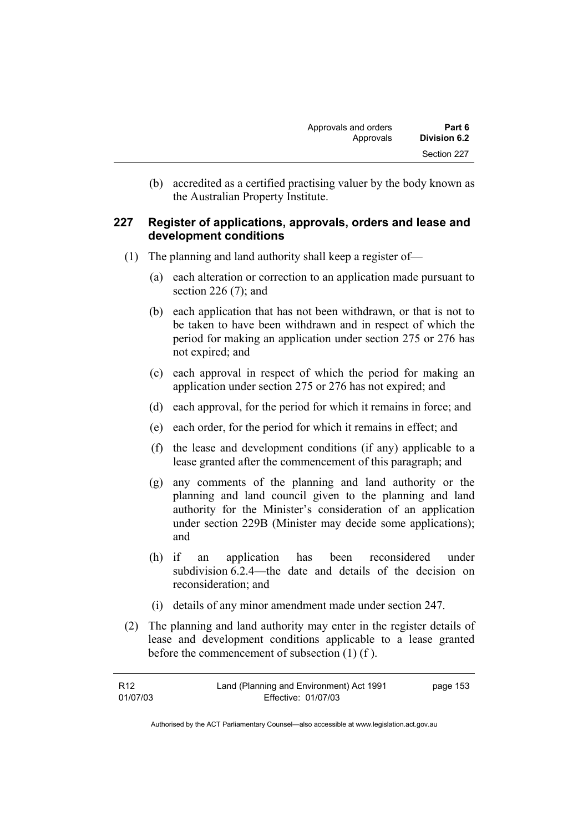(b) accredited as a certified practising valuer by the body known as the Australian Property Institute.

## **227 Register of applications, approvals, orders and lease and development conditions**

- (1) The planning and land authority shall keep a register of—
	- (a) each alteration or correction to an application made pursuant to section 226 (7); and
	- (b) each application that has not been withdrawn, or that is not to be taken to have been withdrawn and in respect of which the period for making an application under section 275 or 276 has not expired; and
	- (c) each approval in respect of which the period for making an application under section 275 or 276 has not expired; and
	- (d) each approval, for the period for which it remains in force; and
	- (e) each order, for the period for which it remains in effect; and
	- (f) the lease and development conditions (if any) applicable to a lease granted after the commencement of this paragraph; and
	- (g) any comments of the planning and land authority or the planning and land council given to the planning and land authority for the Minister's consideration of an application under section 229B (Minister may decide some applications); and
	- (h) if an application has been reconsidered under subdivision 6.2.4—the date and details of the decision on reconsideration; and
	- (i) details of any minor amendment made under section 247.
- (2) The planning and land authority may enter in the register details of lease and development conditions applicable to a lease granted before the commencement of subsection (1) (f ).

| R <sub>12</sub> | Land (Planning and Environment) Act 1991 | page 153 |
|-----------------|------------------------------------------|----------|
| 01/07/03        | Effective: 01/07/03                      |          |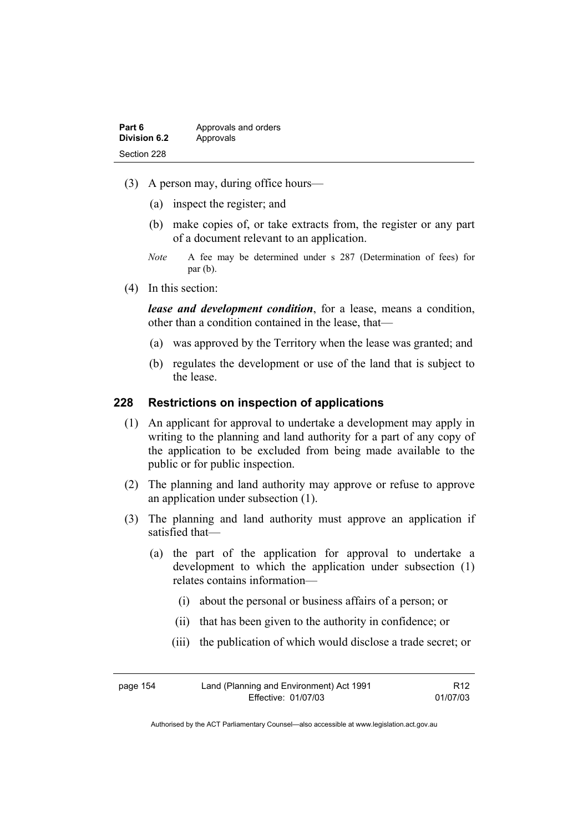| Part 6              | Approvals and orders |
|---------------------|----------------------|
| <b>Division 6.2</b> | Approvals            |
| Section 228         |                      |

- (3) A person may, during office hours—
	- (a) inspect the register; and
	- (b) make copies of, or take extracts from, the register or any part of a document relevant to an application.
	- *Note* A fee may be determined under s 287 (Determination of fees) for par (b).
- (4) In this section:

*lease and development condition*, for a lease, means a condition, other than a condition contained in the lease, that—

- (a) was approved by the Territory when the lease was granted; and
- (b) regulates the development or use of the land that is subject to the lease.

#### **228 Restrictions on inspection of applications**

- (1) An applicant for approval to undertake a development may apply in writing to the planning and land authority for a part of any copy of the application to be excluded from being made available to the public or for public inspection.
- (2) The planning and land authority may approve or refuse to approve an application under subsection (1).
- (3) The planning and land authority must approve an application if satisfied that—
	- (a) the part of the application for approval to undertake a development to which the application under subsection (1) relates contains information—
		- (i) about the personal or business affairs of a person; or
		- (ii) that has been given to the authority in confidence; or
		- (iii) the publication of which would disclose a trade secret; or

| page 154 | Land (Planning and Environment) Act 1991 | R <sub>12</sub> |
|----------|------------------------------------------|-----------------|
|          | Effective: 01/07/03                      | 01/07/03        |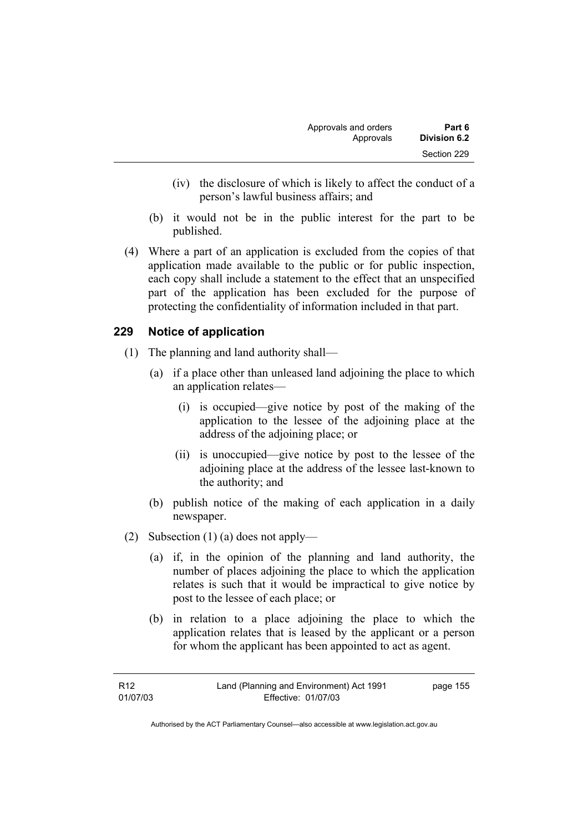- (iv) the disclosure of which is likely to affect the conduct of a person's lawful business affairs; and
- (b) it would not be in the public interest for the part to be published.
- (4) Where a part of an application is excluded from the copies of that application made available to the public or for public inspection, each copy shall include a statement to the effect that an unspecified part of the application has been excluded for the purpose of protecting the confidentiality of information included in that part.

# **229 Notice of application**

- (1) The planning and land authority shall—
	- (a) if a place other than unleased land adjoining the place to which an application relates—
		- (i) is occupied—give notice by post of the making of the application to the lessee of the adjoining place at the address of the adjoining place; or
		- (ii) is unoccupied—give notice by post to the lessee of the adjoining place at the address of the lessee last-known to the authority; and
	- (b) publish notice of the making of each application in a daily newspaper.
- (2) Subsection (1) (a) does not apply—
	- (a) if, in the opinion of the planning and land authority, the number of places adjoining the place to which the application relates is such that it would be impractical to give notice by post to the lessee of each place; or
	- (b) in relation to a place adjoining the place to which the application relates that is leased by the applicant or a person for whom the applicant has been appointed to act as agent.

| R12      | Land (Planning and Environment) Act 1991 | page 155 |
|----------|------------------------------------------|----------|
| 01/07/03 | Effective: 01/07/03                      |          |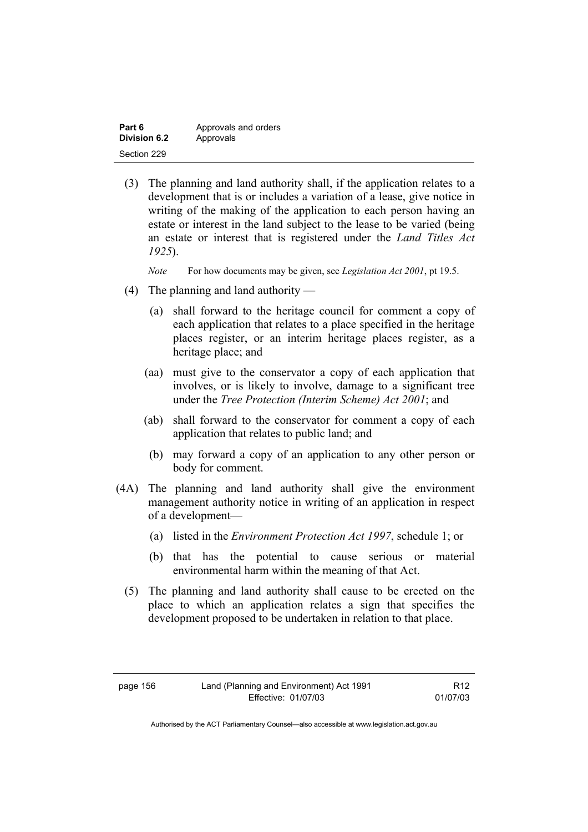| Part 6       | Approvals and orders |
|--------------|----------------------|
| Division 6.2 | Approvals            |
| Section 229  |                      |

 (3) The planning and land authority shall, if the application relates to a development that is or includes a variation of a lease, give notice in writing of the making of the application to each person having an estate or interest in the land subject to the lease to be varied (being an estate or interest that is registered under the *Land Titles Act 1925*).

*Note* For how documents may be given, see *Legislation Act 2001*, pt 19.5.

- (4) The planning and land authority
	- (a) shall forward to the heritage council for comment a copy of each application that relates to a place specified in the heritage places register, or an interim heritage places register, as a heritage place; and
	- (aa) must give to the conservator a copy of each application that involves, or is likely to involve, damage to a significant tree under the *Tree Protection (Interim Scheme) Act 2001*; and
	- (ab) shall forward to the conservator for comment a copy of each application that relates to public land; and
		- (b) may forward a copy of an application to any other person or body for comment.
- (4A) The planning and land authority shall give the environment management authority notice in writing of an application in respect of a development—
	- (a) listed in the *Environment Protection Act 1997*, schedule 1; or
	- (b) that has the potential to cause serious or material environmental harm within the meaning of that Act.
	- (5) The planning and land authority shall cause to be erected on the place to which an application relates a sign that specifies the development proposed to be undertaken in relation to that place.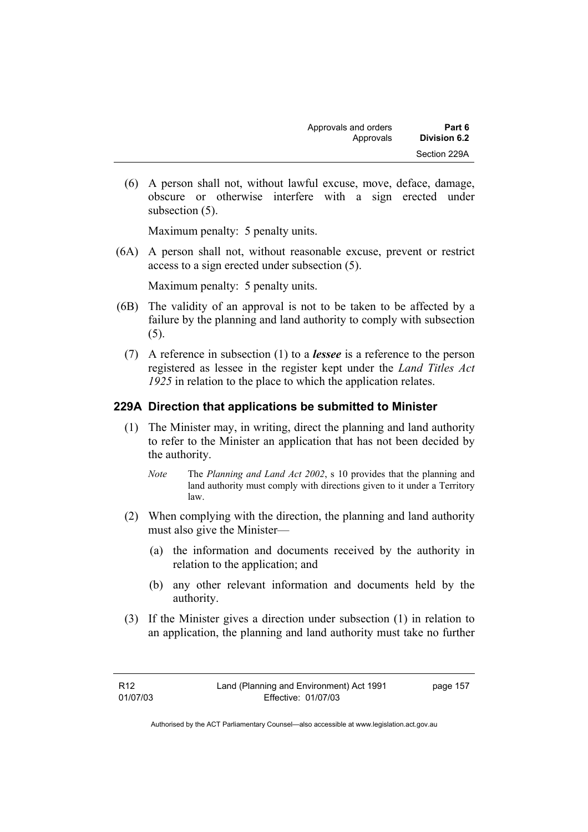(6) A person shall not, without lawful excuse, move, deface, damage, obscure or otherwise interfere with a sign erected under subsection (5).

Maximum penalty: 5 penalty units.

 (6A) A person shall not, without reasonable excuse, prevent or restrict access to a sign erected under subsection (5).

Maximum penalty: 5 penalty units.

- (6B) The validity of an approval is not to be taken to be affected by a failure by the planning and land authority to comply with subsection (5).
	- (7) A reference in subsection (1) to a *lessee* is a reference to the person registered as lessee in the register kept under the *Land Titles Act 1925* in relation to the place to which the application relates.

# **229A Direction that applications be submitted to Minister**

- (1) The Minister may, in writing, direct the planning and land authority to refer to the Minister an application that has not been decided by the authority.
	- *Note* The *Planning and Land Act 2002*, s 10 provides that the planning and land authority must comply with directions given to it under a Territory law.
- (2) When complying with the direction, the planning and land authority must also give the Minister—
	- (a) the information and documents received by the authority in relation to the application; and
	- (b) any other relevant information and documents held by the authority.
- (3) If the Minister gives a direction under subsection (1) in relation to an application, the planning and land authority must take no further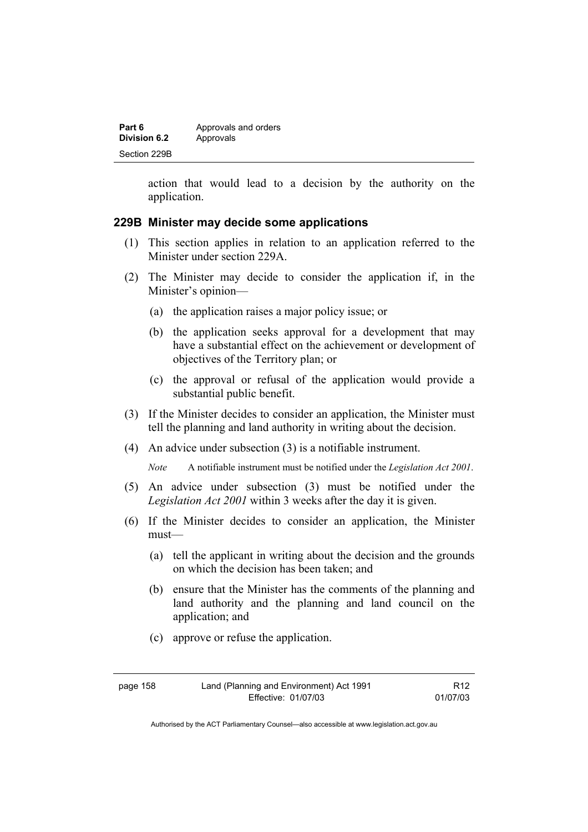| Part 6              | Approvals and orders |
|---------------------|----------------------|
| <b>Division 6.2</b> | Approvals            |
| Section 229B        |                      |

action that would lead to a decision by the authority on the application.

#### **229B Minister may decide some applications**

- (1) This section applies in relation to an application referred to the Minister under section 229A.
- (2) The Minister may decide to consider the application if, in the Minister's opinion—
	- (a) the application raises a major policy issue; or
	- (b) the application seeks approval for a development that may have a substantial effect on the achievement or development of objectives of the Territory plan; or
	- (c) the approval or refusal of the application would provide a substantial public benefit.
- (3) If the Minister decides to consider an application, the Minister must tell the planning and land authority in writing about the decision.
- (4) An advice under subsection (3) is a notifiable instrument.

*Note* A notifiable instrument must be notified under the *Legislation Act 2001*.

- (5) An advice under subsection (3) must be notified under the *Legislation Act 2001* within 3 weeks after the day it is given.
- (6) If the Minister decides to consider an application, the Minister must—
	- (a) tell the applicant in writing about the decision and the grounds on which the decision has been taken; and
	- (b) ensure that the Minister has the comments of the planning and land authority and the planning and land council on the application; and
	- (c) approve or refuse the application.

R12 01/07/03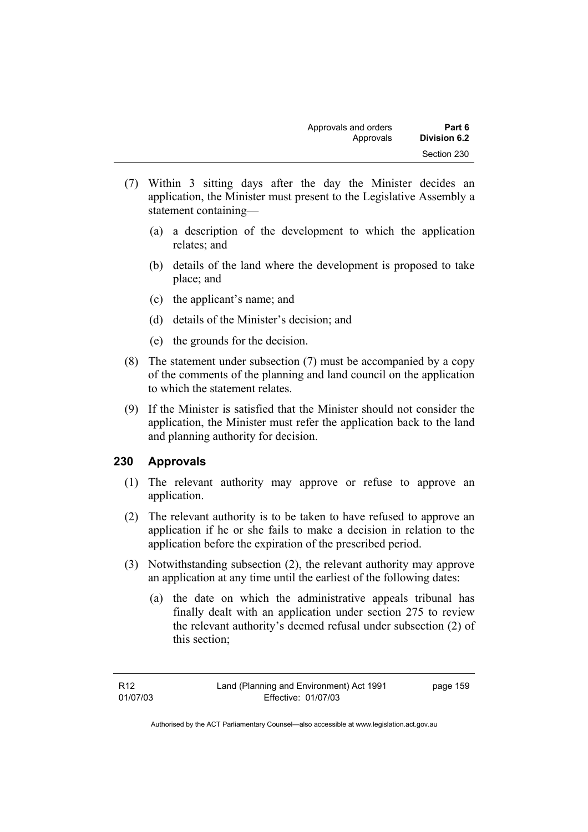- (7) Within 3 sitting days after the day the Minister decides an application, the Minister must present to the Legislative Assembly a statement containing—
	- (a) a description of the development to which the application relates; and
	- (b) details of the land where the development is proposed to take place; and
	- (c) the applicant's name; and
	- (d) details of the Minister's decision; and
	- (e) the grounds for the decision.
- (8) The statement under subsection (7) must be accompanied by a copy of the comments of the planning and land council on the application to which the statement relates.
- (9) If the Minister is satisfied that the Minister should not consider the application, the Minister must refer the application back to the land and planning authority for decision.

# **230 Approvals**

- (1) The relevant authority may approve or refuse to approve an application.
- (2) The relevant authority is to be taken to have refused to approve an application if he or she fails to make a decision in relation to the application before the expiration of the prescribed period.
- (3) Notwithstanding subsection (2), the relevant authority may approve an application at any time until the earliest of the following dates:
	- (a) the date on which the administrative appeals tribunal has finally dealt with an application under section 275 to review the relevant authority's deemed refusal under subsection (2) of this section;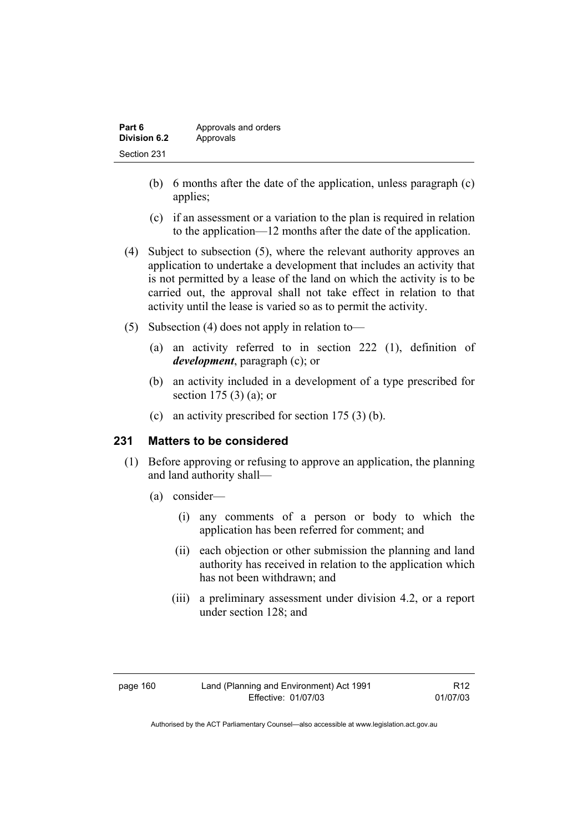| Part 6       | Approvals and orders |
|--------------|----------------------|
| Division 6.2 | Approvals            |
| Section 231  |                      |

- (b) 6 months after the date of the application, unless paragraph (c) applies;
- (c) if an assessment or a variation to the plan is required in relation to the application—12 months after the date of the application.
- (4) Subject to subsection (5), where the relevant authority approves an application to undertake a development that includes an activity that is not permitted by a lease of the land on which the activity is to be carried out, the approval shall not take effect in relation to that activity until the lease is varied so as to permit the activity.
- (5) Subsection (4) does not apply in relation to—
	- (a) an activity referred to in section 222 (1), definition of *development*, paragraph (c); or
	- (b) an activity included in a development of a type prescribed for section 175 (3) (a); or
	- (c) an activity prescribed for section 175 (3) (b).

#### **231 Matters to be considered**

- (1) Before approving or refusing to approve an application, the planning and land authority shall—
	- (a) consider—
		- (i) any comments of a person or body to which the application has been referred for comment; and
		- (ii) each objection or other submission the planning and land authority has received in relation to the application which has not been withdrawn; and
		- (iii) a preliminary assessment under division 4.2, or a report under section 128; and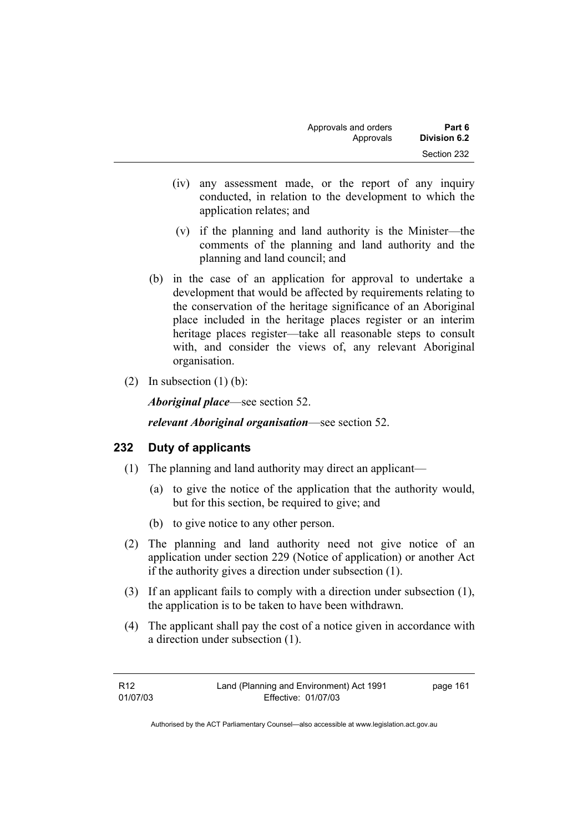| Approvals and orders | Part 6              |
|----------------------|---------------------|
| Approvals            | <b>Division 6.2</b> |
|                      | Section 232         |

- (iv) any assessment made, or the report of any inquiry conducted, in relation to the development to which the application relates; and
- (v) if the planning and land authority is the Minister—the comments of the planning and land authority and the planning and land council; and
- (b) in the case of an application for approval to undertake a development that would be affected by requirements relating to the conservation of the heritage significance of an Aboriginal place included in the heritage places register or an interim heritage places register—take all reasonable steps to consult with, and consider the views of, any relevant Aboriginal organisation.
- (2) In subsection  $(1)$  (b):

*Aboriginal place*—see section 52.

*relevant Aboriginal organisation*—see section 52.

#### **232 Duty of applicants**

- (1) The planning and land authority may direct an applicant—
	- (a) to give the notice of the application that the authority would, but for this section, be required to give; and
	- (b) to give notice to any other person.
- (2) The planning and land authority need not give notice of an application under section 229 (Notice of application) or another Act if the authority gives a direction under subsection (1).
- (3) If an applicant fails to comply with a direction under subsection (1), the application is to be taken to have been withdrawn.
- (4) The applicant shall pay the cost of a notice given in accordance with a direction under subsection (1).

| R <sub>12</sub> | Land (Planning and Environment) Act 1991 | page 161 |
|-----------------|------------------------------------------|----------|
| 01/07/03        | Effective: 01/07/03                      |          |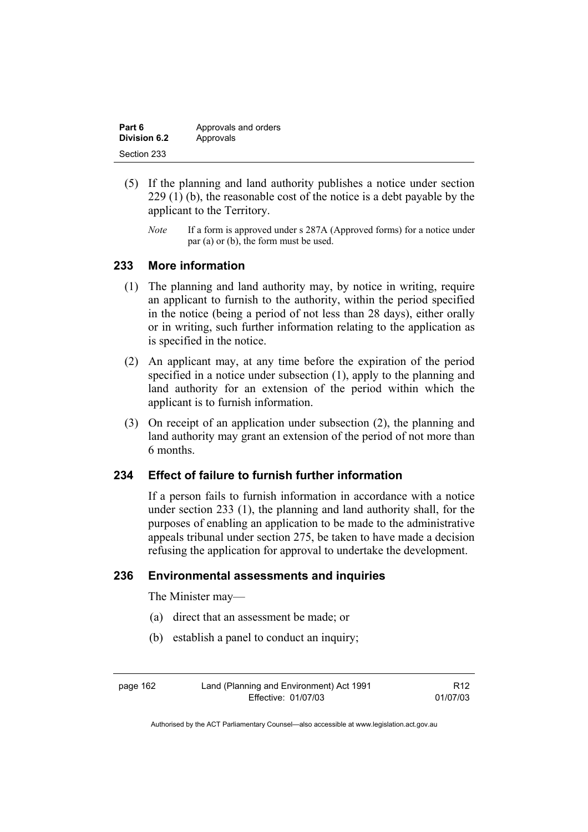| Part 6       | Approvals and orders |
|--------------|----------------------|
| Division 6.2 | Approvals            |
| Section 233  |                      |

- (5) If the planning and land authority publishes a notice under section 229 (1) (b), the reasonable cost of the notice is a debt payable by the applicant to the Territory.
	- *Note* If a form is approved under s 287A (Approved forms) for a notice under par (a) or (b), the form must be used.

## **233 More information**

- (1) The planning and land authority may, by notice in writing, require an applicant to furnish to the authority, within the period specified in the notice (being a period of not less than 28 days), either orally or in writing, such further information relating to the application as is specified in the notice.
- (2) An applicant may, at any time before the expiration of the period specified in a notice under subsection (1), apply to the planning and land authority for an extension of the period within which the applicant is to furnish information.
- (3) On receipt of an application under subsection (2), the planning and land authority may grant an extension of the period of not more than 6 months.

#### **234 Effect of failure to furnish further information**

If a person fails to furnish information in accordance with a notice under section 233 (1), the planning and land authority shall, for the purposes of enabling an application to be made to the administrative appeals tribunal under section 275, be taken to have made a decision refusing the application for approval to undertake the development.

## **236 Environmental assessments and inquiries**

The Minister may—

- (a) direct that an assessment be made; or
- (b) establish a panel to conduct an inquiry;

page 162 Land (Planning and Environment) Act 1991 Effective: 01/07/03 R12 01/07/03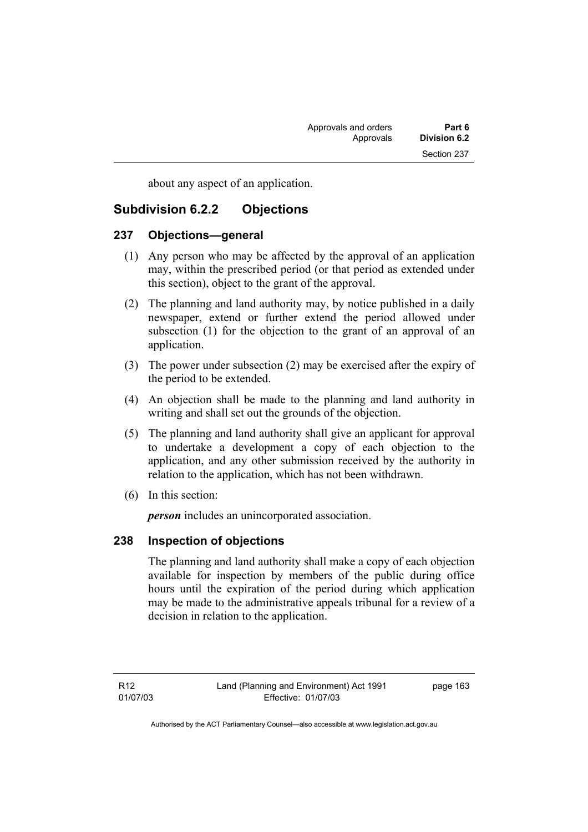about any aspect of an application.

# **Subdivision 6.2.2 Objections**

# **237 Objections—general**

- (1) Any person who may be affected by the approval of an application may, within the prescribed period (or that period as extended under this section), object to the grant of the approval.
- (2) The planning and land authority may, by notice published in a daily newspaper, extend or further extend the period allowed under subsection (1) for the objection to the grant of an approval of an application.
- (3) The power under subsection (2) may be exercised after the expiry of the period to be extended.
- (4) An objection shall be made to the planning and land authority in writing and shall set out the grounds of the objection.
- (5) The planning and land authority shall give an applicant for approval to undertake a development a copy of each objection to the application, and any other submission received by the authority in relation to the application, which has not been withdrawn.
- (6) In this section:

*person* includes an unincorporated association.

# **238 Inspection of objections**

The planning and land authority shall make a copy of each objection available for inspection by members of the public during office hours until the expiration of the period during which application may be made to the administrative appeals tribunal for a review of a decision in relation to the application.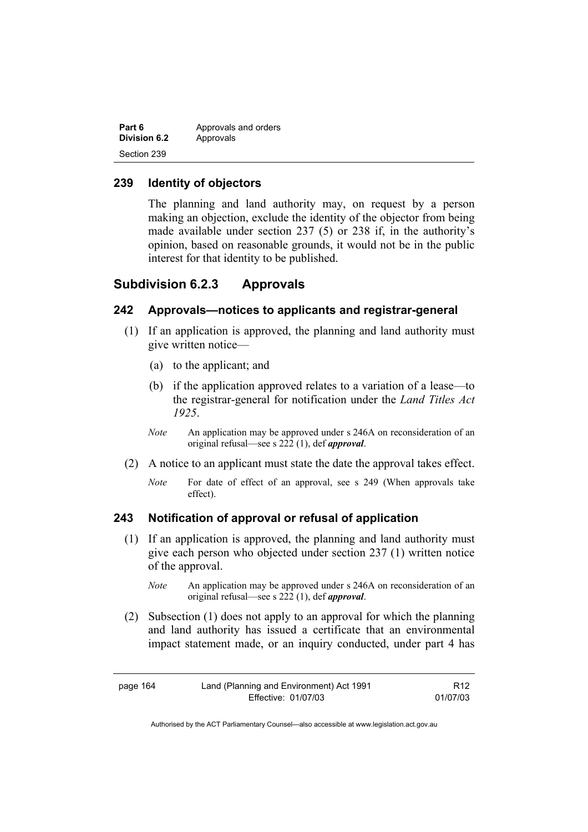| Part 6       | Approvals and orders |
|--------------|----------------------|
| Division 6.2 | Approvals            |
| Section 239  |                      |

# **239 Identity of objectors**

The planning and land authority may, on request by a person making an objection, exclude the identity of the objector from being made available under section 237 (5) or 238 if, in the authority's opinion, based on reasonable grounds, it would not be in the public interest for that identity to be published.

# **Subdivision 6.2.3 Approvals**

#### **242 Approvals—notices to applicants and registrar-general**

- (1) If an application is approved, the planning and land authority must give written notice—
	- (a) to the applicant; and
	- (b) if the application approved relates to a variation of a lease—to the registrar-general for notification under the *Land Titles Act 1925*.
	- *Note* An application may be approved under s 246A on reconsideration of an original refusal—see s 222 (1), def *approval*.
- (2) A notice to an applicant must state the date the approval takes effect.
	- *Note* For date of effect of an approval, see s 249 (When approvals take effect).

#### **243 Notification of approval or refusal of application**

- (1) If an application is approved, the planning and land authority must give each person who objected under section 237 (1) written notice of the approval.
	- *Note* An application may be approved under s 246A on reconsideration of an original refusal—see s 222 (1), def *approval*.
- (2) Subsection (1) does not apply to an approval for which the planning and land authority has issued a certificate that an environmental impact statement made, or an inquiry conducted, under part 4 has

| page 164 | Land (Planning and Environment) Act 1991 | R <sub>12</sub> |
|----------|------------------------------------------|-----------------|
|          | Effective: 01/07/03                      | 01/07/03        |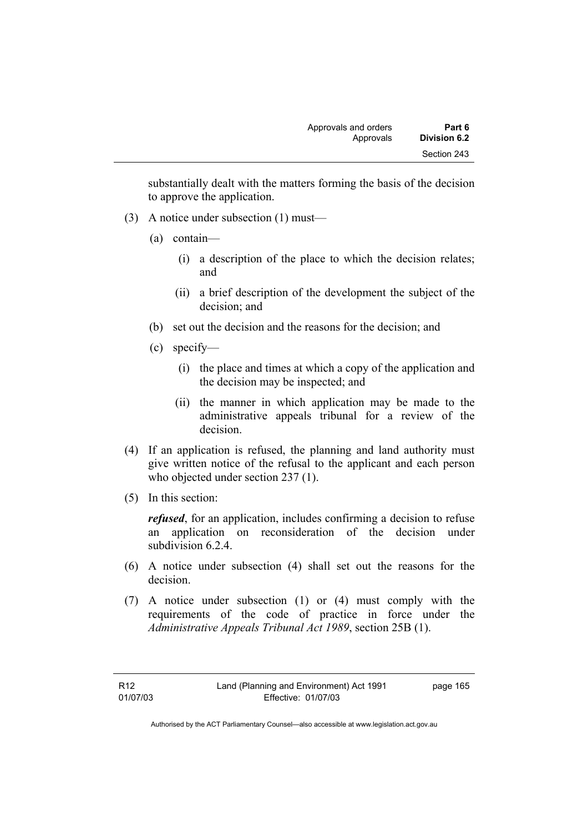substantially dealt with the matters forming the basis of the decision to approve the application.

- (3) A notice under subsection (1) must—
	- (a) contain—
		- (i) a description of the place to which the decision relates; and
		- (ii) a brief description of the development the subject of the decision; and
	- (b) set out the decision and the reasons for the decision; and
	- (c) specify—
		- (i) the place and times at which a copy of the application and the decision may be inspected; and
		- (ii) the manner in which application may be made to the administrative appeals tribunal for a review of the decision.
- (4) If an application is refused, the planning and land authority must give written notice of the refusal to the applicant and each person who objected under section 237 (1).
- (5) In this section:

*refused*, for an application, includes confirming a decision to refuse an application on reconsideration of the decision under subdivision 6.2.4.

- (6) A notice under subsection (4) shall set out the reasons for the decision.
- (7) A notice under subsection (1) or (4) must comply with the requirements of the code of practice in force under the *Administrative Appeals Tribunal Act 1989*, section 25B (1).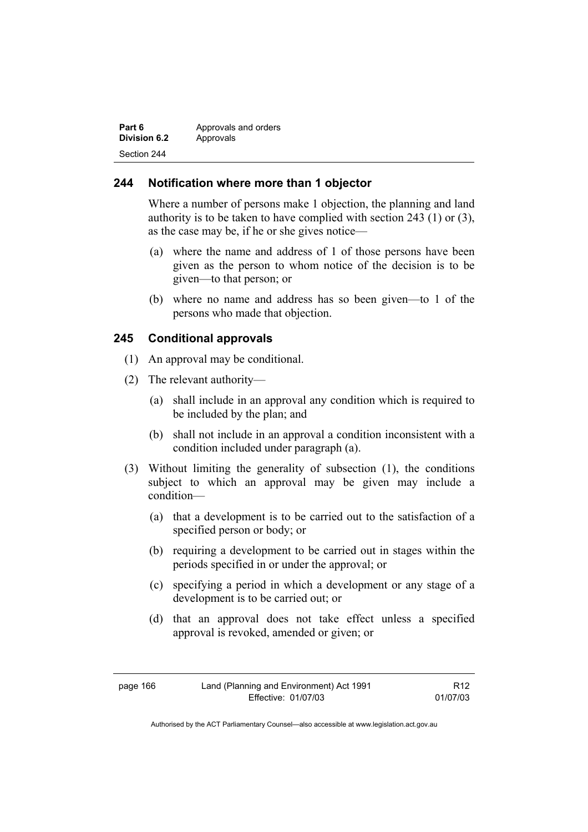| Part 6       | Approvals and orders |
|--------------|----------------------|
| Division 6.2 | Approvals            |
| Section 244  |                      |

## **244 Notification where more than 1 objector**

Where a number of persons make 1 objection, the planning and land authority is to be taken to have complied with section 243 (1) or (3), as the case may be, if he or she gives notice—

- (a) where the name and address of 1 of those persons have been given as the person to whom notice of the decision is to be given—to that person; or
- (b) where no name and address has so been given—to 1 of the persons who made that objection.

# **245 Conditional approvals**

- (1) An approval may be conditional.
- (2) The relevant authority—
	- (a) shall include in an approval any condition which is required to be included by the plan; and
	- (b) shall not include in an approval a condition inconsistent with a condition included under paragraph (a).
- (3) Without limiting the generality of subsection (1), the conditions subject to which an approval may be given may include a condition—
	- (a) that a development is to be carried out to the satisfaction of a specified person or body; or
	- (b) requiring a development to be carried out in stages within the periods specified in or under the approval; or
	- (c) specifying a period in which a development or any stage of a development is to be carried out; or
	- (d) that an approval does not take effect unless a specified approval is revoked, amended or given; or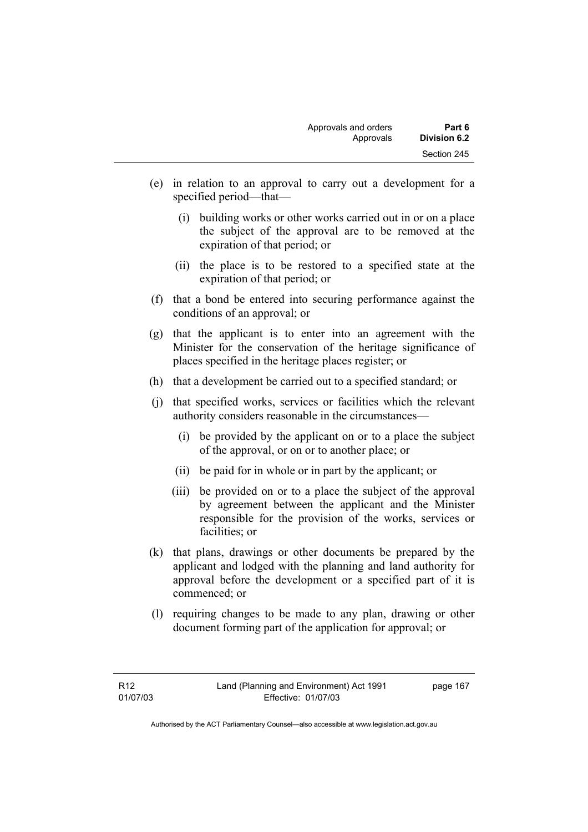- (e) in relation to an approval to carry out a development for a specified period—that—
	- (i) building works or other works carried out in or on a place the subject of the approval are to be removed at the expiration of that period; or
	- (ii) the place is to be restored to a specified state at the expiration of that period; or
- (f) that a bond be entered into securing performance against the conditions of an approval; or
- (g) that the applicant is to enter into an agreement with the Minister for the conservation of the heritage significance of places specified in the heritage places register; or
- (h) that a development be carried out to a specified standard; or
- (j) that specified works, services or facilities which the relevant authority considers reasonable in the circumstances—
	- (i) be provided by the applicant on or to a place the subject of the approval, or on or to another place; or
	- (ii) be paid for in whole or in part by the applicant; or
	- (iii) be provided on or to a place the subject of the approval by agreement between the applicant and the Minister responsible for the provision of the works, services or facilities; or
- (k) that plans, drawings or other documents be prepared by the applicant and lodged with the planning and land authority for approval before the development or a specified part of it is commenced; or
- (l) requiring changes to be made to any plan, drawing or other document forming part of the application for approval; or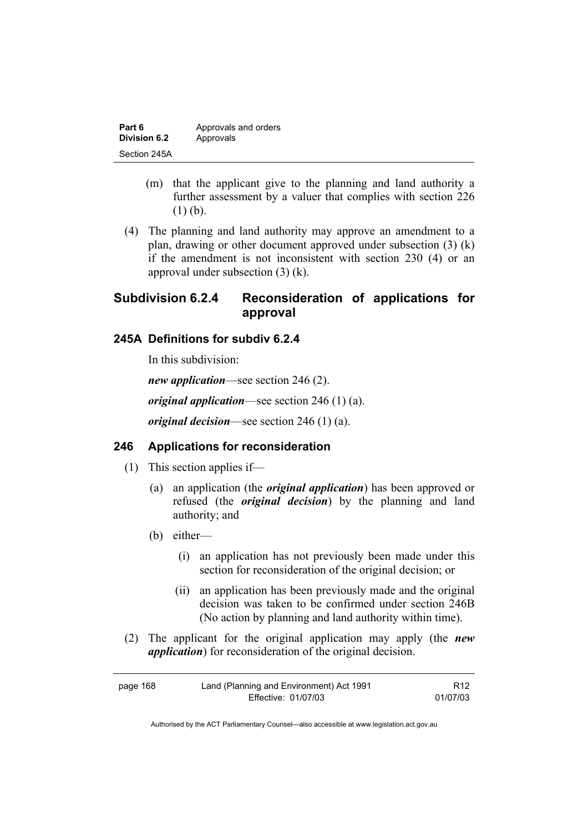| Part 6              | Approvals and orders |
|---------------------|----------------------|
| <b>Division 6.2</b> | Approvals            |
| Section 245A        |                      |

- (m) that the applicant give to the planning and land authority a further assessment by a valuer that complies with section 226 (1) (b).
- (4) The planning and land authority may approve an amendment to a plan, drawing or other document approved under subsection (3) (k) if the amendment is not inconsistent with section 230 (4) or an approval under subsection (3) (k).

# **Subdivision 6.2.4 Reconsideration of applications for approval**

#### **245A Definitions for subdiv 6.2.4**

In this subdivision:

*new application*—see section 246 (2). *original application*—see section 246 (1) (a).

*original decision*—see section 246 (1) (a).

# **246 Applications for reconsideration**

- (1) This section applies if—
	- (a) an application (the *original application*) has been approved or refused (the *original decision*) by the planning and land authority; and
	- (b) either—
		- (i) an application has not previously been made under this section for reconsideration of the original decision; or
		- (ii) an application has been previously made and the original decision was taken to be confirmed under section 246B (No action by planning and land authority within time).
- (2) The applicant for the original application may apply (the *new application*) for reconsideration of the original decision.

| page 168 | Land (Planning and Environment) Act 1991 | R <sub>12</sub> |
|----------|------------------------------------------|-----------------|
|          | Effective: 01/07/03                      | 01/07/03        |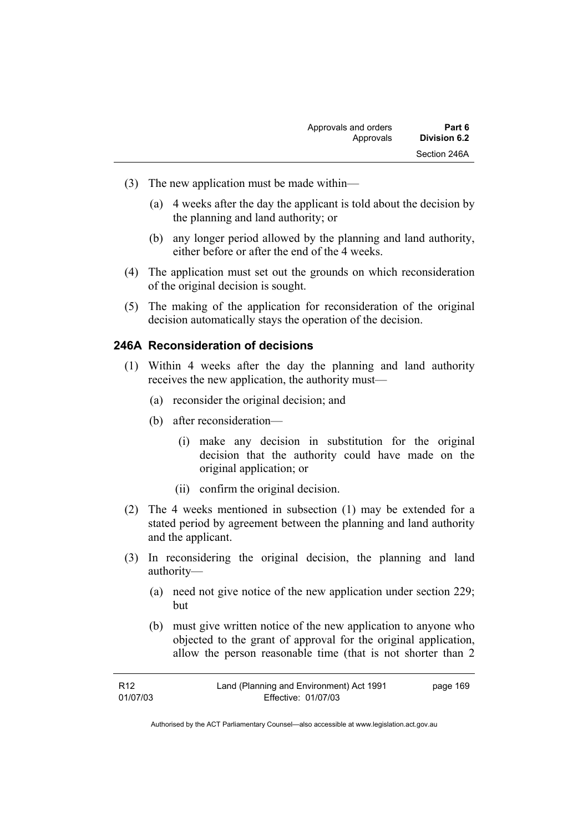- (3) The new application must be made within—
	- (a) 4 weeks after the day the applicant is told about the decision by the planning and land authority; or
	- (b) any longer period allowed by the planning and land authority, either before or after the end of the 4 weeks.
- (4) The application must set out the grounds on which reconsideration of the original decision is sought.
- (5) The making of the application for reconsideration of the original decision automatically stays the operation of the decision.

## **246A Reconsideration of decisions**

- (1) Within 4 weeks after the day the planning and land authority receives the new application, the authority must—
	- (a) reconsider the original decision; and
	- (b) after reconsideration—
		- (i) make any decision in substitution for the original decision that the authority could have made on the original application; or
		- (ii) confirm the original decision.
- (2) The 4 weeks mentioned in subsection (1) may be extended for a stated period by agreement between the planning and land authority and the applicant.
- (3) In reconsidering the original decision, the planning and land authority—
	- (a) need not give notice of the new application under section 229; but
	- (b) must give written notice of the new application to anyone who objected to the grant of approval for the original application, allow the person reasonable time (that is not shorter than 2

| R12      | Land (Planning and Environment) Act 1991 | page 169 |
|----------|------------------------------------------|----------|
| 01/07/03 | Effective: 01/07/03                      |          |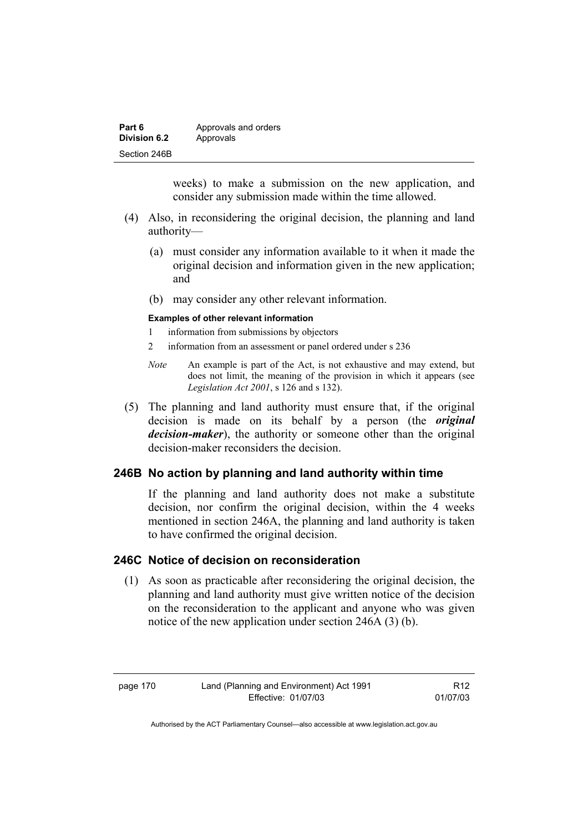| Part 6       | Approvals and orders |
|--------------|----------------------|
| Division 6.2 | Approvals            |
| Section 246B |                      |

weeks) to make a submission on the new application, and consider any submission made within the time allowed.

- (4) Also, in reconsidering the original decision, the planning and land authority—
	- (a) must consider any information available to it when it made the original decision and information given in the new application; and
	- (b) may consider any other relevant information.

#### **Examples of other relevant information**

- 1 information from submissions by objectors
- 2 information from an assessment or panel ordered under s 236
- *Note* An example is part of the Act, is not exhaustive and may extend, but does not limit, the meaning of the provision in which it appears (see *Legislation Act 2001*, s 126 and s 132).
- (5) The planning and land authority must ensure that, if the original decision is made on its behalf by a person (the *original decision-maker*), the authority or someone other than the original decision-maker reconsiders the decision.

## **246B No action by planning and land authority within time**

If the planning and land authority does not make a substitute decision, nor confirm the original decision, within the 4 weeks mentioned in section 246A, the planning and land authority is taken to have confirmed the original decision.

## **246C Notice of decision on reconsideration**

 (1) As soon as practicable after reconsidering the original decision, the planning and land authority must give written notice of the decision on the reconsideration to the applicant and anyone who was given notice of the new application under section 246A (3) (b).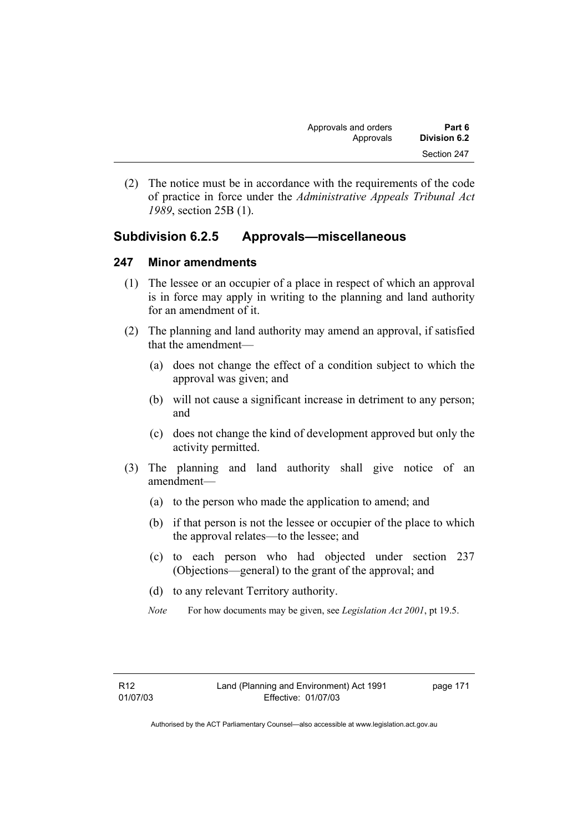| Approvals and orders | Part 6       |
|----------------------|--------------|
| Approvals            | Division 6.2 |
|                      | Section 247  |

 (2) The notice must be in accordance with the requirements of the code of practice in force under the *Administrative Appeals Tribunal Act 1989*, section 25B (1).

# **Subdivision 6.2.5 Approvals—miscellaneous**

#### **247 Minor amendments**

- (1) The lessee or an occupier of a place in respect of which an approval is in force may apply in writing to the planning and land authority for an amendment of it.
- (2) The planning and land authority may amend an approval, if satisfied that the amendment—
	- (a) does not change the effect of a condition subject to which the approval was given; and
	- (b) will not cause a significant increase in detriment to any person; and
	- (c) does not change the kind of development approved but only the activity permitted.
- (3) The planning and land authority shall give notice of an amendment—
	- (a) to the person who made the application to amend; and
	- (b) if that person is not the lessee or occupier of the place to which the approval relates—to the lessee; and
	- (c) to each person who had objected under section 237 (Objections—general) to the grant of the approval; and
	- (d) to any relevant Territory authority.
	- *Note* For how documents may be given, see *Legislation Act 2001*, pt 19.5.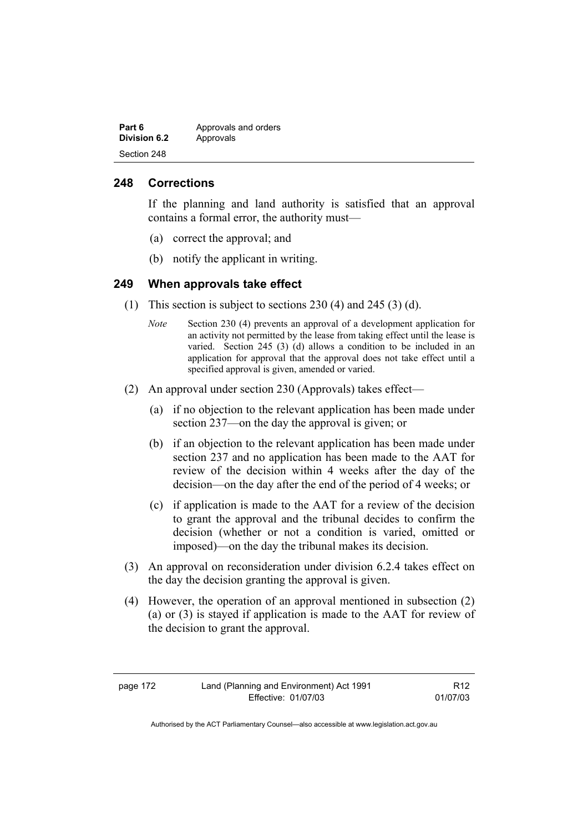| Part 6       | Approvals and orders |
|--------------|----------------------|
| Division 6.2 | Approvals            |
| Section 248  |                      |

#### **248 Corrections**

If the planning and land authority is satisfied that an approval contains a formal error, the authority must—

- (a) correct the approval; and
- (b) notify the applicant in writing.

#### **249 When approvals take effect**

- (1) This section is subject to sections 230 (4) and 245 (3) (d).
	- *Note* Section 230 (4) prevents an approval of a development application for an activity not permitted by the lease from taking effect until the lease is varied. Section 245 (3) (d) allows a condition to be included in an application for approval that the approval does not take effect until a specified approval is given, amended or varied.
- (2) An approval under section 230 (Approvals) takes effect—
	- (a) if no objection to the relevant application has been made under section 237—on the day the approval is given; or
	- (b) if an objection to the relevant application has been made under section 237 and no application has been made to the AAT for review of the decision within 4 weeks after the day of the decision—on the day after the end of the period of 4 weeks; or
	- (c) if application is made to the AAT for a review of the decision to grant the approval and the tribunal decides to confirm the decision (whether or not a condition is varied, omitted or imposed)—on the day the tribunal makes its decision.
- (3) An approval on reconsideration under division 6.2.4 takes effect on the day the decision granting the approval is given.
- (4) However, the operation of an approval mentioned in subsection (2) (a) or (3) is stayed if application is made to the AAT for review of the decision to grant the approval.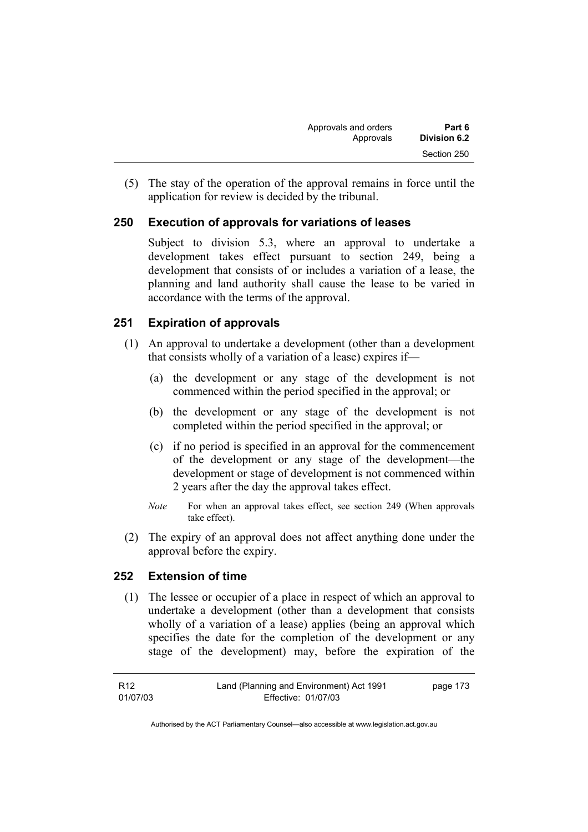(5) The stay of the operation of the approval remains in force until the application for review is decided by the tribunal.

# **250 Execution of approvals for variations of leases**

Subject to division 5.3, where an approval to undertake a development takes effect pursuant to section 249, being a development that consists of or includes a variation of a lease, the planning and land authority shall cause the lease to be varied in accordance with the terms of the approval.

# **251 Expiration of approvals**

- (1) An approval to undertake a development (other than a development that consists wholly of a variation of a lease) expires if—
	- (a) the development or any stage of the development is not commenced within the period specified in the approval; or
	- (b) the development or any stage of the development is not completed within the period specified in the approval; or
	- (c) if no period is specified in an approval for the commencement of the development or any stage of the development—the development or stage of development is not commenced within 2 years after the day the approval takes effect.
	- *Note* For when an approval takes effect, see section 249 (When approvals take effect).
- (2) The expiry of an approval does not affect anything done under the approval before the expiry.

# **252 Extension of time**

 (1) The lessee or occupier of a place in respect of which an approval to undertake a development (other than a development that consists wholly of a variation of a lease) applies (being an approval which specifies the date for the completion of the development or any stage of the development) may, before the expiration of the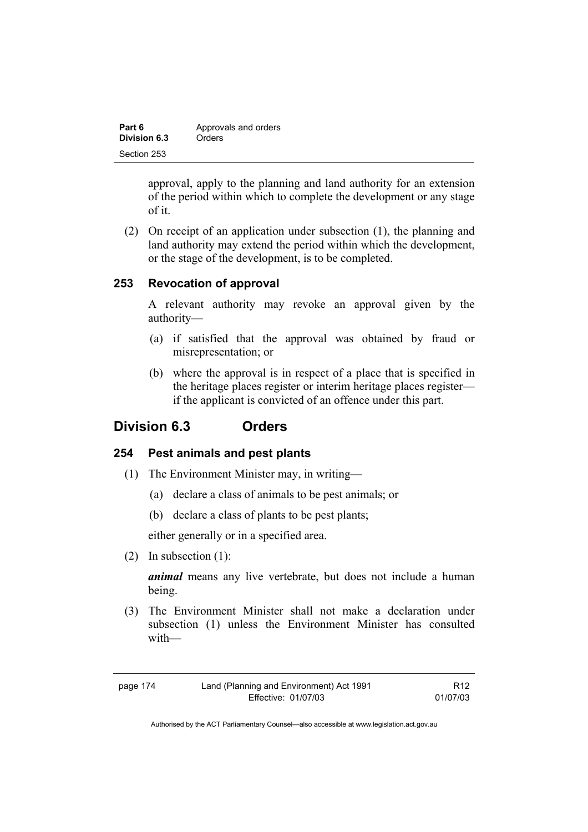| Part 6       | Approvals and orders |
|--------------|----------------------|
| Division 6.3 | Orders               |
| Section 253  |                      |

approval, apply to the planning and land authority for an extension of the period within which to complete the development or any stage of it.

 (2) On receipt of an application under subsection (1), the planning and land authority may extend the period within which the development, or the stage of the development, is to be completed.

## **253 Revocation of approval**

A relevant authority may revoke an approval given by the authority—

- (a) if satisfied that the approval was obtained by fraud or misrepresentation; or
- (b) where the approval is in respect of a place that is specified in the heritage places register or interim heritage places register if the applicant is convicted of an offence under this part.

# **Division 6.3 Orders**

## **254 Pest animals and pest plants**

- (1) The Environment Minister may, in writing—
	- (a) declare a class of animals to be pest animals; or
	- (b) declare a class of plants to be pest plants;

either generally or in a specified area.

(2) In subsection (1):

*animal* means any live vertebrate, but does not include a human being.

 (3) The Environment Minister shall not make a declaration under subsection (1) unless the Environment Minister has consulted with—

| page 174 | Land (Planning and Environment) Act 1991 | R <sub>12</sub> |
|----------|------------------------------------------|-----------------|
|          | Effective: 01/07/03                      | 01/07/03        |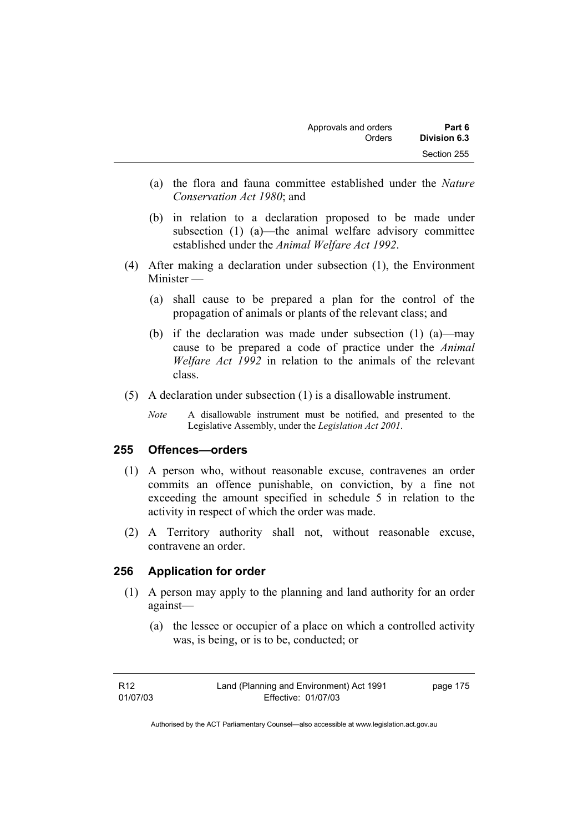| Approvals and orders | Part 6       |
|----------------------|--------------|
| Orders               | Division 6.3 |
|                      | Section 255  |

- (a) the flora and fauna committee established under the *Nature Conservation Act 1980*; and
- (b) in relation to a declaration proposed to be made under subsection (1) (a)—the animal welfare advisory committee established under the *Animal Welfare Act 1992*.
- (4) After making a declaration under subsection (1), the Environment Minister —
	- (a) shall cause to be prepared a plan for the control of the propagation of animals or plants of the relevant class; and
	- (b) if the declaration was made under subsection (1) (a)—may cause to be prepared a code of practice under the *Animal Welfare Act 1992* in relation to the animals of the relevant class.
- (5) A declaration under subsection (1) is a disallowable instrument.
	- *Note* A disallowable instrument must be notified, and presented to the Legislative Assembly, under the *Legislation Act 2001*.

#### **255 Offences—orders**

- (1) A person who, without reasonable excuse, contravenes an order commits an offence punishable, on conviction, by a fine not exceeding the amount specified in schedule 5 in relation to the activity in respect of which the order was made.
- (2) A Territory authority shall not, without reasonable excuse, contravene an order.

#### **256 Application for order**

- (1) A person may apply to the planning and land authority for an order against—
	- (a) the lessee or occupier of a place on which a controlled activity was, is being, or is to be, conducted; or

page 175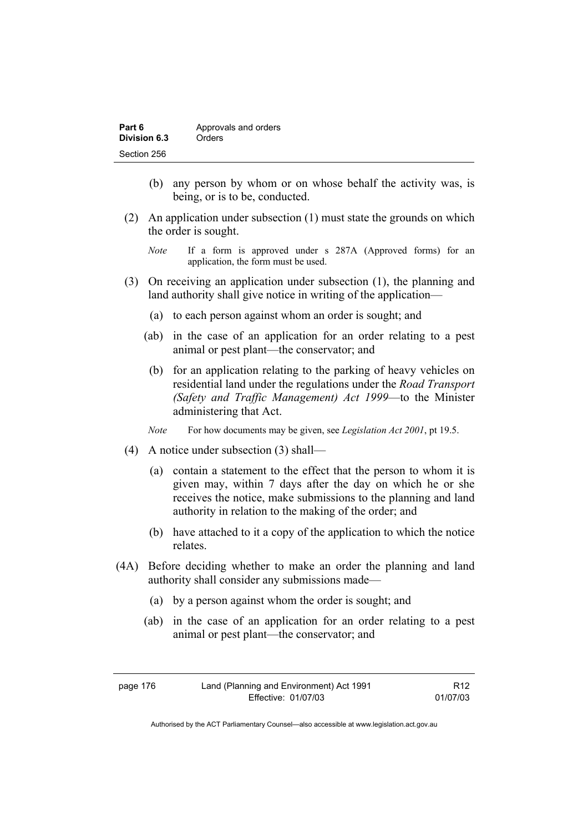| Part 6       | Approvals and orders |
|--------------|----------------------|
| Division 6.3 | Orders               |
| Section 256  |                      |

- (b) any person by whom or on whose behalf the activity was, is being, or is to be, conducted.
- (2) An application under subsection (1) must state the grounds on which the order is sought.
	- *Note* If a form is approved under s 287A (Approved forms) for an application, the form must be used.
- (3) On receiving an application under subsection (1), the planning and land authority shall give notice in writing of the application—
	- (a) to each person against whom an order is sought; and
	- (ab) in the case of an application for an order relating to a pest animal or pest plant—the conservator; and
	- (b) for an application relating to the parking of heavy vehicles on residential land under the regulations under the *Road Transport (Safety and Traffic Management) Act 1999*—to the Minister administering that Act.

*Note* For how documents may be given, see *Legislation Act 2001*, pt 19.5.

- (4) A notice under subsection (3) shall—
	- (a) contain a statement to the effect that the person to whom it is given may, within 7 days after the day on which he or she receives the notice, make submissions to the planning and land authority in relation to the making of the order; and
	- (b) have attached to it a copy of the application to which the notice relates.
- (4A) Before deciding whether to make an order the planning and land authority shall consider any submissions made—
	- (a) by a person against whom the order is sought; and
	- (ab) in the case of an application for an order relating to a pest animal or pest plant—the conservator; and

page 176 Land (Planning and Environment) Act 1991 Effective: 01/07/03

R12 01/07/03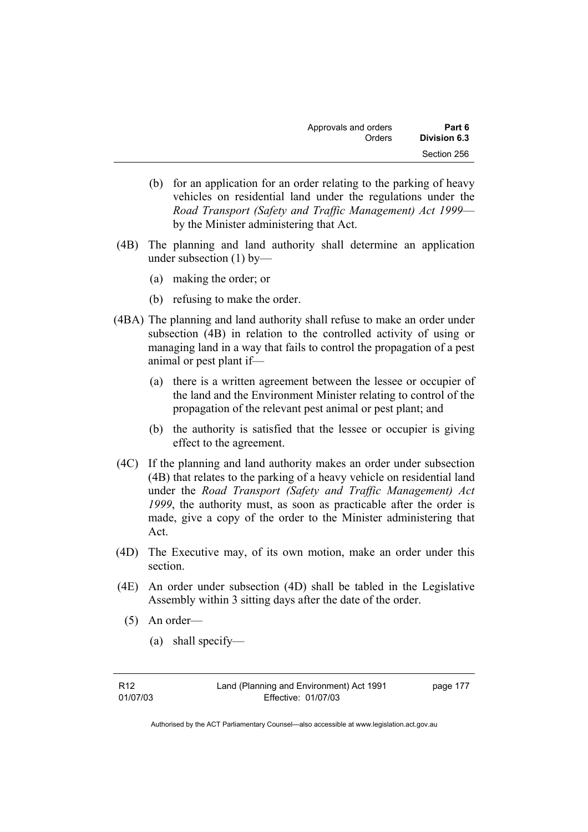| Approvals and orders | Part 6       |
|----------------------|--------------|
| Orders               | Division 6.3 |
|                      | Section 256  |

- (b) for an application for an order relating to the parking of heavy vehicles on residential land under the regulations under the *Road Transport (Safety and Traffic Management) Act 1999* by the Minister administering that Act.
- (4B) The planning and land authority shall determine an application under subsection (1) by—
	- (a) making the order; or
	- (b) refusing to make the order.
- (4BA) The planning and land authority shall refuse to make an order under subsection (4B) in relation to the controlled activity of using or managing land in a way that fails to control the propagation of a pest animal or pest plant if—
	- (a) there is a written agreement between the lessee or occupier of the land and the Environment Minister relating to control of the propagation of the relevant pest animal or pest plant; and
	- (b) the authority is satisfied that the lessee or occupier is giving effect to the agreement.
- (4C) If the planning and land authority makes an order under subsection (4B) that relates to the parking of a heavy vehicle on residential land under the *Road Transport (Safety and Traffic Management) Act 1999*, the authority must, as soon as practicable after the order is made, give a copy of the order to the Minister administering that Act.
- (4D) The Executive may, of its own motion, make an order under this section.
- (4E) An order under subsection (4D) shall be tabled in the Legislative Assembly within 3 sitting days after the date of the order.
	- (5) An order—
		- (a) shall specify—

page 177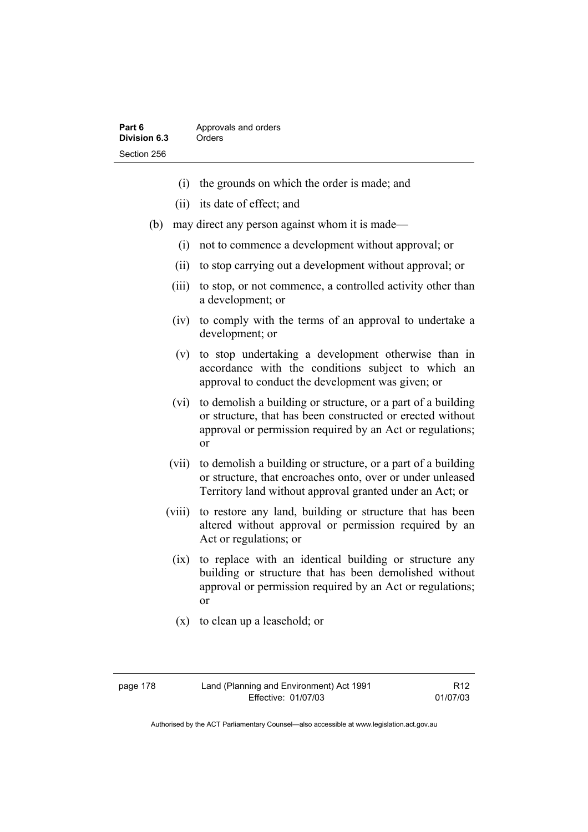- (i) the grounds on which the order is made; and
- (ii) its date of effect; and
- (b) may direct any person against whom it is made—
	- (i) not to commence a development without approval; or
	- (ii) to stop carrying out a development without approval; or
	- (iii) to stop, or not commence, a controlled activity other than a development; or
	- (iv) to comply with the terms of an approval to undertake a development; or
	- (v) to stop undertaking a development otherwise than in accordance with the conditions subject to which an approval to conduct the development was given; or
	- (vi) to demolish a building or structure, or a part of a building or structure, that has been constructed or erected without approval or permission required by an Act or regulations; or
	- (vii) to demolish a building or structure, or a part of a building or structure, that encroaches onto, over or under unleased Territory land without approval granted under an Act; or
	- (viii) to restore any land, building or structure that has been altered without approval or permission required by an Act or regulations; or
		- (ix) to replace with an identical building or structure any building or structure that has been demolished without approval or permission required by an Act or regulations; or
		- (x) to clean up a leasehold; or

Authorised by the ACT Parliamentary Counsel—also accessible at www.legislation.act.gov.au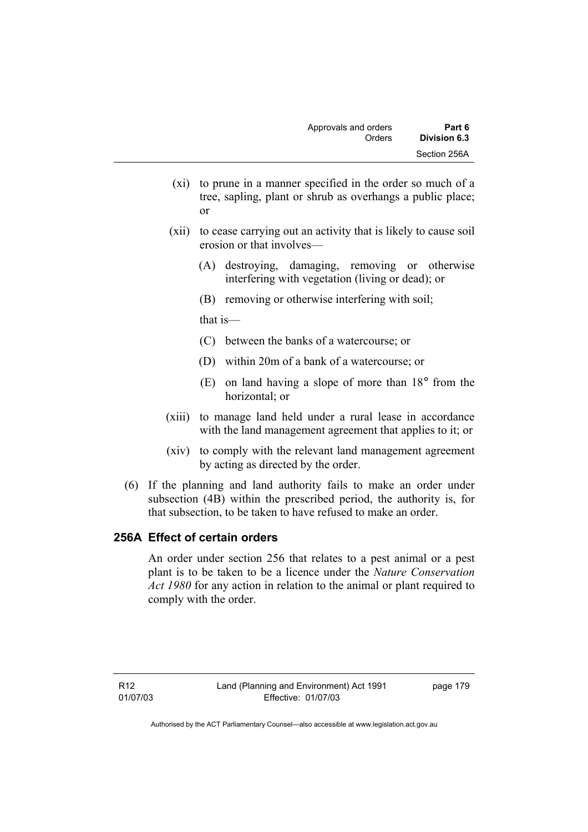- (xi) to prune in a manner specified in the order so much of a tree, sapling, plant or shrub as overhangs a public place; or
- (xii) to cease carrying out an activity that is likely to cause soil erosion or that involves—
	- (A) destroying, damaging, removing or otherwise interfering with vegetation (living or dead); or
	- (B) removing or otherwise interfering with soil;

that is—

- (C) between the banks of a watercourse; or
- (D) within 20m of a bank of a watercourse; or
- (E) on land having a slope of more than 18° from the horizontal; or
- (xiii) to manage land held under a rural lease in accordance with the land management agreement that applies to it; or
- (xiv) to comply with the relevant land management agreement by acting as directed by the order.
- (6) If the planning and land authority fails to make an order under subsection (4B) within the prescribed period, the authority is, for that subsection, to be taken to have refused to make an order.

# **256A Effect of certain orders**

An order under section 256 that relates to a pest animal or a pest plant is to be taken to be a licence under the *Nature Conservation Act 1980* for any action in relation to the animal or plant required to comply with the order.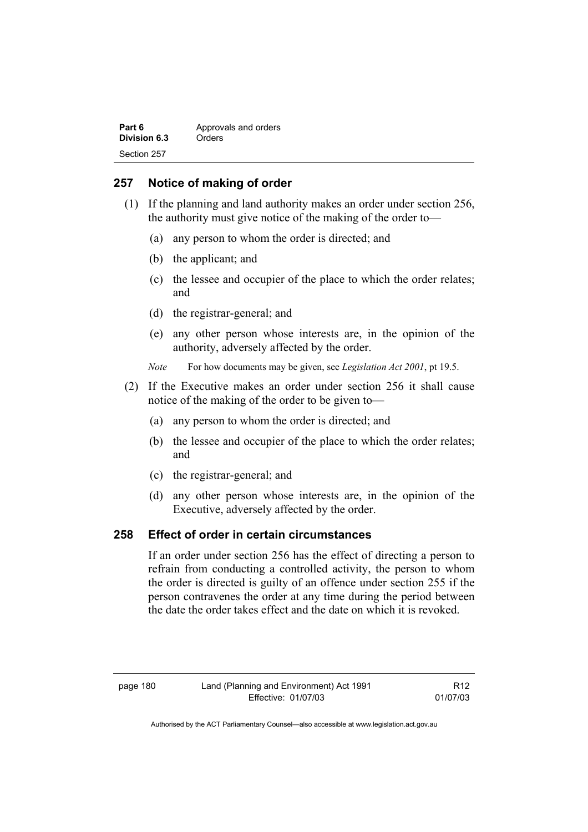| Part 6       | Approvals and orders |
|--------------|----------------------|
| Division 6.3 | Orders               |
| Section 257  |                      |

# **257 Notice of making of order**

- (1) If the planning and land authority makes an order under section 256, the authority must give notice of the making of the order to—
	- (a) any person to whom the order is directed; and
	- (b) the applicant; and
	- (c) the lessee and occupier of the place to which the order relates; and
	- (d) the registrar-general; and
	- (e) any other person whose interests are, in the opinion of the authority, adversely affected by the order.
	- *Note* For how documents may be given, see *Legislation Act 2001*, pt 19.5.
- (2) If the Executive makes an order under section 256 it shall cause notice of the making of the order to be given to—
	- (a) any person to whom the order is directed; and
	- (b) the lessee and occupier of the place to which the order relates; and
	- (c) the registrar-general; and
	- (d) any other person whose interests are, in the opinion of the Executive, adversely affected by the order.

## **258 Effect of order in certain circumstances**

If an order under section 256 has the effect of directing a person to refrain from conducting a controlled activity, the person to whom the order is directed is guilty of an offence under section 255 if the person contravenes the order at any time during the period between the date the order takes effect and the date on which it is revoked.

R12 01/07/03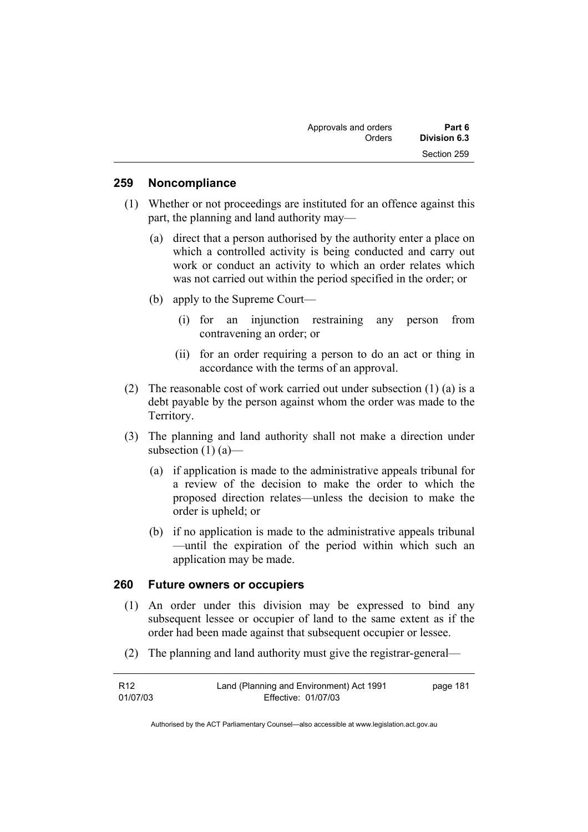| Approvals and orders | Part 6       |
|----------------------|--------------|
| Orders               | Division 6.3 |
|                      | Section 259  |

#### **259 Noncompliance**

- (1) Whether or not proceedings are instituted for an offence against this part, the planning and land authority may—
	- (a) direct that a person authorised by the authority enter a place on which a controlled activity is being conducted and carry out work or conduct an activity to which an order relates which was not carried out within the period specified in the order; or
	- (b) apply to the Supreme Court—
		- (i) for an injunction restraining any person from contravening an order; or
		- (ii) for an order requiring a person to do an act or thing in accordance with the terms of an approval.
- (2) The reasonable cost of work carried out under subsection (1) (a) is a debt payable by the person against whom the order was made to the Territory.
- (3) The planning and land authority shall not make a direction under subsection (1) (a)—
	- (a) if application is made to the administrative appeals tribunal for a review of the decision to make the order to which the proposed direction relates—unless the decision to make the order is upheld; or
	- (b) if no application is made to the administrative appeals tribunal —until the expiration of the period within which such an application may be made.

#### **260 Future owners or occupiers**

- (1) An order under this division may be expressed to bind any subsequent lessee or occupier of land to the same extent as if the order had been made against that subsequent occupier or lessee.
- (2) The planning and land authority must give the registrar-general—

| R12      | Land (Planning and Environment) Act 1991 | page 181 |
|----------|------------------------------------------|----------|
| 01/07/03 | Effective: 01/07/03                      |          |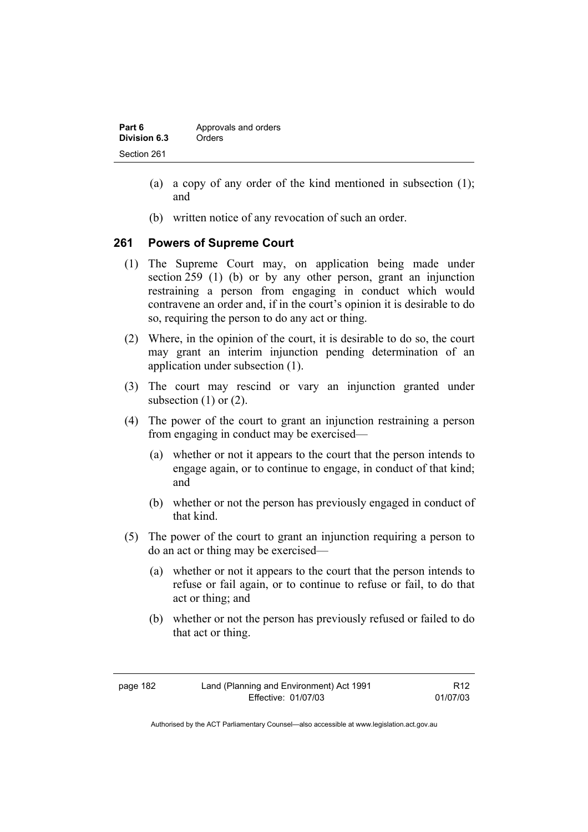| Part 6       | Approvals and orders |
|--------------|----------------------|
| Division 6.3 | Orders               |
| Section 261  |                      |

- (a) a copy of any order of the kind mentioned in subsection (1); and
- (b) written notice of any revocation of such an order.

## **261 Powers of Supreme Court**

- (1) The Supreme Court may, on application being made under section 259 (1) (b) or by any other person, grant an injunction restraining a person from engaging in conduct which would contravene an order and, if in the court's opinion it is desirable to do so, requiring the person to do any act or thing.
- (2) Where, in the opinion of the court, it is desirable to do so, the court may grant an interim injunction pending determination of an application under subsection (1).
- (3) The court may rescind or vary an injunction granted under subsection  $(1)$  or  $(2)$ .
- (4) The power of the court to grant an injunction restraining a person from engaging in conduct may be exercised—
	- (a) whether or not it appears to the court that the person intends to engage again, or to continue to engage, in conduct of that kind; and
	- (b) whether or not the person has previously engaged in conduct of that kind.
- (5) The power of the court to grant an injunction requiring a person to do an act or thing may be exercised—
	- (a) whether or not it appears to the court that the person intends to refuse or fail again, or to continue to refuse or fail, to do that act or thing; and
	- (b) whether or not the person has previously refused or failed to do that act or thing.

Authorised by the ACT Parliamentary Counsel—also accessible at www.legislation.act.gov.au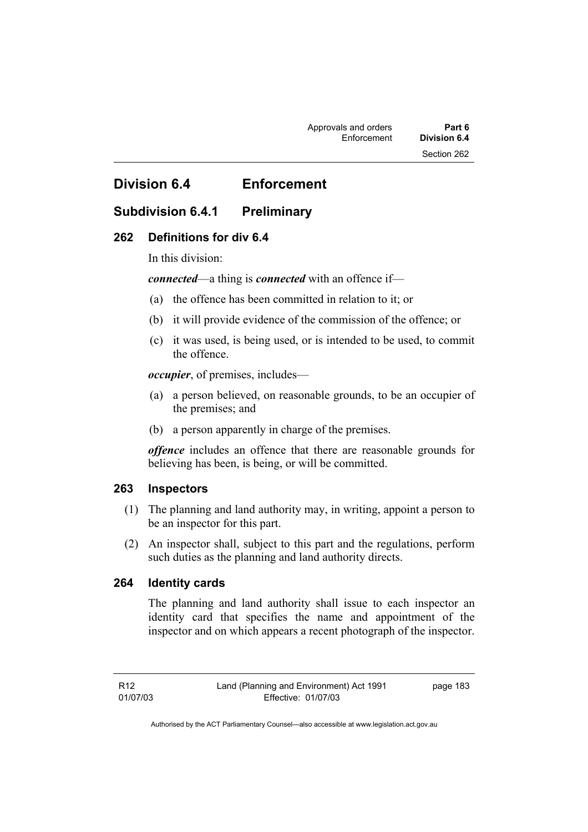# **Division 6.4 Enforcement**

# **Subdivision 6.4.1 Preliminary**

## **262 Definitions for div 6.4**

In this division:

*connected*—a thing is *connected* with an offence if—

- (a) the offence has been committed in relation to it; or
- (b) it will provide evidence of the commission of the offence; or
- (c) it was used, is being used, or is intended to be used, to commit the offence.

*occupier*, of premises, includes—

- (a) a person believed, on reasonable grounds, to be an occupier of the premises; and
- (b) a person apparently in charge of the premises.

*offence* includes an offence that there are reasonable grounds for believing has been, is being, or will be committed.

#### **263 Inspectors**

- (1) The planning and land authority may, in writing, appoint a person to be an inspector for this part.
- (2) An inspector shall, subject to this part and the regulations, perform such duties as the planning and land authority directs.

#### **264 Identity cards**

The planning and land authority shall issue to each inspector an identity card that specifies the name and appointment of the inspector and on which appears a recent photograph of the inspector.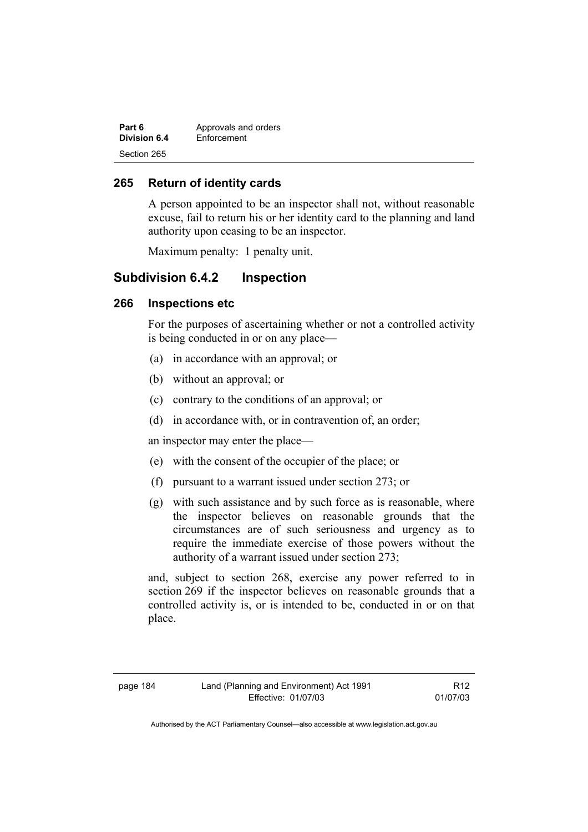| Part 6       | Approvals and orders |
|--------------|----------------------|
| Division 6.4 | Enforcement          |
| Section 265  |                      |

#### **265 Return of identity cards**

A person appointed to be an inspector shall not, without reasonable excuse, fail to return his or her identity card to the planning and land authority upon ceasing to be an inspector.

Maximum penalty: 1 penalty unit.

# **Subdivision 6.4.2 Inspection**

#### **266 Inspections etc**

For the purposes of ascertaining whether or not a controlled activity is being conducted in or on any place—

- (a) in accordance with an approval; or
- (b) without an approval; or
- (c) contrary to the conditions of an approval; or
- (d) in accordance with, or in contravention of, an order;

an inspector may enter the place—

- (e) with the consent of the occupier of the place; or
- (f) pursuant to a warrant issued under section 273; or
- (g) with such assistance and by such force as is reasonable, where the inspector believes on reasonable grounds that the circumstances are of such seriousness and urgency as to require the immediate exercise of those powers without the authority of a warrant issued under section 273;

and, subject to section 268, exercise any power referred to in section 269 if the inspector believes on reasonable grounds that a controlled activity is, or is intended to be, conducted in or on that place.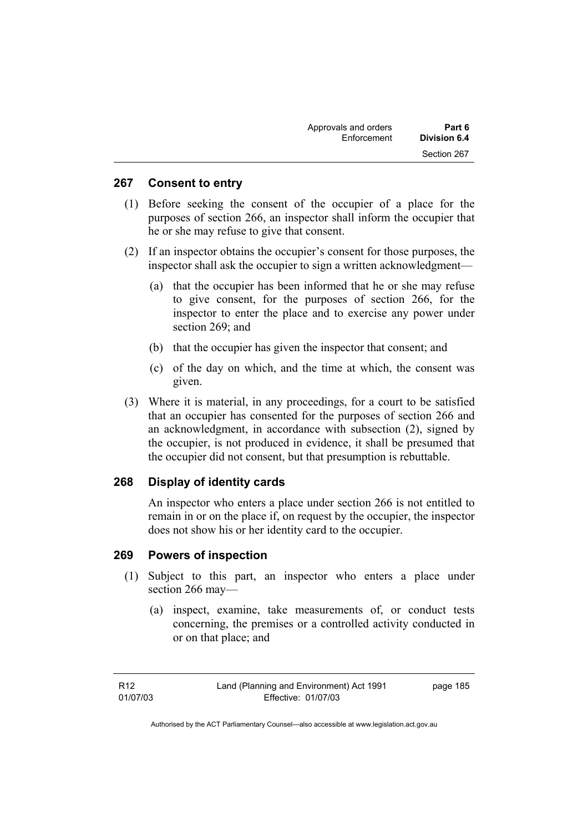| Approvals and orders | Part 6       |
|----------------------|--------------|
| Enforcement          | Division 6.4 |
|                      | Section 267  |

#### **267 Consent to entry**

- (1) Before seeking the consent of the occupier of a place for the purposes of section 266, an inspector shall inform the occupier that he or she may refuse to give that consent.
- (2) If an inspector obtains the occupier's consent for those purposes, the inspector shall ask the occupier to sign a written acknowledgment—
	- (a) that the occupier has been informed that he or she may refuse to give consent, for the purposes of section 266, for the inspector to enter the place and to exercise any power under section 269; and
	- (b) that the occupier has given the inspector that consent; and
	- (c) of the day on which, and the time at which, the consent was given.
- (3) Where it is material, in any proceedings, for a court to be satisfied that an occupier has consented for the purposes of section 266 and an acknowledgment, in accordance with subsection (2), signed by the occupier, is not produced in evidence, it shall be presumed that the occupier did not consent, but that presumption is rebuttable.

#### **268 Display of identity cards**

An inspector who enters a place under section 266 is not entitled to remain in or on the place if, on request by the occupier, the inspector does not show his or her identity card to the occupier.

#### **269 Powers of inspection**

- (1) Subject to this part, an inspector who enters a place under section 266 may—
	- (a) inspect, examine, take measurements of, or conduct tests concerning, the premises or a controlled activity conducted in or on that place; and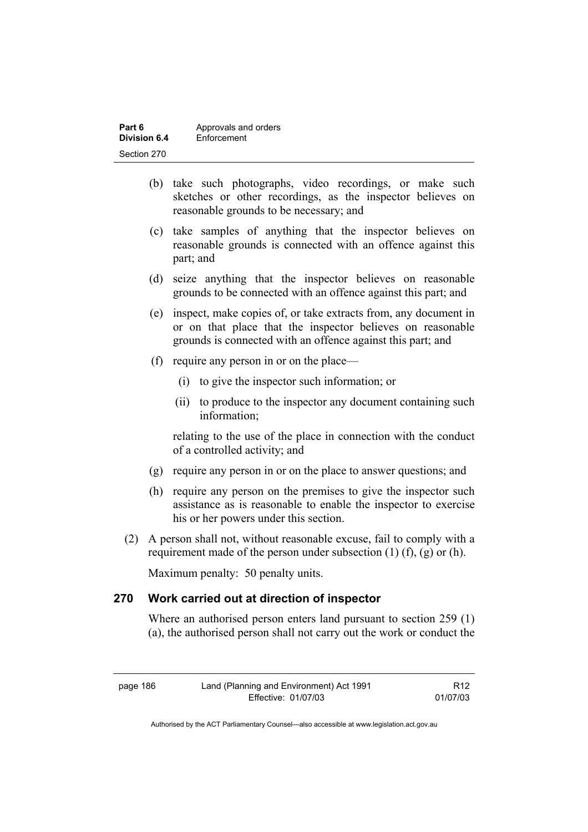| Part 6       | Approvals and orders |
|--------------|----------------------|
| Division 6.4 | Enforcement          |
| Section 270  |                      |

- (b) take such photographs, video recordings, or make such sketches or other recordings, as the inspector believes on reasonable grounds to be necessary; and
- (c) take samples of anything that the inspector believes on reasonable grounds is connected with an offence against this part; and
- (d) seize anything that the inspector believes on reasonable grounds to be connected with an offence against this part; and
- (e) inspect, make copies of, or take extracts from, any document in or on that place that the inspector believes on reasonable grounds is connected with an offence against this part; and
- (f) require any person in or on the place—
	- (i) to give the inspector such information; or
	- (ii) to produce to the inspector any document containing such information;

relating to the use of the place in connection with the conduct of a controlled activity; and

- (g) require any person in or on the place to answer questions; and
- (h) require any person on the premises to give the inspector such assistance as is reasonable to enable the inspector to exercise his or her powers under this section.
- (2) A person shall not, without reasonable excuse, fail to comply with a requirement made of the person under subsection  $(1)$   $(f)$ ,  $(g)$  or  $(h)$ .

Maximum penalty: 50 penalty units.

## **270 Work carried out at direction of inspector**

Where an authorised person enters land pursuant to section 259 (1) (a), the authorised person shall not carry out the work or conduct the

| Land (Planning and Environment) Act 1991<br>page 186 |                     | R <sub>12</sub> |
|------------------------------------------------------|---------------------|-----------------|
|                                                      | Effective: 01/07/03 | 01/07/03        |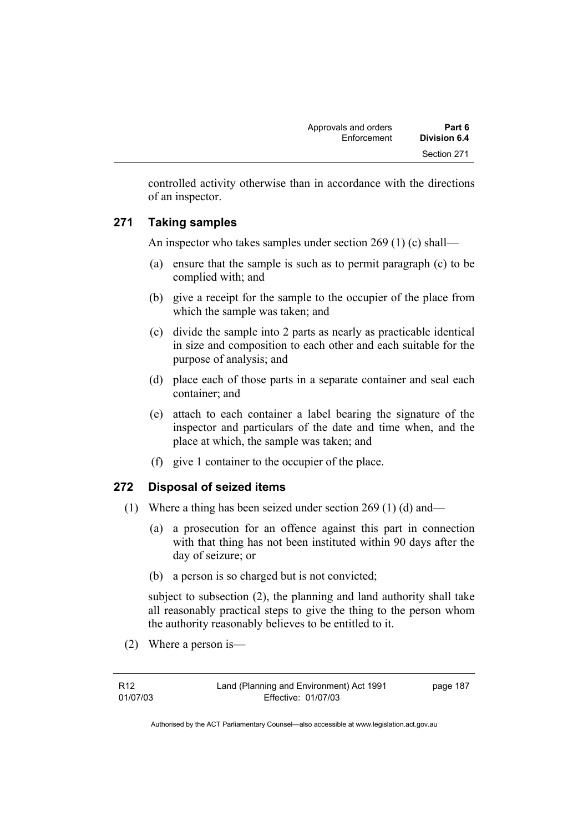controlled activity otherwise than in accordance with the directions of an inspector.

# **271 Taking samples**

An inspector who takes samples under section 269 (1) (c) shall—

- (a) ensure that the sample is such as to permit paragraph (c) to be complied with; and
- (b) give a receipt for the sample to the occupier of the place from which the sample was taken; and
- (c) divide the sample into 2 parts as nearly as practicable identical in size and composition to each other and each suitable for the purpose of analysis; and
- (d) place each of those parts in a separate container and seal each container; and
- (e) attach to each container a label bearing the signature of the inspector and particulars of the date and time when, and the place at which, the sample was taken; and
- (f) give 1 container to the occupier of the place.

# **272 Disposal of seized items**

- (1) Where a thing has been seized under section 269 (1) (d) and—
	- (a) a prosecution for an offence against this part in connection with that thing has not been instituted within 90 days after the day of seizure; or
	- (b) a person is so charged but is not convicted;

subject to subsection (2), the planning and land authority shall take all reasonably practical steps to give the thing to the person whom the authority reasonably believes to be entitled to it.

(2) Where a person is—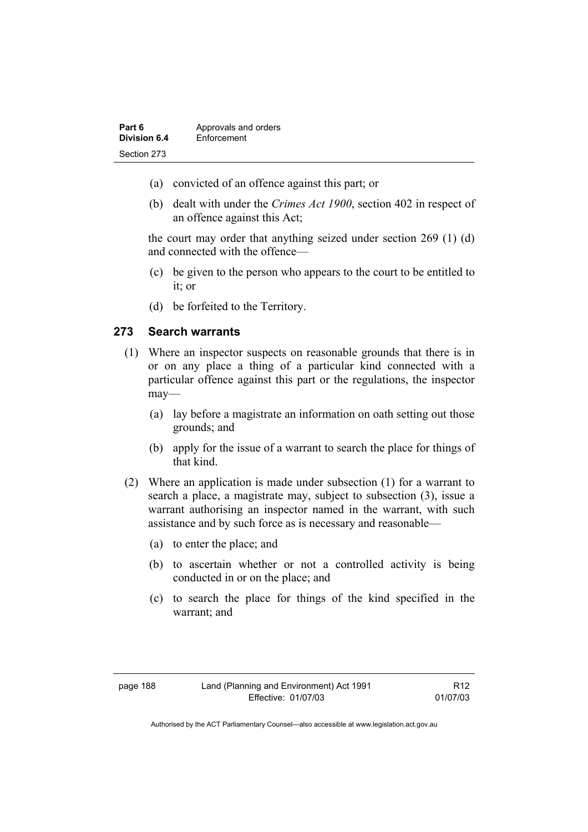| Part 6       | Approvals and orders |
|--------------|----------------------|
| Division 6.4 | Enforcement          |
| Section 273  |                      |

- (a) convicted of an offence against this part; or
- (b) dealt with under the *Crimes Act 1900*, section 402 in respect of an offence against this Act;

the court may order that anything seized under section 269 (1) (d) and connected with the offence—

- (c) be given to the person who appears to the court to be entitled to it; or
- (d) be forfeited to the Territory.

#### **273 Search warrants**

- (1) Where an inspector suspects on reasonable grounds that there is in or on any place a thing of a particular kind connected with a particular offence against this part or the regulations, the inspector may—
	- (a) lay before a magistrate an information on oath setting out those grounds; and
	- (b) apply for the issue of a warrant to search the place for things of that kind.
- (2) Where an application is made under subsection (1) for a warrant to search a place, a magistrate may, subject to subsection (3), issue a warrant authorising an inspector named in the warrant, with such assistance and by such force as is necessary and reasonable—
	- (a) to enter the place; and
	- (b) to ascertain whether or not a controlled activity is being conducted in or on the place; and
	- (c) to search the place for things of the kind specified in the warrant; and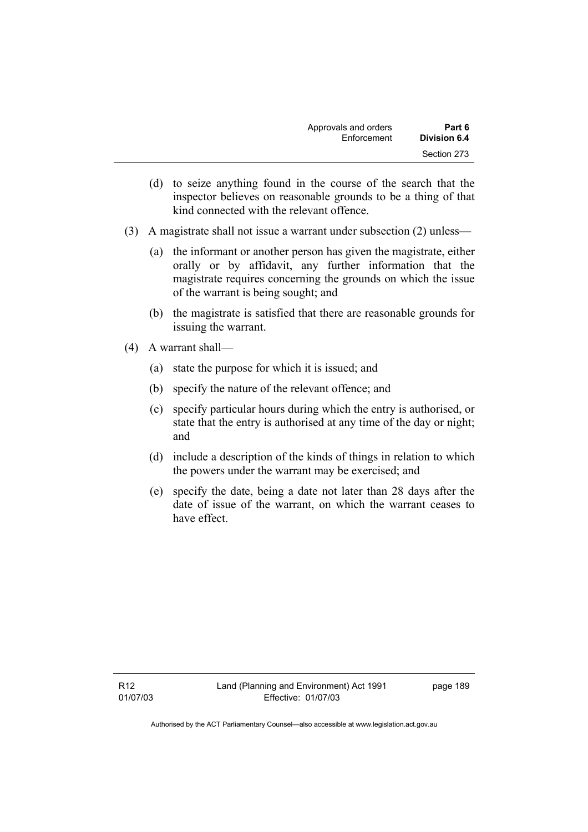| Approvals and orders | Part 6       |
|----------------------|--------------|
| Enforcement          | Division 6.4 |
|                      | Section 273  |

- (d) to seize anything found in the course of the search that the inspector believes on reasonable grounds to be a thing of that kind connected with the relevant offence.
- (3) A magistrate shall not issue a warrant under subsection (2) unless—
	- (a) the informant or another person has given the magistrate, either orally or by affidavit, any further information that the magistrate requires concerning the grounds on which the issue of the warrant is being sought; and
	- (b) the magistrate is satisfied that there are reasonable grounds for issuing the warrant.
- (4) A warrant shall—
	- (a) state the purpose for which it is issued; and
	- (b) specify the nature of the relevant offence; and
	- (c) specify particular hours during which the entry is authorised, or state that the entry is authorised at any time of the day or night; and
	- (d) include a description of the kinds of things in relation to which the powers under the warrant may be exercised; and
	- (e) specify the date, being a date not later than 28 days after the date of issue of the warrant, on which the warrant ceases to have effect.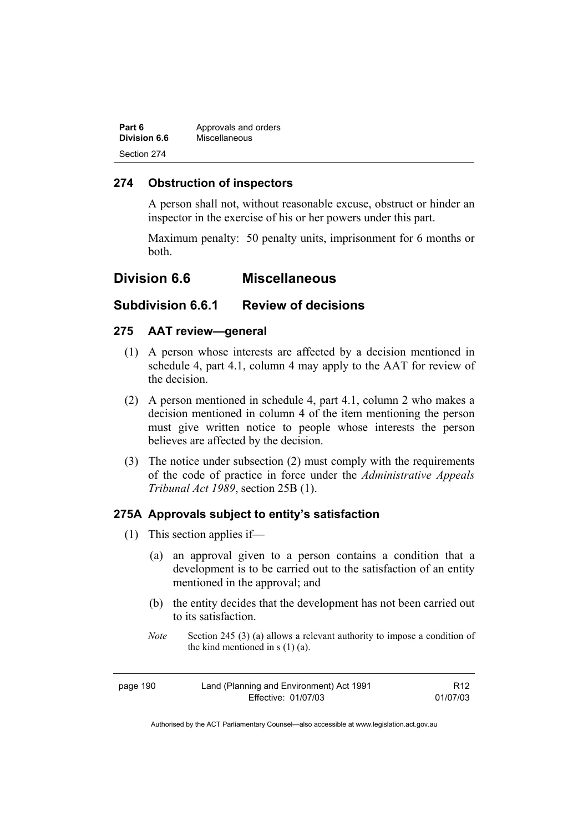| Part 6              | Approvals and orders |  |
|---------------------|----------------------|--|
| <b>Division 6.6</b> | Miscellaneous        |  |
| Section 274         |                      |  |

## **274 Obstruction of inspectors**

A person shall not, without reasonable excuse, obstruct or hinder an inspector in the exercise of his or her powers under this part.

Maximum penalty: 50 penalty units, imprisonment for 6 months or both.

# **Division 6.6 Miscellaneous**

## **Subdivision 6.6.1 Review of decisions**

#### **275 AAT review—general**

- (1) A person whose interests are affected by a decision mentioned in schedule 4, part 4.1, column 4 may apply to the AAT for review of the decision.
- (2) A person mentioned in schedule 4, part 4.1, column 2 who makes a decision mentioned in column 4 of the item mentioning the person must give written notice to people whose interests the person believes are affected by the decision.
- (3) The notice under subsection (2) must comply with the requirements of the code of practice in force under the *Administrative Appeals Tribunal Act 1989*, section 25B (1).

#### **275A Approvals subject to entity's satisfaction**

- (1) This section applies if—
	- (a) an approval given to a person contains a condition that a development is to be carried out to the satisfaction of an entity mentioned in the approval; and
	- (b) the entity decides that the development has not been carried out to its satisfaction.
	- *Note* Section 245 (3) (a) allows a relevant authority to impose a condition of the kind mentioned in s (1) (a).

| page 190 | Land (Planning and Environment) Act 1991 | R12      |
|----------|------------------------------------------|----------|
|          | Effective: 01/07/03                      | 01/07/03 |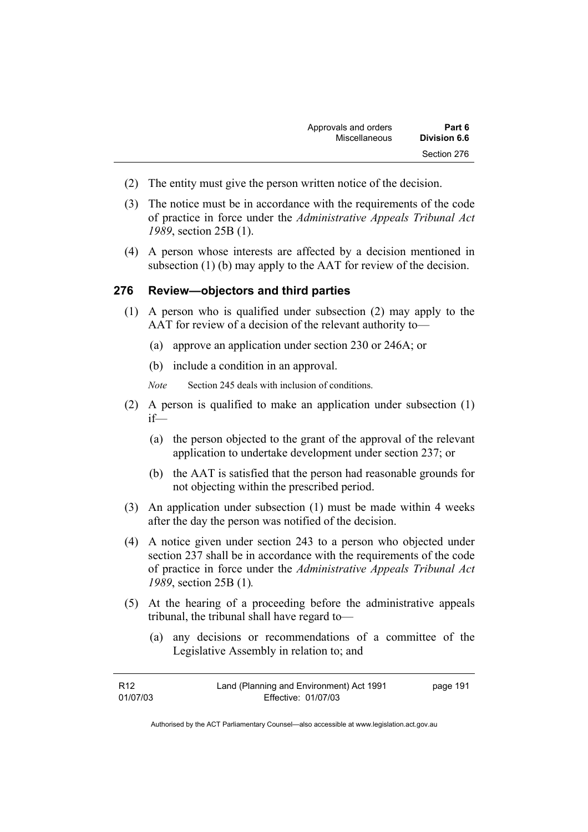- (2) The entity must give the person written notice of the decision.
- (3) The notice must be in accordance with the requirements of the code of practice in force under the *Administrative Appeals Tribunal Act 1989*, section 25B (1).
- (4) A person whose interests are affected by a decision mentioned in subsection (1) (b) may apply to the AAT for review of the decision.

#### **276 Review—objectors and third parties**

- (1) A person who is qualified under subsection (2) may apply to the AAT for review of a decision of the relevant authority to—
	- (a) approve an application under section 230 or 246A; or
	- (b) include a condition in an approval.

*Note* Section 245 deals with inclusion of conditions.

- (2) A person is qualified to make an application under subsection (1) if—
	- (a) the person objected to the grant of the approval of the relevant application to undertake development under section 237; or
	- (b) the AAT is satisfied that the person had reasonable grounds for not objecting within the prescribed period.
- (3) An application under subsection (1) must be made within 4 weeks after the day the person was notified of the decision.
- (4) A notice given under section 243 to a person who objected under section 237 shall be in accordance with the requirements of the code of practice in force under the *Administrative Appeals Tribunal Act 1989*, section 25B (1)*.*
- (5) At the hearing of a proceeding before the administrative appeals tribunal, the tribunal shall have regard to—
	- (a) any decisions or recommendations of a committee of the Legislative Assembly in relation to; and

| R12      | Land (Planning and Environment) Act 1991 | page 191 |
|----------|------------------------------------------|----------|
| 01/07/03 | Effective: 01/07/03                      |          |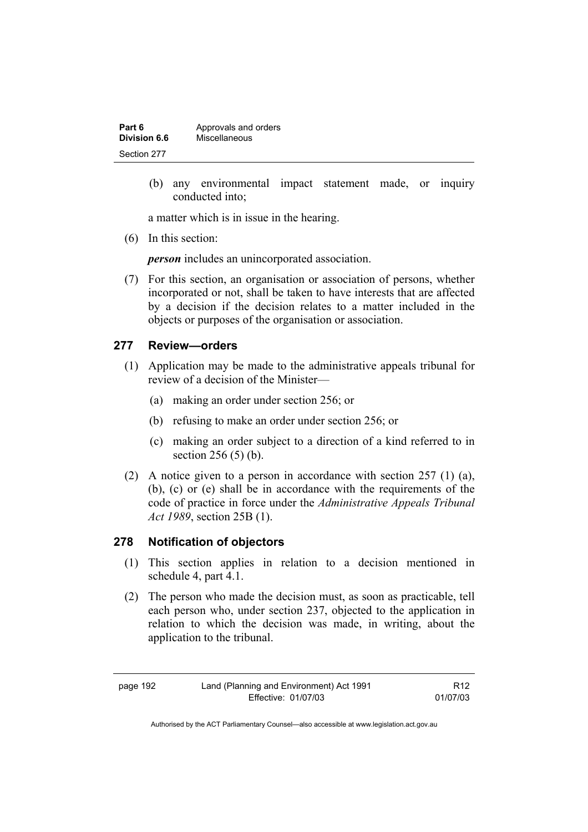| Part 6       | Approvals and orders |
|--------------|----------------------|
| Division 6.6 | Miscellaneous        |
| Section 277  |                      |

 (b) any environmental impact statement made, or inquiry conducted into;

a matter which is in issue in the hearing.

(6) In this section:

*person* includes an unincorporated association.

 (7) For this section, an organisation or association of persons, whether incorporated or not, shall be taken to have interests that are affected by a decision if the decision relates to a matter included in the objects or purposes of the organisation or association.

#### **277 Review—orders**

- (1) Application may be made to the administrative appeals tribunal for review of a decision of the Minister—
	- (a) making an order under section 256; or
	- (b) refusing to make an order under section 256; or
	- (c) making an order subject to a direction of a kind referred to in section 256 (5) (b).
- (2) A notice given to a person in accordance with section 257 (1) (a), (b), (c) or (e) shall be in accordance with the requirements of the code of practice in force under the *Administrative Appeals Tribunal Act 1989*, section 25B (1).

#### **278 Notification of objectors**

- (1) This section applies in relation to a decision mentioned in schedule 4, part 4.1.
- (2) The person who made the decision must, as soon as practicable, tell each person who, under section 237, objected to the application in relation to which the decision was made, in writing, about the application to the tribunal.

R12 01/07/03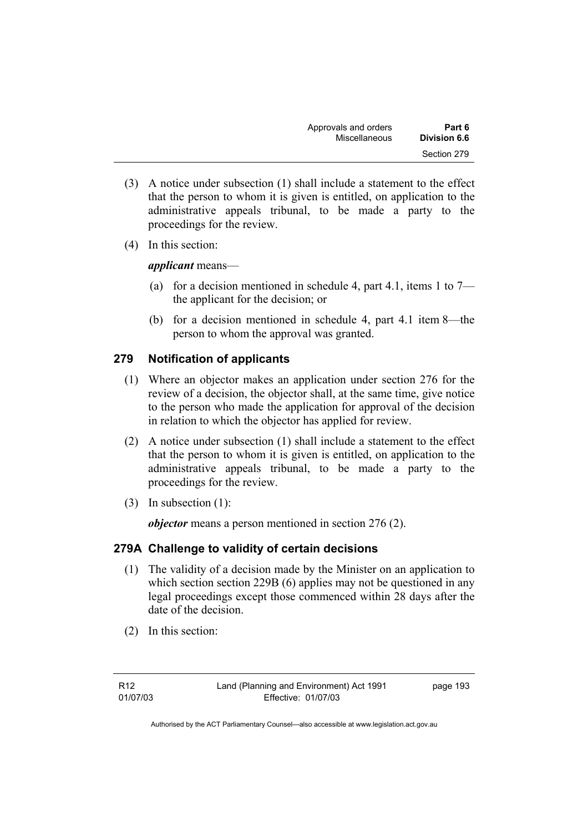| Approvals and orders | Part 6       |
|----------------------|--------------|
| Miscellaneous        | Division 6.6 |
|                      | Section 279  |

- (3) A notice under subsection (1) shall include a statement to the effect that the person to whom it is given is entitled, on application to the administrative appeals tribunal, to be made a party to the proceedings for the review.
- (4) In this section:

*applicant* means—

- (a) for a decision mentioned in schedule 4, part 4.1, items 1 to  $7$ the applicant for the decision; or
- (b) for a decision mentioned in schedule 4, part 4.1 item 8—the person to whom the approval was granted.

# **279 Notification of applicants**

- (1) Where an objector makes an application under section 276 for the review of a decision, the objector shall, at the same time, give notice to the person who made the application for approval of the decision in relation to which the objector has applied for review.
- (2) A notice under subsection (1) shall include a statement to the effect that the person to whom it is given is entitled, on application to the administrative appeals tribunal, to be made a party to the proceedings for the review.
- (3) In subsection (1):

*objector* means a person mentioned in section 276 (2).

# **279A Challenge to validity of certain decisions**

- (1) The validity of a decision made by the Minister on an application to which section section 229B (6) applies may not be questioned in any legal proceedings except those commenced within 28 days after the date of the decision.
- (2) In this section: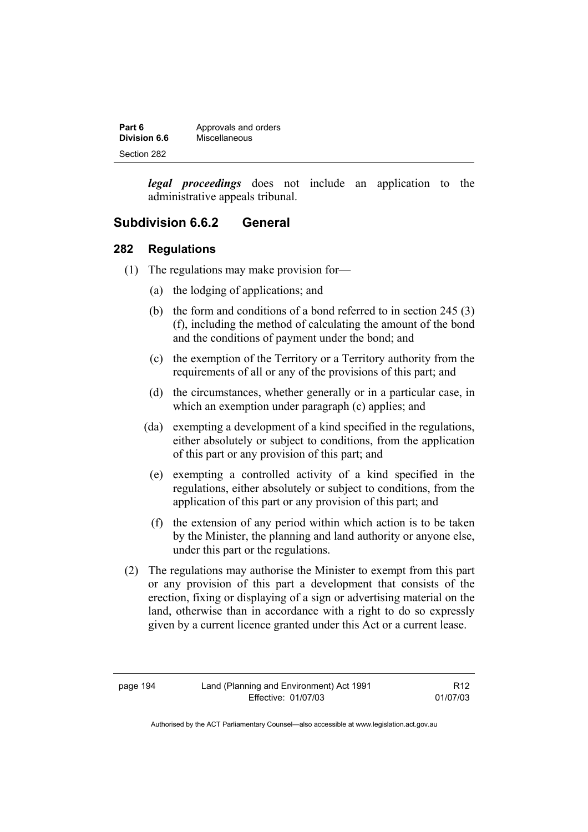| Part 6       | Approvals and orders |
|--------------|----------------------|
| Division 6.6 | Miscellaneous        |
| Section 282  |                      |

*legal proceedings* does not include an application to the administrative appeals tribunal.

## **Subdivision 6.6.2 General**

#### **282 Regulations**

- (1) The regulations may make provision for—
	- (a) the lodging of applications; and
	- (b) the form and conditions of a bond referred to in section 245 (3) (f), including the method of calculating the amount of the bond and the conditions of payment under the bond; and
	- (c) the exemption of the Territory or a Territory authority from the requirements of all or any of the provisions of this part; and
	- (d) the circumstances, whether generally or in a particular case, in which an exemption under paragraph (c) applies; and
	- (da) exempting a development of a kind specified in the regulations, either absolutely or subject to conditions, from the application of this part or any provision of this part; and
	- (e) exempting a controlled activity of a kind specified in the regulations, either absolutely or subject to conditions, from the application of this part or any provision of this part; and
	- (f) the extension of any period within which action is to be taken by the Minister, the planning and land authority or anyone else, under this part or the regulations.
- (2) The regulations may authorise the Minister to exempt from this part or any provision of this part a development that consists of the erection, fixing or displaying of a sign or advertising material on the land, otherwise than in accordance with a right to do so expressly given by a current licence granted under this Act or a current lease.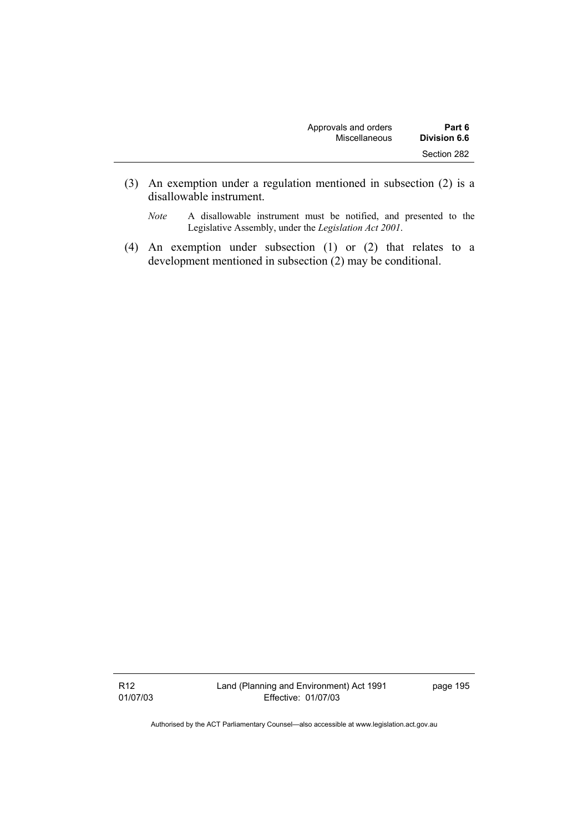| Approvals and orders | Part 6              |
|----------------------|---------------------|
| <b>Miscellaneous</b> | <b>Division 6.6</b> |
|                      | Section 282         |

- (3) An exemption under a regulation mentioned in subsection (2) is a disallowable instrument.
	- *Note* A disallowable instrument must be notified, and presented to the Legislative Assembly, under the *Legislation Act 2001*.
- (4) An exemption under subsection (1) or (2) that relates to a development mentioned in subsection (2) may be conditional.

R12 01/07/03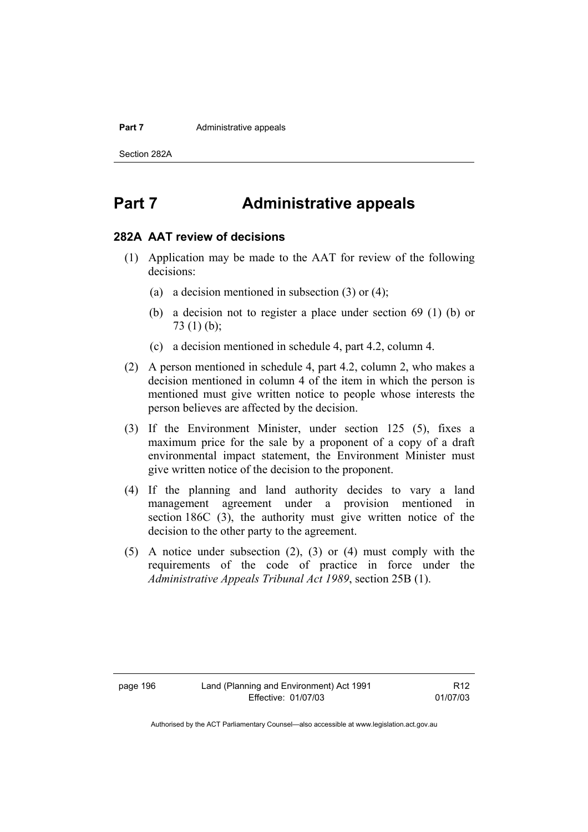#### **Part 7 Administrative appeals**

Section 282A

# **Part 7 Administrative appeals**

#### **282A AAT review of decisions**

- (1) Application may be made to the AAT for review of the following decisions:
	- (a) a decision mentioned in subsection (3) or (4);
	- (b) a decision not to register a place under section 69 (1) (b) or 73 (1) (b);
	- (c) a decision mentioned in schedule 4, part 4.2, column 4.
- (2) A person mentioned in schedule 4, part 4.2, column 2, who makes a decision mentioned in column 4 of the item in which the person is mentioned must give written notice to people whose interests the person believes are affected by the decision.
- (3) If the Environment Minister, under section 125 (5), fixes a maximum price for the sale by a proponent of a copy of a draft environmental impact statement, the Environment Minister must give written notice of the decision to the proponent.
- (4) If the planning and land authority decides to vary a land management agreement under a provision mentioned in section 186C (3), the authority must give written notice of the decision to the other party to the agreement.
- (5) A notice under subsection (2), (3) or (4) must comply with the requirements of the code of practice in force under the *Administrative Appeals Tribunal Act 1989*, section 25B (1).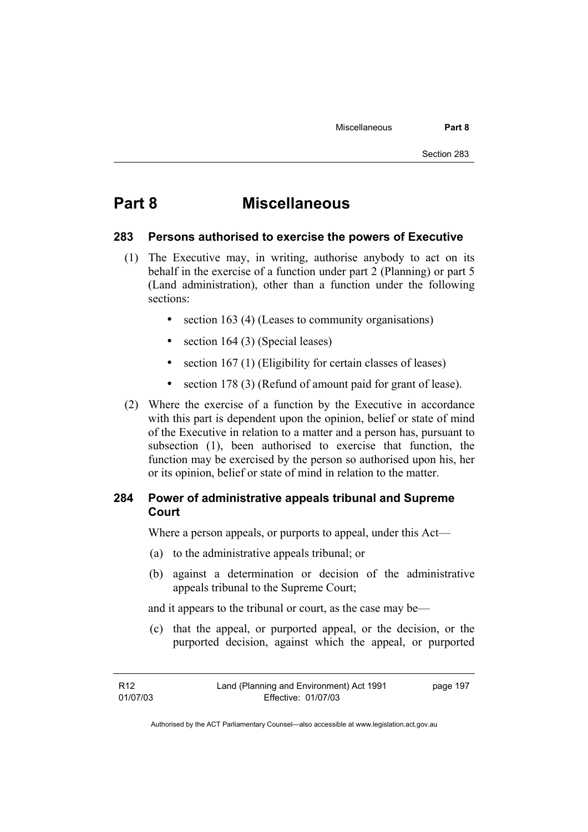# **Part 8 Miscellaneous**

#### **283 Persons authorised to exercise the powers of Executive**

- (1) The Executive may, in writing, authorise anybody to act on its behalf in the exercise of a function under part 2 (Planning) or part 5 (Land administration), other than a function under the following sections:
	- section 163 (4) (Leases to community organisations)
	- section 164 (3) (Special leases)
	- section 167 (1) (Eligibility for certain classes of leases)
	- section 178 (3) (Refund of amount paid for grant of lease).
- (2) Where the exercise of a function by the Executive in accordance with this part is dependent upon the opinion, belief or state of mind of the Executive in relation to a matter and a person has, pursuant to subsection (1), been authorised to exercise that function, the function may be exercised by the person so authorised upon his, her or its opinion, belief or state of mind in relation to the matter.

## **284 Power of administrative appeals tribunal and Supreme Court**

Where a person appeals, or purports to appeal, under this Act—

- (a) to the administrative appeals tribunal; or
- (b) against a determination or decision of the administrative appeals tribunal to the Supreme Court;

and it appears to the tribunal or court, as the case may be—

 (c) that the appeal, or purported appeal, or the decision, or the purported decision, against which the appeal, or purported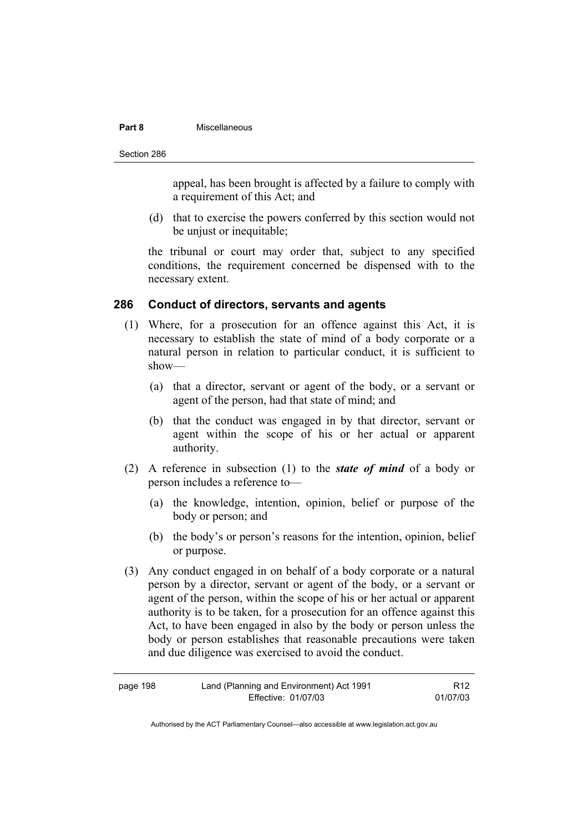#### **Part 8** Miscellaneous

Section 286

appeal, has been brought is affected by a failure to comply with a requirement of this Act; and

 (d) that to exercise the powers conferred by this section would not be unjust or inequitable;

the tribunal or court may order that, subject to any specified conditions, the requirement concerned be dispensed with to the necessary extent.

#### **286 Conduct of directors, servants and agents**

- (1) Where, for a prosecution for an offence against this Act, it is necessary to establish the state of mind of a body corporate or a natural person in relation to particular conduct, it is sufficient to show—
	- (a) that a director, servant or agent of the body, or a servant or agent of the person, had that state of mind; and
	- (b) that the conduct was engaged in by that director, servant or agent within the scope of his or her actual or apparent authority.
- (2) A reference in subsection (1) to the *state of mind* of a body or person includes a reference to—
	- (a) the knowledge, intention, opinion, belief or purpose of the body or person; and
	- (b) the body's or person's reasons for the intention, opinion, belief or purpose.
- (3) Any conduct engaged in on behalf of a body corporate or a natural person by a director, servant or agent of the body, or a servant or agent of the person, within the scope of his or her actual or apparent authority is to be taken, for a prosecution for an offence against this Act, to have been engaged in also by the body or person unless the body or person establishes that reasonable precautions were taken and due diligence was exercised to avoid the conduct.

| page 198 | Land (Planning and Environment) Act 1991 | R <sub>12</sub> |
|----------|------------------------------------------|-----------------|
|          | Effective: 01/07/03                      | 01/07/03        |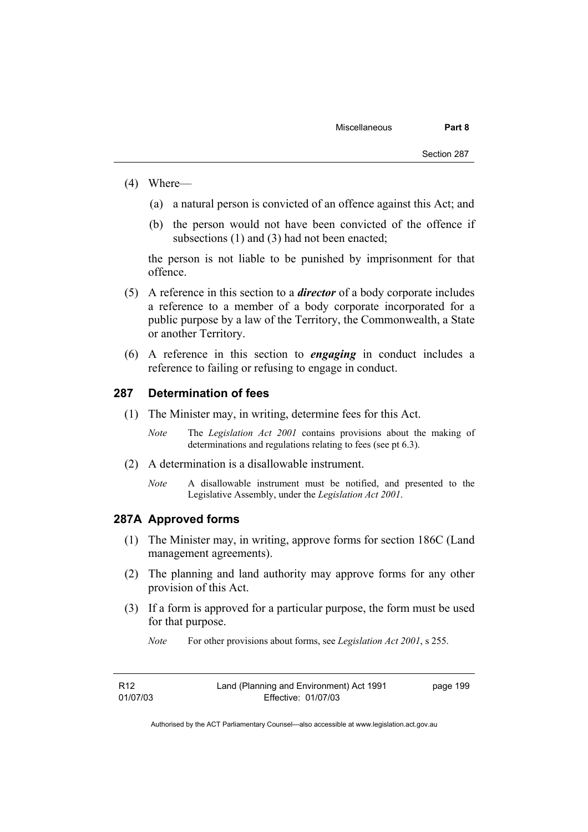- (4) Where—
	- (a) a natural person is convicted of an offence against this Act; and
	- (b) the person would not have been convicted of the offence if subsections (1) and (3) had not been enacted:

the person is not liable to be punished by imprisonment for that offence.

- (5) A reference in this section to a *director* of a body corporate includes a reference to a member of a body corporate incorporated for a public purpose by a law of the Territory, the Commonwealth, a State or another Territory.
- (6) A reference in this section to *engaging* in conduct includes a reference to failing or refusing to engage in conduct.

#### **287 Determination of fees**

- (1) The Minister may, in writing, determine fees for this Act.
	- *Note* The *Legislation Act 2001* contains provisions about the making of determinations and regulations relating to fees (see pt 6.3).
- (2) A determination is a disallowable instrument.
	- *Note* A disallowable instrument must be notified, and presented to the Legislative Assembly, under the *Legislation Act 2001*.

#### **287A Approved forms**

- (1) The Minister may, in writing, approve forms for section 186C (Land management agreements).
- (2) The planning and land authority may approve forms for any other provision of this Act.
- (3) If a form is approved for a particular purpose, the form must be used for that purpose.

*Note* For other provisions about forms, see *Legislation Act 2001*, s 255.

| R12      | Land (Planning and Environment) Act 1991 | page 199 |
|----------|------------------------------------------|----------|
| 01/07/03 | Effective: 01/07/03                      |          |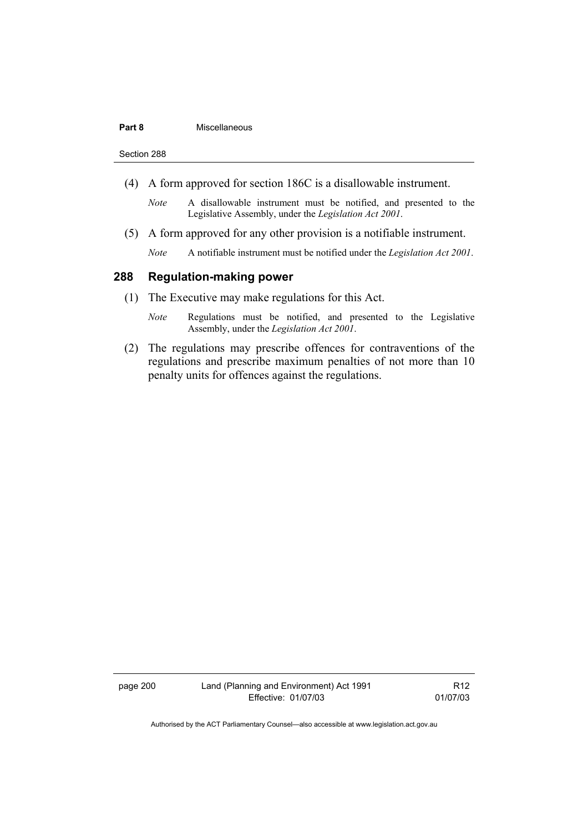#### **Part 8** Miscellaneous

Section 288

- (4) A form approved for section 186C is a disallowable instrument.
	- *Note* A disallowable instrument must be notified, and presented to the Legislative Assembly, under the *Legislation Act 2001*.
- (5) A form approved for any other provision is a notifiable instrument.
	- *Note* A notifiable instrument must be notified under the *Legislation Act 2001*.

#### **288 Regulation-making power**

- (1) The Executive may make regulations for this Act.
	- *Note* Regulations must be notified, and presented to the Legislative Assembly, under the *Legislation Act 2001*.
- (2) The regulations may prescribe offences for contraventions of the regulations and prescribe maximum penalties of not more than 10 penalty units for offences against the regulations.

page 200 Land (Planning and Environment) Act 1991 Effective: 01/07/03

R12 01/07/03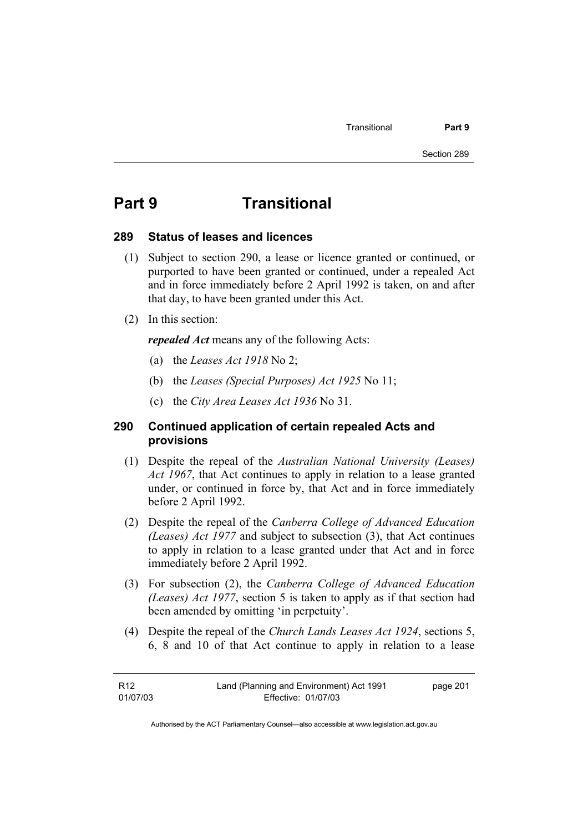# **Part 9 Transitional**

# **289 Status of leases and licences**

- (1) Subject to section 290, a lease or licence granted or continued, or purported to have been granted or continued, under a repealed Act and in force immediately before 2 April 1992 is taken, on and after that day, to have been granted under this Act.
- (2) In this section:

*repealed Act* means any of the following Acts:

- (a) the *Leases Act 1918* No 2;
- (b) the *Leases (Special Purposes) Act 1925* No 11;
- (c) the *City Area Leases Act 1936* No 31.

# **290 Continued application of certain repealed Acts and provisions**

- (1) Despite the repeal of the *Australian National University (Leases) Act 1967*, that Act continues to apply in relation to a lease granted under, or continued in force by, that Act and in force immediately before 2 April 1992.
- (2) Despite the repeal of the *Canberra College of Advanced Education (Leases) Act 1977* and subject to subsection (3), that Act continues to apply in relation to a lease granted under that Act and in force immediately before 2 April 1992.
- (3) For subsection (2), the *Canberra College of Advanced Education (Leases) Act 1977*, section 5 is taken to apply as if that section had been amended by omitting 'in perpetuity'.
- (4) Despite the repeal of the *Church Lands Leases Act 1924*, sections 5, 6, 8 and 10 of that Act continue to apply in relation to a lease

| R12      | Land (Planning and Environment) Act 1991 | page 201 |
|----------|------------------------------------------|----------|
| 01/07/03 | Effective: 01/07/03                      |          |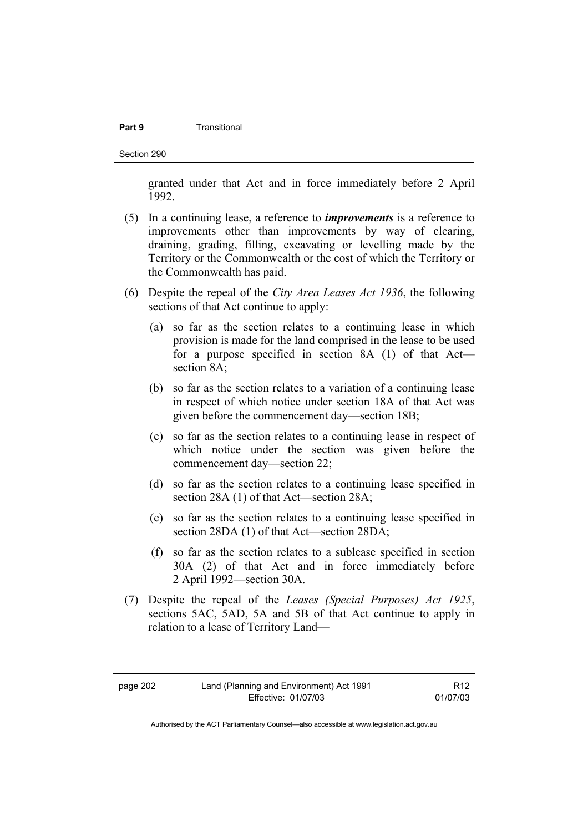### **Part 9 Transitional**

Section 290

granted under that Act and in force immediately before 2 April 1992.

- (5) In a continuing lease, a reference to *improvements* is a reference to improvements other than improvements by way of clearing, draining, grading, filling, excavating or levelling made by the Territory or the Commonwealth or the cost of which the Territory or the Commonwealth has paid.
- (6) Despite the repeal of the *City Area Leases Act 1936*, the following sections of that Act continue to apply:
	- (a) so far as the section relates to a continuing lease in which provision is made for the land comprised in the lease to be used for a purpose specified in section 8A (1) of that Act section 8A;
	- (b) so far as the section relates to a variation of a continuing lease in respect of which notice under section 18A of that Act was given before the commencement day—section 18B;
	- (c) so far as the section relates to a continuing lease in respect of which notice under the section was given before the commencement day—section 22;
	- (d) so far as the section relates to a continuing lease specified in section 28A (1) of that Act—section 28A;
	- (e) so far as the section relates to a continuing lease specified in section 28DA (1) of that Act—section 28DA;
	- (f) so far as the section relates to a sublease specified in section 30A (2) of that Act and in force immediately before 2 April 1992—section 30A.
- (7) Despite the repeal of the *Leases (Special Purposes) Act 1925*, sections 5AC, 5AD, 5A and 5B of that Act continue to apply in relation to a lease of Territory Land—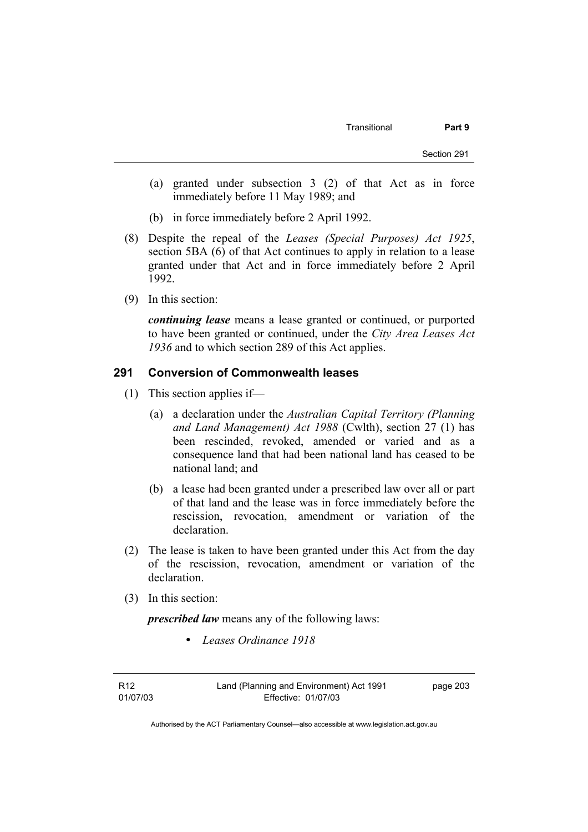- (a) granted under subsection 3 (2) of that Act as in force immediately before 11 May 1989; and
- (b) in force immediately before 2 April 1992.
- (8) Despite the repeal of the *Leases (Special Purposes) Act 1925*, section 5BA (6) of that Act continues to apply in relation to a lease granted under that Act and in force immediately before 2 April 1992.
- (9) In this section:

*continuing lease* means a lease granted or continued, or purported to have been granted or continued, under the *City Area Leases Act 1936* and to which section 289 of this Act applies.

# **291 Conversion of Commonwealth leases**

- (1) This section applies if—
	- (a) a declaration under the *Australian Capital Territory (Planning and Land Management) Act 1988* (Cwlth), section 27 (1) has been rescinded, revoked, amended or varied and as a consequence land that had been national land has ceased to be national land; and
	- (b) a lease had been granted under a prescribed law over all or part of that land and the lease was in force immediately before the rescission, revocation, amendment or variation of the declaration.
- (2) The lease is taken to have been granted under this Act from the day of the rescission, revocation, amendment or variation of the declaration.
- (3) In this section:

*prescribed law* means any of the following laws:

• *Leases Ordinance 1918*

R12 01/07/03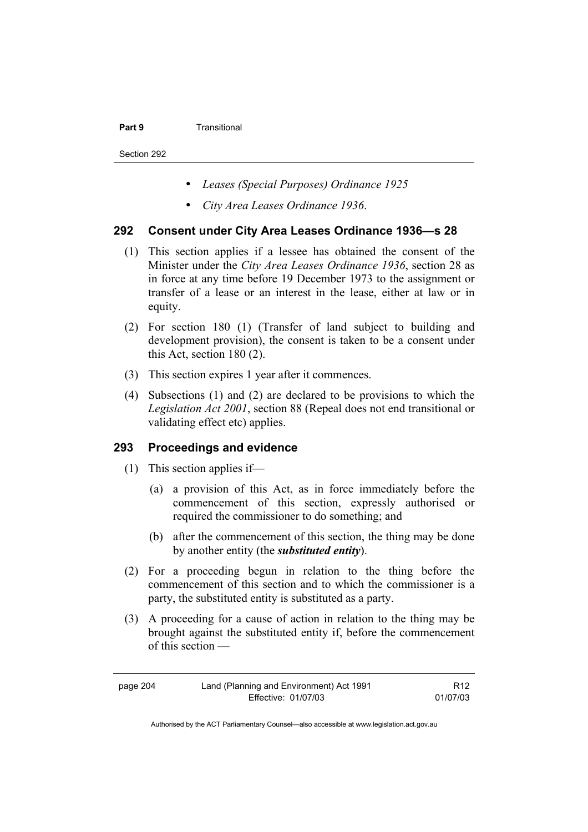#### **Part 9 Transitional**

Section 292

- *Leases (Special Purposes) Ordinance 1925*
- *City Area Leases Ordinance 1936*.

# **292 Consent under City Area Leases Ordinance 1936—s 28**

- (1) This section applies if a lessee has obtained the consent of the Minister under the *City Area Leases Ordinance 1936*, section 28 as in force at any time before 19 December 1973 to the assignment or transfer of a lease or an interest in the lease, either at law or in equity.
- (2) For section 180 (1) (Transfer of land subject to building and development provision), the consent is taken to be a consent under this Act, section 180 (2).
- (3) This section expires 1 year after it commences.
- (4) Subsections (1) and (2) are declared to be provisions to which the *Legislation Act 2001*, section 88 (Repeal does not end transitional or validating effect etc) applies.

# **293 Proceedings and evidence**

- (1) This section applies if—
	- (a) a provision of this Act, as in force immediately before the commencement of this section, expressly authorised or required the commissioner to do something; and
	- (b) after the commencement of this section, the thing may be done by another entity (the *substituted entity*).
- (2) For a proceeding begun in relation to the thing before the commencement of this section and to which the commissioner is a party, the substituted entity is substituted as a party.
- (3) A proceeding for a cause of action in relation to the thing may be brought against the substituted entity if, before the commencement of this section —

| Land (Planning and Environment) Act 1991<br>page 204 |                     | R <sub>12</sub> |
|------------------------------------------------------|---------------------|-----------------|
|                                                      | Effective: 01/07/03 | 01/07/03        |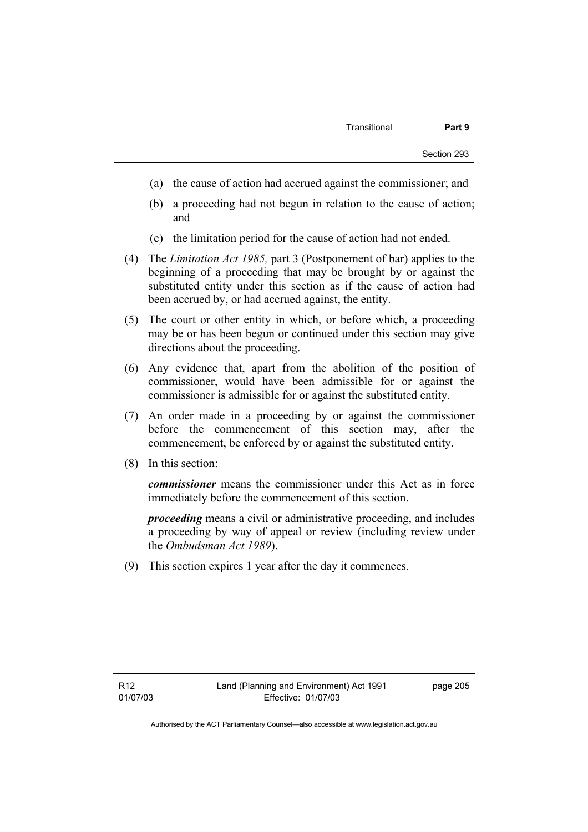- (a) the cause of action had accrued against the commissioner; and
- (b) a proceeding had not begun in relation to the cause of action; and
- (c) the limitation period for the cause of action had not ended.
- (4) The *Limitation Act 1985,* part 3 (Postponement of bar) applies to the beginning of a proceeding that may be brought by or against the substituted entity under this section as if the cause of action had been accrued by, or had accrued against, the entity.
- (5) The court or other entity in which, or before which, a proceeding may be or has been begun or continued under this section may give directions about the proceeding.
- (6) Any evidence that, apart from the abolition of the position of commissioner, would have been admissible for or against the commissioner is admissible for or against the substituted entity.
- (7) An order made in a proceeding by or against the commissioner before the commencement of this section may, after the commencement, be enforced by or against the substituted entity.
- (8) In this section:

*commissioner* means the commissioner under this Act as in force immediately before the commencement of this section.

*proceeding* means a civil or administrative proceeding, and includes a proceeding by way of appeal or review (including review under the *Ombudsman Act 1989*).

(9) This section expires 1 year after the day it commences.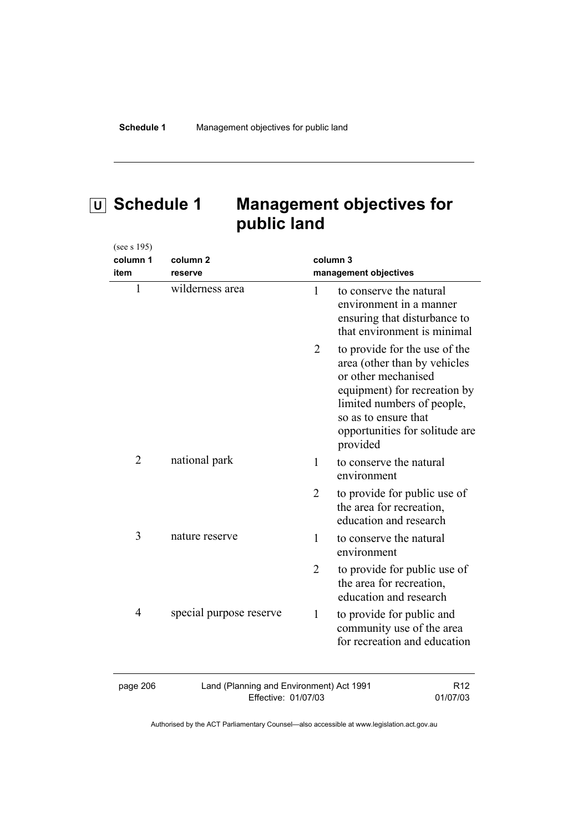# **U Schedule 1 Management objectives for public land**

| (see s 195)    |                                                                 |                |                                                                                                                                                                                                                          |
|----------------|-----------------------------------------------------------------|----------------|--------------------------------------------------------------------------------------------------------------------------------------------------------------------------------------------------------------------------|
| column 1       | column 2                                                        |                | column 3                                                                                                                                                                                                                 |
| item           | reserve                                                         |                | management objectives                                                                                                                                                                                                    |
| $\mathbf{1}$   | wilderness area                                                 | 1              | to conserve the natural<br>environment in a manner<br>ensuring that disturbance to<br>that environment is minimal                                                                                                        |
|                |                                                                 | 2              | to provide for the use of the<br>area (other than by vehicles<br>or other mechanised<br>equipment) for recreation by<br>limited numbers of people,<br>so as to ensure that<br>opportunities for solitude are<br>provided |
| $\overline{2}$ | national park                                                   | $\mathbf{1}$   | to conserve the natural<br>environment                                                                                                                                                                                   |
|                |                                                                 | $\overline{2}$ | to provide for public use of<br>the area for recreation,<br>education and research                                                                                                                                       |
| 3              | nature reserve                                                  | $\mathbf{1}$   | to conserve the natural<br>environment                                                                                                                                                                                   |
|                |                                                                 | $\overline{2}$ | to provide for public use of<br>the area for recreation,<br>education and research                                                                                                                                       |
| $\overline{4}$ | special purpose reserve                                         | $\mathbf{1}$   | to provide for public and<br>community use of the area<br>for recreation and education                                                                                                                                   |
| page 206       | Land (Planning and Environment) Act 1991<br>Effective: 01/07/03 |                | R <sub>12</sub><br>01/07/03                                                                                                                                                                                              |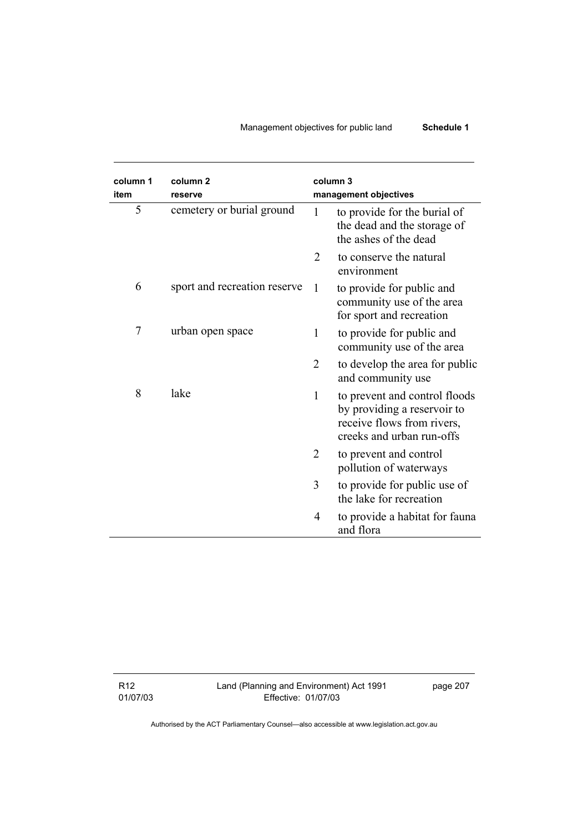# Management objectives for public land **Schedule 1**

| column 1<br>item | column <sub>2</sub><br>reserve |                | column 3<br>management objectives                                                                                       |
|------------------|--------------------------------|----------------|-------------------------------------------------------------------------------------------------------------------------|
| 5                | cemetery or burial ground      | 1              | to provide for the burial of<br>the dead and the storage of<br>the ashes of the dead                                    |
|                  |                                | $\overline{2}$ | to conserve the natural<br>environment                                                                                  |
| 6                | sport and recreation reserve   | $\mathbf{1}$   | to provide for public and<br>community use of the area<br>for sport and recreation                                      |
| 7                | urban open space               | $\mathbf{1}$   | to provide for public and<br>community use of the area                                                                  |
|                  |                                | $\overline{2}$ | to develop the area for public<br>and community use                                                                     |
| 8                | lake                           | 1              | to prevent and control floods<br>by providing a reservoir to<br>receive flows from rivers,<br>creeks and urban run-offs |
|                  |                                | $\overline{2}$ | to prevent and control<br>pollution of waterways                                                                        |
|                  |                                | 3              | to provide for public use of<br>the lake for recreation                                                                 |
|                  |                                | 4              | to provide a habitat for fauna<br>and flora                                                                             |

R12 01/07/03 Land (Planning and Environment) Act 1991 Effective: 01/07/03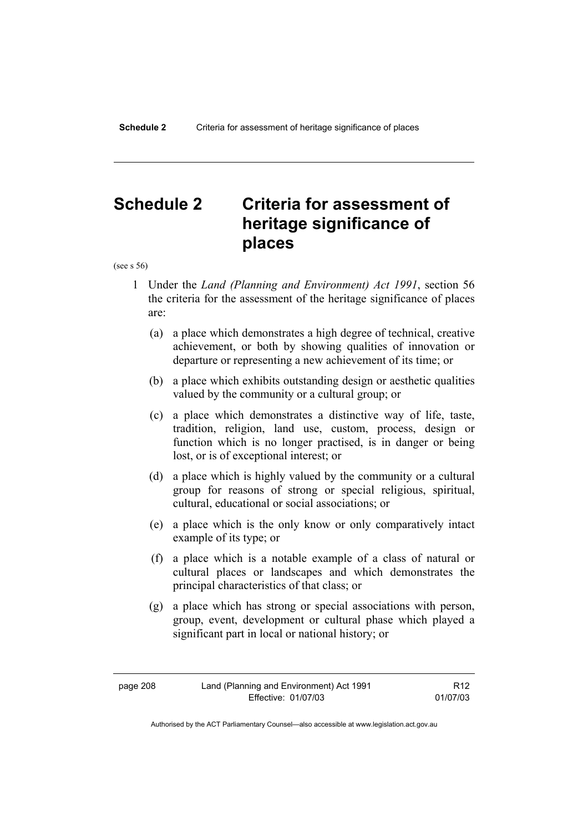# **Schedule 2 Criteria for assessment of heritage significance of places**

(see s 56)

- 1 Under the *Land (Planning and Environment) Act 1991*, section 56 the criteria for the assessment of the heritage significance of places are:
	- (a) a place which demonstrates a high degree of technical, creative achievement, or both by showing qualities of innovation or departure or representing a new achievement of its time; or
	- (b) a place which exhibits outstanding design or aesthetic qualities valued by the community or a cultural group; or
	- (c) a place which demonstrates a distinctive way of life, taste, tradition, religion, land use, custom, process, design or function which is no longer practised, is in danger or being lost, or is of exceptional interest; or
	- (d) a place which is highly valued by the community or a cultural group for reasons of strong or special religious, spiritual, cultural, educational or social associations; or
	- (e) a place which is the only know or only comparatively intact example of its type; or
	- (f) a place which is a notable example of a class of natural or cultural places or landscapes and which demonstrates the principal characteristics of that class; or
	- (g) a place which has strong or special associations with person, group, event, development or cultural phase which played a significant part in local or national history; or

R12 01/07/03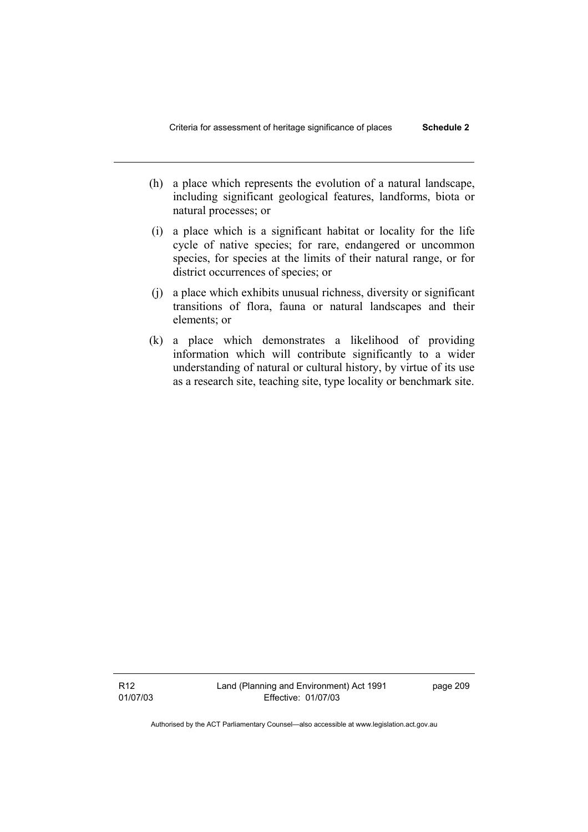- (h) a place which represents the evolution of a natural landscape, including significant geological features, landforms, biota or natural processes; or
- (i) a place which is a significant habitat or locality for the life cycle of native species; for rare, endangered or uncommon species, for species at the limits of their natural range, or for district occurrences of species; or
- (j) a place which exhibits unusual richness, diversity or significant transitions of flora, fauna or natural landscapes and their elements; or
- (k) a place which demonstrates a likelihood of providing information which will contribute significantly to a wider understanding of natural or cultural history, by virtue of its use as a research site, teaching site, type locality or benchmark site.

R12 01/07/03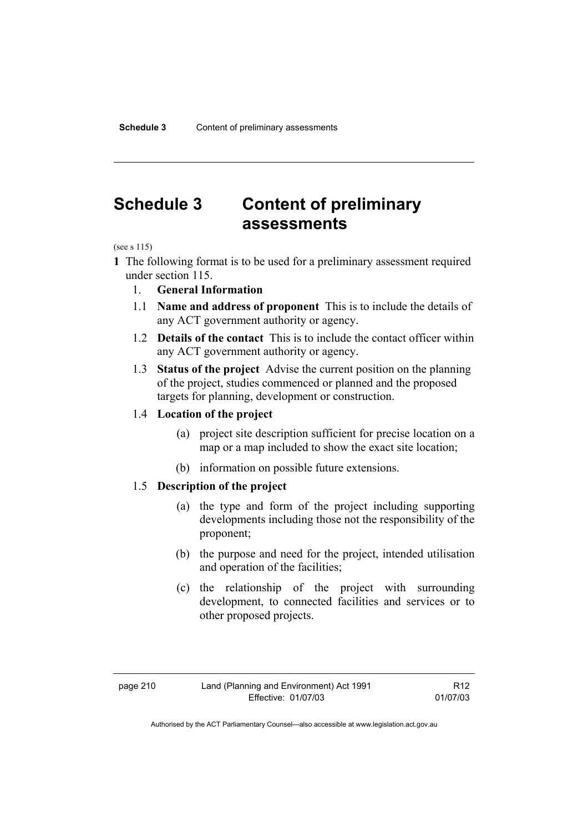# **Schedule 3 Content of preliminary assessments**

(see s 115)

- **1** The following format is to be used for a preliminary assessment required under section 115.
	- 1. **General Information**
	- 1.1 **Name and address of proponent** This is to include the details of any ACT government authority or agency.
	- 1.2 **Details of the contact** This is to include the contact officer within any ACT government authority or agency.
	- 1.3 **Status of the project** Advise the current position on the planning of the project, studies commenced or planned and the proposed targets for planning, development or construction.

# 1.4 **Location of the project**

- (a) project site description sufficient for precise location on a map or a map included to show the exact site location;
- (b) information on possible future extensions.

# 1.5 **Description of the project**

- (a) the type and form of the project including supporting developments including those not the responsibility of the proponent;
- (b) the purpose and need for the project, intended utilisation and operation of the facilities;
- (c) the relationship of the project with surrounding development, to connected facilities and services or to other proposed projects.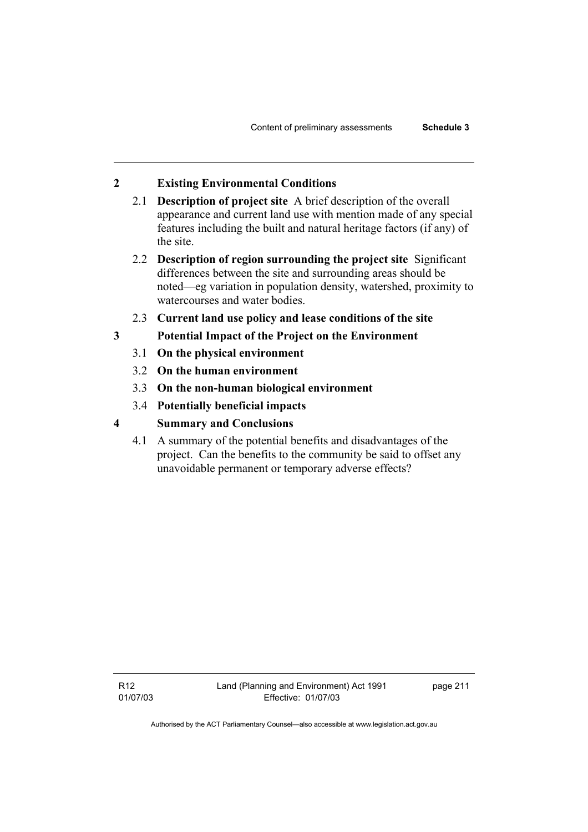# **2 Existing Environmental Conditions**

- 2.1 **Description of project site** A brief description of the overall appearance and current land use with mention made of any special features including the built and natural heritage factors (if any) of the site.
- 2.2 **Description of region surrounding the project site** Significant differences between the site and surrounding areas should be noted—eg variation in population density, watershed, proximity to watercourses and water bodies.
- 2.3 **Current land use policy and lease conditions of the site**
- **3 Potential Impact of the Project on the Environment** 
	- 3.1 **On the physical environment**
	- 3.2 **On the human environment**
	- 3.3 **On the non-human biological environment**
	- 3.4 **Potentially beneficial impacts**
- **4 Summary and Conclusions** 
	- 4.1 A summary of the potential benefits and disadvantages of the project. Can the benefits to the community be said to offset any unavoidable permanent or temporary adverse effects?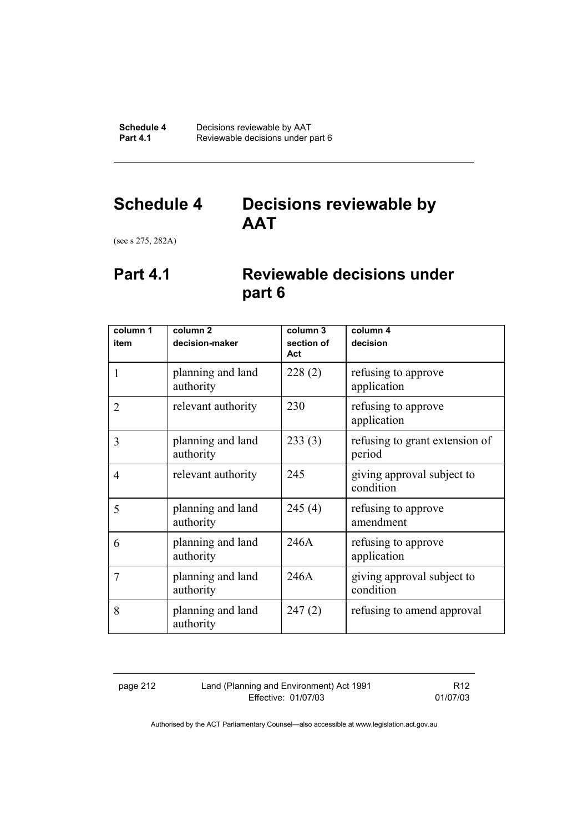# **Schedule 4 Decisions reviewable by AAT**

(see s 275, 282A)

# **Part 4.1 Reviewable decisions under part 6**

| column 1       | column <sub>2</sub>            | column 3          | column 4                                 |
|----------------|--------------------------------|-------------------|------------------------------------------|
| item           | decision-maker                 | section of<br>Act | decision                                 |
| 1              | planning and land<br>authority | 228(2)            | refusing to approve<br>application       |
| $\overline{2}$ | relevant authority             | 230               | refusing to approve<br>application       |
| 3              | planning and land<br>authority | 233(3)            | refusing to grant extension of<br>period |
| $\overline{4}$ | relevant authority             | 245               | giving approval subject to<br>condition  |
| 5              | planning and land<br>authority | 245(4)            | refusing to approve<br>amendment         |
| 6              | planning and land<br>authority | 246A              | refusing to approve<br>application       |
| $\overline{7}$ | planning and land<br>authority | 246A              | giving approval subject to<br>condition  |
| 8              | planning and land<br>authority | 247(2)            | refusing to amend approval               |

page 212 Land (Planning and Environment) Act 1991 Effective: 01/07/03

R12 01/07/03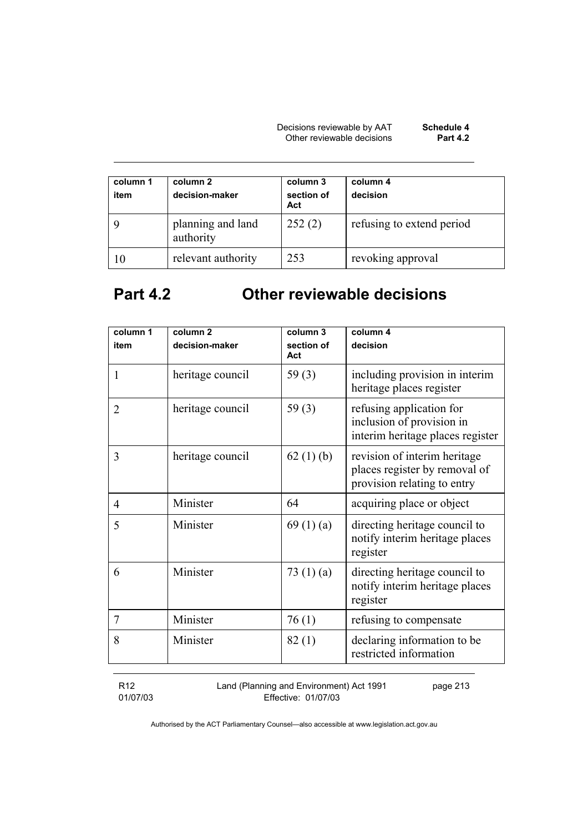Decisions reviewable by AAT **Schedule 4**  Other reviewable decisions **Part 4.2** 

| column 1<br>item | column 2<br>decision-maker     | column 3<br>section of<br>Act | column 4<br>decision      |
|------------------|--------------------------------|-------------------------------|---------------------------|
|                  | planning and land<br>authority | 252(2)                        | refusing to extend period |
| 10               | relevant authority             | 253                           | revoking approval         |

# **Part 4.2 Other reviewable decisions**

| column 1       | column <sub>2</sub> | column 3          | column 4                                                                                     |
|----------------|---------------------|-------------------|----------------------------------------------------------------------------------------------|
| item           | decision-maker      | section of<br>Act | decision                                                                                     |
| 1              | heritage council    | 59 $(3)$          | including provision in interim<br>heritage places register                                   |
| $\overline{2}$ | heritage council    | 59 $(3)$          | refusing application for<br>inclusion of provision in<br>interim heritage places register    |
| 3              | heritage council    | 62 $(1)$ (b)      | revision of interim heritage<br>places register by removal of<br>provision relating to entry |
| 4              | Minister            | 64                | acquiring place or object                                                                    |
| 5              | Minister            | 69 $(1)(a)$       | directing heritage council to<br>notify interim heritage places<br>register                  |
| 6              | Minister            | 73 $(1)(a)$       | directing heritage council to<br>notify interim heritage places<br>register                  |
| $\overline{7}$ | Minister            | 76(1)             | refusing to compensate                                                                       |
| 8              | Minister            | 82(1)             | declaring information to be<br>restricted information                                        |

R12 01/07/03 Land (Planning and Environment) Act 1991 Effective: 01/07/03 page 213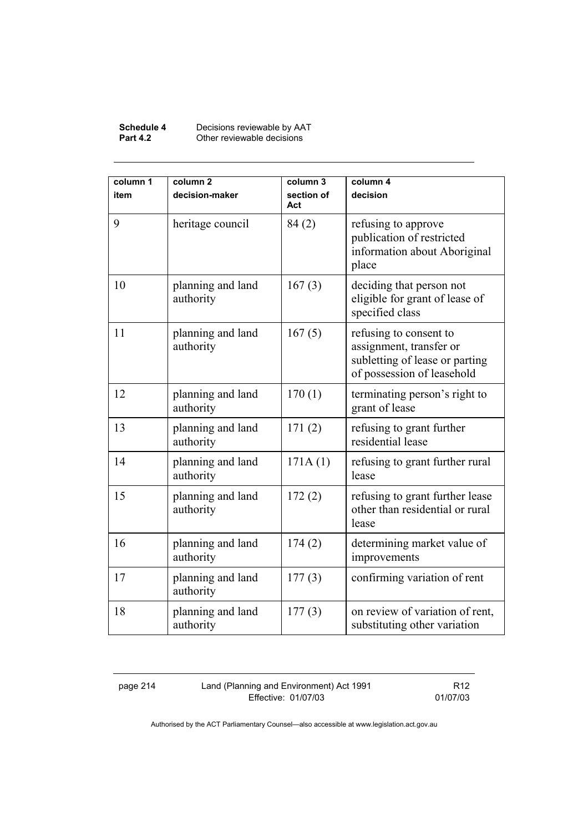### **Schedule 4** Decisions reviewable by AAT **Part 4.2 Other reviewable decisions**

| column 1<br>item | column <sub>2</sub><br>decision-maker | column 3<br>section of<br>Act | column 4<br>decision                                                                                              |
|------------------|---------------------------------------|-------------------------------|-------------------------------------------------------------------------------------------------------------------|
| 9                | heritage council                      | 84(2)                         | refusing to approve<br>publication of restricted<br>information about Aboriginal<br>place                         |
| 10               | planning and land<br>authority        | 167(3)                        | deciding that person not<br>eligible for grant of lease of<br>specified class                                     |
| 11               | planning and land<br>authority        | 167(5)                        | refusing to consent to<br>assignment, transfer or<br>subletting of lease or parting<br>of possession of leasehold |
| 12               | planning and land<br>authority        | 170(1)                        | terminating person's right to<br>grant of lease                                                                   |
| 13               | planning and land<br>authority        | 171(2)                        | refusing to grant further<br>residential lease                                                                    |
| 14               | planning and land<br>authority        | 171A(1)                       | refusing to grant further rural<br>lease                                                                          |
| 15               | planning and land<br>authority        | 172(2)                        | refusing to grant further lease<br>other than residential or rural<br>lease                                       |
| 16               | planning and land<br>authority        | 174(2)                        | determining market value of<br>improvements                                                                       |
| 17               | planning and land<br>authority        | 177(3)                        | confirming variation of rent                                                                                      |
| 18               | planning and land<br>authority        | 177(3)                        | on review of variation of rent,<br>substituting other variation                                                   |

page 214 Land (Planning and Environment) Act 1991 Effective: 01/07/03

R12 01/07/03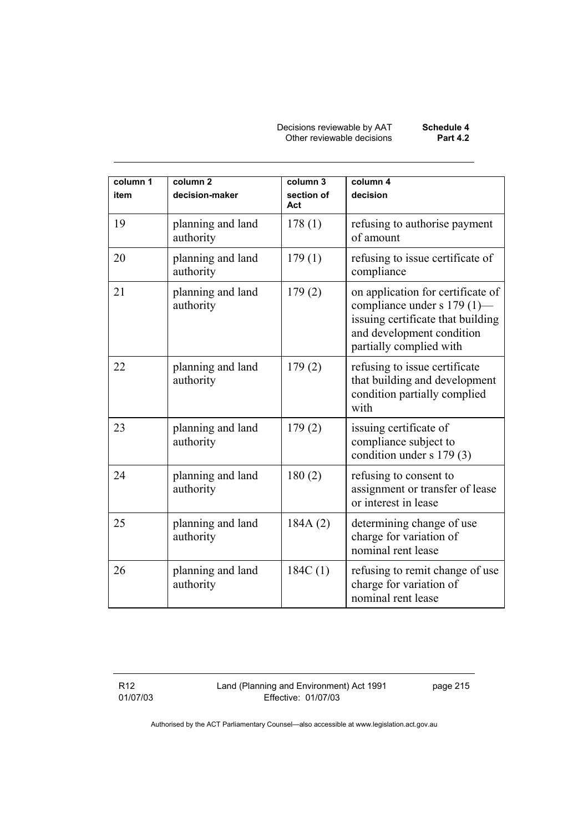Decisions reviewable by AAT **Schedule 4**  Other reviewable decisions **Part 4.2** 

| column 1<br>item | column <sub>2</sub><br>decision-maker | column 3<br>section of<br>Act | column 4<br>decision                                                                                                                                          |
|------------------|---------------------------------------|-------------------------------|---------------------------------------------------------------------------------------------------------------------------------------------------------------|
| 19               | planning and land<br>authority        | 178(1)                        | refusing to authorise payment<br>of amount                                                                                                                    |
| 20               | planning and land<br>authority        | 179(1)                        | refusing to issue certificate of<br>compliance                                                                                                                |
| 21               | planning and land<br>authority        | 179(2)                        | on application for certificate of<br>compliance under s 179 (1)-<br>issuing certificate that building<br>and development condition<br>partially complied with |
| 22               | planning and land<br>authority        | 179(2)                        | refusing to issue certificate<br>that building and development<br>condition partially complied<br>with                                                        |
| 23               | planning and land<br>authority        | 179(2)                        | issuing certificate of<br>compliance subject to<br>condition under s 179 (3)                                                                                  |
| 24               | planning and land<br>authority        | 180(2)                        | refusing to consent to<br>assignment or transfer of lease<br>or interest in lease                                                                             |
| 25               | planning and land<br>authority        | 184A(2)                       | determining change of use<br>charge for variation of<br>nominal rent lease                                                                                    |
| 26               | planning and land<br>authority        | 184C(1)                       | refusing to remit change of use<br>charge for variation of<br>nominal rent lease                                                                              |

R12 01/07/03 Land (Planning and Environment) Act 1991 Effective: 01/07/03

page 215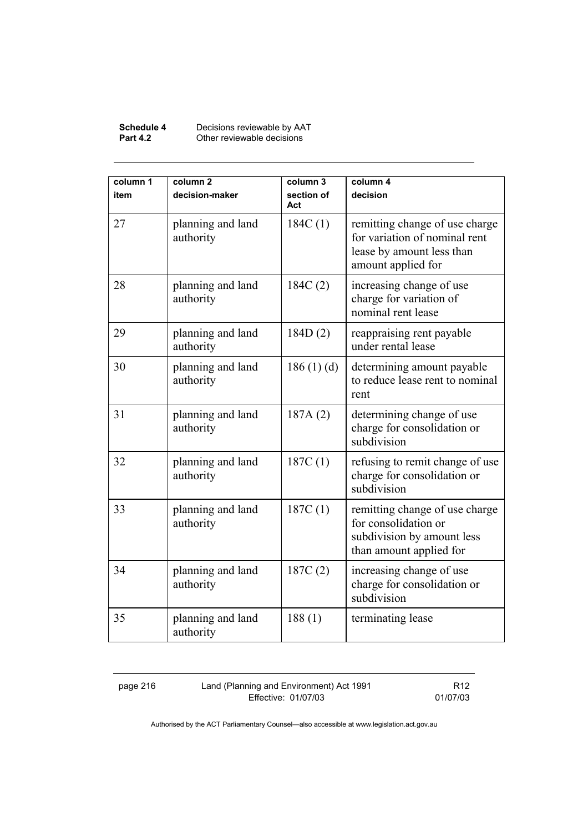### **Schedule 4** Decisions reviewable by AAT **Part 4.2 Other reviewable decisions**

| column 1<br>item | column <sub>2</sub><br>decision-maker | column 3<br>section of<br>Act | column 4<br>decision                                                                                               |
|------------------|---------------------------------------|-------------------------------|--------------------------------------------------------------------------------------------------------------------|
| 27               | planning and land<br>authority        | 184C(1)                       | remitting change of use charge<br>for variation of nominal rent<br>lease by amount less than<br>amount applied for |
| 28               | planning and land<br>authority        | 184C(2)                       | increasing change of use<br>charge for variation of<br>nominal rent lease                                          |
| 29               | planning and land<br>authority        | 184D(2)                       | reappraising rent payable<br>under rental lease                                                                    |
| 30               | planning and land<br>authority        | 186(1)(d)                     | determining amount payable<br>to reduce lease rent to nominal<br>rent                                              |
| 31               | planning and land<br>authority        | 187A(2)                       | determining change of use<br>charge for consolidation or<br>subdivision                                            |
| 32               | planning and land<br>authority        | 187C(1)                       | refusing to remit change of use<br>charge for consolidation or<br>subdivision                                      |
| 33               | planning and land<br>authority        | 187C(1)                       | remitting change of use charge<br>for consolidation or<br>subdivision by amount less<br>than amount applied for    |
| 34               | planning and land<br>authority        | 187C(2)                       | increasing change of use<br>charge for consolidation or<br>subdivision                                             |
| 35               | planning and land<br>authority        | 188(1)                        | terminating lease                                                                                                  |

page 216 Land (Planning and Environment) Act 1991 Effective: 01/07/03

R12 01/07/03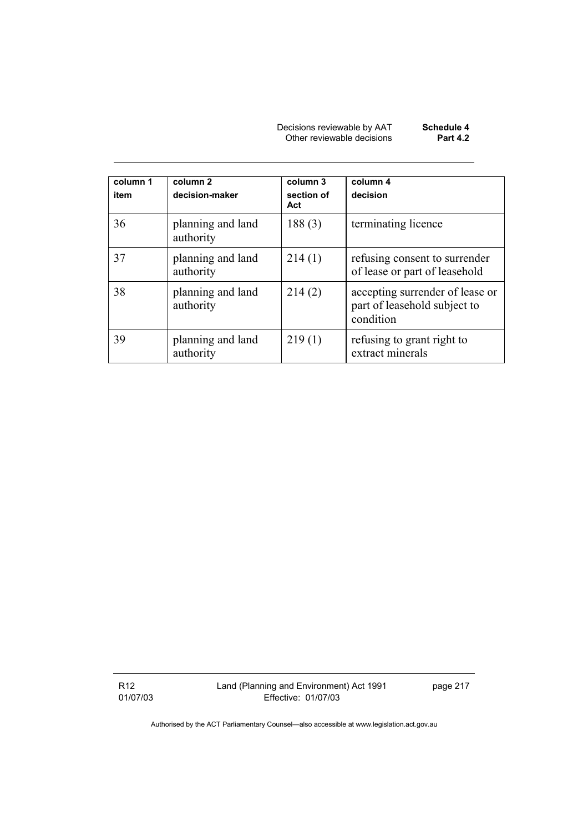Decisions reviewable by AAT **Schedule 4**  Other reviewable decisions **Part 4.2** 

| column 1<br>item | column <sub>2</sub><br>decision-maker | column 3<br>section of<br>Act | column 4<br>decision                                                         |
|------------------|---------------------------------------|-------------------------------|------------------------------------------------------------------------------|
| 36               | planning and land<br>authority        | 188(3)                        | terminating licence                                                          |
| 37               | planning and land<br>authority        | 214(1)                        | refusing consent to surrender<br>of lease or part of leasehold               |
| 38               | planning and land<br>authority        | 214(2)                        | accepting surrender of lease or<br>part of leasehold subject to<br>condition |
| 39               | planning and land<br>authority        | 219(1)                        | refusing to grant right to<br>extract minerals                               |

R12 01/07/03 Land (Planning and Environment) Act 1991 Effective: 01/07/03

page 217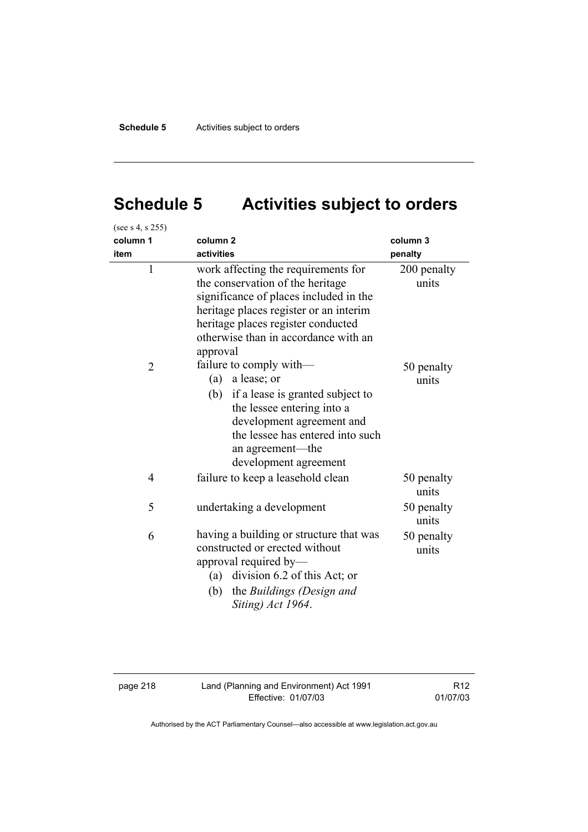# **Schedule 5 Activities subject to orders**

| (see s 4, s 255) |                                                                                                                                                                                                                                                       |                      |
|------------------|-------------------------------------------------------------------------------------------------------------------------------------------------------------------------------------------------------------------------------------------------------|----------------------|
| column 1         | column <sub>2</sub>                                                                                                                                                                                                                                   | column 3             |
| item             | activities                                                                                                                                                                                                                                            | penalty              |
| $\mathbf{1}$     | work affecting the requirements for<br>the conservation of the heritage<br>significance of places included in the<br>heritage places register or an interim<br>heritage places register conducted<br>otherwise than in accordance with an<br>approval | 200 penalty<br>units |
| $\overline{2}$   | failure to comply with-<br>(a) a lease; or<br>(b) if a lease is granted subject to<br>the lessee entering into a<br>development agreement and<br>the lessee has entered into such<br>an agreement-the<br>development agreement                        | 50 penalty<br>units  |
| 4                | failure to keep a leasehold clean                                                                                                                                                                                                                     | 50 penalty<br>units  |
| 5                | undertaking a development                                                                                                                                                                                                                             | 50 penalty<br>units  |
| 6                | having a building or structure that was<br>constructed or erected without<br>approval required by-<br>(a) division 6.2 of this Act; or<br>the Buildings (Design and<br>(b)<br>Siting) Act 1964.                                                       | 50 penalty<br>units  |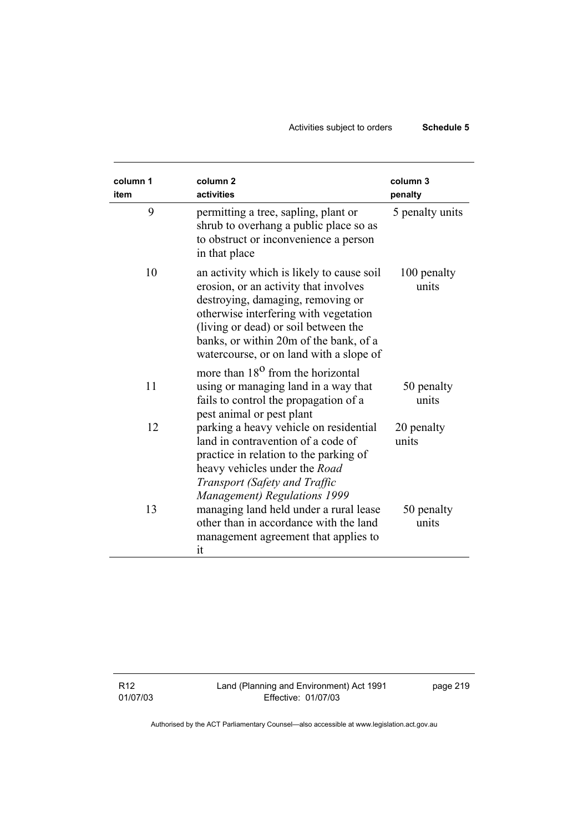# Activities subject to orders **Schedule 5**

| column 1 | column <sub>2</sub>                                                                                                                                                                                                                                                                           | column <sub>3</sub>  |
|----------|-----------------------------------------------------------------------------------------------------------------------------------------------------------------------------------------------------------------------------------------------------------------------------------------------|----------------------|
| item     | activities                                                                                                                                                                                                                                                                                    | penalty              |
| 9        | permitting a tree, sapling, plant or<br>shrub to overhang a public place so as<br>to obstruct or inconvenience a person<br>in that place                                                                                                                                                      | 5 penalty units      |
| 10       | an activity which is likely to cause soil<br>erosion, or an activity that involves<br>destroying, damaging, removing or<br>otherwise interfering with vegetation<br>(living or dead) or soil between the<br>banks, or within 20m of the bank, of a<br>watercourse, or on land with a slope of | 100 penalty<br>units |
| 11       | more than 18 <sup>0</sup> from the horizontal<br>using or managing land in a way that<br>fails to control the propagation of a<br>pest animal or pest plant                                                                                                                                   | 50 penalty<br>units  |
| 12       | parking a heavy vehicle on residential<br>land in contravention of a code of<br>practice in relation to the parking of<br>heavy vehicles under the Road<br>Transport (Safety and Traffic<br><b>Management</b> ) Regulations 1999                                                              | 20 penalty<br>units  |
| 13       | managing land held under a rural lease<br>other than in accordance with the land<br>management agreement that applies to<br>it                                                                                                                                                                | 50 penalty<br>units  |

R12 01/07/03 Land (Planning and Environment) Act 1991 Effective: 01/07/03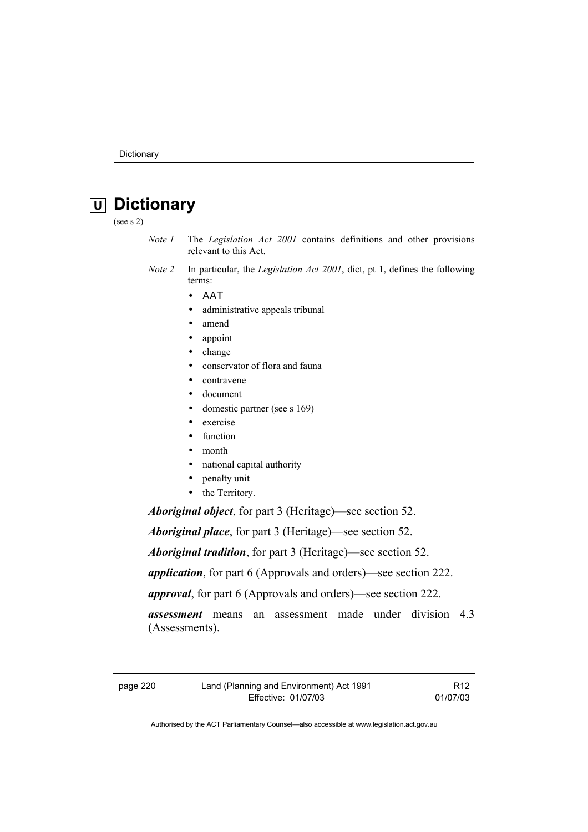# **U Dictionary**

(see s 2)

- *Note 1* The *Legislation Act 2001* contains definitions and other provisions relevant to this Act.
- *Note 2* In particular, the *Legislation Act 2001*, dict, pt 1, defines the following terms:
	- ΑΑΤ
	- administrative appeals tribunal
	- amend
	- appoint
	- change
	- conservator of flora and fauna
	- contravene
	- document
	- domestic partner (see s 169)
	- exercise
	- function
	- month
	- national capital authority
	- penalty unit
	- the Territory.

*Aboriginal object*, for part 3 (Heritage)—see section 52.

*Aboriginal place*, for part 3 (Heritage)—see section 52.

*Aboriginal tradition*, for part 3 (Heritage)—see section 52.

*application*, for part 6 (Approvals and orders)—see section 222.

*approval*, for part 6 (Approvals and orders)—see section 222.

*assessment* means an assessment made under division 4.3 (Assessments).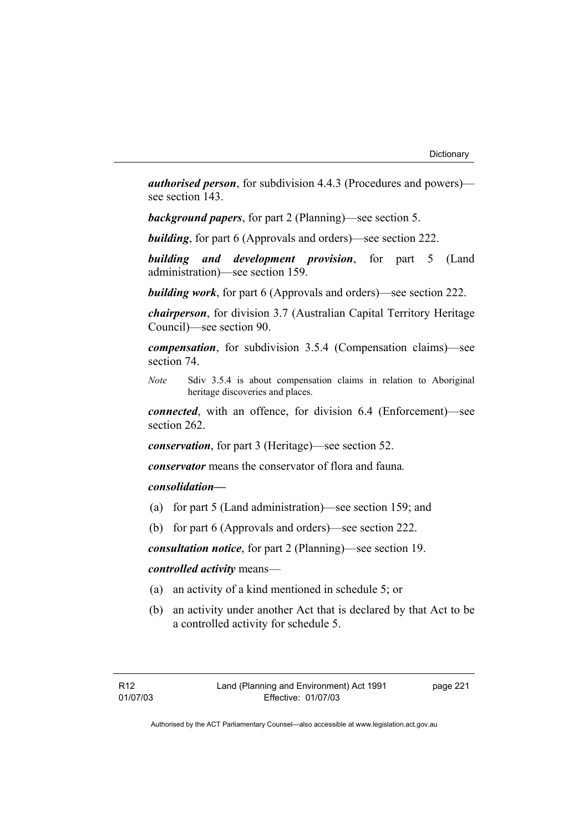*authorised person*, for subdivision 4.4.3 (Procedures and powers) see section 143.

*background papers*, for part 2 (Planning)—see section 5.

*building*, for part 6 (Approvals and orders)—see section 222.

*building and development provision*, for part 5 (Land administration)—see section 159.

*building work*, for part 6 (Approvals and orders)—see section 222.

*chairperson*, for division 3.7 (Australian Capital Territory Heritage Council)—see section 90.

*compensation*, for subdivision 3.5.4 (Compensation claims)—see section 74.

*Note* Sdiv 3.5.4 is about compensation claims in relation to Aboriginal heritage discoveries and places.

*connected*, with an offence, for division 6.4 (Enforcement)—see section 262.

*conservation*, for part 3 (Heritage)—see section 52.

*conservator* means the conservator of flora and fauna*.*

# *consolidation—*

- (a) for part 5 (Land administration)—see section 159; and
- (b) for part 6 (Approvals and orders)—see section 222.

*consultation notice*, for part 2 (Planning)—see section 19.

# *controlled activity* means—

- (a) an activity of a kind mentioned in schedule 5; or
- (b) an activity under another Act that is declared by that Act to be a controlled activity for schedule 5.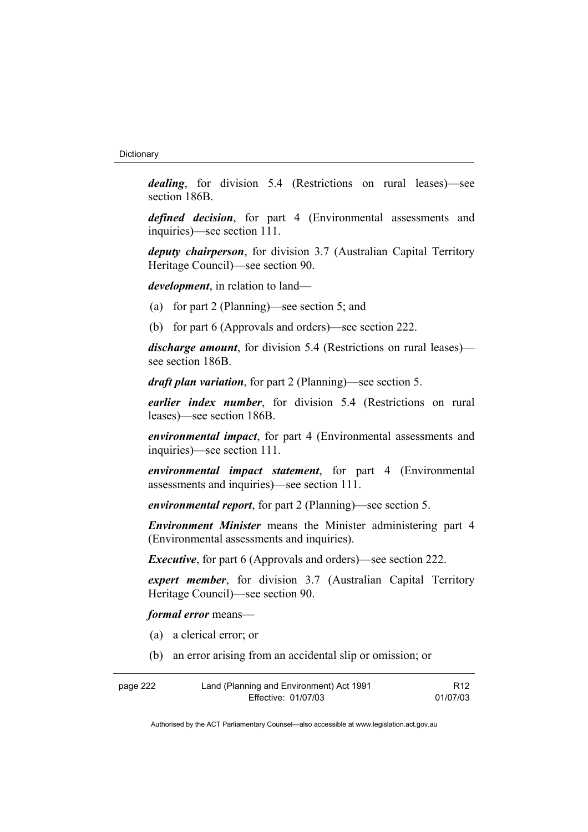*dealing*, for division 5.4 (Restrictions on rural leases)—see section 186B.

*defined decision*, for part 4 (Environmental assessments and inquiries)—see section 111.

*deputy chairperson*, for division 3.7 (Australian Capital Territory Heritage Council)—see section 90.

*development*, in relation to land—

- (a) for part 2 (Planning)—see section 5; and
- (b) for part 6 (Approvals and orders)—see section 222.

*discharge amount*, for division 5.4 (Restrictions on rural leases) see section 186B.

*draft plan variation*, for part 2 (Planning)—see section 5.

*earlier index number*, for division 5.4 (Restrictions on rural leases)—see section 186B.

*environmental impact*, for part 4 (Environmental assessments and inquiries)—see section 111.

*environmental impact statement*, for part 4 (Environmental assessments and inquiries)—see section 111.

*environmental report*, for part 2 (Planning)—see section 5.

*Environment Minister* means the Minister administering part 4 (Environmental assessments and inquiries).

*Executive*, for part 6 (Approvals and orders)—see section 222.

*expert member*, for division 3.7 (Australian Capital Territory Heritage Council)—see section 90.

*formal error* means—

- (a) a clerical error; or
- (b) an error arising from an accidental slip or omission; or

| page 222 | Land (Planning and Environment) Act 1991 | R <sub>12</sub> |
|----------|------------------------------------------|-----------------|
|          | Effective: 01/07/03                      | 01/07/03        |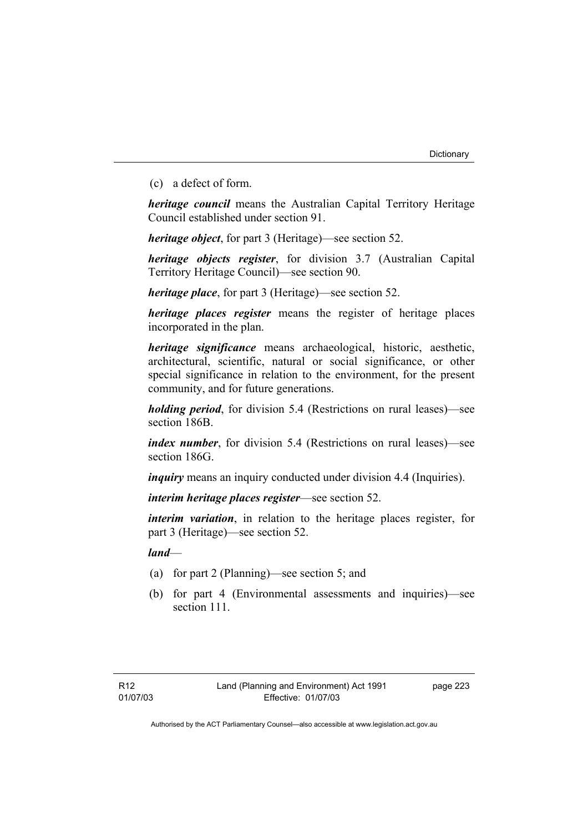(c) a defect of form.

*heritage council* means the Australian Capital Territory Heritage Council established under section 91.

*heritage object*, for part 3 (Heritage)—see section 52.

*heritage objects register*, for division 3.7 (Australian Capital Territory Heritage Council)—see section 90.

*heritage place*, for part 3 (Heritage)—see section 52.

*heritage places register* means the register of heritage places incorporated in the plan.

*heritage significance* means archaeological, historic, aesthetic, architectural, scientific, natural or social significance, or other special significance in relation to the environment, for the present community, and for future generations.

*holding period*, for division 5.4 (Restrictions on rural leases)—see section 186B.

*index number*, for division 5.4 (Restrictions on rural leases)—see section 186G.

*inquiry* means an inquiry conducted under division 4.4 (Inquiries).

*interim heritage places register*—see section 52.

*interim variation*, in relation to the heritage places register, for part 3 (Heritage)—see section 52.

*land*—

- (a) for part 2 (Planning)—see section 5; and
- (b) for part 4 (Environmental assessments and inquiries)—see section 111.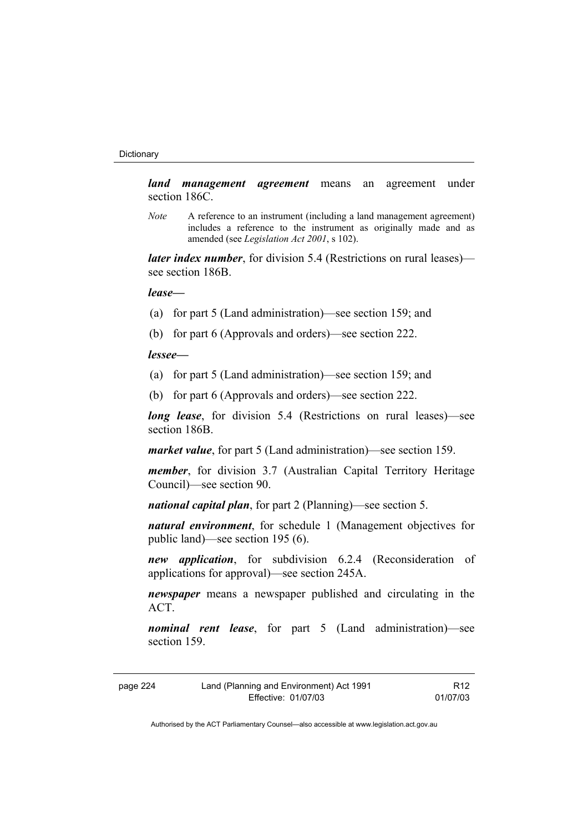*land management agreement* means an agreement under section 186C.

*Note* A reference to an instrument (including a land management agreement) includes a reference to the instrument as originally made and as amended (see *Legislation Act 2001*, s 102).

*later index number*, for division 5.4 (Restrictions on rural leases) see section 186B.

#### *lease—*

- (a) for part 5 (Land administration)—see section 159; and
- (b) for part 6 (Approvals and orders)—see section 222.

#### *lessee—*

- (a) for part 5 (Land administration)—see section 159; and
- (b) for part 6 (Approvals and orders)—see section 222.

*long lease*, for division 5.4 (Restrictions on rural leases)—see section 186B.

*market value*, for part 5 (Land administration)—see section 159.

*member*, for division 3.7 (Australian Capital Territory Heritage Council)—see section 90.

*national capital plan*, for part 2 (Planning)—see section 5.

*natural environment*, for schedule 1 (Management objectives for public land)—see section 195 (6).

*new application*, for subdivision 6.2.4 (Reconsideration of applications for approval)—see section 245A.

*newspaper* means a newspaper published and circulating in the ACT.

*nominal rent lease*, for part 5 (Land administration)—see section 159.

| page 224 | Land (Planning and Environment) Act 1991 | R <sub>12</sub> |
|----------|------------------------------------------|-----------------|
|          | Effective: 01/07/03                      | 01/07/03        |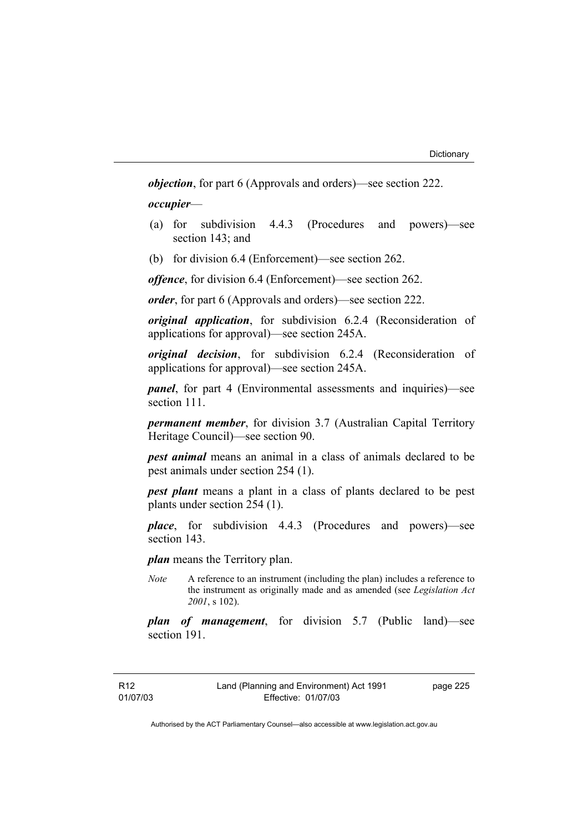*objection*, for part 6 (Approvals and orders)—see section 222.

*occupier*—

- (a) for subdivision 4.4.3 (Procedures and powers)—see section 143; and
- (b) for division 6.4 (Enforcement)—see section 262.

*offence*, for division 6.4 (Enforcement)—see section 262.

*order*, for part 6 (Approvals and orders)—see section 222.

*original application*, for subdivision 6.2.4 (Reconsideration of applications for approval)—see section 245A.

*original decision*, for subdivision 6.2.4 (Reconsideration of applications for approval)—see section 245A.

*panel*, for part 4 (Environmental assessments and inquiries)—see section 111.

*permanent member*, for division 3.7 (Australian Capital Territory Heritage Council)—see section 90.

*pest animal* means an animal in a class of animals declared to be pest animals under section 254 (1).

*pest plant* means a plant in a class of plants declared to be pest plants under section 254 (1).

*place*, for subdivision 4.4.3 (Procedures and powers)—see section 143.

*plan* means the Territory plan.

*Note* A reference to an instrument (including the plan) includes a reference to the instrument as originally made and as amended (see *Legislation Act 2001*, s 102).

*plan of management*, for division 5.7 (Public land)—see section 191.

R12 01/07/03 page 225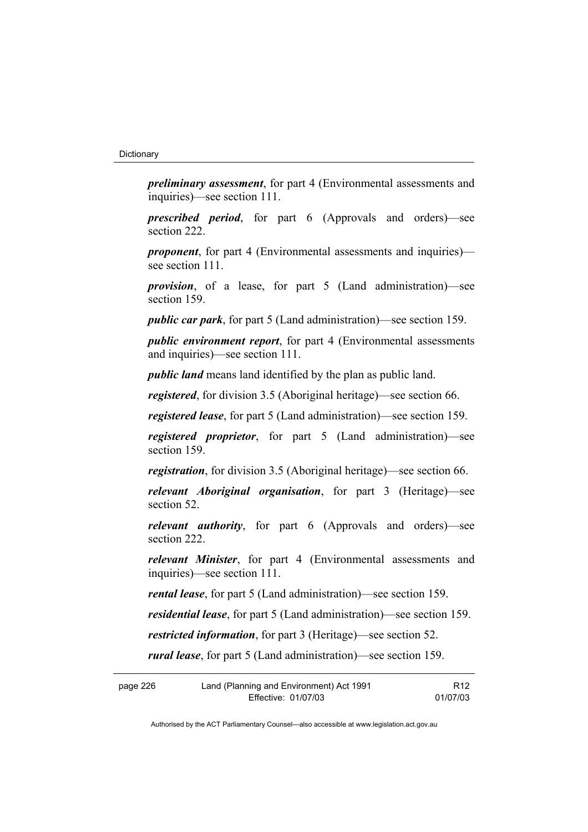*preliminary assessment*, for part 4 (Environmental assessments and inquiries)—see section 111.

*prescribed period*, for part 6 (Approvals and orders)—see section 222.

*proponent*, for part 4 (Environmental assessments and inquiries) see section 111.

*provision*, of a lease, for part 5 (Land administration)—see section 159.

*public car park*, for part 5 (Land administration)—see section 159.

*public environment report*, for part 4 (Environmental assessments and inquiries)—see section 111.

*public land* means land identified by the plan as public land.

*registered*, for division 3.5 (Aboriginal heritage)—see section 66.

*registered lease*, for part 5 (Land administration)—see section 159.

*registered proprietor*, for part 5 (Land administration)—see section 159.

*registration*, for division 3.5 (Aboriginal heritage)—see section 66.

*relevant Aboriginal organisation*, for part 3 (Heritage)—see section 52.

*relevant authority*, for part 6 (Approvals and orders)—see section 222.

*relevant Minister*, for part 4 (Environmental assessments and inquiries)—see section 111.

*rental lease*, for part 5 (Land administration)—see section 159.

*residential lease*, for part 5 (Land administration)—see section 159.

*restricted information*, for part 3 (Heritage)—see section 52.

*rural lease*, for part 5 (Land administration)—see section 159.

| page 226 | Land (Planning and Environment) Act 1991 | R <sub>12</sub> |
|----------|------------------------------------------|-----------------|
|          | Effective: 01/07/03                      | 01/07/03        |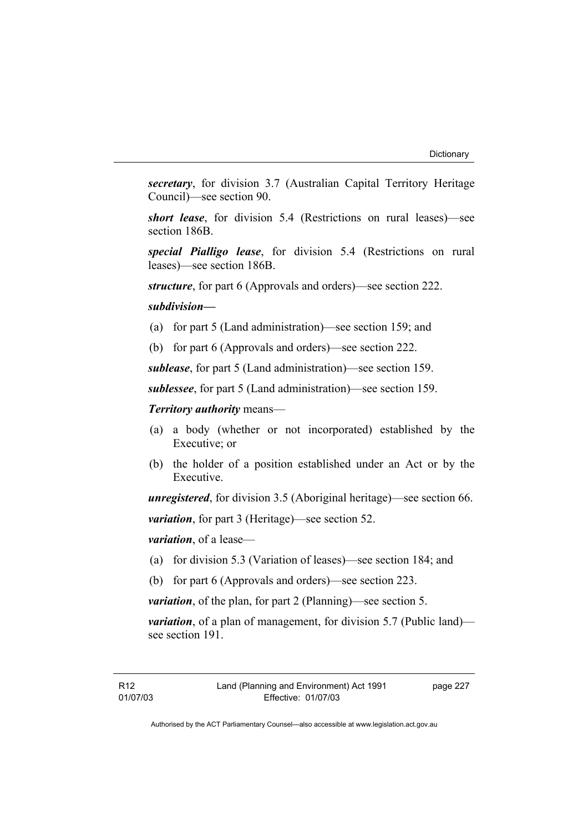*secretary*, for division 3.7 (Australian Capital Territory Heritage Council)—see section 90.

*short lease*, for division 5.4 (Restrictions on rural leases)—see section 186B.

*special Pialligo lease*, for division 5.4 (Restrictions on rural leases)—see section 186B.

*structure*, for part 6 (Approvals and orders)—see section 222.

#### *subdivision—*

- (a) for part 5 (Land administration)—see section 159; and
- (b) for part 6 (Approvals and orders)—see section 222.

*sublease*, for part 5 (Land administration)—see section 159.

*sublessee*, for part 5 (Land administration)—see section 159.

*Territory authority* means—

- (a) a body (whether or not incorporated) established by the Executive; or
- (b) the holder of a position established under an Act or by the Executive.

*unregistered*, for division 3.5 (Aboriginal heritage)—see section 66.

*variation*, for part 3 (Heritage)—see section 52.

*variation*, of a lease—

- (a) for division 5.3 (Variation of leases)—see section 184; and
- (b) for part 6 (Approvals and orders)—see section 223.

*variation*, of the plan, for part 2 (Planning)—see section 5.

*variation*, of a plan of management, for division 5.7 (Public land) see section 191.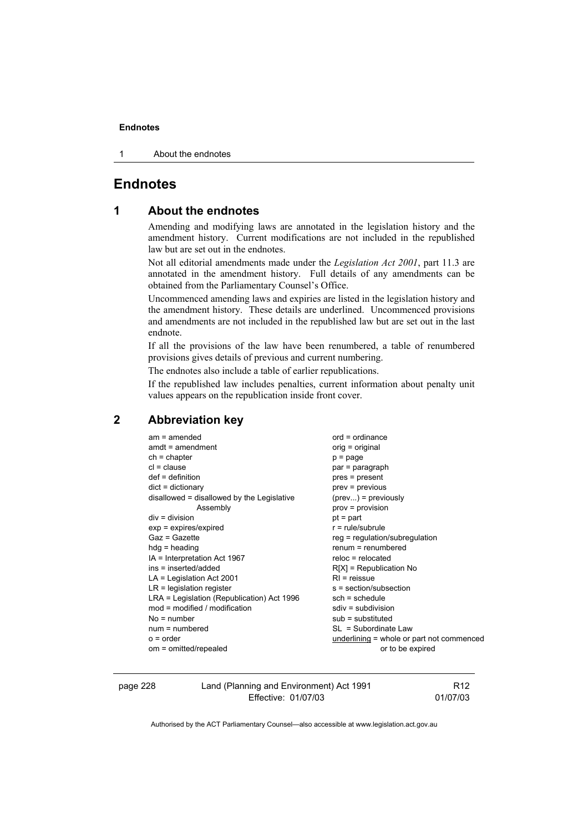1 About the endnotes

# **Endnotes**

# **1 About the endnotes**

Amending and modifying laws are annotated in the legislation history and the amendment history. Current modifications are not included in the republished law but are set out in the endnotes.

Not all editorial amendments made under the *Legislation Act 2001*, part 11.3 are annotated in the amendment history. Full details of any amendments can be obtained from the Parliamentary Counsel's Office.

Uncommenced amending laws and expiries are listed in the legislation history and the amendment history. These details are underlined. Uncommenced provisions and amendments are not included in the republished law but are set out in the last endnote.

If all the provisions of the law have been renumbered, a table of renumbered provisions gives details of previous and current numbering.

The endnotes also include a table of earlier republications.

If the republished law includes penalties, current information about penalty unit values appears on the republication inside front cover.

# **2 Abbreviation key**

| $am = amended$                             | $ord = ordinance$                         |
|--------------------------------------------|-------------------------------------------|
| $amdt = amendment$                         | orig = original                           |
| $ch = chapter$                             | $p = page$                                |
| $cl = clause$                              | par = paragraph                           |
| $def = definition$                         | pres = present                            |
| $dict = dictionary$                        | $prev = previous$                         |
| disallowed = disallowed by the Legislative | $(\text{prev})$ = previously              |
| Assembly                                   | $prov = provision$                        |
| $div = division$                           | $pt = part$                               |
| $exp = expires/expired$                    | $r = rule/subrule$                        |
| $Gaz = Gazette$                            | $reg = regulation/subregulation$          |
| $hdg =$ heading                            | $renum = renumbered$                      |
| IA = Interpretation Act 1967               | $reloc = relocated$                       |
| ins = inserted/added                       | $R[X]$ = Republication No                 |
| $LA =$ Legislation Act 2001                | $RI =$ reissue                            |
| $LR =$ legislation register                | s = section/subsection                    |
| LRA = Legislation (Republication) Act 1996 | $sch = schedule$                          |
| $mod = modified / modified$                | $sdiv = subdivision$                      |
| $No = number$                              | $sub =$ substituted                       |
| $num = numbered$                           | SL = Subordinate Law                      |
| $o = order$                                | underlining = whole or part not commenced |
| om = omitted/repealed                      | or to be expired                          |
|                                            |                                           |

page 228 Land (Planning and Environment) Act 1991 Effective: 01/07/03

R12 01/07/03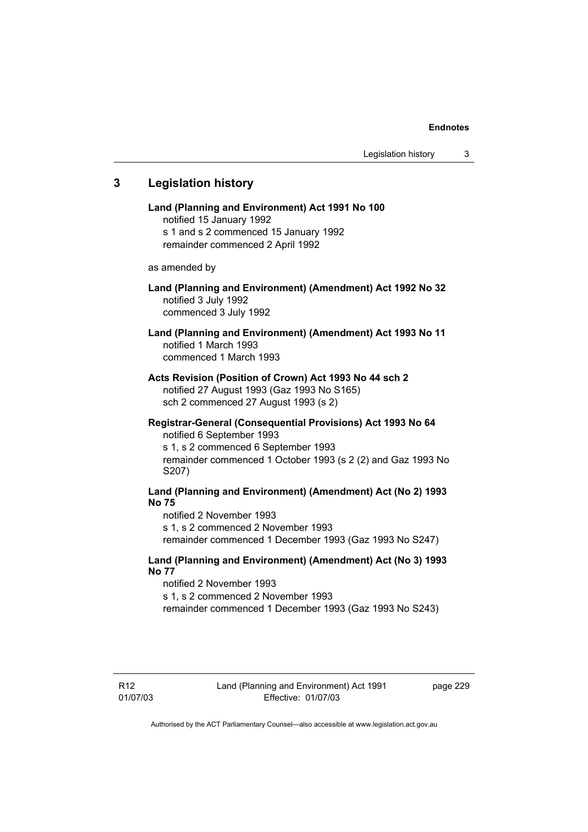# **3 Legislation history**

**Land (Planning and Environment) Act 1991 No 100**  notified 15 January 1992 s 1 and s 2 commenced 15 January 1992 remainder commenced 2 April 1992 as amended by **Land (Planning and Environment) (Amendment) Act 1992 No 32**  notified 3 July 1992 commenced 3 July 1992 **Land (Planning and Environment) (Amendment) Act 1993 No 11**  notified 1 March 1993 commenced 1 March 1993 **Acts Revision (Position of Crown) Act 1993 No 44 sch 2**  notified 27 August 1993 (Gaz 1993 No S165) sch 2 commenced 27 August 1993 (s 2) **Registrar-General (Consequential Provisions) Act 1993 No 64**  notified 6 September 1993 s 1, s 2 commenced 6 September 1993 remainder commenced 1 October 1993 (s 2 (2) and Gaz 1993 No S207) **Land (Planning and Environment) (Amendment) Act (No 2) 1993 No 75**  notified 2 November 1993 s 1, s 2 commenced 2 November 1993 remainder commenced 1 December 1993 (Gaz 1993 No S247) **Land (Planning and Environment) (Amendment) Act (No 3) 1993 No 77** 

notified 2 November 1993 s 1, s 2 commenced 2 November 1993

remainder commenced 1 December 1993 (Gaz 1993 No S243)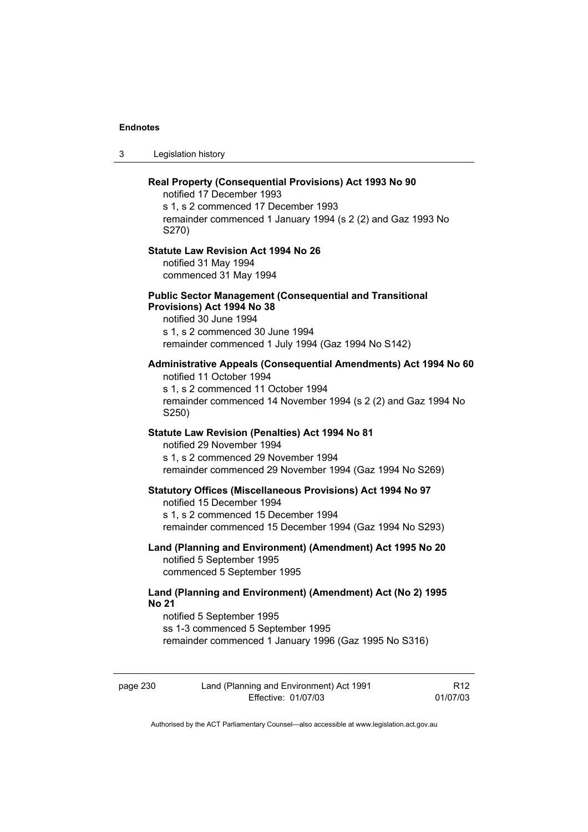3 Legislation history

| Real Property (Consequential Provisions) Act 1993 No 90<br>notified 17 December 1993<br>s 1, s 2 commenced 17 December 1993<br>remainder commenced 1 January 1994 (s 2 (2) and Gaz 1993 No<br>S270)             |
|-----------------------------------------------------------------------------------------------------------------------------------------------------------------------------------------------------------------|
| <b>Statute Law Revision Act 1994 No 26</b><br>notified 31 May 1994<br>commenced 31 May 1994                                                                                                                     |
| <b>Public Sector Management (Consequential and Transitional</b><br>Provisions) Act 1994 No 38<br>notified 30 June 1994<br>s 1, s 2 commenced 30 June 1994<br>remainder commenced 1 July 1994 (Gaz 1994 No S142) |
| Administrative Appeals (Consequential Amendments) Act 1994 No 60<br>notified 11 October 1994<br>s 1, s 2 commenced 11 October 1994<br>remainder commenced 14 November 1994 (s 2 (2) and Gaz 1994 No<br>S250)    |
| <b>Statute Law Revision (Penalties) Act 1994 No 81</b><br>notified 29 November 1994<br>s 1, s 2 commenced 29 November 1994<br>remainder commenced 29 November 1994 (Gaz 1994 No S269)                           |
| <b>Statutory Offices (Miscellaneous Provisions) Act 1994 No 97</b><br>notified 15 December 1994<br>s 1, s 2 commenced 15 December 1994<br>remainder commenced 15 December 1994 (Gaz 1994 No S293)               |
| Land (Planning and Environment) (Amendment) Act 1995 No 20<br>notified 5 September 1995<br>commenced 5 September 1995                                                                                           |
| Land (Planning and Environment) (Amendment) Act (No 2) 1995<br><b>No 21</b><br>notified 5 September 1995<br>ss 1-3 commenced 5 September 1995<br>remainder commenced 1 January 1996 (Gaz 1995 No S316)          |

page 230 Land (Planning and Environment) Act 1991 Effective: 01/07/03

R12 01/07/03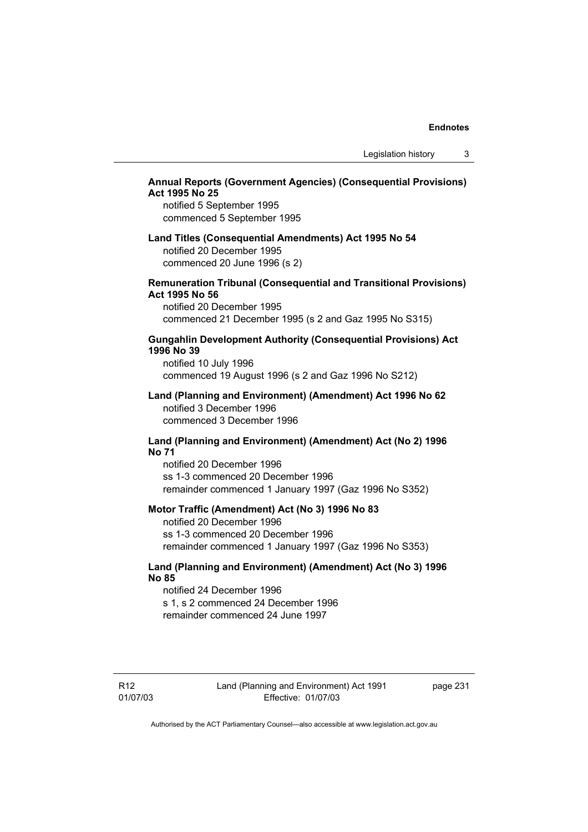# **Annual Reports (Government Agencies) (Consequential Provisions) Act 1995 No 25**

notified 5 September 1995 commenced 5 September 1995

# **Land Titles (Consequential Amendments) Act 1995 No 54**  notified 20 December 1995 commenced 20 June 1996 (s 2)

### **Remuneration Tribunal (Consequential and Transitional Provisions) Act 1995 No 56**

notified 20 December 1995 commenced 21 December 1995 (s 2 and Gaz 1995 No S315)

# **Gungahlin Development Authority (Consequential Provisions) Act 1996 No 39**

notified 10 July 1996 commenced 19 August 1996 (s 2 and Gaz 1996 No S212)

#### **Land (Planning and Environment) (Amendment) Act 1996 No 62**  notified 3 December 1996 commenced 3 December 1996

# **Land (Planning and Environment) (Amendment) Act (No 2) 1996 No 71**

notified 20 December 1996 ss 1-3 commenced 20 December 1996 remainder commenced 1 January 1997 (Gaz 1996 No S352)

### **Motor Traffic (Amendment) Act (No 3) 1996 No 83**

notified 20 December 1996 ss 1-3 commenced 20 December 1996 remainder commenced 1 January 1997 (Gaz 1996 No S353)

# **Land (Planning and Environment) (Amendment) Act (No 3) 1996 No 85**

notified 24 December 1996 s 1, s 2 commenced 24 December 1996 remainder commenced 24 June 1997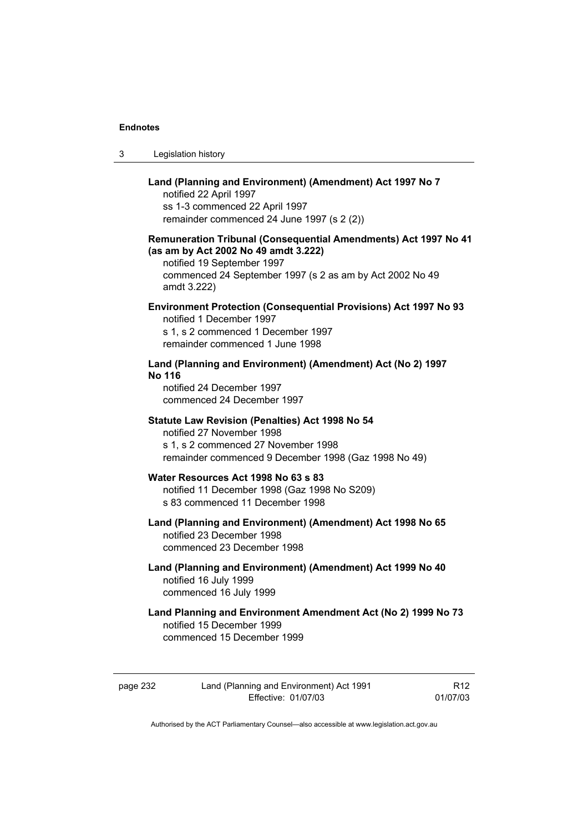| -3 | Legislation history |
|----|---------------------|
|----|---------------------|

# **Land (Planning and Environment) (Amendment) Act 1997 No 7**  notified 22 April 1997 ss 1-3 commenced 22 April 1997 remainder commenced 24 June 1997 (s 2 (2)) **Remuneration Tribunal (Consequential Amendments) Act 1997 No 41 (as am by Act 2002 No 49 amdt 3.222)**  notified 19 September 1997 commenced 24 September 1997 (s 2 as am by Act 2002 No 49 amdt 3.222) **Environment Protection (Consequential Provisions) Act 1997 No 93**  notified 1 December 1997 s 1, s 2 commenced 1 December 1997 remainder commenced 1 June 1998 **Land (Planning and Environment) (Amendment) Act (No 2) 1997 No 116**  notified 24 December 1997 commenced 24 December 1997 **Statute Law Revision (Penalties) Act 1998 No 54**  notified 27 November 1998 s 1, s 2 commenced 27 November 1998 remainder commenced 9 December 1998 (Gaz 1998 No 49) **Water Resources Act 1998 No 63 s 83**  notified 11 December 1998 (Gaz 1998 No S209) s 83 commenced 11 December 1998 **Land (Planning and Environment) (Amendment) Act 1998 No 65**  notified 23 December 1998 commenced 23 December 1998 **Land (Planning and Environment) (Amendment) Act 1999 No 40**  notified 16 July 1999 commenced 16 July 1999 **Land Planning and Environment Amendment Act (No 2) 1999 No 73**  notified 15 December 1999

commenced 15 December 1999

R12 01/07/03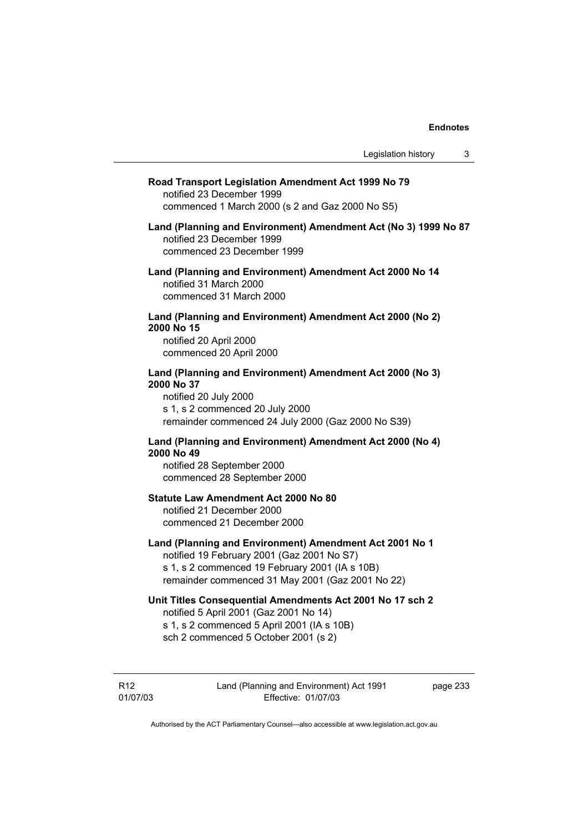| Road Transport Legislation Amendment Act 1999 No 79<br>notified 23 December 1999<br>commenced 1 March 2000 (s 2 and Gaz 2000 No S5)                                                                         |
|-------------------------------------------------------------------------------------------------------------------------------------------------------------------------------------------------------------|
| Land (Planning and Environment) Amendment Act (No 3) 1999 No 87<br>notified 23 December 1999<br>commenced 23 December 1999                                                                                  |
| Land (Planning and Environment) Amendment Act 2000 No 14<br>notified 31 March 2000<br>commenced 31 March 2000                                                                                               |
| Land (Planning and Environment) Amendment Act 2000 (No 2)<br>2000 No 15<br>notified 20 April 2000<br>commenced 20 April 2000                                                                                |
| Land (Planning and Environment) Amendment Act 2000 (No 3)<br>2000 No 37<br>notified 20 July 2000<br>s 1, s 2 commenced 20 July 2000<br>remainder commenced 24 July 2000 (Gaz 2000 No S39)                   |
| Land (Planning and Environment) Amendment Act 2000 (No 4)<br>2000 No 49<br>notified 28 September 2000<br>commenced 28 September 2000                                                                        |
| <b>Statute Law Amendment Act 2000 No 80</b><br>notified 21 December 2000<br>commenced 21 December 2000                                                                                                      |
| Land (Planning and Environment) Amendment Act 2001 No 1<br>notified 19 February 2001 (Gaz 2001 No S7)<br>s 1, s 2 commenced 19 February 2001 (IA s 10B)<br>remainder commenced 31 May 2001 (Gaz 2001 No 22) |
| Unit Titles Consequential Amendments Act 2001 No 17 sch 2<br>notified 5 April 2001 (Gaz 2001 No 14)<br>s 1, s 2 commenced 5 April 2001 (IA s 10B)<br>sch 2 commenced 5 October 2001 (s 2)                   |
|                                                                                                                                                                                                             |

R12 01/07/03 Land (Planning and Environment) Act 1991 Effective: 01/07/03

page 233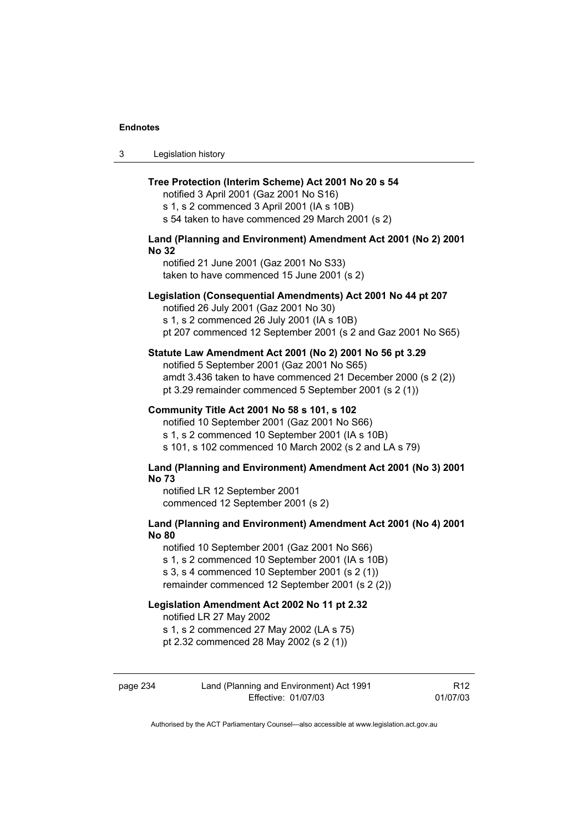3 Legislation history

### **Tree Protection (Interim Scheme) Act 2001 No 20 s 54**

notified 3 April 2001 (Gaz 2001 No S16) s 1, s 2 commenced 3 April 2001 (IA s 10B) s 54 taken to have commenced 29 March 2001 (s 2)

## **Land (Planning and Environment) Amendment Act 2001 (No 2) 2001 No 32**

notified 21 June 2001 (Gaz 2001 No S33) taken to have commenced 15 June 2001 (s 2)

### **Legislation (Consequential Amendments) Act 2001 No 44 pt 207**

notified 26 July 2001 (Gaz 2001 No 30)

s 1, s 2 commenced 26 July 2001 (IA s 10B) pt 207 commenced 12 September 2001 (s 2 and Gaz 2001 No S65)

### **Statute Law Amendment Act 2001 (No 2) 2001 No 56 pt 3.29**

notified 5 September 2001 (Gaz 2001 No S65) amdt 3.436 taken to have commenced 21 December 2000 (s 2 (2)) pt 3.29 remainder commenced 5 September 2001 (s 2 (1))

#### **Community Title Act 2001 No 58 s 101, s 102**

notified 10 September 2001 (Gaz 2001 No S66) s 1, s 2 commenced 10 September 2001 (IA s 10B) s 101, s 102 commenced 10 March 2002 (s 2 and LA s 79)

### **Land (Planning and Environment) Amendment Act 2001 (No 3) 2001 No 73**

notified LR 12 September 2001 commenced 12 September 2001 (s 2)

# **Land (Planning and Environment) Amendment Act 2001 (No 4) 2001 No 80**

notified 10 September 2001 (Gaz 2001 No S66) s 1, s 2 commenced 10 September 2001 (IA s 10B) s 3, s 4 commenced 10 September 2001 (s 2 (1)) remainder commenced 12 September 2001 (s 2 (2))

## **Legislation Amendment Act 2002 No 11 pt 2.32**

notified LR 27 May 2002

s 1, s 2 commenced 27 May 2002 (LA s 75)

pt 2.32 commenced 28 May 2002 (s 2 (1))

| page 234 | Land (Planning and Environment) Act 1991 | R12      |
|----------|------------------------------------------|----------|
|          | Effective: 01/07/03                      | 01/07/03 |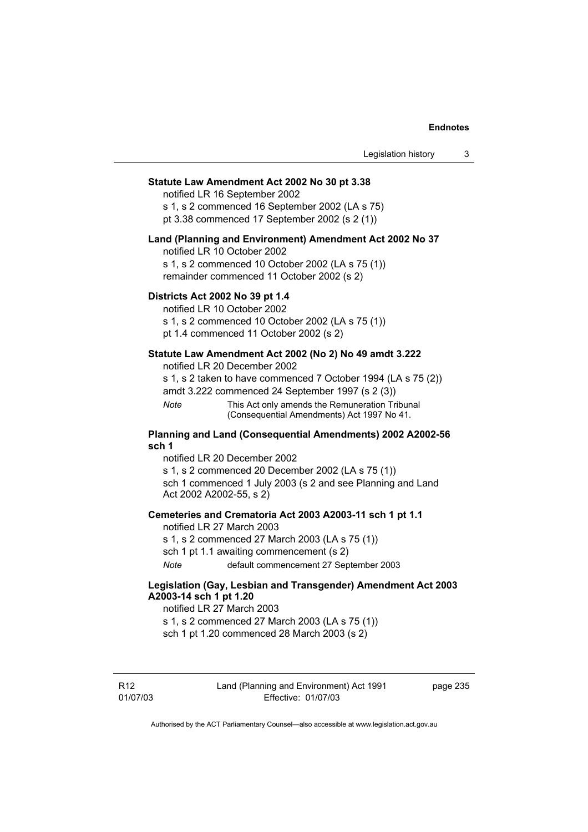### **Statute Law Amendment Act 2002 No 30 pt 3.38**

notified LR 16 September 2002 s 1, s 2 commenced 16 September 2002 (LA s 75)

pt 3.38 commenced 17 September 2002 (s 2 (1))

#### **Land (Planning and Environment) Amendment Act 2002 No 37**

notified LR 10 October 2002

s 1, s 2 commenced 10 October 2002 (LA s 75 (1)) remainder commenced 11 October 2002 (s 2)

### **Districts Act 2002 No 39 pt 1.4**

notified LR 10 October 2002

s 1, s 2 commenced 10 October 2002 (LA s 75 (1)) pt 1.4 commenced 11 October 2002 (s 2)

# **Statute Law Amendment Act 2002 (No 2) No 49 amdt 3.222**

notified LR 20 December 2002

s 1, s 2 taken to have commenced 7 October 1994 (LA s 75 (2)) amdt 3.222 commenced 24 September 1997 (s 2 (3))

*Note* This Act only amends the Remuneration Tribunal (Consequential Amendments) Act 1997 No 41.

### **Planning and Land (Consequential Amendments) 2002 A2002-56 sch 1**

notified LR 20 December 2002 s 1, s 2 commenced 20 December 2002 (LA s 75 (1)) sch 1 commenced 1 July 2003 (s 2 and see Planning and Land Act 2002 A2002-55, s 2)

#### **Cemeteries and Crematoria Act 2003 A2003-11 sch 1 pt 1.1**

notified LR 27 March 2003 s 1, s 2 commenced 27 March 2003 (LA s 75 (1)) sch 1 pt 1.1 awaiting commencement (s 2) *Note* default commencement 27 September 2003

### **Legislation (Gay, Lesbian and Transgender) Amendment Act 2003 A2003-14 sch 1 pt 1.20**

notified LR 27 March 2003 s 1, s 2 commenced 27 March 2003 (LA s 75 (1)) sch 1 pt 1.20 commenced 28 March 2003 (s 2)

R12 01/07/03 Land (Planning and Environment) Act 1991 Effective: 01/07/03

page 235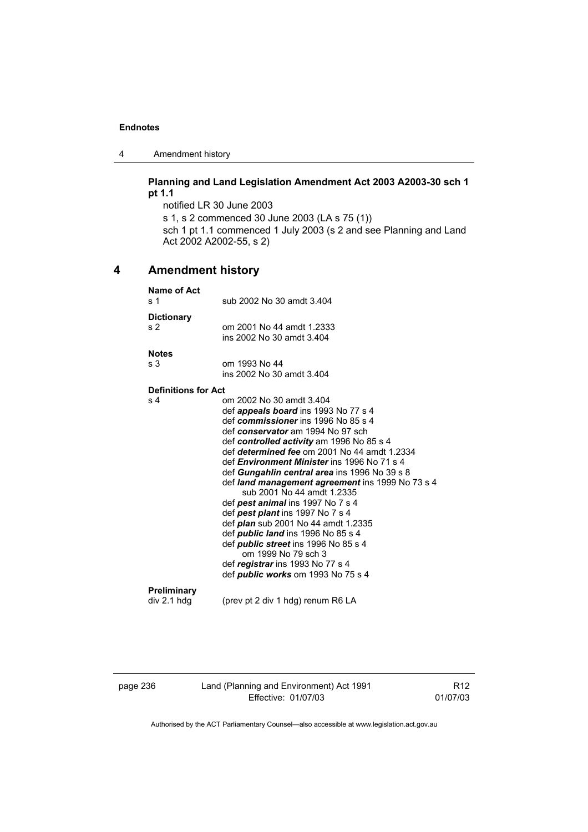4 Amendment history

# **Planning and Land Legislation Amendment Act 2003 A2003-30 sch 1 pt 1.1**

notified LR 30 June 2003 s 1, s 2 commenced 30 June 2003 (LA s 75 (1)) sch 1 pt 1.1 commenced 1 July 2003 (s 2 and see Planning and Land Act 2002 A2002-55, s 2)

# **4 Amendment history**

| <b>Name of Act</b><br>s 1  | sub 2002 No 30 amdt 3.404                                                                                                                                                                                                                                                                                                                                                                                                                                                                                                                                                                                                                                                                                                      |
|----------------------------|--------------------------------------------------------------------------------------------------------------------------------------------------------------------------------------------------------------------------------------------------------------------------------------------------------------------------------------------------------------------------------------------------------------------------------------------------------------------------------------------------------------------------------------------------------------------------------------------------------------------------------------------------------------------------------------------------------------------------------|
| <b>Dictionary</b><br>s 2   | om 2001 No 44 amdt 1.2333<br>ins 2002 No 30 amdt 3.404                                                                                                                                                                                                                                                                                                                                                                                                                                                                                                                                                                                                                                                                         |
| <b>Notes</b>               |                                                                                                                                                                                                                                                                                                                                                                                                                                                                                                                                                                                                                                                                                                                                |
| s 3                        | om 1993 No 44                                                                                                                                                                                                                                                                                                                                                                                                                                                                                                                                                                                                                                                                                                                  |
|                            | ins 2002 No 30 amdt 3.404                                                                                                                                                                                                                                                                                                                                                                                                                                                                                                                                                                                                                                                                                                      |
| <b>Definitions for Act</b> |                                                                                                                                                                                                                                                                                                                                                                                                                                                                                                                                                                                                                                                                                                                                |
| s 4                        | om 2002 No 30 amdt 3.404<br>def <i>appeals board</i> ins 1993 No 77 s 4<br>def commissioner ins 1996 No 85 s 4<br>def conservator am 1994 No 97 sch<br>def controlled activity am 1996 No 85 s 4<br>def determined fee om 2001 No 44 amdt 1.2334<br>def Environment Minister ins 1996 No 71 s 4<br>def Gungahlin central area ins 1996 No 39 s 8<br>def land management agreement ins 1999 No 73 s 4<br>sub 2001 No 44 amdt 1.2335<br>def <i>pest animal</i> ins 1997 No 7 s 4<br>def pest plant ins 1997 No 7 s 4<br>def <i>plan</i> sub 2001 No 44 amdt 1.2335<br>def <b>public land</b> ins 1996 No 85 s 4<br>def <i>public street</i> ins 1996 No 85 s 4<br>om 1999 No 79 sch 3<br>def <i>registrar</i> ins 1993 No 77 s 4 |
|                            | def <i>public works</i> om 1993 No 75 s 4                                                                                                                                                                                                                                                                                                                                                                                                                                                                                                                                                                                                                                                                                      |
| Preliminary<br>div 2.1 hdg | (prev pt 2 div 1 hdg) renum R6 LA                                                                                                                                                                                                                                                                                                                                                                                                                                                                                                                                                                                                                                                                                              |
|                            |                                                                                                                                                                                                                                                                                                                                                                                                                                                                                                                                                                                                                                                                                                                                |

page 236 Land (Planning and Environment) Act 1991 Effective: 01/07/03

R12 01/07/03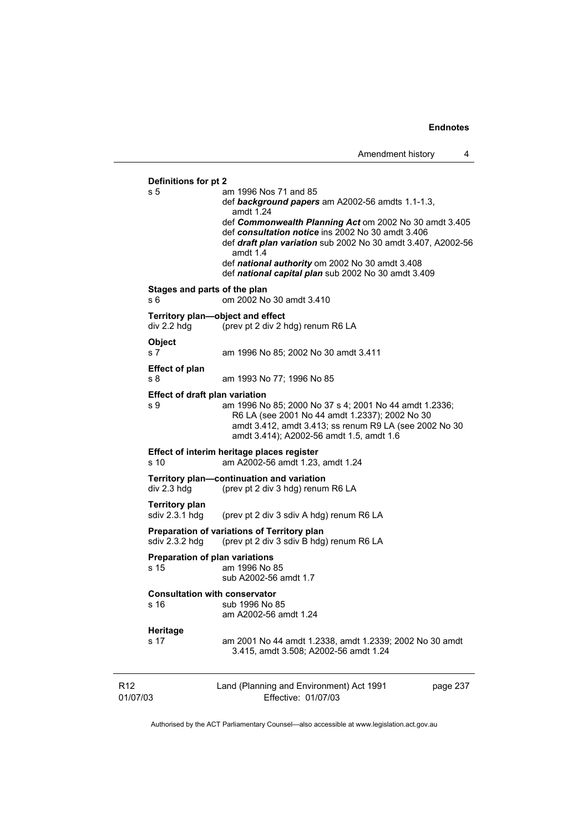R12 01/07/03 Land (Planning and Environment) Act 1991 Effective: 01/07/03 page 237 **Definitions for pt 2**  s 5 am 1996 Nos 71 and 85 def *background papers* am A2002-56 amdts 1.1-1.3, amdt 1.24 def *Commonwealth Planning Act* om 2002 No 30 amdt 3.405 def *consultation notice* ins 2002 No 30 amdt 3.406 def *draft plan variation* sub 2002 No 30 amdt 3.407, A2002-56 amdt 1.4 def *national authority* om 2002 No 30 amdt 3.408 def *national capital plan* sub 2002 No 30 amdt 3.409 **Stages and parts of the plan**  s 6 om 2002 No 30 amdt 3.410 **Territory plan—object and effect**  div 2.2 hdg (prev pt 2 div 2 hdg) renum R6 LA **Object**  s 7 am 1996 No 85; 2002 No 30 amdt 3.411 **Effect of plan**  s 8 am 1993 No 77; 1996 No 85 **Effect of draft plan variation**  s 9 am 1996 No 85; 2000 No 37 s 4; 2001 No 44 amdt 1.2336; R6 LA (see 2001 No 44 amdt 1.2337); 2002 No 30 amdt 3.412, amdt 3.413; ss renum R9 LA (see 2002 No 30 amdt 3.414); A2002-56 amdt 1.5, amdt 1.6 **Effect of interim heritage places register**  s 10 am A2002-56 amdt 1.23, amdt 1.24 **Territory plan—continuation and variation**  div 2.3 hdg (prev pt 2 div 3 hdg) renum R6 LA **Territory plan**  sdiv 2.3.1 hdg (prev pt 2 div 3 sdiv A hdg) renum R6 LA **Preparation of variations of Territory plan**  sdiv 2.3.2 hdg (prev pt 2 div 3 sdiv B hdg) renum R6 LA **Preparation of plan variations**  s 15 am 1996 No 85 sub A2002-56 amdt 1.7 **Consultation with conservator**  s 16 sub 1996 No 85 am A2002-56 amdt 1.24 **Heritage**  s 17 am 2001 No 44 amdt 1.2338, amdt 1.2339; 2002 No 30 amdt 3.415, amdt 3.508; A2002-56 amdt 1.24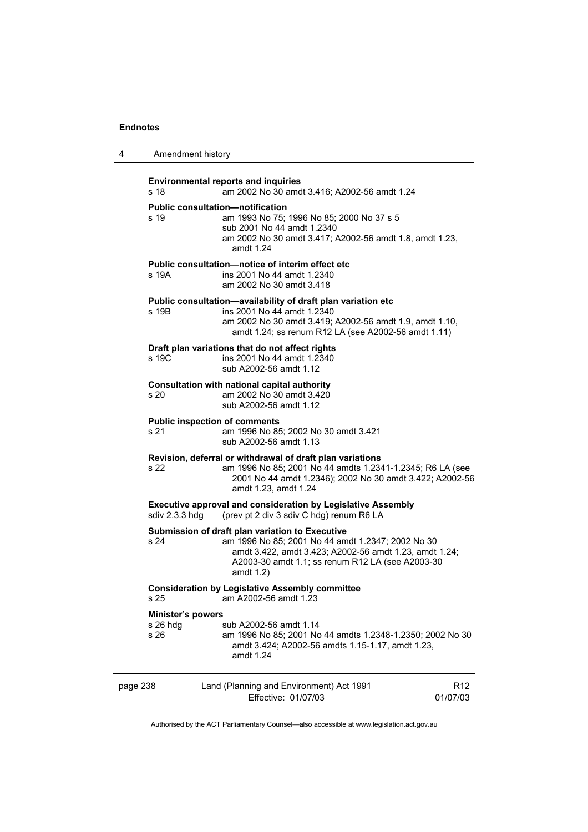| 4        | Amendment history                                                                       |                                                                                                                                                                                                                                    |                 |  |
|----------|-----------------------------------------------------------------------------------------|------------------------------------------------------------------------------------------------------------------------------------------------------------------------------------------------------------------------------------|-----------------|--|
|          | s 18                                                                                    | <b>Environmental reports and inquiries</b><br>am 2002 No 30 amdt 3.416; A2002-56 amdt 1.24                                                                                                                                         |                 |  |
|          | s 19                                                                                    | <b>Public consultation-notification</b><br>am 1993 No 75; 1996 No 85; 2000 No 37 s 5<br>sub 2001 No 44 amdt 1.2340<br>am 2002 No 30 amdt 3.417; A2002-56 amdt 1.8, amdt 1.23,<br>amdt 1.24                                         |                 |  |
|          | s 19A                                                                                   | Public consultation-notice of interim effect etc<br>ins 2001 No 44 amdt 1.2340<br>am 2002 No 30 amdt 3.418                                                                                                                         |                 |  |
|          | s 19B                                                                                   | Public consultation-availability of draft plan variation etc<br>ins 2001 No 44 amdt 1.2340<br>am 2002 No 30 amdt 3.419; A2002-56 amdt 1.9, amdt 1.10,<br>amdt 1.24; ss renum R12 LA (see A2002-56 amdt 1.11)                       |                 |  |
|          | s 19C                                                                                   | Draft plan variations that do not affect rights<br>ins 2001 No 44 amdt 1.2340<br>sub A2002-56 amdt 1.12                                                                                                                            |                 |  |
|          | s 20                                                                                    | Consultation with national capital authority<br>am 2002 No 30 amdt 3.420<br>sub A2002-56 amdt 1.12                                                                                                                                 |                 |  |
|          | s 21                                                                                    | <b>Public inspection of comments</b><br>am 1996 No 85; 2002 No 30 amdt 3.421<br>sub A2002-56 amdt 1.13                                                                                                                             |                 |  |
|          | s 22                                                                                    | Revision, deferral or withdrawal of draft plan variations<br>am 1996 No 85; 2001 No 44 amdts 1.2341-1.2345; R6 LA (see<br>2001 No 44 amdt 1.2346); 2002 No 30 amdt 3.422; A2002-56<br>amdt 1.23, amdt 1.24                         |                 |  |
|          | sdiv 2.3.3 hdg                                                                          | <b>Executive approval and consideration by Legislative Assembly</b><br>(prev pt 2 div 3 sdiv C hdg) renum R6 LA                                                                                                                    |                 |  |
|          | s 24                                                                                    | Submission of draft plan variation to Executive<br>am 1996 No 85; 2001 No 44 amdt 1.2347; 2002 No 30<br>amdt 3.422, amdt 3.423; A2002-56 amdt 1.23, amdt 1.24;<br>A2003-30 amdt 1.1; ss renum R12 LA (see A2003-30<br>amdt $1.2$ ) |                 |  |
|          | <b>Consideration by Legislative Assembly committee</b><br>s 25<br>am A2002-56 amdt 1.23 |                                                                                                                                                                                                                                    |                 |  |
|          | <b>Minister's powers</b><br>s 26 hdg<br>s 26                                            | sub A2002-56 amdt 1.14<br>am 1996 No 85; 2001 No 44 amdts 1.2348-1.2350; 2002 No 30<br>amdt 3.424; A2002-56 amdts 1.15-1.17, amdt 1.23,<br>amdt 1.24                                                                               |                 |  |
| page 238 |                                                                                         | Land (Planning and Environment) Act 1991<br>Effective: 01/07/03<br>01/07/03                                                                                                                                                        | R <sub>12</sub> |  |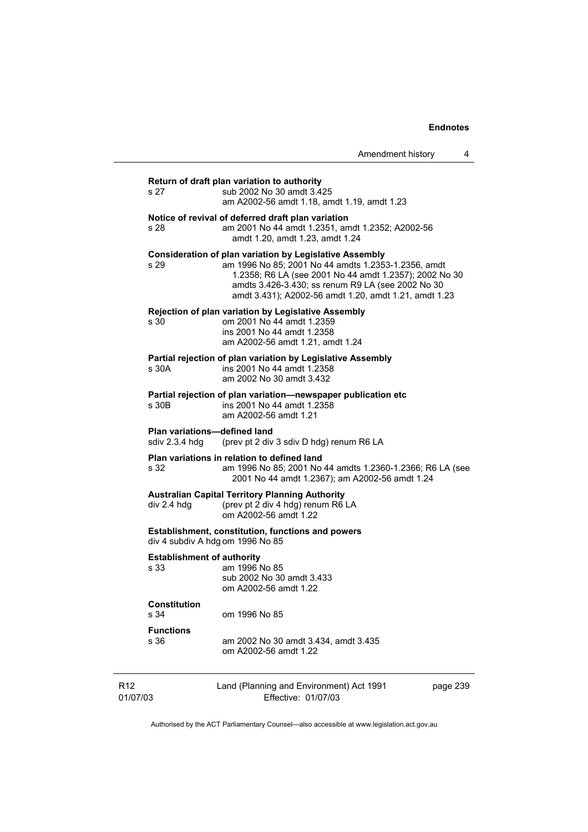|                             | Amendment history<br>4                                                                                                                                                                                                                                                                        |
|-----------------------------|-----------------------------------------------------------------------------------------------------------------------------------------------------------------------------------------------------------------------------------------------------------------------------------------------|
| s 27                        | Return of draft plan variation to authority<br>sub 2002 No 30 amdt 3.425<br>am A2002-56 amdt 1.18, amdt 1.19, amdt 1.23                                                                                                                                                                       |
| s 28.                       | Notice of revival of deferred draft plan variation<br>am 2001 No 44 amdt 1.2351, amdt 1.2352; A2002-56<br>amdt 1.20, amdt 1.23, amdt 1.24                                                                                                                                                     |
| s 29                        | <b>Consideration of plan variation by Legislative Assembly</b><br>am 1996 No 85; 2001 No 44 amdts 1.2353-1.2356, amdt<br>1.2358; R6 LA (see 2001 No 44 amdt 1.2357); 2002 No 30<br>amdts 3.426-3.430; ss renum R9 LA (see 2002 No 30<br>amdt 3.431); A2002-56 amdt 1.20, amdt 1.21, amdt 1.23 |
| s 30                        | <b>Rejection of plan variation by Legislative Assembly</b><br>om 2001 No 44 amdt 1.2359<br>ins 2001 No 44 amdt 1.2358<br>am A2002-56 amdt 1.21, amdt 1.24                                                                                                                                     |
| s 30A                       | Partial rejection of plan variation by Legislative Assembly<br>ins 2001 No 44 amdt 1.2358<br>am 2002 No 30 amdt 3.432                                                                                                                                                                         |
| s 30B                       | Partial rejection of plan variation-newspaper publication etc<br>ins 2001 No 44 amdt 1.2358<br>am A2002-56 amdt 1.21                                                                                                                                                                          |
|                             | <b>Plan variations-defined land</b><br>sdiv 2.3.4 hdg<br>(prev pt 2 div 3 sdiv D hdg) renum R6 LA                                                                                                                                                                                             |
| s 32                        | Plan variations in relation to defined land<br>am 1996 No 85; 2001 No 44 amdts 1.2360-1.2366; R6 LA (see<br>2001 No 44 amdt 1.2367); am A2002-56 amdt 1.24                                                                                                                                    |
|                             | <b>Australian Capital Territory Planning Authority</b><br>(prev pt 2 div 4 hdg) renum R6 LA<br>div 2.4 hdg<br>om A2002-56 amdt 1.22                                                                                                                                                           |
|                             | <b>Establishment, constitution, functions and powers</b><br>div 4 subdiv A hdg om 1996 No 85                                                                                                                                                                                                  |
| s 33                        | <b>Establishment of authority</b><br>am 1996 No 85<br>sub 2002 No 30 amdt 3.433<br>om A2002-56 amdt 1.22                                                                                                                                                                                      |
| s 34                        | <b>Constitution</b><br>om 1996 No 85                                                                                                                                                                                                                                                          |
| s 36                        | <b>Functions</b><br>am 2002 No 30 amdt 3.434, amdt 3.435<br>om A2002-56 amdt 1.22                                                                                                                                                                                                             |
| R <sub>12</sub><br>01/07/03 | Land (Planning and Environment) Act 1991<br>page 239<br>Effective: 01/07/03                                                                                                                                                                                                                   |

Authorised by the ACT Parliamentary Counsel—also accessible at www.legislation.act.gov.au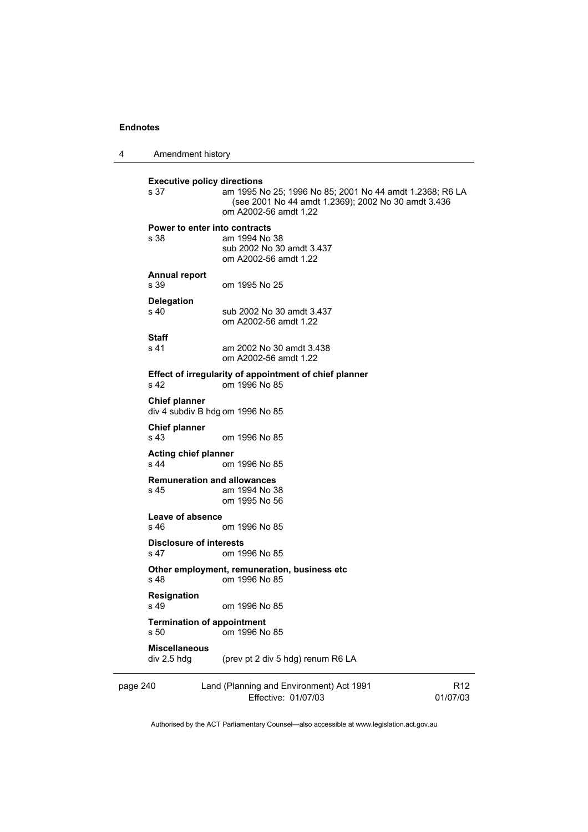| 4        | Amendment history                      |                                                                                                                                                                                |                             |
|----------|----------------------------------------|--------------------------------------------------------------------------------------------------------------------------------------------------------------------------------|-----------------------------|
|          | s 37                                   | <b>Executive policy directions</b><br>am 1995 No 25; 1996 No 85; 2001 No 44 amdt 1.2368; R6 LA<br>(see 2001 No 44 amdt 1.2369); 2002 No 30 amdt 3.436<br>om A2002-56 amdt 1.22 |                             |
|          | s 38                                   | Power to enter into contracts<br>am 1994 No 38<br>sub 2002 No 30 amdt 3.437<br>om A2002-56 amdt 1.22                                                                           |                             |
|          | <b>Annual report</b><br>s 39           | om 1995 No 25                                                                                                                                                                  |                             |
|          | <b>Delegation</b><br>s 40              | sub 2002 No 30 amdt 3.437<br>om A2002-56 amdt 1.22                                                                                                                             |                             |
|          | Staff<br>s 41                          | am 2002 No 30 amdt 3.438<br>om A2002-56 amdt 1.22                                                                                                                              |                             |
|          | s 42                                   | Effect of irregularity of appointment of chief planner<br>om 1996 No 85                                                                                                        |                             |
|          | <b>Chief planner</b>                   | div 4 subdiv B hdg om 1996 No 85                                                                                                                                               |                             |
|          | <b>Chief planner</b><br>s 43           | om 1996 No 85                                                                                                                                                                  |                             |
|          | <b>Acting chief planner</b><br>s 44    | om 1996 No 85                                                                                                                                                                  |                             |
|          | s 45                                   | <b>Remuneration and allowances</b><br>am 1994 No 38<br>om 1995 No 56                                                                                                           |                             |
|          | Leave of absence<br>s 46               | om 1996 No 85                                                                                                                                                                  |                             |
|          | <b>Disclosure of interests</b><br>s 47 | om 1996 No 85                                                                                                                                                                  |                             |
|          | s 48                                   | Other employment, remuneration, business etc<br>om 1996 No 85                                                                                                                  |                             |
|          | Resignation<br>s <sub>49</sub>         | om 1996 No 85                                                                                                                                                                  |                             |
|          | s 50                                   | <b>Termination of appointment</b><br>om 1996 No 85                                                                                                                             |                             |
|          | <b>Miscellaneous</b><br>div 2.5 hdg    | (prev pt 2 div 5 hdg) renum R6 LA                                                                                                                                              |                             |
| page 240 |                                        | Land (Planning and Environment) Act 1991<br>Effective: 01/07/03                                                                                                                | R <sub>12</sub><br>01/07/03 |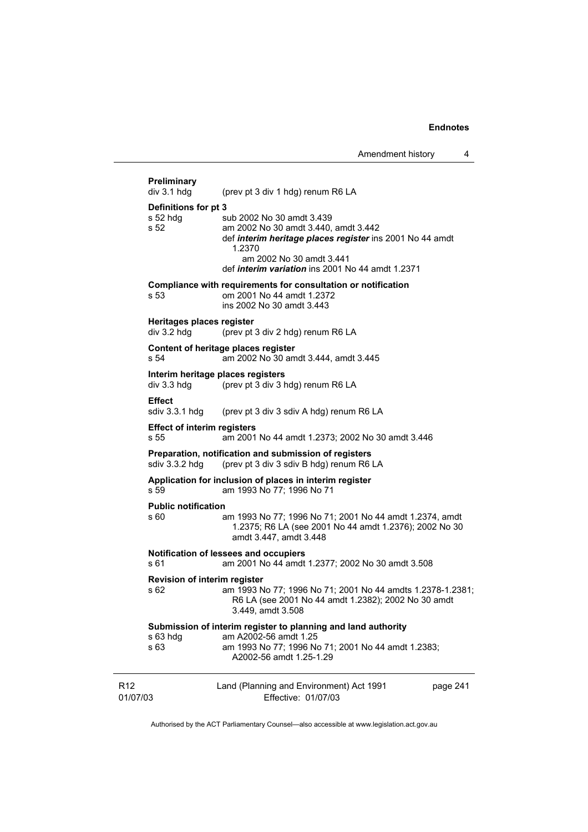# R12 01/07/03 Land (Planning and Environment) Act 1991 Effective: 01/07/03 page 241 **Preliminary**  (prev pt 3 div 1 hdg) renum R6 LA **Definitions for pt 3**  sub 2002 No 30 amdt 3.439 s 52 am 2002 No 30 amdt 3.440, amdt 3.442 def *interim heritage places register* ins 2001 No 44 amdt 1.2370 am 2002 No 30 amdt 3.441 def *interim variation* ins 2001 No 44 amdt 1.2371 **Compliance with requirements for consultation or notification**  s 53 om 2001 No 44 amdt 1.2372 ins 2002 No 30 amdt 3.443 **Heritages places register**  div 3.2 hdg (prev pt 3 div 2 hdg) renum R6 LA **Content of heritage places register**  s 54 am 2002 No 30 amdt 3.444, amdt 3.445 **Interim heritage places registers**  div 3.3 hdg (prev pt 3 div 3 hdg) renum R6 LA **Effect**  sdiv 3.3.1 hdg (prev pt 3 div 3 sdiv A hdg) renum R6 LA **Effect of interim registers**  s 55 am 2001 No 44 amdt 1.2373; 2002 No 30 amdt 3.446 **Preparation, notification and submission of registers**  sdiv 3.3.2 hdg (prev pt 3 div 3 sdiv B hdg) renum R6 LA **Application for inclusion of places in interim register**  s 59 am 1993 No 77; 1996 No 71 **Public notification**  s 60 am 1993 No 77; 1996 No 71; 2001 No 44 amdt 1.2374, amdt 1.2375; R6 LA (see 2001 No 44 amdt 1.2376); 2002 No 30 amdt 3.447, amdt 3.448 **Notification of lessees and occupiers**  s 61 am 2001 No 44 amdt 1.2377; 2002 No 30 amdt 3.508 **Revision of interim register**  s 62 am 1993 No 77; 1996 No 71; 2001 No 44 amdts 1.2378-1.2381; R6 LA (see 2001 No 44 amdt 1.2382); 2002 No 30 amdt 3.449, amdt 3.508 **Submission of interim register to planning and land authority**  s 63 hdg am A2002-56 amdt 1.25 s 63 am 1993 No 77; 1996 No 71; 2001 No 44 amdt 1.2383; A2002-56 amdt 1.25-1.29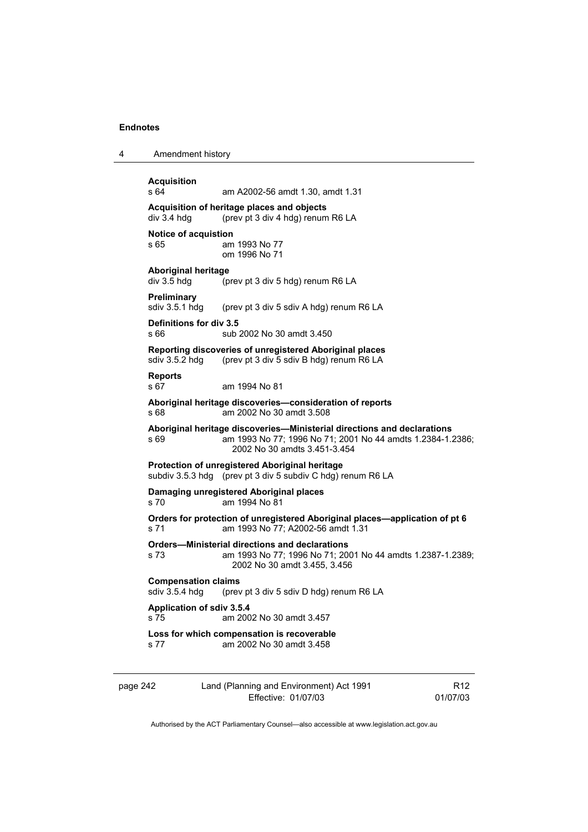4 Amendment history **Acquisition**  am A2002-56 amdt 1.30, amdt 1.31 **Acquisition of heritage places and objects**  div 3.4 hdg (prev pt 3 div 4 hdg) renum R6 LA **Notice of acquistion**  s 65 am 1993 No 77 om 1996 No 71 **Aboriginal heritage**  (prev pt 3 div 5 hdg) renum R6 LA **Preliminary**  sdiv 3.5.1 hdg (prev pt 3 div 5 sdiv A hdg) renum R6 LA **Definitions for div 3.5**  s 66 sub 2002 No 30 amdt 3.450 **Reporting discoveries of unregistered Aboriginal places**  sdiv 3.5.2 hdg (prev pt 3 div 5 sdiv B hdg) renum R6 LA **Reports**  s 67 am 1994 No 81 **Aboriginal heritage discoveries—consideration of reports**  s 68 am 2002 No 30 amdt 3.508 **Aboriginal heritage discoveries—Ministerial directions and declarations**  s 69 **am 1993 No 77; 1996 No 71; 2001 No 44 amdts 1.2384-1.2386;** 2002 No 30 amdts 3.451-3.454 **Protection of unregistered Aboriginal heritage**  subdiv 3.5.3 hdg (prev pt 3 div 5 subdiv C hdg) renum R6 LA **Damaging unregistered Aboriginal places**  s 70 am 1994 No 81 **Orders for protection of unregistered Aboriginal places—application of pt 6**  s 71 am 1993 No 77; A2002-56 amdt 1.31 **Orders—Ministerial directions and declarations**  s 73 am 1993 No 77; 1996 No 71; 2001 No 44 amdts 1.2387-1.2389; 2002 No 30 amdt 3.455, 3.456 **Compensation claims**<br>sdiv 3.5.4 hdg (prev (prev pt 3 div 5 sdiv D hdg) renum R6 LA **Application of sdiv 3.5.4**  s 75 am 2002 No 30 amdt 3.457 **Loss for which compensation is recoverable**  s 77 am 2002 No 30 amdt 3.458

| page 242 | Land (Planning and Environment) Act 1991 | R <sub>12</sub> |
|----------|------------------------------------------|-----------------|
|          | Effective: 01/07/03                      | 01/07/03        |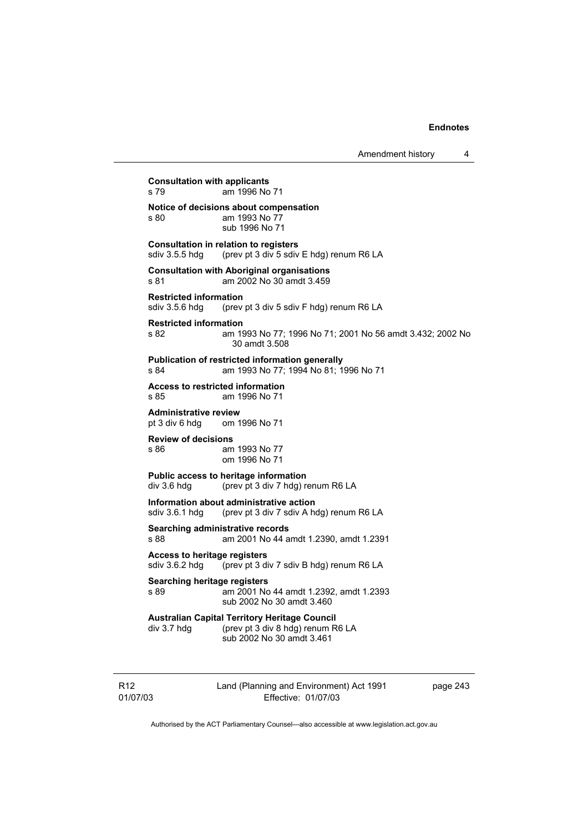**Consultation with applicants**  s 79 am 1996 No 71 **Notice of decisions about compensation**  s 80 am 1993 No 77 sub 1996 No 71 **Consultation in relation to registers**  sdiv 3.5.5 hdg (prev pt 3 div 5 sdiv E hdg) renum R6 LA **Consultation with Aboriginal organisations**  s 81 am 2002 No 30 amdt 3.459 **Restricted information**  sdiv 3.5.6 hdg (prev pt 3 div 5 sdiv F hdg) renum R6 LA **Restricted information**  s 82 am 1993 No 77; 1996 No 71; 2001 No 56 amdt 3.432; 2002 No 30 amdt 3.508 **Publication of restricted information generally**  s 84 am 1993 No 77; 1994 No 81; 1996 No 71 **Access to restricted information**  am 1996 No 71 **Administrative review**  pt 3 div 6 hdg om 1996 No 71 **Review of decisions**  am 1993 No 77 om 1996 No 71 **Public access to heritage information**  div 3.6 hdg (prev pt 3 div 7 hdg) renum R6 LA **Information about administrative action**  sdiv 3.6.1 hdg (prev pt 3 div 7 sdiv A hdg) renum R6 LA **Searching administrative records**  s 88 am 2001 No 44 amdt 1.2390, amdt 1.2391 **Access to heritage registers**  sdiv 3.6.2 hdg (prev pt 3 div 7 sdiv B hdg) renum R6 LA **Searching heritage registers**  s 89 am 2001 No 44 amdt 1.2392, amdt 1.2393 sub 2002 No 30 amdt 3.460 **Australian Capital Territory Heritage Council**  div 3.7 hdg (prev pt 3 div 8 hdg) renum R6 LA sub 2002 No 30 amdt 3.461

R12 01/07/03 Land (Planning and Environment) Act 1991 Effective: 01/07/03

page 243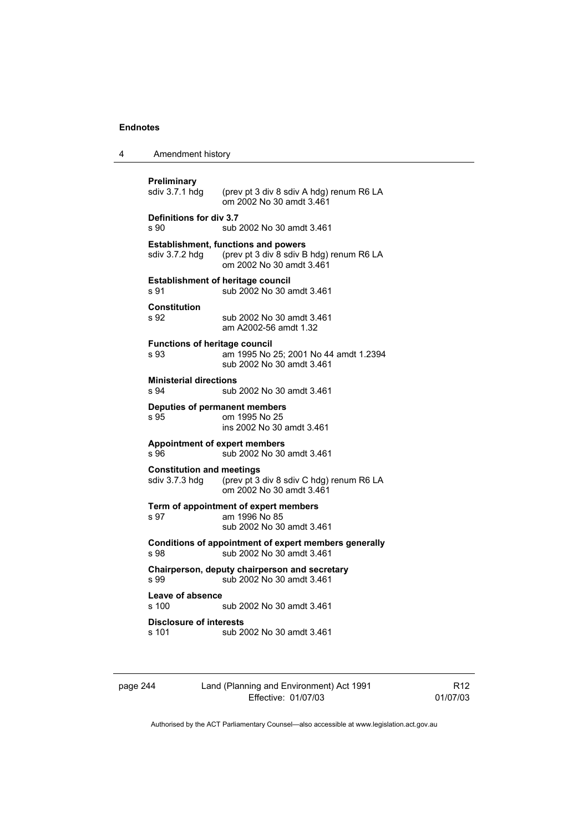4 Amendment history page 244 Land (Planning and Environment) Act 1991 Effective: 01/07/03 **Preliminary**<br>sdiv 3.7.1 hdg (prev pt 3 div 8 sdiv A hdg) renum R6 LA om 2002 No 30 amdt 3.461 **Definitions for div 3.7**  s 90 sub 2002 No 30 amdt 3.461 **Establishment, functions and powers**  sdiv 3.7.2 hdg (prev pt 3 div 8 sdiv B hdg) renum R6 LA om 2002 No 30 amdt 3.461 **Establishment of heritage council**  s 91 sub 2002 No 30 amdt 3.461 **Constitution**  sub 2002 No 30 amdt 3.461 am A2002-56 amdt 1.32 **Functions of heritage council**  s 93 am 1995 No 25; 2001 No 44 amdt 1.2394 sub 2002 No 30 amdt 3.461 **Ministerial directions**  s 94 sub 2002 No 30 amdt 3.461 **Deputies of permanent members**  om 1995 No 25 ins 2002 No 30 amdt 3.461 **Appointment of expert members**  s 96 sub 2002 No 30 amdt 3.461 **Constitution and meetings**<br>sdiv 3.7.3 hdg (prev pt 3 (prev pt  $3$  div  $8$  sdiv C hdg) renum R6 LA om 2002 No 30 amdt 3.461 **Term of appointment of expert members**  am 1996 No 85 sub 2002 No 30 amdt 3.461 **Conditions of appointment of expert members generally**  s 98 **Sub 2002 No 30 amdt 3.461 Chairperson, deputy chairperson and secretary**  s 99 sub 2002 No 30 amdt 3.461 Leave of absence<br>s 100 sub 2002 No 30 amdt 3.461 **Disclosure of interests**  sub 2002 No 30 amdt 3.461

R12 01/07/03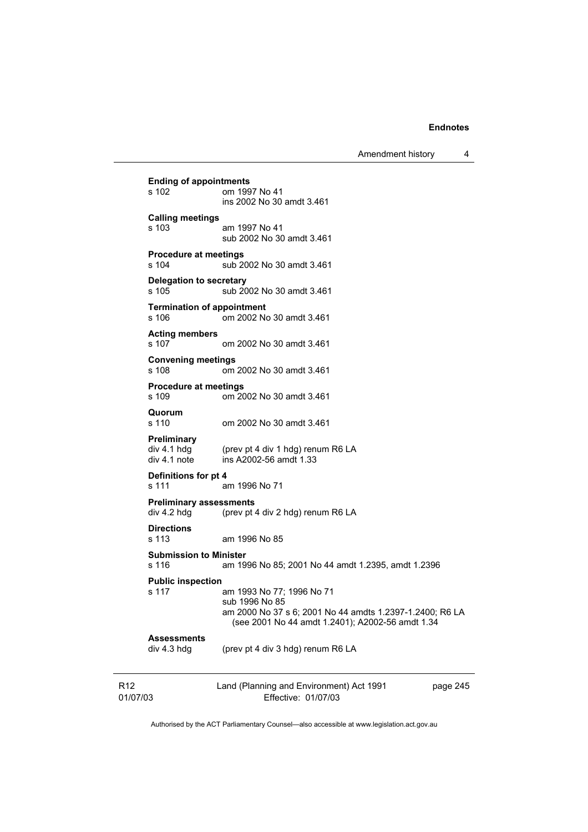Amendment history 4

R12 01/07/03 Land (Planning and Environment) Act 1991 Effective: 01/07/03 page 245 **Ending of appointments**  om 1997 No 41 ins 2002 No 30 amdt 3.461 **Calling meetings**  s 103 am 1997 No 41 sub 2002 No 30 amdt 3.461 **Procedure at meetings**  s 104 sub 2002 No 30 amdt 3.461 **Delegation to secretary**  s 105 sub 2002 No 30 amdt 3.461 **Termination of appointment**<br>s 106 om 2002 No om 2002 No 30 amdt 3.461 **Acting members**  s 107 om 2002 No 30 amdt 3.461 **Convening meetings**  s 108 om 2002 No 30 amdt 3.461 **Procedure at meetings**  om 2002 No 30 amdt 3.461 **Quorum**  om 2002 No 30 amdt 3.461 **Preliminary**  (prev pt 4 div 1 hdg) renum R6 LA div 4.1 note ins A2002-56 amdt 1.33 **Definitions for pt 4**  s 111 am 1996 No 71 **Preliminary assessments**  div 4.2 hdg (prev pt 4 div 2 hdg) renum R6 LA **Directions**  am 1996 No 85 **Submission to Minister**  s 116 am 1996 No 85; 2001 No 44 amdt 1.2395, amdt 1.2396 **Public inspection**  am 1993 No 77; 1996 No 71 sub 1996 No 85 am 2000 No 37 s 6; 2001 No 44 amdts 1.2397-1.2400; R6 LA (see 2001 No 44 amdt 1.2401); A2002-56 amdt 1.34 **Assessments**  div 4.3 hdg (prev pt 4 div 3 hdg) renum R6 LA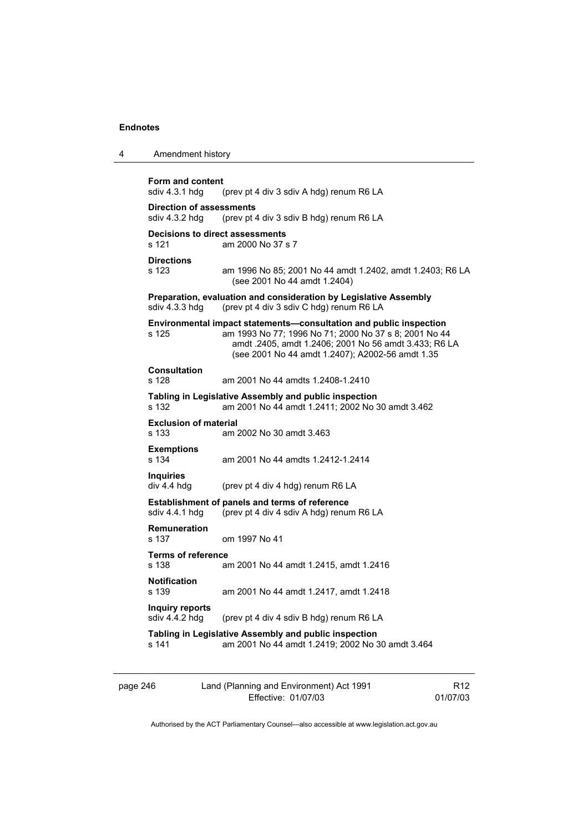| 4 | Amendment history                                 |                                                                                                                                                                                                                                          |
|---|---------------------------------------------------|------------------------------------------------------------------------------------------------------------------------------------------------------------------------------------------------------------------------------------------|
|   | Form and content<br>sdiv 4.3.1 hdg                | (prev pt 4 div 3 sdiv A hdg) renum R6 LA                                                                                                                                                                                                 |
|   | <b>Direction of assessments</b><br>sdiv 4.3.2 hdg | (prev pt 4 div 3 sdiv B hdg) renum R6 LA                                                                                                                                                                                                 |
|   | Decisions to direct assessments<br>s 121          | am 2000 No 37 s 7                                                                                                                                                                                                                        |
|   | <b>Directions</b><br>s 123                        | am 1996 No 85; 2001 No 44 amdt 1.2402, amdt 1.2403; R6 LA<br>(see 2001 No 44 amdt 1.2404)                                                                                                                                                |
|   | sdiv 4.3.3 hdg                                    | Preparation, evaluation and consideration by Legislative Assembly<br>(prev pt 4 div 3 sdiv C hdg) renum R6 LA                                                                                                                            |
|   | s 125                                             | Environmental impact statements-consultation and public inspection<br>am 1993 No 77; 1996 No 71; 2000 No 37 s 8; 2001 No 44<br>amdt .2405, amdt 1.2406; 2001 No 56 amdt 3.433; R6 LA<br>(see 2001 No 44 amdt 1.2407); A2002-56 amdt 1.35 |
|   | <b>Consultation</b><br>s 128                      | am 2001 No 44 amdts 1.2408-1.2410                                                                                                                                                                                                        |
|   | s 132                                             | Tabling in Legislative Assembly and public inspection<br>am 2001 No 44 amdt 1.2411; 2002 No 30 amdt 3.462                                                                                                                                |
|   | <b>Exclusion of material</b><br>s 133             | am 2002 No 30 amdt 3.463                                                                                                                                                                                                                 |
|   | <b>Exemptions</b><br>s 134                        | am 2001 No 44 amdts 1.2412-1.2414                                                                                                                                                                                                        |
|   | <b>Inquiries</b><br>div 4.4 hdg                   | (prev pt 4 div 4 hdg) renum R6 LA                                                                                                                                                                                                        |
|   | sdiv 4.4.1 hdg                                    | <b>Establishment of panels and terms of reference</b><br>(prev pt 4 div 4 sdiv A hdg) renum R6 LA                                                                                                                                        |
|   | Remuneration<br>s 137                             | om 1997 No 41                                                                                                                                                                                                                            |
|   | <b>Terms of reference</b><br>s 138                | am 2001 No 44 amdt 1.2415, amdt 1.2416                                                                                                                                                                                                   |
|   | <b>Notification</b><br>s 139                      | am 2001 No 44 amdt 1.2417, amdt 1.2418                                                                                                                                                                                                   |
|   | Inquiry reports<br>sdiv 4.4.2 hdg                 | (prev pt 4 div 4 sdiv B hdg) renum R6 LA                                                                                                                                                                                                 |
|   | s 141                                             | Tabling in Legislative Assembly and public inspection<br>am 2001 No 44 amdt 1.2419; 2002 No 30 amdt 3.464                                                                                                                                |
|   |                                                   |                                                                                                                                                                                                                                          |

| page 246 | Land (Planning and Environment) Act 1991 | R <sub>12</sub> |
|----------|------------------------------------------|-----------------|
|          | Effective: 01/07/03                      | 01/07/03        |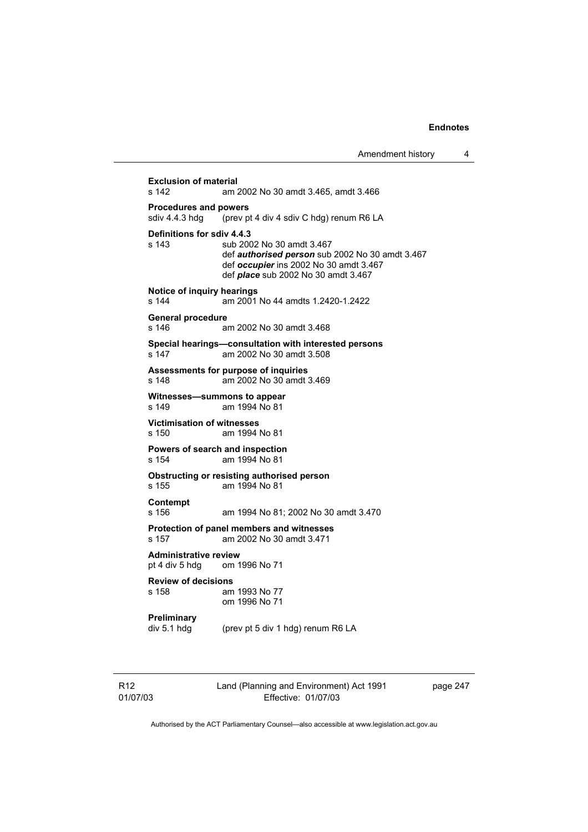**Exclusion of material**<br>**am** *i* am *i* am 2002 No 30 amdt 3.465, amdt 3.466 **Procedures and powers**  sdiv 4.4.3 hdg (prev pt 4 div 4 sdiv C hdg) renum R6 LA **Definitions for sdiv 4.4.3**  sub 2002 No 30 amdt 3.467 def *authorised person* sub 2002 No 30 amdt 3.467 def *occupier* ins 2002 No 30 amdt 3.467 def *place* sub 2002 No 30 amdt 3.467 **Notice of inquiry hearings**  s 144 am 2001 No 44 amdts 1.2420-1.2422 **General procedure**  s 146 am 2002 No 30 amdt 3.468 **Special hearings—consultation with interested persons**  s 147 am 2002 No 30 amdt 3.508 **Assessments for purpose of inquiries**  s 148 am 2002 No 30 amdt 3.469 **Witnesses—summons to appear**  s 149 am 1994 No 81 **Victimisation of witnesses**  s 150 am 1994 No 81 **Powers of search and inspection**  s 154 am 1994 No 81 **Obstructing or resisting authorised person**  s 155 am 1994 No 81 **Contempt**  s 156 am 1994 No 81; 2002 No 30 amdt 3.470 **Protection of panel members and witnesses**  s 157 am 2002 No 30 amdt 3.471 **Administrative review**  pt 4 div 5 hdg om 1996 No 71 **Review of decisions**  am 1993 No 77 om 1996 No 71 **Preliminary**  div 5.1 hdg (prev pt 5 div 1 hdg) renum R6 LA

R12 01/07/03 Land (Planning and Environment) Act 1991 Effective: 01/07/03

page 247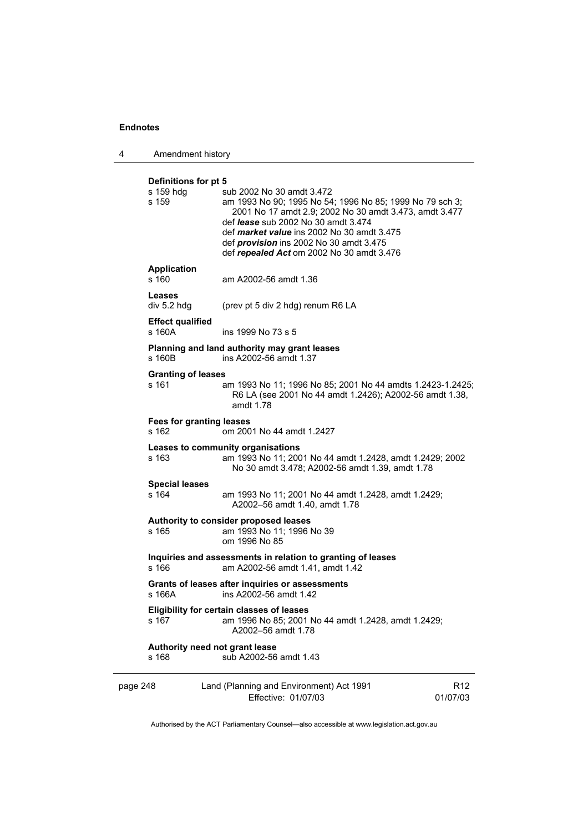4 Amendment history

|          | Definitions for pt 5<br>s 159 hdg<br>s 159 | sub 2002 No 30 amdt 3.472<br>am 1993 No 90; 1995 No 54; 1996 No 85; 1999 No 79 sch 3;<br>2001 No 17 amdt 2.9; 2002 No 30 amdt 3.473, amdt 3.477<br>def <i>lease</i> sub 2002 No 30 amdt 3.474<br>def <i>market value</i> ins 2002 No 30 amdt 3.475<br>def <i>provision</i> ins 2002 No 30 amdt 3.475<br>def repealed Act om 2002 No 30 amdt 3.476 |                             |
|----------|--------------------------------------------|---------------------------------------------------------------------------------------------------------------------------------------------------------------------------------------------------------------------------------------------------------------------------------------------------------------------------------------------------|-----------------------------|
|          | <b>Application</b><br>s 160                | am A2002-56 amdt 1.36                                                                                                                                                                                                                                                                                                                             |                             |
|          | Leases<br>div 5.2 hdg                      | (prev pt 5 div 2 hdg) renum R6 LA                                                                                                                                                                                                                                                                                                                 |                             |
|          | <b>Effect qualified</b><br>s 160A          | ins 1999 No 73 s 5                                                                                                                                                                                                                                                                                                                                |                             |
|          | s 160B                                     | Planning and land authority may grant leases<br>ins A2002-56 amdt 1.37                                                                                                                                                                                                                                                                            |                             |
|          | <b>Granting of leases</b><br>s 161         | am 1993 No 11; 1996 No 85; 2001 No 44 amdts 1.2423-1.2425;<br>R6 LA (see 2001 No 44 amdt 1.2426); A2002-56 amdt 1.38,<br>amdt 1.78                                                                                                                                                                                                                |                             |
|          | <b>Fees for granting leases</b><br>s 162   | om 2001 No 44 amdt 1.2427                                                                                                                                                                                                                                                                                                                         |                             |
|          | s 163                                      | Leases to community organisations<br>am 1993 No 11; 2001 No 44 amdt 1.2428, amdt 1.2429; 2002<br>No 30 amdt 3.478; A2002-56 amdt 1.39, amdt 1.78                                                                                                                                                                                                  |                             |
|          | <b>Special leases</b><br>s 164             | am 1993 No 11; 2001 No 44 amdt 1.2428, amdt 1.2429;<br>A2002-56 amdt 1.40, amdt 1.78                                                                                                                                                                                                                                                              |                             |
|          | s 165                                      | Authority to consider proposed leases<br>am 1993 No 11; 1996 No 39<br>om 1996 No 85                                                                                                                                                                                                                                                               |                             |
|          | s 166                                      | Inquiries and assessments in relation to granting of leases<br>am A2002-56 amdt 1.41, amdt 1.42                                                                                                                                                                                                                                                   |                             |
|          | s 166A                                     | Grants of leases after inquiries or assessments<br>ins A2002-56 amdt 1.42                                                                                                                                                                                                                                                                         |                             |
|          | s 167                                      | Eligibility for certain classes of leases<br>am 1996 No 85; 2001 No 44 amdt 1.2428, amdt 1.2429;<br>A2002-56 amdt 1.78                                                                                                                                                                                                                            |                             |
|          | s 168                                      | Authority need not grant lease<br>sub A2002-56 amdt 1.43                                                                                                                                                                                                                                                                                          |                             |
| page 248 |                                            | Land (Planning and Environment) Act 1991<br>Effective: 01/07/03                                                                                                                                                                                                                                                                                   | R <sub>12</sub><br>01/07/03 |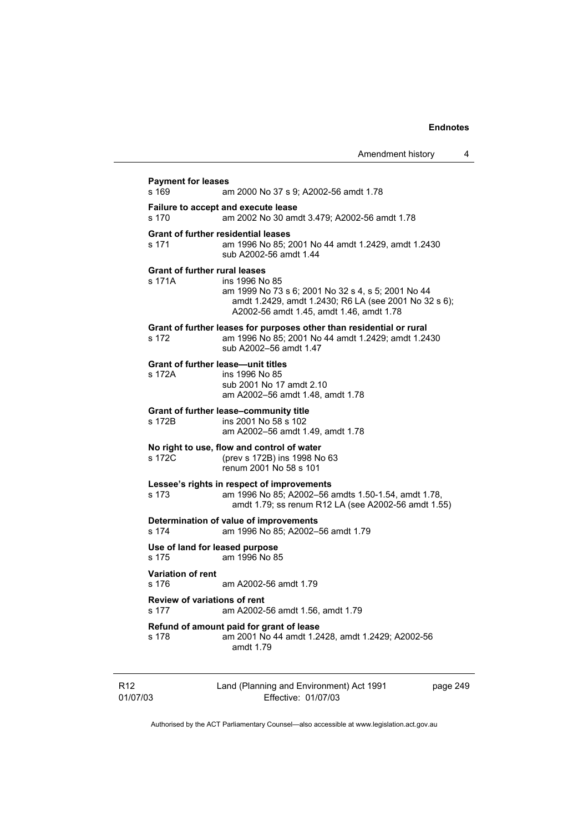|                             | <b>Payment for leases</b><br>s 169                                                           | am 2000 No 37 s 9; A2002-56 amdt 1.78                                                                                                                                     |          |  |  |
|-----------------------------|----------------------------------------------------------------------------------------------|---------------------------------------------------------------------------------------------------------------------------------------------------------------------------|----------|--|--|
|                             | Failure to accept and execute lease<br>am 2002 No 30 amdt 3.479; A2002-56 amdt 1.78<br>s 170 |                                                                                                                                                                           |          |  |  |
|                             | s 171                                                                                        | <b>Grant of further residential leases</b><br>am 1996 No 85; 2001 No 44 amdt 1.2429, amdt 1.2430<br>sub A2002-56 amdt 1.44                                                |          |  |  |
|                             | <b>Grant of further rural leases</b><br>s 171A                                               | ins 1996 No 85<br>am 1999 No 73 s 6; 2001 No 32 s 4, s 5; 2001 No 44<br>amdt 1.2429, amdt 1.2430; R6 LA (see 2001 No 32 s 6);<br>A2002-56 amdt 1.45, amdt 1.46, amdt 1.78 |          |  |  |
|                             | s 172                                                                                        | Grant of further leases for purposes other than residential or rural<br>am 1996 No 85; 2001 No 44 amdt 1.2429; amdt 1.2430<br>sub A2002-56 amdt 1.47                      |          |  |  |
|                             | <b>Grant of further lease—unit titles</b><br>s 172A                                          | ins 1996 No 85<br>sub 2001 No 17 amdt 2.10<br>am A2002-56 amdt 1.48, amdt 1.78                                                                                            |          |  |  |
|                             | s 172B                                                                                       | Grant of further lease-community title<br>ins 2001 No 58 s 102<br>am A2002-56 amdt 1.49, amdt 1.78                                                                        |          |  |  |
|                             | s 172C                                                                                       | No right to use, flow and control of water<br>(prev s 172B) ins 1998 No 63<br>renum 2001 No 58 s 101                                                                      |          |  |  |
|                             | s 173                                                                                        | Lessee's rights in respect of improvements<br>am 1996 No 85; A2002-56 amdts 1.50-1.54, amdt 1.78,<br>amdt 1.79; ss renum R12 LA (see A2002-56 amdt 1.55)                  |          |  |  |
|                             | s 174                                                                                        | Determination of value of improvements<br>am 1996 No 85; A2002-56 amdt 1.79                                                                                               |          |  |  |
|                             | Use of land for leased purpose<br>s 175                                                      | am 1996 No 85                                                                                                                                                             |          |  |  |
|                             | <b>Variation of rent</b><br>s 176                                                            | am A2002-56 amdt 1.79                                                                                                                                                     |          |  |  |
|                             | <b>Review of variations of rent</b><br>s 177                                                 | am A2002-56 amdt 1.56, amdt 1.79                                                                                                                                          |          |  |  |
|                             | s 178                                                                                        | Refund of amount paid for grant of lease<br>am 2001 No 44 amdt 1.2428, amdt 1.2429; A2002-56<br>amdt 1.79                                                                 |          |  |  |
| R <sub>12</sub><br>01/07/03 |                                                                                              | Land (Planning and Environment) Act 1991<br>Effective: 01/07/03                                                                                                           | page 249 |  |  |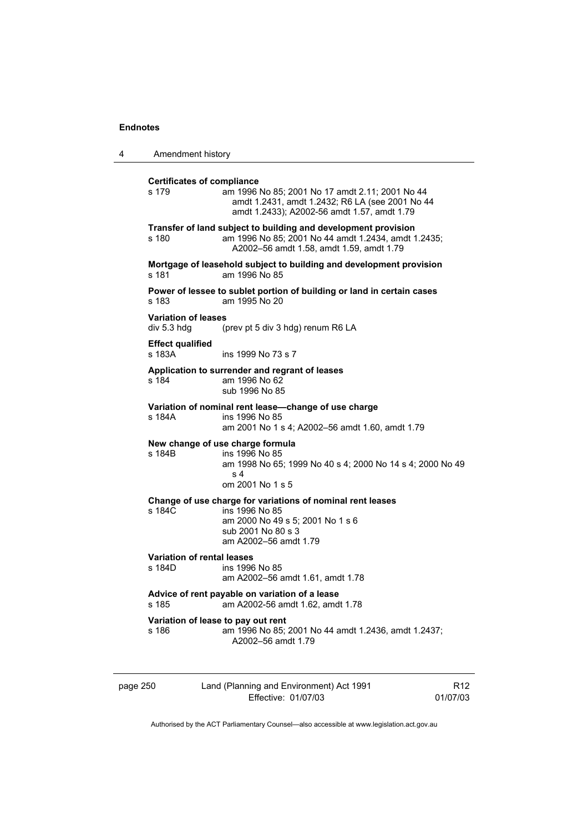4 Amendment history

| <b>Certificates of compliance</b><br>s 179  | am 1996 No 85; 2001 No 17 amdt 2.11; 2001 No 44<br>amdt 1.2431, amdt 1.2432; R6 LA (see 2001 No 44<br>amdt 1.2433); A2002-56 amdt 1.57, amdt 1.79                 |
|---------------------------------------------|-------------------------------------------------------------------------------------------------------------------------------------------------------------------|
| s 180                                       | Transfer of land subject to building and development provision<br>am 1996 No 85; 2001 No 44 amdt 1.2434, amdt 1.2435;<br>A2002-56 amdt 1.58, amdt 1.59, amdt 1.79 |
| s 181                                       | Mortgage of leasehold subject to building and development provision<br>am 1996 No 85                                                                              |
| s 183                                       | Power of lessee to sublet portion of building or land in certain cases<br>am 1995 No 20                                                                           |
| <b>Variation of leases</b><br>div 5.3 hdg   | (prev pt 5 div 3 hdg) renum R6 LA                                                                                                                                 |
| <b>Effect qualified</b><br>s 183A           | ins 1999 No 73 s 7                                                                                                                                                |
| s 184                                       | Application to surrender and regrant of leases<br>am 1996 No 62<br>sub 1996 No 85                                                                                 |
| s 184A                                      | Variation of nominal rent lease-change of use charge<br>ins 1996 No 85<br>am 2001 No 1 s 4; A2002-56 amdt 1.60, amdt 1.79                                         |
| s 184B                                      | New change of use charge formula<br>ins 1996 No 85<br>am 1998 No 65; 1999 No 40 s 4; 2000 No 14 s 4; 2000 No 49<br>s 4<br>om 2001 No 1 s 5                        |
| s 184C                                      | Change of use charge for variations of nominal rent leases<br>ins 1996 No 85<br>am 2000 No 49 s 5; 2001 No 1 s 6<br>sub 2001 No 80 s 3<br>am A2002-56 amdt 1.79   |
| <b>Variation of rental leases</b><br>s 184D | ins 1996 No 85<br>am A2002-56 amdt 1.61, amdt 1.78                                                                                                                |
| s 185                                       | Advice of rent payable on variation of a lease<br>am A2002-56 amdt 1.62, amdt 1.78                                                                                |
| Variation of lease to pay out rent<br>s 186 | am 1996 No 85; 2001 No 44 amdt 1.2436, amdt 1.2437;<br>A2002-56 amdt 1.79                                                                                         |
|                                             |                                                                                                                                                                   |

page 250 Land (Planning and Environment) Act 1991 Effective: 01/07/03

R12 01/07/03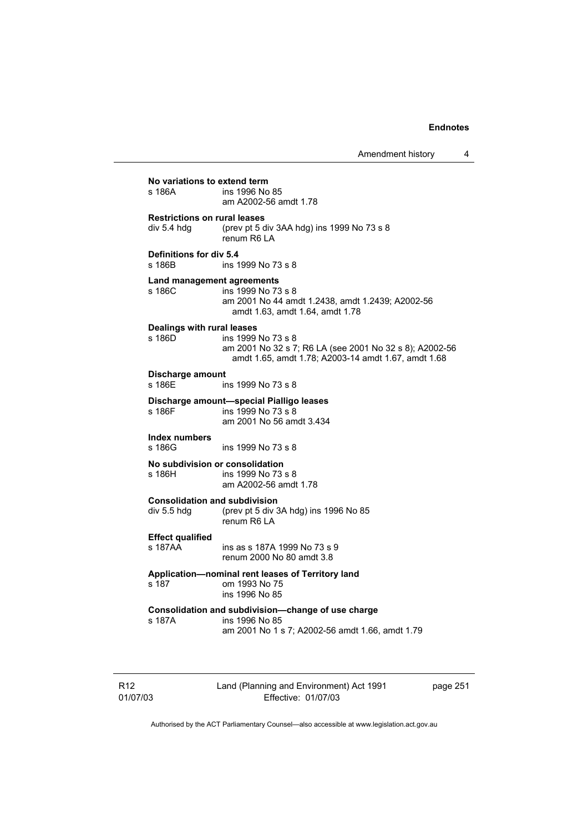| No variations to extend term<br>ins 1996 No 85<br>s 186A<br>am A2002-56 amdt 1.78                                                                                            |  |
|------------------------------------------------------------------------------------------------------------------------------------------------------------------------------|--|
| <b>Restrictions on rural leases</b><br>div 5.4 hdg<br>(prev pt 5 div 3AA hdg) ins 1999 No 73 s 8<br>renum R6 LA                                                              |  |
| Definitions for div 5.4<br>s 186B<br>ins 1999 No 73 s 8                                                                                                                      |  |
| Land management agreements<br>s 186C<br>ins 1999 No 73 s 8<br>am 2001 No 44 amdt 1.2438, amdt 1.2439; A2002-56<br>amdt 1.63, amdt 1.64, amdt 1.78                            |  |
| Dealings with rural leases<br>s 186D<br>ins 1999 No 73 s 8<br>am 2001 No 32 s 7; R6 LA (see 2001 No 32 s 8); A2002-56<br>amdt 1.65, amdt 1.78; A2003-14 amdt 1.67, amdt 1.68 |  |
| Discharge amount<br>s 186E<br>ins 1999 No 73 s 8                                                                                                                             |  |
| Discharge amount-special Pialligo leases<br>s 186F<br>ins 1999 No 73 s 8<br>am 2001 No 56 amdt 3.434                                                                         |  |
| Index numbers<br>s 186G<br>ins 1999 No 73 s 8                                                                                                                                |  |
| No subdivision or consolidation<br>s 186H<br>ins 1999 No 73 s 8<br>am A2002-56 amdt 1.78                                                                                     |  |
| <b>Consolidation and subdivision</b><br>div 5.5 hdg<br>(prev pt 5 div 3A hdg) ins 1996 No 85<br>renum R6 LA                                                                  |  |
| <b>Effect qualified</b><br>s 187AA<br>ins as s 187A 1999 No 73 s 9<br>renum 2000 No 80 amdt 3.8                                                                              |  |
| Application—nominal rent leases of Territory land<br>s 187<br>om 1993 No 75<br>ins 1996 No 85                                                                                |  |
| Consolidation and subdivision-change of use charge<br>s 187A<br>ins 1996 No 85<br>am 2001 No 1 s 7; A2002-56 amdt 1.66, amdt 1.79                                            |  |

R12 01/07/03 Land (Planning and Environment) Act 1991 Effective: 01/07/03

page 251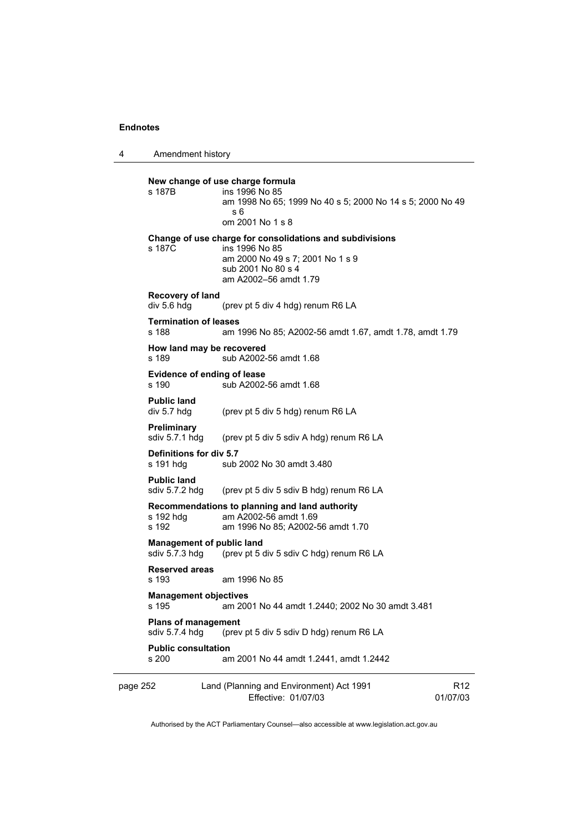4 Amendment history

page 252 Land (Planning and Environment) Act 1991 Effective: 01/07/03 R12 01/07/03 **New change of use charge formula**  s 187B ins 1996 No 85 am 1998 No 65; 1999 No 40 s 5; 2000 No 14 s 5; 2000 No 49 s 6 om 2001 No 1 s 8 **Change of use charge for consolidations and subdivisions**  s 187C ins 1996 No 85 am 2000 No 49 s 7; 2001 No 1 s 9 sub 2001 No 80 s 4 am A2002–56 amdt 1.79 **Recovery of land**  div 5.6 hdg (prev pt 5 div 4 hdg) renum R6 LA **Termination of leases**  s 188 am 1996 No 85; A2002-56 amdt 1.67, amdt 1.78, amdt 1.79 **How land may be recovered**  s 189 sub A2002-56 amdt 1.68 **Evidence of ending of lease**  s 190 sub A2002-56 amdt 1.68 **Public land**  div 5.7 hdg (prev pt 5 div 5 hdg) renum R6 LA **Preliminary**  sdiv 5.7.1 hdg (prev pt 5 div 5 sdiv A hdg) renum R6 LA **Definitions for div 5.7**  s 191 hdg sub 2002 No 30 amdt 3.480 **Public land**  sdiv 5.7.2 hdg (prev pt 5 div 5 sdiv B hdg) renum R6 LA **Recommendations to planning and land authority**  s 192 hdg am A2002-56 amdt 1.69<br>s 192 am 1996 No 85: A2002-8 am 1996 No 85; A2002-56 amdt 1.70 **Management of public land**  sdiv 5.7.3 hdg (prev pt 5 div 5 sdiv C hdg) renum R6 LA **Reserved areas**  am 1996 No 85 **Management objectives**  s 195 am 2001 No 44 amdt 1.2440; 2002 No 30 amdt 3.481 **Plans of management**<br>sdiv 5.7.4 hdg (prev (prev pt 5 div 5 sdiv D hdg) renum R6 LA **Public consultation**  s 200 am 2001 No 44 amdt 1.2441, amdt 1.2442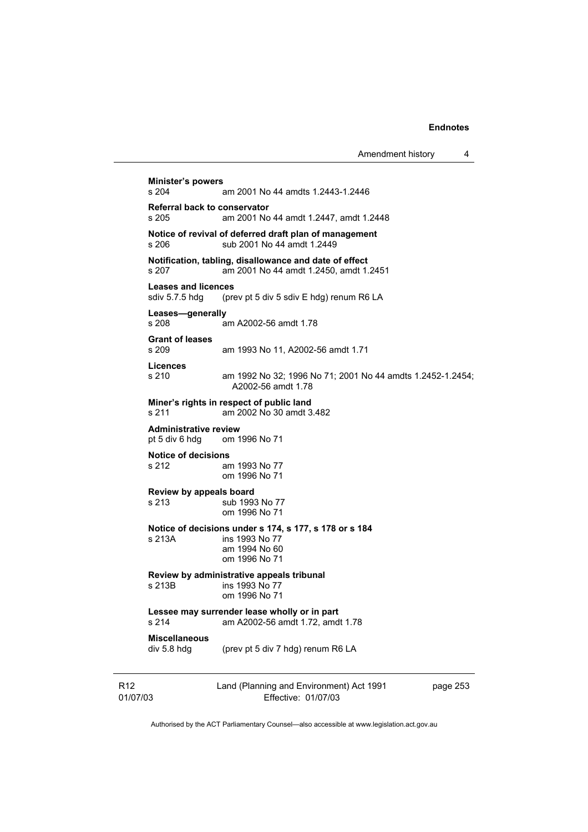|                             |                                                                                           |                                                                                                            | Amendment history | 4        |  |
|-----------------------------|-------------------------------------------------------------------------------------------|------------------------------------------------------------------------------------------------------------|-------------------|----------|--|
|                             | <b>Minister's powers</b><br>s 204                                                         | am 2001 No 44 amdts 1.2443-1.2446                                                                          |                   |          |  |
|                             |                                                                                           |                                                                                                            |                   |          |  |
|                             | Referral back to conservator<br>s 205                                                     | am 2001 No 44 amdt 1.2447, amdt 1.2448                                                                     |                   |          |  |
|                             | s 206                                                                                     | Notice of revival of deferred draft plan of management<br>sub 2001 No 44 amdt 1.2449                       |                   |          |  |
|                             | s 207                                                                                     | Notification, tabling, disallowance and date of effect<br>am 2001 No 44 amdt 1.2450, amdt 1.2451           |                   |          |  |
|                             | <b>Leases and licences</b><br>sdiv 5.7.5 hdg                                              | (prev pt 5 div 5 sdiv E hdg) renum R6 LA                                                                   |                   |          |  |
|                             | Leases-generally<br>s 208                                                                 | am A2002-56 amdt 1.78                                                                                      |                   |          |  |
|                             | <b>Grant of leases</b><br>s 209                                                           | am 1993 No 11, A2002-56 amdt 1.71                                                                          |                   |          |  |
|                             | <b>Licences</b><br>s 210                                                                  | am 1992 No 32; 1996 No 71; 2001 No 44 amdts 1.2452-1.2454;<br>A2002-56 amdt 1.78                           |                   |          |  |
|                             | s 211                                                                                     | Miner's rights in respect of public land<br>am 2002 No 30 amdt 3.482                                       |                   |          |  |
|                             | <b>Administrative review</b><br>pt 5 div 6 hdg                                            | om 1996 No 71                                                                                              |                   |          |  |
|                             | <b>Notice of decisions</b><br>s 212                                                       | am 1993 No 77<br>om 1996 No 71                                                                             |                   |          |  |
|                             | Review by appeals board<br>s 213                                                          | sub 1993 No 77<br>om 1996 No 71                                                                            |                   |          |  |
|                             | s 213A                                                                                    | Notice of decisions under s 174, s 177, s 178 or s 184<br>ins 1993 No 77<br>am 1994 No 60<br>om 1996 No 71 |                   |          |  |
|                             | s 213B                                                                                    | Review by administrative appeals tribunal<br>ins 1993 No 77<br>om 1996 No 71                               |                   |          |  |
|                             | Lessee may surrender lease wholly or in part<br>s 214<br>am A2002-56 amdt 1.72, amdt 1.78 |                                                                                                            |                   |          |  |
|                             | <b>Miscellaneous</b><br>div 5.8 hdg                                                       | (prev pt 5 div 7 hdg) renum R6 LA                                                                          |                   |          |  |
| R <sub>12</sub><br>01/07/03 |                                                                                           | Land (Planning and Environment) Act 1991<br>Effective: 01/07/03                                            |                   | page 253 |  |

Authorised by the ACT Parliamentary Counsel—also accessible at www.legislation.act.gov.au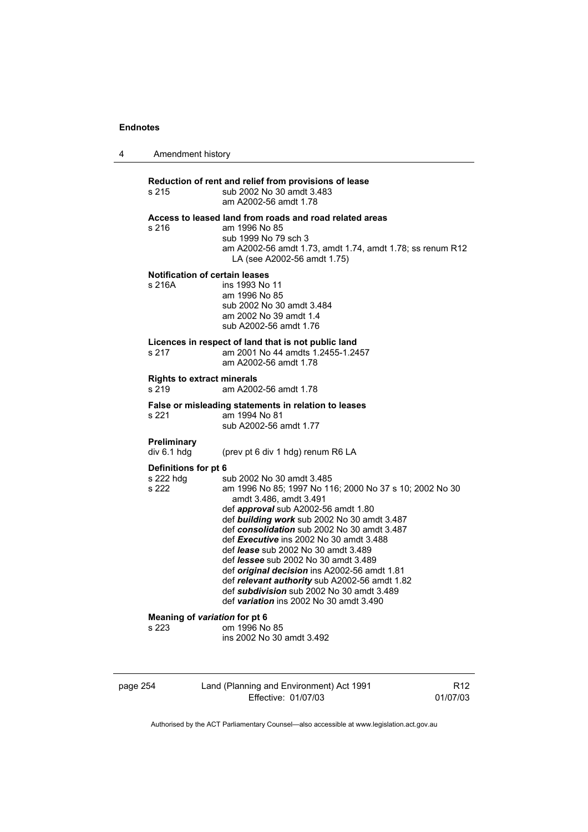| 4 | Amendment history                               |                                                                                                                                                                                                                                                                                                                                                                                                                                                                                                                                                                                      |
|---|-------------------------------------------------|--------------------------------------------------------------------------------------------------------------------------------------------------------------------------------------------------------------------------------------------------------------------------------------------------------------------------------------------------------------------------------------------------------------------------------------------------------------------------------------------------------------------------------------------------------------------------------------|
|   | s 215                                           | Reduction of rent and relief from provisions of lease<br>sub 2002 No 30 amdt 3.483<br>am A2002-56 amdt 1.78                                                                                                                                                                                                                                                                                                                                                                                                                                                                          |
|   | s 216                                           | Access to leased land from roads and road related areas<br>am 1996 No 85<br>sub 1999 No 79 sch 3<br>am A2002-56 amdt 1.73, amdt 1.74, amdt 1.78; ss renum R12<br>LA (see A2002-56 amdt 1.75)                                                                                                                                                                                                                                                                                                                                                                                         |
|   | <b>Notification of certain leases</b><br>s 216A | ins 1993 No 11<br>am 1996 No 85<br>sub 2002 No 30 amdt 3.484<br>am 2002 No 39 amdt 1.4<br>sub A2002-56 amdt 1.76                                                                                                                                                                                                                                                                                                                                                                                                                                                                     |
|   | s 217                                           | Licences in respect of land that is not public land<br>am 2001 No 44 amdts 1.2455-1.2457<br>am A2002-56 amdt 1.78                                                                                                                                                                                                                                                                                                                                                                                                                                                                    |
|   | <b>Rights to extract minerals</b><br>s 219      | am A2002-56 amdt 1.78                                                                                                                                                                                                                                                                                                                                                                                                                                                                                                                                                                |
|   | s 221                                           | False or misleading statements in relation to leases<br>am 1994 No 81<br>sub A2002-56 amdt 1.77                                                                                                                                                                                                                                                                                                                                                                                                                                                                                      |
|   | <b>Preliminary</b><br>div 6.1 hdg               | (prev pt 6 div 1 hdg) renum R6 LA                                                                                                                                                                                                                                                                                                                                                                                                                                                                                                                                                    |
|   | Definitions for pt 6<br>s 222 hdg<br>s 222      | sub 2002 No 30 amdt 3.485<br>am 1996 No 85; 1997 No 116; 2000 No 37 s 10; 2002 No 30<br>amdt 3.486, amdt 3.491<br>def approval sub A2002-56 amdt 1.80<br>def building work sub 2002 No 30 amdt 3.487<br>def consolidation sub 2002 No 30 amdt 3.487<br>def Executive ins 2002 No 30 amdt 3.488<br>def <i>lease</i> sub 2002 No 30 amdt 3.489<br>def <i>lessee</i> sub 2002 No 30 amdt 3.489<br>def original decision ins A2002-56 amdt 1.81<br>def relevant authority sub A2002-56 amdt 1.82<br>def subdivision sub 2002 No 30 amdt 3.489<br>def variation ins 2002 No 30 amdt 3.490 |
|   | Meaning of variation for pt 6<br>s 223          | om 1996 No 85<br>ins 2002 No 30 amdt 3.492                                                                                                                                                                                                                                                                                                                                                                                                                                                                                                                                           |

page 254 Land (Planning and Environment) Act 1991 Effective: 01/07/03

R12 01/07/03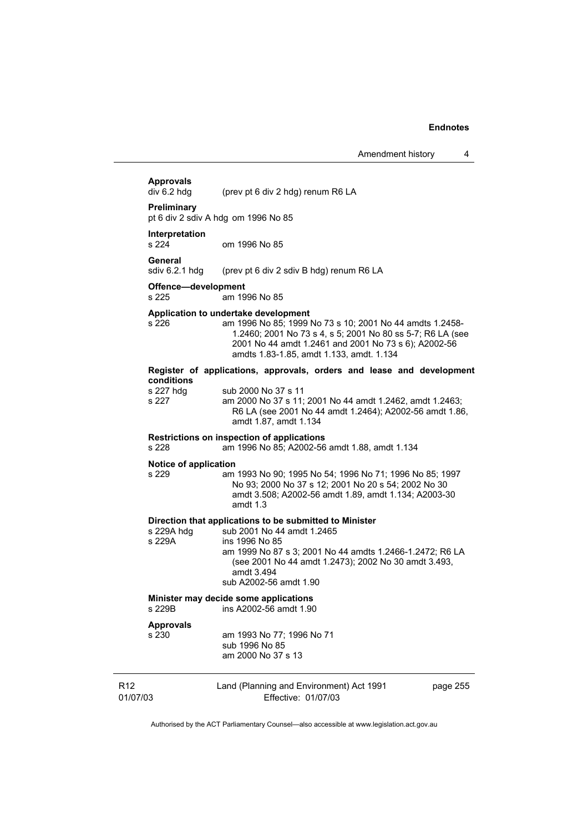# **Approvals**

(prev pt 6 div 2 hdg) renum R6 LA

#### **Preliminary**

pt 6 div 2 sdiv A hdg om 1996 No 85

# **Interpretation**

om 1996 No 85

#### **General**

sdiv 6.2.1 hdg (prev pt 6 div 2 sdiv B hdg) renum R6 LA

# **Offence—development**

am 1996 No 85

#### **Application to undertake development**

s 226 am 1996 No 85; 1999 No 73 s 10; 2001 No 44 amdts 1.2458- 1.2460; 2001 No 73 s 4, s 5; 2001 No 80 ss 5-7; R6 LA (see 2001 No 44 amdt 1.2461 and 2001 No 73 s 6); A2002-56 amdts 1.83-1.85, amdt 1.133, amdt. 1.134

### **Register of applications, approvals, orders and lease and development conditions**  s 227 hdg sub 2000 No 37 s 11

s 227 am 2000 No 37 s 11; 2001 No 44 amdt 1.2462, amdt 1.2463; R6 LA (see 2001 No 44 amdt 1.2464); A2002-56 amdt 1.86, amdt 1.87, amdt 1.134

#### **Restrictions on inspection of applications**

s 228 am 1996 No 85; A2002-56 amdt 1.88, amdt 1.134

#### **Notice of application**

s 229 am 1993 No 90; 1995 No 54; 1996 No 71; 1996 No 85; 1997 No 93; 2000 No 37 s 12; 2001 No 20 s 54; 2002 No 30 amdt 3.508; A2002-56 amdt 1.89, amdt 1.134; A2003-30 amdt 1.3

**Direction that applications to be submitted to Minister**  s 229A hdg sub 2001 No 44 amdt 1.2465<br>s 229A ins 1996 No 85 ins 1996 No 85 am 1999 No 87 s 3; 2001 No 44 amdts 1.2466-1.2472; R6 LA (see 2001 No 44 amdt 1.2473); 2002 No 30 amdt 3.493, amdt 3.494 sub A2002-56 amdt 1.90

#### **Minister may decide some applications**

s 229B ins A2002-56 amdt 1.90

#### **Approvals**

s 230 am 1993 No 77; 1996 No 71 sub 1996 No 85 am 2000 No 37 s 13

| R <sub>12</sub> | Land (Planning and Environment) Act 1991 | page 255 |
|-----------------|------------------------------------------|----------|
| 01/07/03        | Effective: 01/07/03                      |          |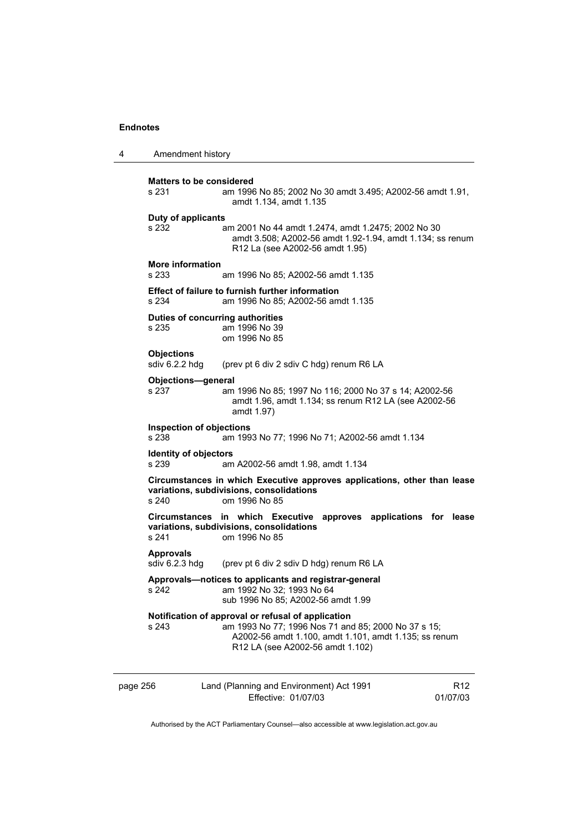4 Amendment history page 256 Land (Planning and Environment) Act 1991 Effective: 01/07/03 R12 01/07/03 **Matters to be considered**  s 231 am 1996 No 85; 2002 No 30 amdt 3.495; A2002-56 amdt 1.91, amdt 1.134, amdt 1.135 **Duty of applicants**  s 232 am 2001 No 44 amdt 1.2474, amdt 1.2475; 2002 No 30 amdt 3.508; A2002-56 amdt 1.92-1.94, amdt 1.134; ss renum R12 La (see A2002-56 amdt 1.95) **More information**  am 1996 No 85; A2002-56 amdt 1.135 **Effect of failure to furnish further information**  s 234 am 1996 No 85; A2002-56 amdt 1.135 **Duties of concurring authorities**  s 235 am 1996 No 39 om 1996 No 85 **Objections**<br>sdiv 6.2.2 hdq (prev pt 6 div 2 sdiv C hdg) renum R6 LA **Objections—general**  s 237 am 1996 No 85; 1997 No 116; 2000 No 37 s 14; A2002-56 amdt 1.96, amdt 1.134; ss renum R12 LA (see A2002-56 amdt 1.97) **Inspection of objections**  s 238 am 1993 No 77; 1996 No 71; A2002-56 amdt 1.134 **Identity of objectors**  s 239 am A2002-56 amdt 1.98, amdt 1.134 **Circumstances in which Executive approves applications, other than lease variations, subdivisions, consolidations**  om 1996 No 85 **Circumstances in which Executive approves applications for lease variations, subdivisions, consolidations**  om 1996 No 85 **Approvals**  sdiv 6.2.3 hdg (prev pt 6 div 2 sdiv D hdg) renum R6 LA **Approvals—notices to applicants and registrar-general**  s 242 am 1992 No 32; 1993 No 64 sub 1996 No 85; A2002-56 amdt 1.99 **Notification of approval or refusal of application**  s 243 am 1993 No 77; 1996 Nos 71 and 85; 2000 No 37 s 15; A2002-56 amdt 1.100, amdt 1.101, amdt 1.135; ss renum R12 LA (see A2002-56 amdt 1.102)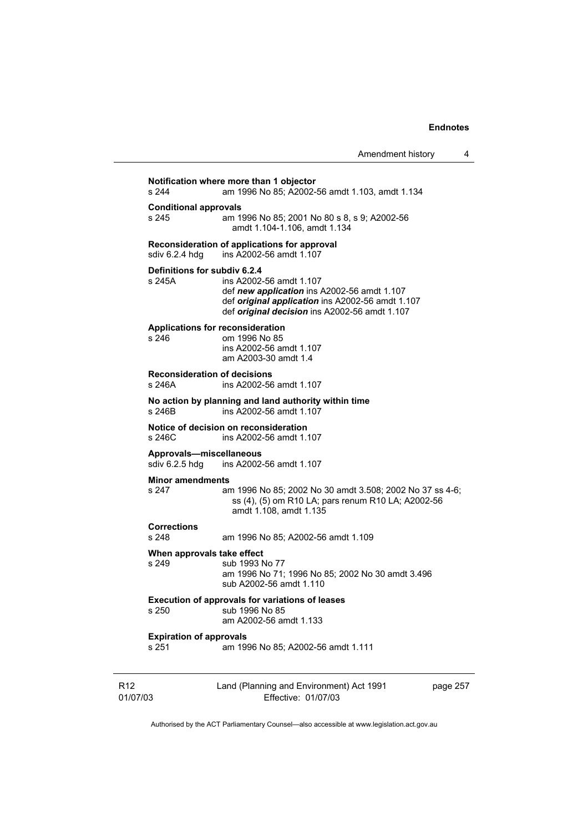| Amendment history |  |
|-------------------|--|
|-------------------|--|

Land (Planning and Environment) Act 1991 **Notification where more than 1 objector**  s 244 am 1996 No 85; A2002-56 amdt 1.103, amdt 1.134 **Conditional approvals**  s 245 am 1996 No 85; 2001 No 80 s 8, s 9; A2002-56 amdt 1.104-1.106, amdt 1.134 **Reconsideration of applications for approval**  sdiv 6.2.4 hdg ins A2002-56 amdt 1.107 **Definitions for subdiv 6.2.4**  s 245A ins A2002-56 amdt 1.107 def *new application* ins A2002-56 amdt 1.107 def *original application* ins A2002-56 amdt 1.107 def *original decision* ins A2002-56 amdt 1.107 **Applications for reconsideration**  s 246 om 1996 No 85 ins A2002-56 amdt 1.107 am A2003-30 amdt 1.4 **Reconsideration of decisions**  s 246A ins A2002-56 amdt 1.107 **No action by planning and land authority within time**  s 246B ins A2002-56 amdt 1.107 **Notice of decision on reconsideration**  s 246C ins A2002-56 amdt 1.107 **Approvals—miscellaneous**  sdiv 6.2.5 hdg ins A2002-56 amdt 1.107 **Minor amendments**  s 247 am 1996 No 85; 2002 No 30 amdt 3.508; 2002 No 37 ss 4-6; ss (4), (5) om R10 LA; pars renum R10 LA; A2002-56 amdt 1.108, amdt 1.135 **Corrections**  am 1996 No 85; A2002-56 amdt 1.109 **When approvals take effect**  s 249 sub 1993 No 77 am 1996 No 71; 1996 No 85; 2002 No 30 amdt 3.496 sub A2002-56 amdt 1.110 **Execution of approvals for variations of leases**  sub 1996 No 85 am A2002-56 amdt 1.133 **Expiration of approvals**  s 251 am 1996 No 85; A2002-56 amdt 1.111

R12 01/07/03

Effective: 01/07/03

page 257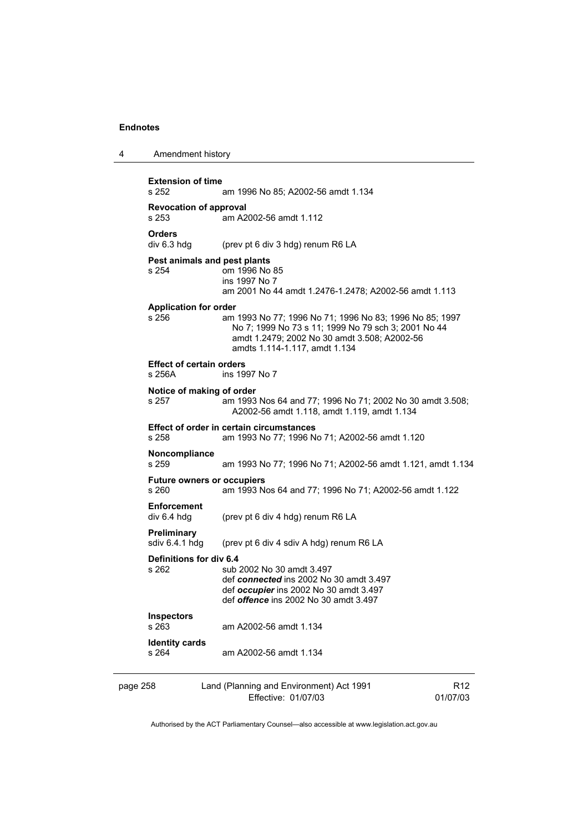| 4 | Amendment history |
|---|-------------------|
|---|-------------------|

| <b>Extension of time</b><br>s 252           | am 1996 No 85; A2002-56 amdt 1.134                                                                                                                                                              |                 |
|---------------------------------------------|-------------------------------------------------------------------------------------------------------------------------------------------------------------------------------------------------|-----------------|
| <b>Revocation of approval</b><br>s 253      | am A2002-56 amdt 1.112                                                                                                                                                                          |                 |
| <b>Orders</b><br>div 6.3 hdg                | (prev pt 6 div 3 hdg) renum R6 LA                                                                                                                                                               |                 |
| s 254                                       | Pest animals and pest plants<br>om 1996 No 85<br>ins 1997 No 7<br>am 2001 No 44 amdt 1.2476-1.2478; A2002-56 amdt 1.113                                                                         |                 |
| <b>Application for order</b><br>s 256       | am 1993 No 77; 1996 No 71; 1996 No 83; 1996 No 85; 1997<br>No 7; 1999 No 73 s 11; 1999 No 79 sch 3; 2001 No 44<br>amdt 1.2479; 2002 No 30 amdt 3.508; A2002-56<br>amdts 1.114-1.117, amdt 1.134 |                 |
| <b>Effect of certain orders</b><br>$s$ 256A | ins 1997 No 7                                                                                                                                                                                   |                 |
| s 257                                       | Notice of making of order<br>am 1993 Nos 64 and 77; 1996 No 71; 2002 No 30 amdt 3.508;<br>A2002-56 amdt 1.118, amdt 1.119, amdt 1.134                                                           |                 |
| s 258                                       | Effect of order in certain circumstances<br>am 1993 No 77; 1996 No 71; A2002-56 amdt 1.120                                                                                                      |                 |
| Noncompliance<br>s 259                      | am 1993 No 77; 1996 No 71; A2002-56 amdt 1.121, amdt 1.134                                                                                                                                      |                 |
| s 260                                       | <b>Future owners or occupiers</b><br>am 1993 Nos 64 and 77; 1996 No 71; A2002-56 amdt 1.122                                                                                                     |                 |
| <b>Enforcement</b><br>div 6.4 hdg           | (prev pt 6 div 4 hdg) renum R6 LA                                                                                                                                                               |                 |
| Preliminary<br>sdiv 6.4.1 hdg               | (prev pt 6 div 4 sdiv A hdg) renum R6 LA                                                                                                                                                        |                 |
| Definitions for div 6.4<br>s 262            | sub 2002 No 30 amdt 3.497<br>def connected ins 2002 No 30 amdt 3.497<br>def occupier ins 2002 No 30 amdt 3.497<br>def <i>offence</i> ins 2002 No 30 amdt 3.497                                  |                 |
| <b>Inspectors</b><br>s 263                  | am A2002-56 amdt 1.134                                                                                                                                                                          |                 |
| <b>Identity cards</b><br>s 264              | am A2002-56 amdt 1.134                                                                                                                                                                          |                 |
| page 258                                    | Land (Planning and Environment) Act 1991                                                                                                                                                        | R <sub>12</sub> |

Effective: 01/07/03

01/07/03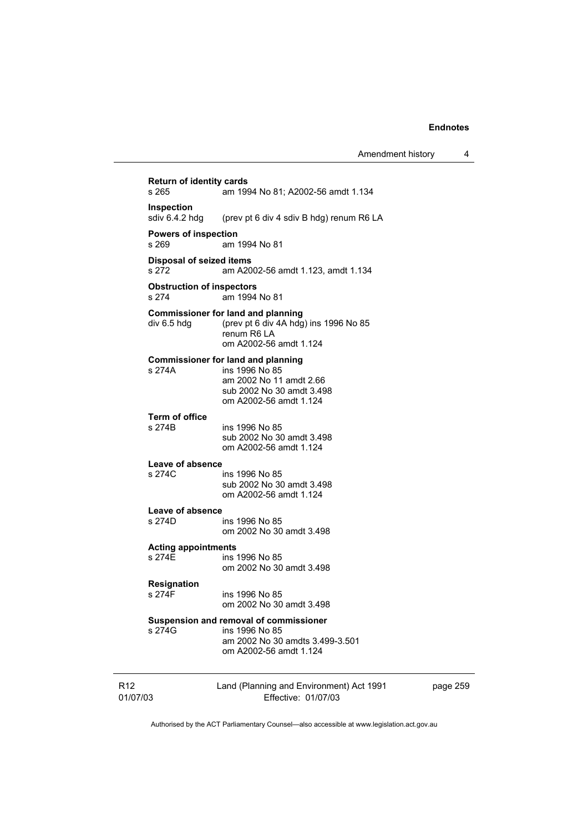|                             |                                           |                                                                                                                                               | Amendment history | 4        |
|-----------------------------|-------------------------------------------|-----------------------------------------------------------------------------------------------------------------------------------------------|-------------------|----------|
|                             | <b>Return of identity cards</b><br>s 265  | am 1994 No 81; A2002-56 amdt 1.134                                                                                                            |                   |          |
|                             | Inspection<br>sdiv 6.4.2 hdg              | (prev pt 6 div 4 sdiv B hdg) renum R6 LA                                                                                                      |                   |          |
|                             | <b>Powers of inspection</b><br>s 269      | am 1994 No 81                                                                                                                                 |                   |          |
|                             | Disposal of seized items<br>s 272         | am A2002-56 amdt 1.123, amdt 1.134                                                                                                            |                   |          |
|                             | <b>Obstruction of inspectors</b><br>s 274 | am 1994 No 81                                                                                                                                 |                   |          |
|                             | div 6.5 hdg                               | <b>Commissioner for land and planning</b><br>(prev pt 6 div 4A hdg) ins 1996 No 85<br>renum R6 LA<br>om A2002-56 amdt 1.124                   |                   |          |
|                             | s 274A                                    | <b>Commissioner for land and planning</b><br>ins 1996 No 85<br>am 2002 No 11 amdt 2.66<br>sub 2002 No 30 amdt 3.498<br>om A2002-56 amdt 1.124 |                   |          |
|                             | <b>Term of office</b><br>s 274B           | ins 1996 No 85<br>sub 2002 No 30 amdt 3.498<br>om A2002-56 amdt 1.124                                                                         |                   |          |
|                             | Leave of absence<br>s 274C                | ins 1996 No 85<br>sub 2002 No 30 amdt 3.498<br>om A2002-56 amdt 1.124                                                                         |                   |          |
|                             | Leave of absence<br>s 274D                | ins 1996 No 85<br>om 2002 No 30 amdt 3.498                                                                                                    |                   |          |
|                             | <b>Acting appointments</b><br>s 274E      | ins 1996 No 85<br>om 2002 No 30 amdt 3.498                                                                                                    |                   |          |
|                             | Resignation<br>s 274F                     | ins 1996 No 85<br>om 2002 No 30 amdt 3.498                                                                                                    |                   |          |
|                             | s 274G                                    | Suspension and removal of commissioner<br>ins 1996 No 85<br>am 2002 No 30 amdts 3.499-3.501<br>om A2002-56 amdt 1.124                         |                   |          |
| R <sub>12</sub><br>01/07/03 |                                           | Land (Planning and Environment) Act 1991<br>Effective: 01/07/03                                                                               |                   | page 259 |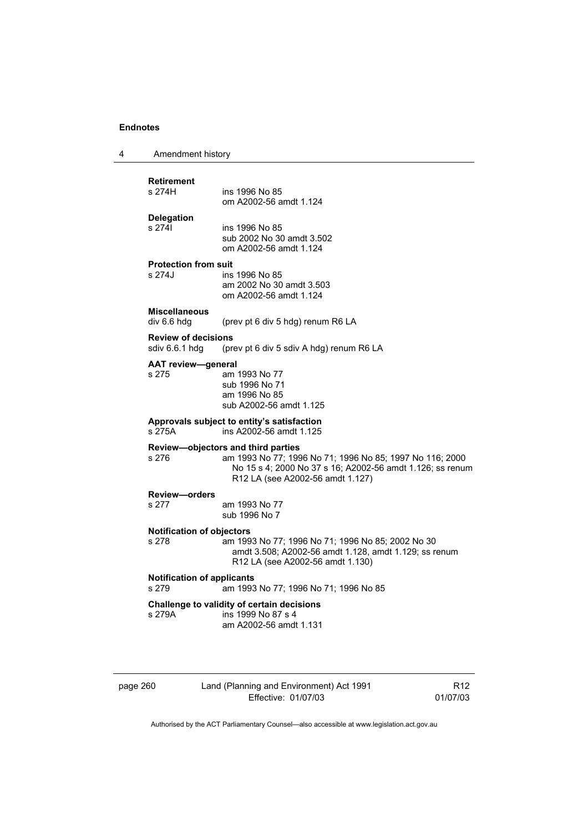| 4 | Amendment history |  |
|---|-------------------|--|
|---|-------------------|--|

# **Retirement**

ins 1996 No 85 om A2002-56 amdt 1.124

# **Delegation**

ins 1996 No 85 sub 2002 No 30 amdt 3.502 om A2002-56 amdt 1.124

# **Protection from suit**

ins 1996 No 85 am 2002 No 30 amdt 3.503 om A2002-56 amdt 1.124

# **Miscellaneous**

(prev pt 6 div 5 hdg) renum R6 LA

#### **Review of decisions**

sdiv 6.6.1 hdg (prev pt 6 div 5 sdiv A hdg) renum R6 LA

### **AAT review—general**

s 275 am 1993 No 77 sub 1996 No 71 am 1996 No 85 sub A2002-56 amdt 1.125

# **Approvals subject to entity's satisfaction**

s 275A ins A2002-56 amdt 1.125

### **Review—objectors and third parties**

s 276 am 1993 No 77; 1996 No 71; 1996 No 85; 1997 No 116; 2000 No 15 s 4; 2000 No 37 s 16; A2002-56 amdt 1.126; ss renum R12 LA (see A2002-56 amdt 1.127)

# **Review—orders**

am 1993 No 77 sub 1996 No 7

#### **Notification of objectors**

### s 278 am 1993 No 77; 1996 No 71; 1996 No 85; 2002 No 30 amdt 3.508; A2002-56 amdt 1.128, amdt 1.129; ss renum R12 LA (see A2002-56 amdt 1.130)

### **Notification of applicants**

s 279 am 1993 No 77; 1996 No 71; 1996 No 85

#### **Challenge to validity of certain decisions**

s 279A ins 1999 No 87 s 4 am A2002-56 amdt 1.131

| page 260 |
|----------|
|----------|

### 260 Land (Planning and Environment) Act 1991 Effective: 01/07/03

R12 01/07/03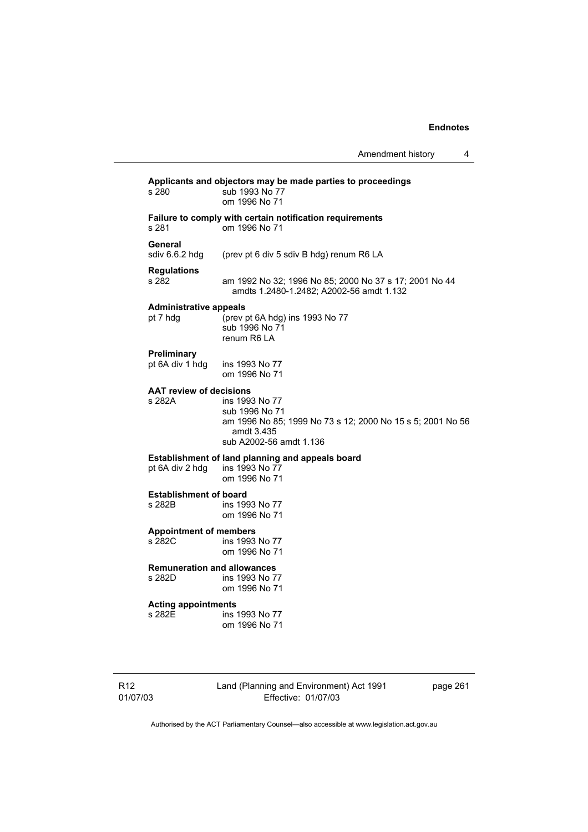| s 280                                     | Applicants and objectors may be made parties to proceedings<br>sub 1993 No 77<br>om 1996 No 71                                          |
|-------------------------------------------|-----------------------------------------------------------------------------------------------------------------------------------------|
| s 281                                     | Failure to comply with certain notification requirements<br>om 1996 No 71                                                               |
| General<br>sdiv 6.6.2 hdg                 | (prev pt 6 div 5 sdiv B hdg) renum R6 LA                                                                                                |
| <b>Regulations</b>                        | am 1992 No 32; 1996 No 85; 2000 No 37 s 17; 2001 No 44                                                                                  |
| s 282                                     | amdts 1.2480-1.2482; A2002-56 amdt 1.132                                                                                                |
| <b>Administrative appeals</b><br>pt 7 hdg | (prev pt 6A hdg) ins 1993 No 77<br>sub 1996 No 71<br>renum R6 LA                                                                        |
| Preliminary                               | ins 1993 No 77                                                                                                                          |
| pt 6A div 1 hdg                           | om 1996 No 71                                                                                                                           |
| <b>AAT review of decisions</b><br>s 282A  | ins 1993 No 77<br>sub 1996 No 71<br>am 1996 No 85; 1999 No 73 s 12; 2000 No 15 s 5; 2001 No 56<br>amdt 3.435<br>sub A2002-56 amdt 1.136 |
| pt 6A div 2 hdg                           | Establishment of land planning and appeals board<br>ins 1993 No 77<br>om 1996 No 71                                                     |
| <b>Establishment of board</b>             | ins 1993 No 77                                                                                                                          |
| s 282B                                    | om 1996 No 71                                                                                                                           |
| <b>Appointment of members</b>             | ins 1993 No 77                                                                                                                          |
| s 282C                                    | om 1996 No 71                                                                                                                           |
| <b>Remuneration and allowances</b>        | ins 1993 No 77                                                                                                                          |
| s 282D                                    | om 1996 No 71                                                                                                                           |
| <b>Acting appointments</b>                | ins 1993 No 77                                                                                                                          |
| s 282E                                    | om 1996 No 71                                                                                                                           |

R12 01/07/03 Land (Planning and Environment) Act 1991 Effective: 01/07/03

page 261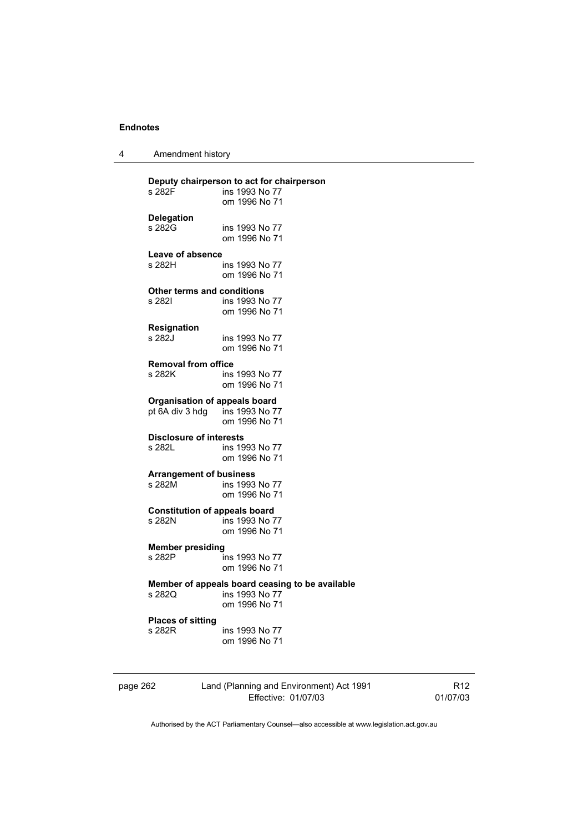|  | Amendment history |
|--|-------------------|
|--|-------------------|

| s 282F                               | Deputy chairperson to act for chairperson<br>ins 1993 No 77<br>om 1996 No 71       |
|--------------------------------------|------------------------------------------------------------------------------------|
| <b>Delegation</b>                    | ins 1993 No 77                                                                     |
| s 282G                               | om 1996 No 71                                                                      |
| Leave of absence                     | ins 1993 No 77                                                                     |
| s 282H                               | om 1996 No 71                                                                      |
| <b>Other terms and conditions</b>    | ins 1993 No 77                                                                     |
| s 282l                               | om 1996 No 71                                                                      |
| Resignation                          | ins 1993 No 77                                                                     |
| s 282J                               | om 1996 No 71                                                                      |
| <b>Removal from office</b>           | ins 1993 No 77                                                                     |
| s 282K                               | om 1996 No 71                                                                      |
| <b>Organisation of appeals board</b> | ins 1993 No 77                                                                     |
| pt 6A div 3 hdg                      | om 1996 No 71                                                                      |
| <b>Disclosure of interests</b>       | ins 1993 No 77                                                                     |
| s 282L                               | om 1996 No 71                                                                      |
| <b>Arrangement of business</b>       | ins 1993 No 77                                                                     |
| s 282M                               | om 1996 No 71                                                                      |
| <b>Constitution of appeals board</b> | ins 1993 No 77                                                                     |
| s 282N                               | om 1996 No 71                                                                      |
| <b>Member presiding</b>              | ins 1993 No 77                                                                     |
| s 282P                               | om 1996 No 71                                                                      |
| s 282Q                               | Member of appeals board ceasing to be available<br>ins 1993 No 77<br>om 1996 No 71 |
| <b>Places of sitting</b>             | ins 1993 No 77                                                                     |
| s 282R                               | om 1996 No 71                                                                      |
|                                      |                                                                                    |

page 262 Land (Planning and Environment) Act 1991 Effective: 01/07/03

R12 01/07/03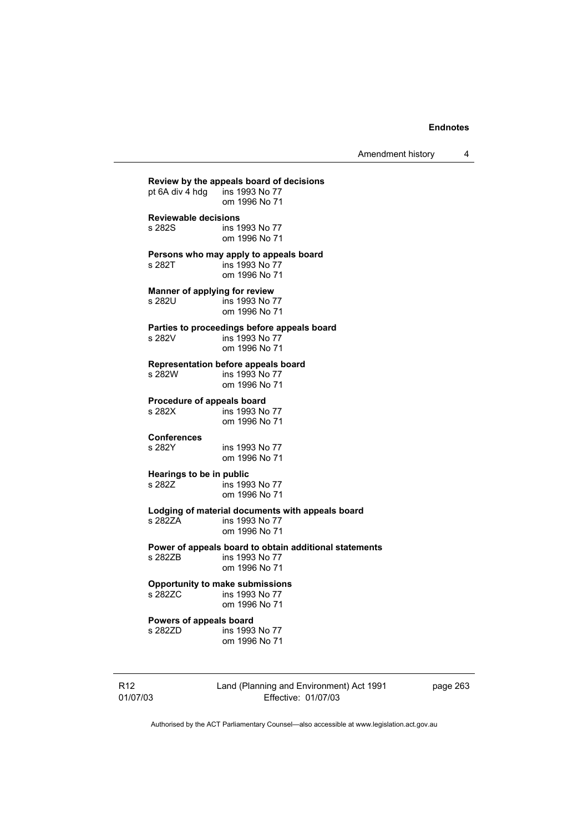Amendment history 4

**Review by the appeals board of decisions**  pt 6A div  $\frac{1}{4}$  hdg om 1996 No 71 **Reviewable decisions**  ins 1993 No 77 om 1996 No 71 **Persons who may apply to appeals board**  s 282T ins 1993 No 77 om 1996 No 71 **Manner of applying for review**  s 282U ins 1993 No 77 om 1996 No 71 **Parties to proceedings before appeals board**  s 282V ins 1993 No 77 om 1996 No 71 **Representation before appeals board**  ins 1993 No 77 om 1996 No 71 **Procedure of appeals board**<br>s 282X **ins 1993** No ins 1993 No 77 om 1996 No 71 **Conferences**  ins 1993 No 77 om 1996 No 71 **Hearings to be in public**  ins 1993 No 77 om 1996 No 71 **Lodging of material documents with appeals board**  s 282ZA ins 1993 No 77 om 1996 No 71 **Power of appeals board to obtain additional statements**  ins 1993 No 77 om 1996 No 71 **Opportunity to make submissions**  ins 1993 No 77 om 1996 No 71 **Powers of appeals board**  s 282ZD ins 1993 No 77 om 1996 No 71

R12 01/07/03 Land (Planning and Environment) Act 1991 Effective: 01/07/03

page 263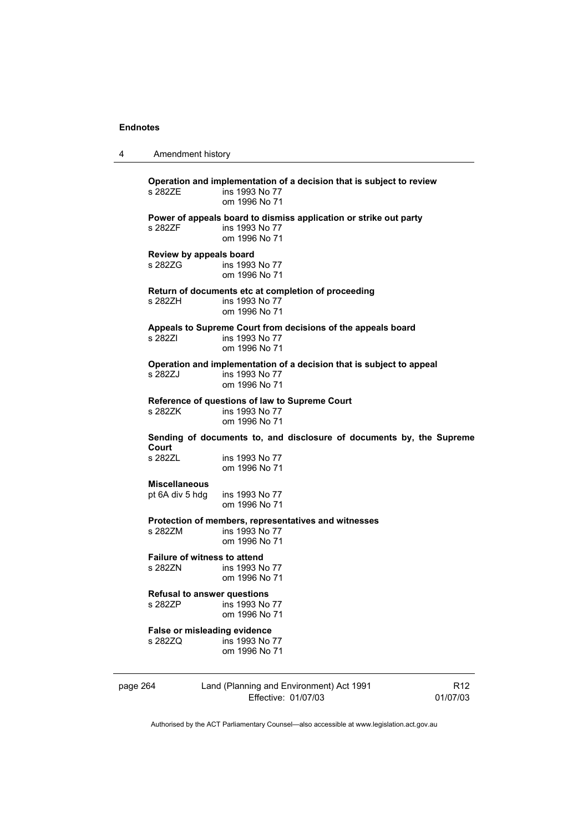4 Amendment history

| s 2827F                                 | Operation and implementation of a decision that is subject to review<br>ins 1993 No 77<br>om 1996 No 71 |                             |
|-----------------------------------------|---------------------------------------------------------------------------------------------------------|-----------------------------|
| s 282ZF                                 | Power of appeals board to dismiss application or strike out party<br>ins 1993 No 77<br>om 1996 No 71    |                             |
| s 282ZG                                 | Review by appeals board<br>ins 1993 No 77<br>om 1996 No 71                                              |                             |
| s 282ZH                                 | Return of documents etc at completion of proceeding<br>ins 1993 No 77<br>om 1996 No 71                  |                             |
| s 282ZI                                 | Appeals to Supreme Court from decisions of the appeals board<br>ins 1993 No 77<br>om 1996 No 71         |                             |
| s 282ZJ                                 | Operation and implementation of a decision that is subject to appeal<br>ins 1993 No 77<br>om 1996 No 71 |                             |
| s 282ZK                                 | Reference of questions of law to Supreme Court<br>ins 1993 No 77<br>om 1996 No 71                       |                             |
| Court                                   | Sending of documents to, and disclosure of documents by, the Supreme                                    |                             |
| s 282ZL                                 | ins 1993 No 77<br>om 1996 No 71                                                                         |                             |
| <b>Miscellaneous</b><br>pt 6A div 5 hdg | ins 1993 No 77<br>om 1996 No 71                                                                         |                             |
| s 282ZM                                 | Protection of members, representatives and witnesses<br>ins 1993 No 77<br>om 1996 No 71                 |                             |
| s 282ZN                                 | Failure of witness to attend<br>ins 1993 No 77<br>om 1996 No 71                                         |                             |
| s 282ZP                                 | <b>Refusal to answer questions</b><br>ins 1993 No 77<br>om 1996 No 71                                   |                             |
| s 282ZQ                                 | False or misleading evidence<br>ins 1993 No 77<br>om 1996 No 71                                         |                             |
| page 264                                | Land (Planning and Environment) Act 1991<br>Effective: 01/07/03                                         | R <sub>12</sub><br>01/07/03 |

Authorised by the ACT Parliamentary Counsel—also accessible at www.legislation.act.gov.au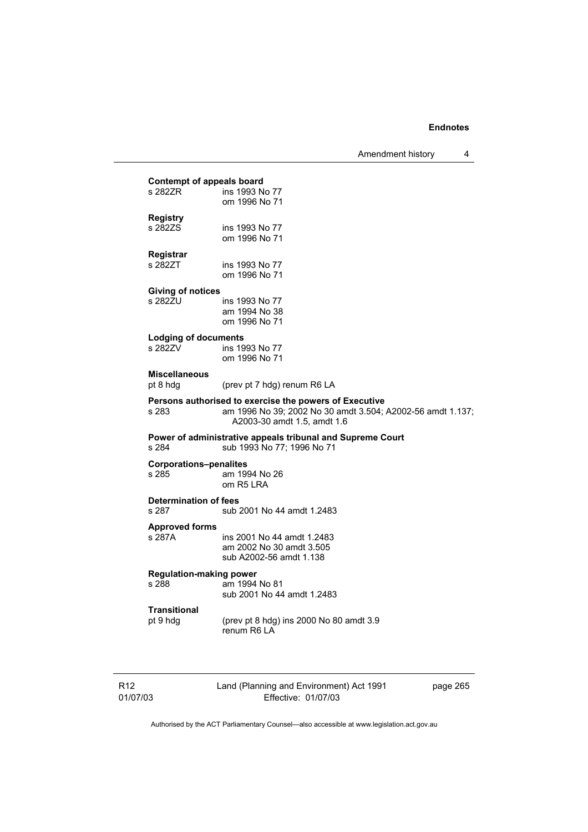# **Contempt of appeals board**<br>s 282ZR ins 1993 N ins 1993 No 77 om 1996 No 71 **Registry**  ins 1993 No 77 om 1996 No 71 **Registrar**  s 282ZT ins 1993 No 77 om 1996 No 71 **Giving of notices**  ins 1993 No 77 am 1994 No 38 om 1996 No 71 **Lodging of documents**  ins 1993 No 77 om 1996 No 71 **Miscellaneous**  pt 8 hdg (prev pt 7 hdg) renum R6 LA **Persons authorised to exercise the powers of Executive**  s 283 am 1996 No 39; 2002 No 30 amdt 3.504; A2002-56 amdt 1.137; A2003-30 amdt 1.5, amdt 1.6 **Power of administrative appeals tribunal and Supreme Court** s 284 sub 1993 No 77; 1996 No 71 sub 1993 No 77; 1996 No 71 **Corporations–penalites**  s 285 am 1994 No 26 om R5 LRA **Determination of fees**  s 287 sub 2001 No 44 amdt 1.2483 **Approved forms**  s 287A ins 2001 No 44 amdt 1.2483 am 2002 No 30 amdt 3.505 sub A2002-56 amdt 1.138 **Regulation-making power**  am 1994 No 81 sub 2001 No 44 amdt 1.2483 **Transitional**  pt 9 hdg (prev pt 8 hdg) ins 2000 No 80 amdt 3.9 renum R6 LA

| R12      |  |
|----------|--|
| 01/07/03 |  |

Land (Planning and Environment) Act 1991 Effective: 01/07/03

page 265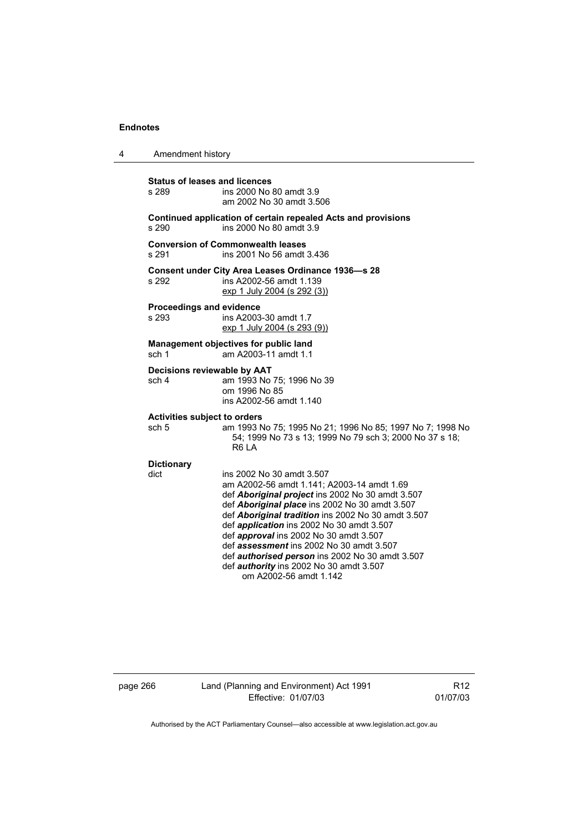| 4 | Amendment history                                                                                 |                                                                                                                                                                                                                                                                                                                                                                                                                                                                                                                     |  |  |
|---|---------------------------------------------------------------------------------------------------|---------------------------------------------------------------------------------------------------------------------------------------------------------------------------------------------------------------------------------------------------------------------------------------------------------------------------------------------------------------------------------------------------------------------------------------------------------------------------------------------------------------------|--|--|
|   | <b>Status of leases and licences</b><br>s 289                                                     | ins 2000 No 80 amdt 3.9<br>am 2002 No 30 amdt 3.506                                                                                                                                                                                                                                                                                                                                                                                                                                                                 |  |  |
|   | Continued application of certain repealed Acts and provisions<br>ins 2000 No 80 amdt 3.9<br>s 290 |                                                                                                                                                                                                                                                                                                                                                                                                                                                                                                                     |  |  |
|   | s 291                                                                                             | <b>Conversion of Commonwealth leases</b><br>ins 2001 No 56 amdt 3.436                                                                                                                                                                                                                                                                                                                                                                                                                                               |  |  |
|   | s 292                                                                                             | <b>Consent under City Area Leases Ordinance 1936-s 28</b><br>ins A2002-56 amdt 1.139<br>exp 1 July 2004 (s 292 (3))                                                                                                                                                                                                                                                                                                                                                                                                 |  |  |
|   | Proceedings and evidence<br>s 293                                                                 | ins A2003-30 amdt 1.7<br>exp 1 July 2004 (s 293 (9))                                                                                                                                                                                                                                                                                                                                                                                                                                                                |  |  |
|   | sch 1                                                                                             | Management objectives for public land<br>am A2003-11 amdt 1.1                                                                                                                                                                                                                                                                                                                                                                                                                                                       |  |  |
|   | Decisions reviewable by AAT<br>sch 4                                                              | am 1993 No 75; 1996 No 39<br>om 1996 No 85<br>ins A2002-56 amdt 1.140                                                                                                                                                                                                                                                                                                                                                                                                                                               |  |  |
|   | <b>Activities subject to orders</b><br>sch 5                                                      | am 1993 No 75; 1995 No 21; 1996 No 85; 1997 No 7; 1998 No<br>54; 1999 No 73 s 13; 1999 No 79 sch 3; 2000 No 37 s 18;<br>R <sub>6</sub> LA                                                                                                                                                                                                                                                                                                                                                                           |  |  |
|   | <b>Dictionary</b><br>dict                                                                         | ins 2002 No 30 amdt 3.507<br>am A2002-56 amdt 1.141; A2003-14 amdt 1.69<br>def Aboriginal project ins 2002 No 30 amdt 3.507<br>def Aboriginal place ins 2002 No 30 amdt 3.507<br>def Aboriginal tradition ins 2002 No 30 amdt 3.507<br>def <i>application</i> ins 2002 No 30 amdt 3.507<br>def approval ins 2002 No 30 amdt 3.507<br>def assessment ins 2002 No 30 amdt 3.507<br>def <i>authorised person</i> ins 2002 No 30 amdt 3.507<br>def <i>authority</i> ins 2002 No 30 amdt 3.507<br>om A2002-56 amdt 1.142 |  |  |

page 266 Land (Planning and Environment) Act 1991 Effective: 01/07/03

R12 01/07/03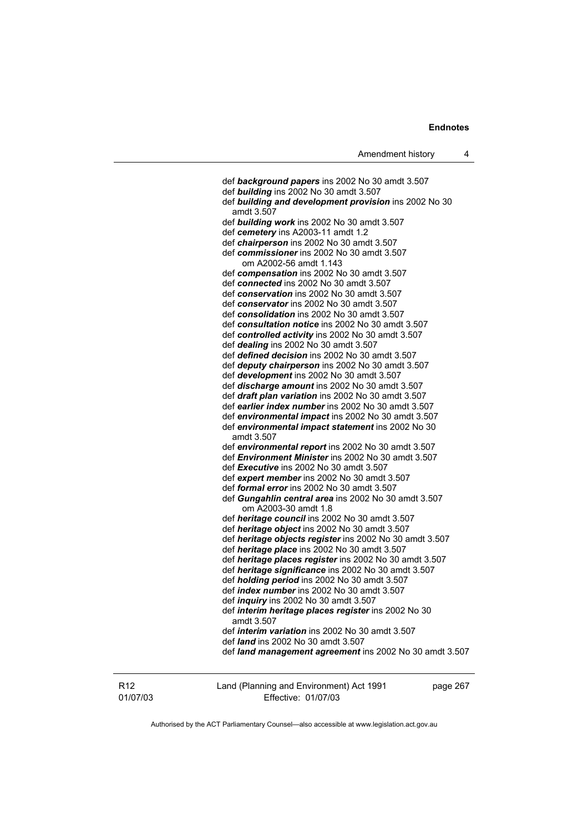def *background papers* ins 2002 No 30 amdt 3.507 def *building* ins 2002 No 30 amdt 3.507 def *building and development provision* ins 2002 No 30 amdt 3.507 def *building work* ins 2002 No 30 amdt 3.507 def *cemetery* ins A2003-11 amdt 1.2 def *chairperson* ins 2002 No 30 amdt 3.507 def *commissioner* ins 2002 No 30 amdt 3.507 om A2002-56 amdt 1.143 def *compensation* ins 2002 No 30 amdt 3.507 def *connected* ins 2002 No 30 amdt 3.507 def *conservation* ins 2002 No 30 amdt 3.507 def *conservator* ins 2002 No 30 amdt 3.507 def *consolidation* ins 2002 No 30 amdt 3.507 def *consultation notice* ins 2002 No 30 amdt 3.507 def *controlled activity* ins 2002 No 30 amdt 3.507 def *dealing* ins 2002 No 30 amdt 3.507 def *defined decision* ins 2002 No 30 amdt 3.507 def *deputy chairperson* ins 2002 No 30 amdt 3.507 def *development* ins 2002 No 30 amdt 3.507 def *discharge amount* ins 2002 No 30 amdt 3.507 def *draft plan variation* ins 2002 No 30 amdt 3.507 def *earlier index number* ins 2002 No 30 amdt 3.507 def *environmental impact* ins 2002 No 30 amdt 3.507 def *environmental impact statement* ins 2002 No 30 amdt 3.507 def *environmental report* ins 2002 No 30 amdt 3.507 def *Environment Minister* ins 2002 No 30 amdt 3.507 def *Executive* ins 2002 No 30 amdt 3.507 def *expert member* ins 2002 No 30 amdt 3.507 def *formal error* ins 2002 No 30 amdt 3.507 def *Gungahlin central area* ins 2002 No 30 amdt 3.507 om A2003-30 amdt 1.8 def *heritage council* ins 2002 No 30 amdt 3.507 def *heritage object* ins 2002 No 30 amdt 3.507 def *heritage objects register* ins 2002 No 30 amdt 3.507 def *heritage place* ins 2002 No 30 amdt 3.507 def *heritage places register* ins 2002 No 30 amdt 3.507 def *heritage significance* ins 2002 No 30 amdt 3.507 def *holding period* ins 2002 No 30 amdt 3.507 def *index number* ins 2002 No 30 amdt 3.507 def *inquiry* ins 2002 No 30 amdt 3.507 def *interim heritage places register* ins 2002 No 30 amdt 3.507 def *interim variation* ins 2002 No 30 amdt 3.507 def *land* ins 2002 No 30 amdt 3.507 def *land management agreement* ins 2002 No 30 amdt 3.507

R12 01/07/03 Land (Planning and Environment) Act 1991 Effective: 01/07/03

page 267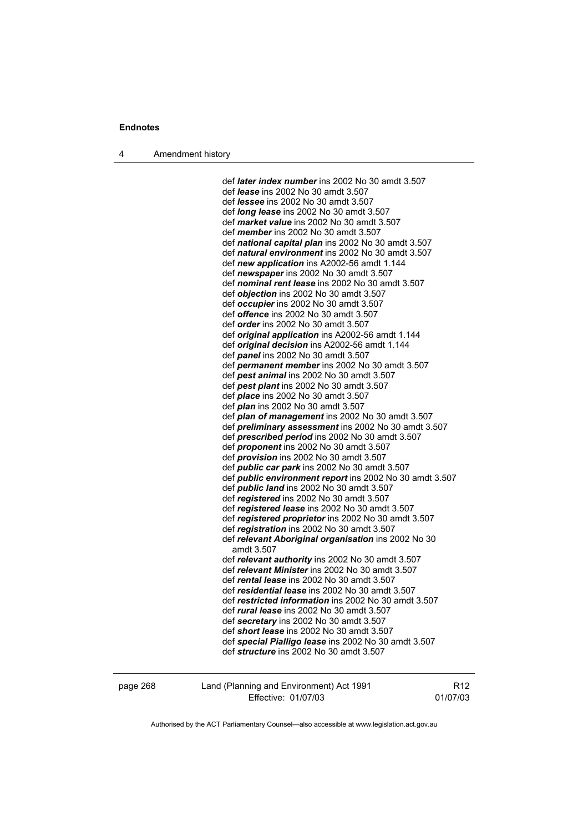4 Amendment history

 def *later index number* ins 2002 No 30 amdt 3.507 def *lease* ins 2002 No 30 amdt 3.507 def *lessee* ins 2002 No 30 amdt 3.507 def *long lease* ins 2002 No 30 amdt 3.507 def *market value* ins 2002 No 30 amdt 3.507 def *member* ins 2002 No 30 amdt 3.507 def *national capital plan* ins 2002 No 30 amdt 3.507 def *natural environment* ins 2002 No 30 amdt 3.507 def *new application* ins A2002-56 amdt 1.144 def *newspaper* ins 2002 No 30 amdt 3.507 def *nominal rent lease* ins 2002 No 30 amdt 3.507 def *objection* ins 2002 No 30 amdt 3.507 def *occupier* ins 2002 No 30 amdt 3.507 def *offence* ins 2002 No 30 amdt 3.507 def *order* ins 2002 No 30 amdt 3.507 def *original application* ins A2002-56 amdt 1.144 def *original decision* ins A2002-56 amdt 1.144 def *panel* ins 2002 No 30 amdt 3.507 def *permanent member* ins 2002 No 30 amdt 3.507 def *pest animal* ins 2002 No 30 amdt 3.507 def *pest plant* ins 2002 No 30 amdt 3.507 def *place* ins 2002 No 30 amdt 3.507 def *plan* ins 2002 No 30 amdt 3.507 def *plan of management* ins 2002 No 30 amdt 3.507 def *preliminary assessment* ins 2002 No 30 amdt 3.507 def *prescribed period* ins 2002 No 30 amdt 3.507 def *proponent* ins 2002 No 30 amdt 3.507 def *provision* ins 2002 No 30 amdt 3.507 def *public car park* ins 2002 No 30 amdt 3.507 def *public environment report* ins 2002 No 30 amdt 3.507 def *public land* ins 2002 No 30 amdt 3.507 def *registered* ins 2002 No 30 amdt 3.507 def *registered lease* ins 2002 No 30 amdt 3.507 def *registered proprietor* ins 2002 No 30 amdt 3.507 def *registration* ins 2002 No 30 amdt 3.507 def *relevant Aboriginal organisation* ins 2002 No 30 amdt 3.507 def *relevant authority* ins 2002 No 30 amdt 3.507 def *relevant Minister* ins 2002 No 30 amdt 3.507 def *rental lease* ins 2002 No 30 amdt 3.507 def *residential lease* ins 2002 No 30 amdt 3.507 def *restricted information* ins 2002 No 30 amdt 3.507 def *rural lease* ins 2002 No 30 amdt 3.507 def *secretary* ins 2002 No 30 amdt 3.507 def *short lease* ins 2002 No 30 amdt 3.507 def *special Pialligo lease* ins 2002 No 30 amdt 3.507 def *structure* ins 2002 No 30 amdt 3.507

page 268 Land (Planning and Environment) Act 1991 Effective: 01/07/03

R12 01/07/03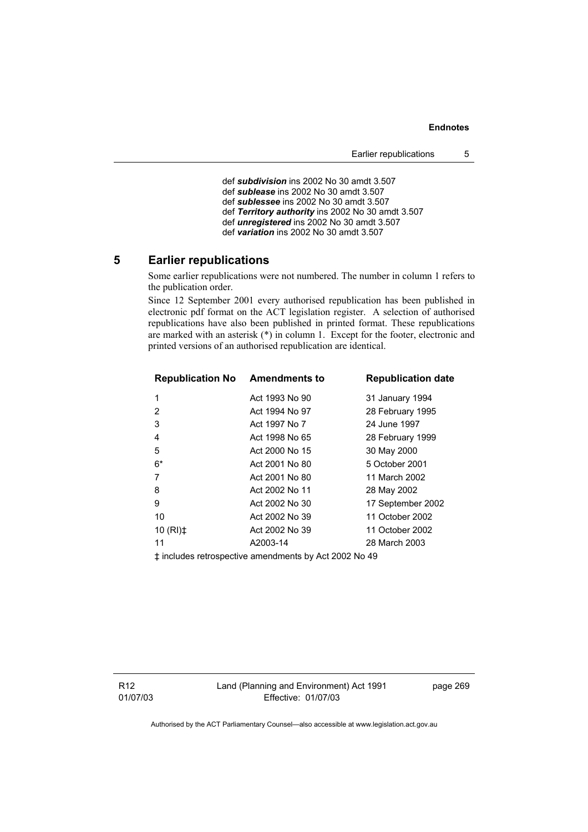def *subdivision* ins 2002 No 30 amdt 3.507 def *sublease* ins 2002 No 30 amdt 3.507 def *sublessee* ins 2002 No 30 amdt 3.507 def *Territory authority* ins 2002 No 30 amdt 3.507 def *unregistered* ins 2002 No 30 amdt 3.507 def *variation* ins 2002 No 30 amdt 3.507

# **5 Earlier republications**

Some earlier republications were not numbered. The number in column 1 refers to the publication order.

Since 12 September 2001 every authorised republication has been published in electronic pdf format on the ACT legislation register. A selection of authorised republications have also been published in printed format. These republications are marked with an asterisk  $(*)$  in column 1. Except for the footer, electronic and printed versions of an authorised republication are identical.

| <b>Republication No Amendments to</b>                 |                | <b>Republication date</b> |  |  |  |
|-------------------------------------------------------|----------------|---------------------------|--|--|--|
| 1                                                     | Act 1993 No 90 | 31 January 1994           |  |  |  |
| 2                                                     | Act 1994 No 97 | 28 February 1995          |  |  |  |
| 3                                                     | Act 1997 No 7  | 24 June 1997              |  |  |  |
| 4                                                     | Act 1998 No 65 | 28 February 1999          |  |  |  |
| 5                                                     | Act 2000 No 15 | 30 May 2000               |  |  |  |
| $6*$                                                  | Act 2001 No 80 | 5 October 2001            |  |  |  |
| 7                                                     | Act 2001 No 80 | 11 March 2002             |  |  |  |
| 8                                                     | Act 2002 No 11 | 28 May 2002               |  |  |  |
| 9                                                     | Act 2002 No 30 | 17 September 2002         |  |  |  |
| 10                                                    | Act 2002 No 39 | 11 October 2002           |  |  |  |
| 10 $(RI)$ $\ddagger$                                  | Act 2002 No 39 | 11 October 2002           |  |  |  |
| 11                                                    | A2003-14       | 28 March 2003             |  |  |  |
| ‡ includes retrospective amendments by Act 2002 No 49 |                |                           |  |  |  |

R12 01/07/03 page 269